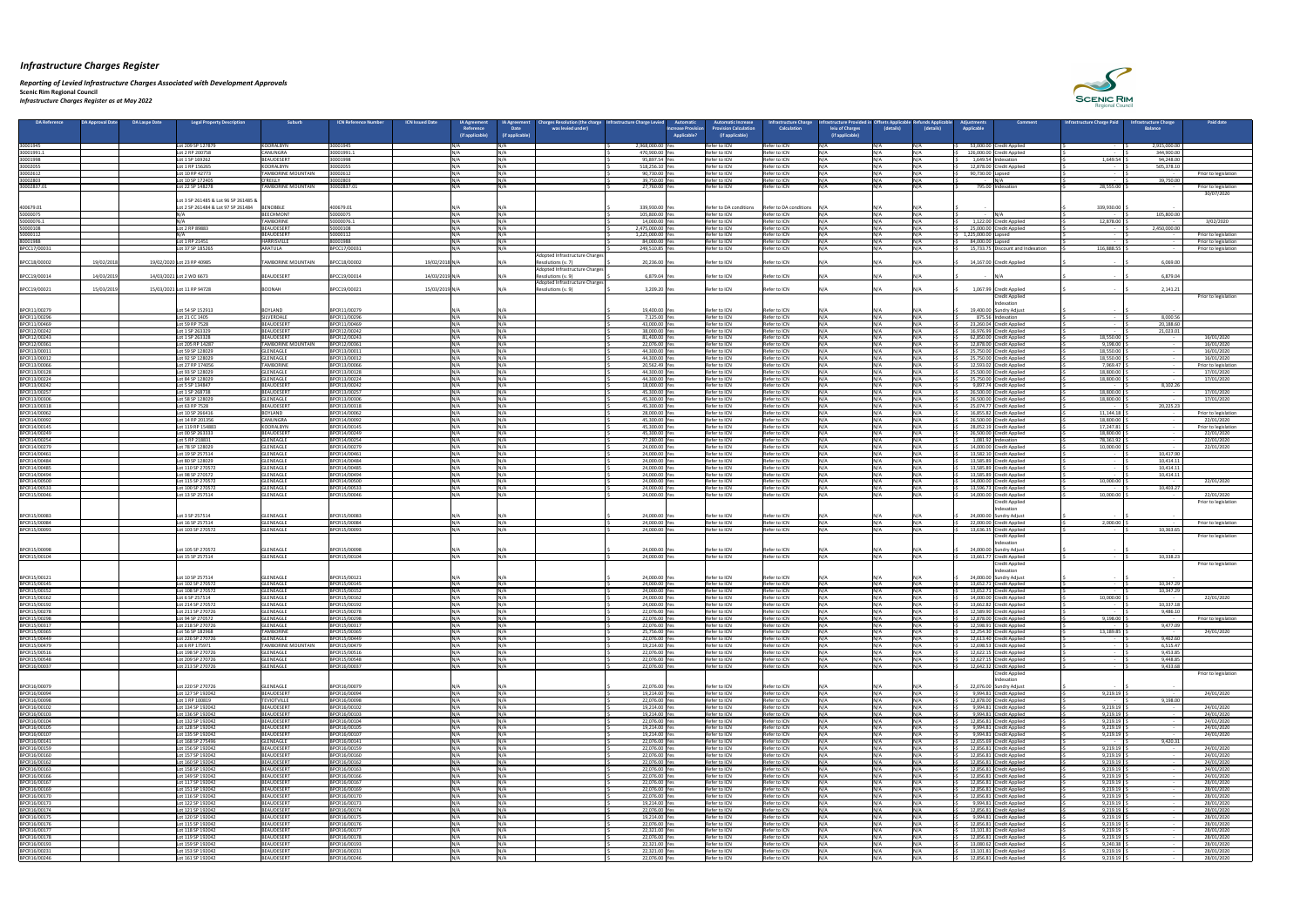*Reporting of Levied Infrastructure Charges Associated with Development Approvals*  **Scenic Rim Regional Council**

*Infrastructure Charges Register as at May 2022*

| <b>DA Reference</b>          | <b>DA Approval Date</b><br>DA Laspe Date | <b>Legal Property Description</b>                                          | <b>Suburb</b>                                  | <b>ICN Reference Number</b><br><b>ICN Issued Date</b> |                  | <b>IA Agreement</b><br>Reference | Charges Resolution (the charge   Infrastructure Charge Levied<br><b>IA Agreement</b><br>was levied under)<br><b>Date</b> | Automatic<br><b>Increase Provision</b> | <b>Automatic Increase</b><br><b>rovision Calculation</b> | <b>Infrastructure Charg</b><br><b>Calculation</b> | frastructure Provided in Offsets Applicable<br>leiu of Charges | (details)      | Refunds Applicable<br>(details) | Adiustments<br>Applicable | <b>Comment</b>                                       | <b>Infrastructure Charge Paid</b> | <b>Infrastructure Charge</b><br><b>Balance</b> | <b>Paid date</b>                   |
|------------------------------|------------------------------------------|----------------------------------------------------------------------------|------------------------------------------------|-------------------------------------------------------|------------------|----------------------------------|--------------------------------------------------------------------------------------------------------------------------|----------------------------------------|----------------------------------------------------------|---------------------------------------------------|----------------------------------------------------------------|----------------|---------------------------------|---------------------------|------------------------------------------------------|-----------------------------------|------------------------------------------------|------------------------------------|
|                              |                                          |                                                                            |                                                |                                                       |                  | (if applicable)                  | (if applicable)                                                                                                          | Applicable?                            | (if applicable)                                          |                                                   | (if applicable)                                                |                |                                 |                           |                                                      |                                   |                                                |                                    |
| 30001945                     |                                          | Lot 209 SP 127879                                                          | KOORALBYN                                      | 30001945                                              |                  |                                  |                                                                                                                          | 2,968,000.00 Yes                       | Refer to ICN                                             | Refer to ICN                                      |                                                                | N/A            | IN/A                            |                           | 53,000.00 Credit Applied                             |                                   | 2,915,000.00                                   |                                    |
| 30001991.1<br>30001998       |                                          | Lot 2 RP 200758                                                            | <b>CANUNGRA</b><br>BEAUDESERT                  | 30001991.1<br>30001998                                | 11 / A           |                                  |                                                                                                                          | 470,900.00 Yes<br>95,897.54 Yes        | Refer to ICN<br>Refer to ICN                             | Refer to ICN<br>Refer to ICN                      |                                                                | NΙ/Δ<br>N /Δ   |                                 |                           | 126,000.00 Credit Applied<br>1,649.54 Indexation     | 1,649.54                          | 344,900.00<br>94,248.00                        |                                    |
| 30002055                     |                                          | Lot 1 SP 169262<br>Lot 1 RP 156265                                         | KOORALBYN                                      | 30002055                                              | 11 / A           |                                  |                                                                                                                          | 518,256.10 Yes                         | Refer to ICN                                             | Refer to ICN                                      |                                                                | N /Δ           |                                 |                           | 12,878.00 Credit Applied                             |                                   | 505,378.10                                     |                                    |
| 30002612                     |                                          | Lot 10 RP 42773                                                            | <b>TAMBORINE MOUNTAIN</b>                      | 30002612                                              |                  |                                  |                                                                                                                          | 90,730.00 Yes                          | Refer to ICN                                             | Refer to ICN                                      |                                                                | N / A          |                                 | 90,730.00 Lapsed          |                                                      |                                   |                                                | Prior to legislation               |
| 30002803<br>30002837.01      |                                          | Lot 10 SP 172405<br>Lot 22 SP 148278                                       | O'REILLY<br><b>TAMBORINE MOUNTAIN</b>          | 30002803<br>30002837.01                               | $N/\Lambda$      |                                  | N / A                                                                                                                    | 39,750.00 Yes<br>27,760.00 Ye          | Refer to ICN<br>Refer to ICN                             | Refer to ICN<br>Refer to ICN                      |                                                                | N /Δ<br>N /Δ   |                                 |                           | 795.00 Indexation                                    | 28,555.00                         | 39,750.00                                      | Prior to legislation               |
|                              |                                          |                                                                            |                                                |                                                       |                  |                                  |                                                                                                                          |                                        |                                                          |                                                   |                                                                |                |                                 |                           |                                                      |                                   |                                                | 30/07/2020                         |
| 400679.01                    |                                          | Lot 3 SP 261485 & Lot 96 SP 261485 &<br>Lot 2 SP 261484 & Lot 97 SP 261484 | <b>BENOBBLE</b>                                | 400679.01                                             |                  |                                  |                                                                                                                          | 339,930.00 Yes                         | Refer to DA conditions                                   | Refer to DA conditions $N/A$                      |                                                                | N / Δ          |                                 |                           |                                                      | 339,930.00                        |                                                |                                    |
| 50000075                     |                                          |                                                                            | <b>BEECHMONT</b>                               | 50000075                                              | IN /∆            |                                  |                                                                                                                          | 105,800.00 Yes                         | Refer to ICN                                             | Refer to ICN                                      |                                                                | N / Δ          |                                 |                           |                                                      | $\sim$ $-$                        | 105,800.00                                     |                                    |
| 50000076.1<br>50000108       |                                          | Lot 2 RP 89883                                                             | <b>TAMBORINE</b><br>BEAUDESERT                 | 50000076.1<br>50000108                                | <b>NI/A</b>      |                                  |                                                                                                                          | 14,000.00 Yes<br>2,475,000.00 Yes      | Refer to ICN<br>Refer to ICN                             | Refer to ICN<br>Refer to ICN                      |                                                                | NΙ/Δ<br>N / A  |                                 |                           | 1,122.00 Credit Applied<br>25,000.00 Credit Applied  | 12,878.00                         | 2,450,000.00                                   | 3/02/2020                          |
| 50000112                     |                                          |                                                                            | BEAUDESERT                                     | 50000112                                              |                  |                                  |                                                                                                                          | 1,225,000.00 Yes                       | Refer to ICN                                             | Refer to ICN                                      |                                                                | N /Δ           |                                 | 1,225,000.00 Lapsed       |                                                      |                                   |                                                | Prior to legislation               |
| 80001988<br>BPCC17/00031     |                                          | Lot 1 RP 21451<br>Lot 37 SP 185265                                         | <b>HARRISVILLE</b><br>ARATULA                  | 80001988<br>BPCC17/00031                              | <b>NI / A</b>    |                                  | N/A                                                                                                                      | 84,000.00 Yes<br>249,510.85 Yes        | Refer to ICN<br>Refer to ICN                             | Refer to ICN<br>Refer to ICN                      |                                                                | NΙ/Δ<br>N / A  | 11 / A                          | 84,000.00 Lapsed          | 15,733.75 Discount and Indexation                    | 116,888.55                        |                                                | Prior to legislation               |
|                              |                                          |                                                                            |                                                |                                                       |                  |                                  | Adopted Infrastructure Charges                                                                                           |                                        |                                                          |                                                   |                                                                |                |                                 |                           |                                                      |                                   |                                                | Prior to legislation               |
| BPCC18/00002                 | 19/02/201                                | 19/02/2020 Lot 23 RP 40985                                                 | <b>TAMBORINE MOUNTAIN</b>                      | BPCC18/00002                                          | 19/02/2018 N/A   |                                  | Resolutions (v. 7)                                                                                                       | 20,236.00 Yes                          | Refer to ICN                                             | Refer to ICN                                      |                                                                |                |                                 |                           | 14,167.00 Credit Applied                             |                                   | 6,069.00                                       |                                    |
| BPCC19/00014                 | 14/03/2019                               | 14/03/2021 Lot 2 WD 6673                                                   | BEAUDESERT                                     | BPCC19/00014                                          | 14/03/2019 N/A   |                                  | Adopted Infrastructure Charges<br>Resolutions (v. 9)                                                                     | 6,879.04 Yes                           | Refer to ICN                                             | Refer to ICN                                      |                                                                | N / A          |                                 |                           |                                                      |                                   | 6,879.04                                       |                                    |
|                              |                                          |                                                                            |                                                |                                                       |                  |                                  | Adopted Infrastructure Charges                                                                                           |                                        |                                                          |                                                   |                                                                |                |                                 |                           |                                                      |                                   |                                                |                                    |
| BPCC19/00021                 | 15/03/2019                               | 15/03/2021 Lot 11 RP 94728                                                 | BOONAH                                         | BPCC19/00021                                          | 15/03/2019 N/A   |                                  | Resolutions (v. 9)                                                                                                       | 3,209.20 Yes                           | Refer to ICN                                             | Refer to ICN                                      |                                                                | N/A            |                                 |                           | 1,067.99 Credit Applied<br>Credit Applied            |                                   | 2,141.21                                       | Prior to legislation               |
|                              |                                          |                                                                            |                                                |                                                       |                  |                                  |                                                                                                                          |                                        |                                                          |                                                   |                                                                |                |                                 |                           | ndexatioi                                            |                                   |                                                |                                    |
| BPCR11/00279<br>BPCR11/00296 |                                          | Lot 54 SP 152913<br>Lot 21 CC 1405                                         | BOYLAND<br>SILVERDALE                          | BPCR11/00279<br>BPCR11/00296                          | IN/A<br>11 / A   |                                  |                                                                                                                          | 19,400.00 Yes<br>7,125.00 Yes          | Refer to ICN<br>Refer to ICN                             | Refer to ICN<br>Refer to ICN                      |                                                                | N/A<br>NΙ/Δ    |                                 |                           | 19,400.00 Sundry Adjust<br>875.56 Indexation         |                                   | 8,000.56                                       |                                    |
| BPCR11/00469                 |                                          | Lot 59 RP 7528                                                             | BEAUDESERT                                     | BPCR11/00469                                          | 11 / A           |                                  | N / A                                                                                                                    | 43,000.00 Yes                          | Refer to ICN                                             | Refer to ICN                                      |                                                                | N / A          |                                 |                           | 23,260.04 Credit Applied                             |                                   | 20,188.60                                      |                                    |
| BPCR12/00242<br>BPCR12/00243 |                                          | Lot 1 SP 263329<br>Lot 1 SP 263328                                         | <b>BEAUDESERT</b><br>BEAUDESERT                | BPCR12/00242<br>BPCR12/00243                          |                  |                                  |                                                                                                                          | 38,000.00 Yes<br>81,400.00 Yes         | Refer to ICN<br>Refer to ICN                             | Refer to ICN<br>Refer to ICN                      |                                                                | N / A          |                                 |                           | 16,976.99 Credit Applied<br>62,850.00 Credit Applied | 18,550.00                         | 21,023.01                                      | 16/01/202                          |
| BPCR12/00361                 |                                          | Lot 205 RP 14287                                                           | <b>TAMBORINE MOUNTAIN</b>                      | BPCR12/00361                                          | INI/A            |                                  | N/A                                                                                                                      | 22,076.00 Yes                          | Refer to ICN                                             | Refer to ICN                                      |                                                                | N /Δ           | 11 / A                          |                           | 12,878.00 Credit Applied                             | 9,198.00                          |                                                | 16/01/2020                         |
| BPCR13/00011<br>BPCR13/00012 |                                          | Lot 59 SP 128029<br>Lot 92 SP 128029                                       | <b>GLENEAGLE</b><br>GLENEAGLE                  | BPCR13/00011<br>BPCR13/00012                          |                  |                                  |                                                                                                                          | 44,300.00 Yes<br>44,300.00 Yes         | Refer to ICN<br>Refer to ICN                             | Refer to ICN<br>Refer to ICN                      |                                                                | NΙ/Δ           |                                 |                           | 25,750.00 Credit Applied<br>25,750.00 Credit Applied | 18,550.00<br>18,550.00            |                                                | 16/01/2020<br>16/01/2020           |
| BPCR13/00066                 |                                          | Lot 27 RP 174056                                                           | <b>TAMBORINE</b>                               | BPCR13/00066                                          | I NI / A         |                                  | N/A                                                                                                                      | 20,562.49 Yes                          | Refer to ICN                                             | Refer to ICN                                      |                                                                | N/A            |                                 |                           | 12,593.02 Credit Applied                             | 7,969.47                          |                                                | Prior to legislation               |
| BPCR13/00128<br>BPCR13/00224 |                                          | Lot 93 SP 128029<br>ot 84 SP 128029                                        | GLENEAGLE<br><b>GLENEAGLE</b>                  | BPCR13/00128<br>BPCR13/00224                          |                  |                                  |                                                                                                                          | 44,300.00 Yes<br>44,300.00 Yes         | Refer to ICN<br>Refer to ICN                             | Refer to ICN<br>Refer to ICN                      |                                                                | NΙ/Δ           |                                 |                           | 25,500.00 Credit Applied                             | 18,800.00<br>18,800.00            |                                                | 17/01/2020<br>17/01/2020           |
| BPCR13/00242                 |                                          | Lot 5 SP 134847                                                            | <b>BEAUDESERT</b>                              | BPCR13/00242                                          | NΙ / Δ           |                                  |                                                                                                                          | 18,000.00 Yes                          | Refer to ICN                                             | Refer to ICN                                      |                                                                | N/A            |                                 |                           | 25,750.00 Credit Applied<br>9,897.74 Credit Applied  | $\sim$ $-$                        | 8,102.26                                       |                                    |
| BPCR13/00257                 |                                          | Lot 1 SP 268738                                                            | BEAUDESERT                                     | BPCR13/00257                                          |                  |                                  |                                                                                                                          | 45,300.00 Yes                          | Refer to ICN                                             | Refer to ICN                                      |                                                                | N /Δ<br>NΙ/Δ   |                                 |                           | 26,500.00 Credit Applied                             | 18,800.00                         |                                                | 17/01/2020                         |
| BPCR13/00306<br>BPCR13/00318 |                                          | Lot 58 SP 128029<br>Lot 63 RP 7528                                         | <b>GLENEAGLE</b><br>BEAUDESERT                 | BPCR13/00306<br>BPCR13/00318                          | <b>NI/A</b>      |                                  | N/A                                                                                                                      | 45,300.00 Yes<br>45,300.00 Yes         | Refer to ICN<br>Refer to ICN                             | Refer to ICN<br>Refer to ICN                      |                                                                | N/A            |                                 |                           | 26,500.00 Credit Applied<br>25,074.77 Credit Applied | 18,800.00<br>$\sim$ $-$           | 20,225.23                                      | 17/01/2020                         |
| BPCR14/00062                 |                                          | Lot 10 SP 266416                                                           | <b>BOYLAND</b>                                 | BPCR14/00062                                          |                  |                                  |                                                                                                                          | 28,000.00 Yes                          | Refer to ICN                                             | Refer to ICN                                      |                                                                | NΙ/Δ           |                                 |                           | 16,855.82 Credit Applied                             | 11,144.18                         |                                                | Prior to legislation               |
| BPCR14/00092<br>BPCR14/00145 |                                          | Lot 14 RP 201356<br>Lot 119 RP 154883                                      | CANUNGRA<br>KOORALBYN                          | BPCR14/00092<br>BPCR14/00145                          |                  |                                  |                                                                                                                          | 45,300.00 Yes<br>45,300.00 Yes         | Refer to ICN<br>Refer to ICN                             | Refer to ICN<br>Refer to ICN                      |                                                                | NΙ/Δ<br>N/A    |                                 |                           | 26,500.00 Credit Applied<br>28,052.19 Credit Applied | 18,800.00<br>17,247.81            |                                                | 22/01/2020<br>Prior to legislation |
| BPCR14/00249                 |                                          | Lot 00 SP 263333                                                           | BEAUDESERT                                     | BPCR14/00249                                          |                  |                                  |                                                                                                                          | 45,300.00 Yes                          | Refer to ICN                                             | Refer to ICN                                      |                                                                |                |                                 |                           | 26,500.00 Credit Applied                             | 18,800.00                         |                                                | 22/01/2020                         |
| BPCR14/00254<br>BPCR14/00279 |                                          | Lot 5 RP 218831<br>Lot 78 SP 128029                                        | GLENEAGLE<br><b>GLENEAGLE</b>                  | BPCR14/00254<br>BPCR14/00279                          | 11 / A<br>NΙ / Δ |                                  | N/A                                                                                                                      | 77,280.00 Yes<br>24,000.00 Yes         | Refer to ICN<br>Refer to ICN                             | Refer to ICN<br>Refer to ICN                      |                                                                | N / A<br>N / A |                                 |                           | 1,081.92 Indexation<br>14,000.00 Credit Applied      | 78,361.92<br>10,000.00            |                                                | 22/01/2020<br>22/01/2020           |
| BPCR14/00461                 |                                          | Lot 19 SP 257514                                                           | <b>GLENEAGLE</b>                               | BPCR14/00461                                          |                  |                                  |                                                                                                                          | 24,000.00 Yes                          | Refer to ICN                                             | Refer to ICN                                      |                                                                |                |                                 |                           | 13,582.10 Credit Applied                             |                                   | 10,417.90                                      |                                    |
| BPCR14/00484<br>BPCR14/00485 |                                          | ot 80 SP 128029<br>Lot 110 SP 270572                                       | GLENEAGLE<br><b>GLENEAGLE</b>                  | BPCR14/00484<br>BPCR14/00485                          | 11 / A           |                                  |                                                                                                                          | 24,000.00 Yes<br>24,000.00 Yes         | Refer to ICN<br>Refer to ICN                             | Refer to ICN<br>Refer to ICN                      |                                                                | N/A<br>N /Δ    |                                 |                           | 13,585.89 Credit Applied<br>13,585.89 Credit Applied | $\sim$ $-$<br>$\sim$ $-$          | 10,414.11<br>10,414.11                         |                                    |
| BPCR14/00494                 |                                          | Lot 98 SP 270572                                                           | GLENEAGLE                                      | BPCR14/00494                                          |                  |                                  |                                                                                                                          | 24,000.00 Yes                          | Refer to ICN                                             | Refer to ICN                                      |                                                                | N /Δ           |                                 |                           | 13,585.89 Credit Applied                             |                                   | 10,414.11                                      |                                    |
| BPCR14/00500                 |                                          | Lot 115 SP 270572                                                          | GLENEAGLE                                      | BPCR14/00500                                          | <b>NI/A</b>      |                                  | N / A                                                                                                                    | 24,000.00 Yes                          | Refer to ICN                                             | Refer to ICN                                      |                                                                | N/A<br>N /Δ    |                                 |                           | 14,000.00 Credit Applied                             | 10,000.00                         |                                                | 22/01/2020                         |
| BPCR14/00533<br>BPCR15/00046 |                                          | Lot 100 SP 270572<br>Lot 13 SP 257514                                      | GLENEAGLE<br>GLENEAGLE                         | BPCR14/00533<br>BPCR15/00046                          |                  |                                  |                                                                                                                          | 24,000.00 Yes<br>24,000.00 Ye          | Refer to ICN<br>Refer to ICN                             | Refer to ICN<br>Refer to ICN                      |                                                                | NΙ/Δ           |                                 |                           | 13,596.73 Credit Applied<br>14,000.00 Credit Applied | $\sim$ $-$<br>10,000.00           | 10,403.27                                      | 22/01/2020                         |
|                              |                                          |                                                                            |                                                |                                                       |                  |                                  |                                                                                                                          |                                        |                                                          |                                                   |                                                                |                |                                 |                           | Credit Applied                                       |                                   |                                                | Prior to legislation               |
| BPCR15/00083                 |                                          | Lot 3 SP 257514                                                            | GLENEAGLE                                      | BPCR15/00083                                          |                  |                                  |                                                                                                                          | 24,000.00 Yes                          | Refer to ICN                                             | Refer to ICN                                      |                                                                |                |                                 |                           | ndexation<br>24,000.00 Sundry Adjust                 |                                   |                                                |                                    |
| BPCR15/00084                 |                                          | Lot 16 SP 257514                                                           | <b>GLENEAGLE</b>                               | BPCR15/00084                                          | I NI / A         |                                  |                                                                                                                          | 24,000.00 Yes                          | Refer to ICN                                             | Refer to ICN                                      |                                                                | N/A            |                                 |                           | 22,000.00 Credit Applied                             | 2,000.00                          |                                                | Prior to legislation               |
| BPCR15/00093                 |                                          | Lot 103 SP 270572                                                          | GLENEAGLE                                      | BPCR15/00093                                          |                  |                                  |                                                                                                                          | 24,000.00 Yes                          | Refer to ICN                                             | Refer to ICN                                      |                                                                |                |                                 |                           | 13,636.35 Credit Applied<br>Credit Applied           |                                   | 10,363.65                                      | Prior to legislation               |
|                              |                                          |                                                                            |                                                |                                                       |                  |                                  |                                                                                                                          |                                        |                                                          |                                                   |                                                                |                |                                 |                           | Indexation                                           |                                   |                                                |                                    |
| BPCR15/00098<br>BPCR15/00104 |                                          | Lot 105 SP 270572<br>Lot 15 SP 257514                                      | GLENEAGLE<br><b>GLENEAGLE</b>                  | BPCR15/00098<br>BPCR15/00104                          |                  |                                  |                                                                                                                          | 24,000.00 Yes<br>24,000.00 Yes         | Refer to ICN<br>Refer to ICN                             | Refer to ICN<br>Refer to ICN                      |                                                                |                |                                 |                           | 24,000.00 Sundry Adjust<br>13,661.77 Credit Applied  |                                   | 10,338.23                                      |                                    |
|                              |                                          |                                                                            |                                                |                                                       |                  |                                  |                                                                                                                          |                                        |                                                          |                                                   |                                                                |                |                                 |                           | Credit Applied                                       |                                   |                                                | Prior to legislation               |
| BPCR15/00121                 |                                          | Lot 10 SP 257514                                                           | <b>GLENEAGLE</b>                               | BPCR15/00121                                          |                  |                                  |                                                                                                                          | 24,000.00 Yes                          | Refer to ICN                                             | Refer to ICN                                      |                                                                |                |                                 |                           | hdexation<br>24,000.00 Sundry Adjust                 |                                   |                                                |                                    |
| BPCR15/00145                 |                                          | Lot 102 SP 270572                                                          | <b>GLENEAGLE</b>                               | BPCR15/00145                                          | N / A            |                                  |                                                                                                                          | 24,000.00 Yes                          | Refer to ICN                                             | Refer to ICN                                      |                                                                | N /Δ           |                                 |                           | 13,652.71 Credit Applied                             |                                   | 10,347.29                                      |                                    |
| BPCR15/00152                 |                                          | Lot 108 SP 270572                                                          | GLENEAGLE                                      | BPCR15/00152                                          | 11 / A           |                                  |                                                                                                                          | 24,000.00 Yes                          | Refer to ICN                                             | Refer to ICN                                      |                                                                | N/A<br>N / A   |                                 |                           | 13,652.71 Credit Applied                             |                                   | 10,347.29                                      |                                    |
| BPCR15/00162<br>BPCR15/00192 |                                          | Lot 6 SP 257514<br>Lot 214 SP 270572                                       | GLENEAGLE<br>GLENEAGLE                         | BPCR15/00162<br>BPCR15/00192                          |                  |                                  |                                                                                                                          | 24,000.00 Yes<br>24,000.00 Yes         | Refer to ICN<br>Refer to ICN                             | Refer to ICN<br>Refer to ICN                      |                                                                | N / A          |                                 |                           | 14,000.00 Credit Applied<br>13,662.82 Credit Applied | 10,000.00                         | 10,337.18                                      | 22/01/2020                         |
| BPCR15/00278                 |                                          | Lot 211 SP 270726<br>Lot 94 SP 270572                                      | <b>GLENEAGLE</b><br>GLENEAGLE                  | BPCR15/00278<br>BPCR15/00298                          | NΙ / Δ           |                                  | N/A                                                                                                                      | 22,076.00 Yes<br>22,076.00 Yes         | Refer to ICN<br>Refer to ICN                             | Refer to ICN<br>Refer to ICN                      |                                                                | N / A          | INI / A                         |                           | 12,589.90 Credit Applied<br>12,878.00 Credit Applied | $\sim$ $-$<br>9,198.00            | 9,486.10                                       |                                    |
| BPCR15/00298<br>BPCR15/00317 |                                          | Lot 218 SP 270726                                                          | GLENEAGLE                                      | BPCR15/00317                                          |                  |                                  |                                                                                                                          | 22,076.00 Yes                          | Refer to ICN                                             | Refer to ICN                                      |                                                                | N / A          |                                 |                           | 12,598.91 Credit Applied                             |                                   | 9,477.09                                       | Prior to legislation               |
| BPCR15/00365                 |                                          | Lot 56 SP 182968                                                           | <b>TAMBORINE</b>                               | BPCR15/00365                                          | INI/A            |                                  |                                                                                                                          | 25,756.00 Yes                          | Refer to ICN                                             | Refer to ICN                                      |                                                                | N / A          |                                 |                           | 12,254.30 Credit Applied                             | 13,189.85                         |                                                | 24/01/2020                         |
| BPCR15/00449<br>BPCR15/00479 |                                          | Lot 226 SP 270726<br>Lot 6 RP 175971                                       | <b>IGLENEAGLE</b><br><b>TAMBORINE MOUNTAIN</b> | BPCR15/00449<br>BPCR15/00479                          |                  |                                  | N/A                                                                                                                      | 22,076.00 Yes<br>19,214.00 Yes         | Refer to ICN<br>Refer to ICN                             | Refer to ICN<br>Refer to ICN                      |                                                                | N / A<br>N / A |                                 |                           | 12,613.40 Credit Applied<br>12,698.53 Credit Applied | $\sim$ $-$<br>$\sim$ $-$          | 9,462.60<br>6,515.47                           |                                    |
| BPCR15/00516                 |                                          | ot 198 SP 270726                                                           | <b>GLENEAGLE</b>                               | BPCR15/00516                                          |                  |                                  |                                                                                                                          | 22,076.00 Yes                          | Refer to ICN                                             | Refer to ICN                                      |                                                                | N /Δ           |                                 |                           | 12,622.15 Credit Applied                             |                                   | 9,453.85                                       |                                    |
| BPCR15/00548<br>BPCR16/00037 |                                          | Lot 209 SP 270726<br>Lot 213 SP 270726                                     | <b>GLENEAGLE</b><br><b>GLENEAGLE</b>           | BPCR15/00548<br>BPCR16/00037                          | N / A            |                                  | N/A                                                                                                                      | 22,076.00 Yes<br>22,076.00 Yes         | Refer to ICN<br>Refer to ICN                             | Refer to ICN<br>Refer to ICN                      |                                                                | IN/A<br>N/A    | INI/∆                           |                           | 12,627.15 Credit Applied<br>12,642.32 Credit Applied |                                   | 9,448.85<br>9,433.68                           |                                    |
|                              |                                          |                                                                            |                                                |                                                       |                  |                                  |                                                                                                                          |                                        |                                                          |                                                   |                                                                |                |                                 |                           | <b>Credit Applied</b>                                |                                   |                                                | Prior to legislation               |
| BPCR16/00079                 |                                          | Lot 220 SP 270726                                                          | GLENEAGLE                                      | BPCR16/00079                                          |                  |                                  |                                                                                                                          | 22,076.00 Yes                          | Refer to ICN                                             | Refer to ICN                                      |                                                                |                |                                 |                           | ndexatioi<br>22,076.00 Sundry Adjust                 |                                   |                                                |                                    |
| BPCR16/00094                 |                                          | Lot 127 SP 192042                                                          | BEAUDESERT                                     | BPCR16/00094                                          | <b>NI / A</b>    |                                  |                                                                                                                          | 19,214.00 Yes                          | Refer to ICN                                             | Refer to ICN                                      |                                                                | N /Δ           |                                 |                           | 9,994.81 Credit Applied                              | 9,219.19                          |                                                | 24/01/2020                         |
| BPCR16/00098<br>BPCR16/00102 |                                          | Lot 1 RP 100819<br>Lot 134 SP 192042                                       | <b>TEVIOTVILLE</b><br>BEAUDESERT               | BPCR16/00098<br>BPCR16/00102                          |                  |                                  |                                                                                                                          | 22,076.00 Yes<br>19,214.00 Yes         | Refer to ICN<br>Refer to ICN                             | Refer to ICN<br>Refer to ICN                      |                                                                | N / A          |                                 |                           | 12,878.00 Credit Applied<br>9,994.81 Credit Applied  | $\sim$ $-$<br>9,219.19            | 9,198.00                                       | 24/01/2020                         |
| BPCR16/00103                 |                                          | Lot 136 SP 192042                                                          | BEAUDESERT                                     | BPCR16/00103                                          | 11 / A           |                                  | N/A                                                                                                                      | 19,214.00 Yes                          | Refer to ICN                                             | Refer to ICN                                      |                                                                | N /Δ           |                                 |                           | 9,994.81 Credit Applied                              | 9,219.19                          |                                                | 24/01/2020                         |
| BPCR16/00104                 |                                          | Lot 132 SP 192042                                                          | BEAUDESERT<br>BEAUDESERT                       | BPCR16/00104                                          |                  |                                  | N/A                                                                                                                      | 22,076.00 Yes                          | Refer to ICN<br>Refer to ICN                             | Refer to ICN                                      |                                                                | N/A<br>N /Δ    |                                 |                           | 12,856.81 Credit Applied                             | 9,219.19                          |                                                | 24/01/2020                         |
| BPCR16/00105<br>BPCR16/00107 |                                          | Lot 128 SP 192042<br>Lot 135 SP 192042                                     | BEAUDESERT                                     | BPCR16/00105<br>BPCR16/00107                          | NΙ / Δ           |                                  | N/A                                                                                                                      | 19,214.00 Yes<br>19,214.00 Yes         | Refer to ICN                                             | Refer to ICN<br>Refer to ICN                      |                                                                | N / A          |                                 |                           | 9,994.81 Credit Applied<br>9,994.81 Credit Applied   | 9,219.19<br>9,219.19              |                                                | 24/01/2020<br>24/01/2020           |
| BPCR16/00141                 |                                          | Lot 168 SP 275496                                                          | <b>GLENEAGLE</b>                               | BPCR16/00141                                          |                  |                                  |                                                                                                                          | 22,076.00 Yes                          | Refer to ICN                                             | Refer to ICN                                      |                                                                | N/A<br>N / A   |                                 |                           | 12,655.69 Credit Applied                             | $\sim$ $-$                        | 9,420.31                                       |                                    |
| BPCR16/00159<br>BPCR16/00160 |                                          | Lot 156 SP 192042<br>Lot 157 SP 192042                                     | BEAUDESERT<br>BEAUDESERT                       | BPCR16/00159<br>BPCR16/00160                          | N / A            |                                  | N/A                                                                                                                      | 22,076.00 Yes<br>22,076.00 Yes         | Refer to ICN<br>Refer to ICN                             | Refer to ICN<br>Refer to ICN                      |                                                                | N/A            |                                 |                           | 12,856.81 Credit Applied<br>12,856.81 Credit Applied | 9,219.19<br>9,219.19              |                                                | 24/01/2020<br>24/01/2020           |
| BPCR16/00162                 |                                          | Lot 160 SP 192042                                                          | BEAUDESERT                                     | BPCR16/00162                                          |                  |                                  |                                                                                                                          | 22,076.00 Yes                          | Refer to ICN                                             | Refer to ICN                                      |                                                                | N/A            |                                 |                           | 12,856.81 Credit Applied                             | 9,219.19                          |                                                | 24/01/2020                         |
| BPCR16/00163<br>BPCR16/00166 |                                          | Lot 158 SP 192042<br>Lot 149 SP 192042                                     | BEAUDESERT<br><b>BEAUDESERT</b>                | BPCR16/00163<br>BPCR16/00166                          | IN / A           |                                  |                                                                                                                          | 22,076.00 Yes<br>22,076.00 Yes         | Refer to ICN<br>Refer to ICN                             | Refer to ICN<br>Refer to ICN                      |                                                                | IN/A           | IN/A                            |                           | 12,856.81 Credit Applied<br>12,856.81 Credit Applied | 9,219.19<br>9,219.19              |                                                | 24/01/2020<br>24/01/2020           |
| BPCR16/00167                 |                                          | Lot 117 SP 192042                                                          | BEAUDESERT                                     | BPCR16/00167                                          |                  |                                  |                                                                                                                          | 22,076.00 Yes                          | Refer to ICN                                             | Refer to ICN                                      |                                                                | N/A            |                                 |                           | 12,856.81 Credit Applied                             | 9,219.19                          |                                                | 28/01/2020                         |
| BPCR16/00169<br>BPCR16/00170 |                                          | Lot 151 SP 192042<br>Lot 116 SP 192042                                     | BEAUDESERT<br>BEAUDESERT                       | BPCR16/00169<br>BPCR16/00170                          |                  |                                  | N/A                                                                                                                      | 22,076.00 Yes<br>22,076.00 Yes         | Refer to ICN<br>Refer to ICN                             | Refer to ICN<br>Refer to ICN                      |                                                                | N/A            | IN/A                            |                           | 12,856.81 Credit Applied<br>12,856.81 Credit Applied | 9,219.19<br>9,219.19              |                                                | 28/01/2020<br>28/01/2020           |
| BPCR16/00173                 |                                          | Lot 122 SP 192042                                                          | BEAUDESERT                                     | BPCR16/00173                                          |                  |                                  |                                                                                                                          | 19,214.00 Yes                          | Refer to ICN                                             | Refer to ICN                                      |                                                                | N/A            |                                 |                           | 9,994.81 Credit Applied                              | 9,219.19                          |                                                | 28/01/2020                         |
| BPCR16/00174<br>BPCR16/00175 |                                          | Lot 121 SP 192042<br>Lot 120 SP 192042                                     | BEAUDESERT<br><b>IBEAUDESERT</b>               | BPCR16/00174<br>BPCR16/00175                          |                  |                                  | IN/A                                                                                                                     | 22,076.00 Yes<br>19,214.00 Yes         | Refer to ICN<br>Refer to ICN                             | Refer to ICN<br>Refer to ICN                      |                                                                | N /Δ<br>N/A    | ININ                            |                           | 12,856.81 Credit Applied<br>9,994.81 Credit Applied  | 9,219.19<br>9,219.19              |                                                | 28/01/2020<br>28/01/2020           |
| BPCR16/00176                 |                                          | Lot 115 SP 192042                                                          | BEAUDESERT                                     | BPCR16/00176                                          |                  |                                  |                                                                                                                          | 22,076.00 Yes                          | Refer to ICN                                             | Refer to ICN                                      |                                                                | N / A          |                                 |                           | 12,856.81 Credit Applied                             | 9,219.19                          |                                                | 28/01/2020                         |
| BPCR16/00177<br>BPCR16/00178 |                                          | Lot 118 SP 192042<br>Lot 119 SP 192042                                     | BEAUDESERT<br>BEAUDESERT                       | BPCR16/00177<br>BPCR16/00178                          |                  |                                  | N / Δ<br>IN/A                                                                                                            | 22,321.00 Yes<br>22,076.00 Yes         | Refer to ICN<br>Refer to ICN                             | Refer to ICN<br>Refer to ICN                      |                                                                | N /Δ<br>IN/A   | IN/A                            |                           | 13,101.81 Credit Applied<br>12,856.81 Credit Applied | 9,219.19<br>9,219.19              |                                                | 28/01/2020<br>28/01/2020           |
| BPCR16/00193                 |                                          | Lot 159 SP 192042                                                          | BEAUDESERT                                     | BPCR16/00193                                          |                  |                                  |                                                                                                                          | 22,321.00 Yes                          | Refer to ICN                                             | Refer to ICN                                      |                                                                | N / A          |                                 |                           | 13,080.62 Credit Applied                             | 9,240.38                          |                                                | 28/01/2020                         |
| BPCR16/00231<br>BPCR16/00246 |                                          | Lot 153 SP 192042<br>Lot 161 SP 192042                                     | BEAUDESERT<br>BEAUDESERT                       | BPCR16/00231<br>BPCR16/00246                          | N/A              |                                  | N / A<br>N/A                                                                                                             | 22,321.00 Yes                          | Refer to ICN<br>Refer to ICN                             | Refer to ICN<br>Refer to ICN                      |                                                                | IN/A<br>N/A    | IN/A<br>IN/A                    |                           | 13,101.81 Credit Applied                             | 9,219.19<br>9,219.19              |                                                | 28/01/2020<br>28/01/2020           |
|                              |                                          |                                                                            |                                                |                                                       |                  |                                  |                                                                                                                          | 22,076.00 Yes                          |                                                          |                                                   |                                                                |                |                                 |                           | 12,856.81 Credit Applied                             |                                   |                                                |                                    |

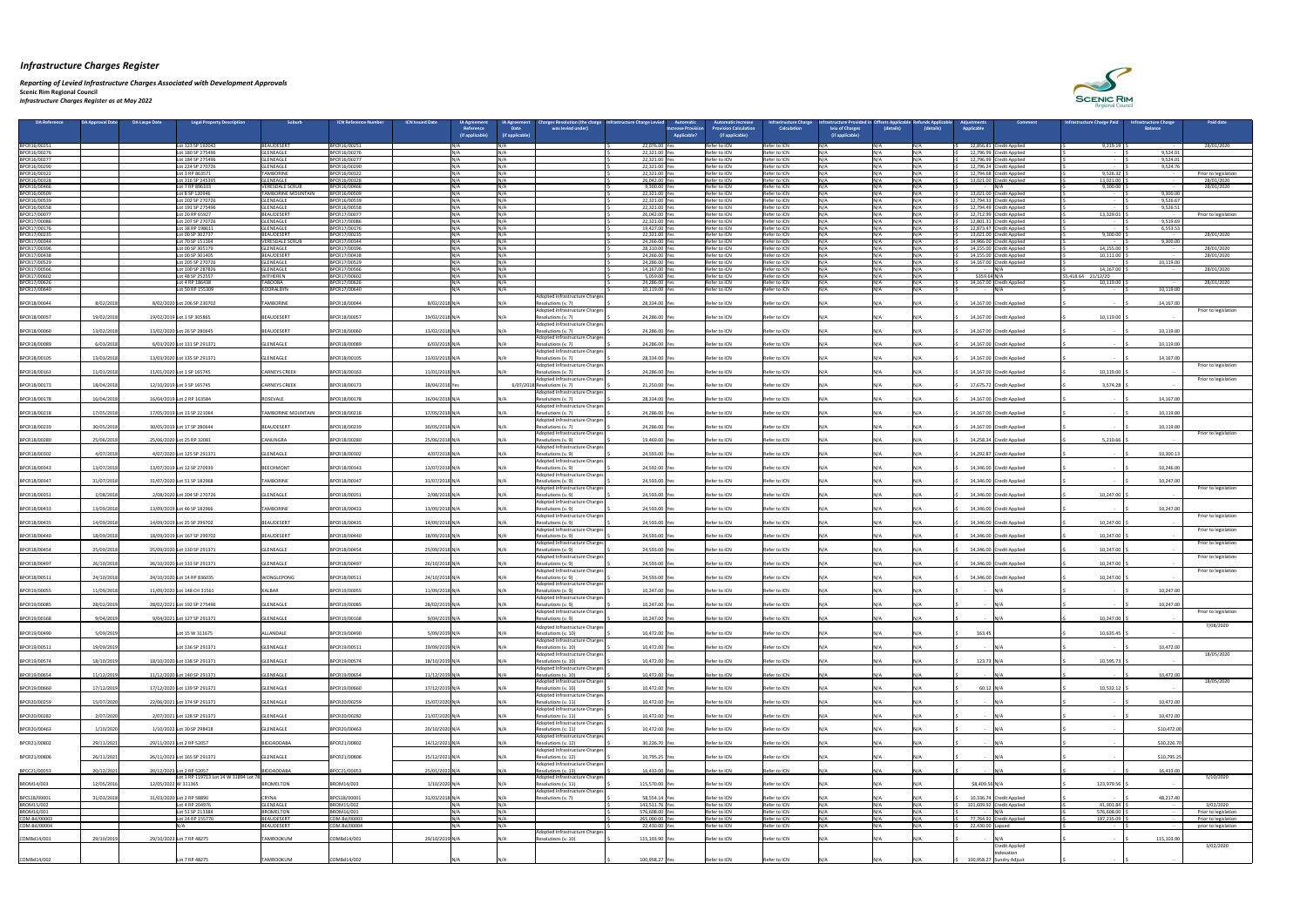*Reporting of Levied Infrastructure Charges Associated with Development Approvals*  **Scenic Rim Regional Council** *Infrastructure Charges Register as at May 2022*

| DA Reference                 | DA Approval Date<br>DA Laspe Date |                     | <b>Legal Property Description</b>            | <b>Suburb</b>                                       | <b>ICN Reference Numbe</b><br><b>ICN Issued Date</b> |                | <b>IA Agreement</b><br>Reference<br>(if applicable) | <b>IA Agreement</b><br><b>Date</b><br>(if applicable) | harges Resolution (the charge   Infrastructure Charge Levieq<br>was levied under) |                                 | <b>Automatic</b><br>ncrease Provisior<br>Applicable? | utomatic Increase،<br><b>rovision Calculation</b><br>(if applicable) | nfrastructure Chargo<br><b>Calculation</b> | rastructure Provided in Offsets A<br>leiu of Charges<br>(if applicable) | (details)      | (details)               | diustments،<br><b>Applicable</b> | Comment                                               | Infrastructure Charge Paid       | nfrastructure Charge<br><b>Balance</b> | <b>Paid date</b>                             |
|------------------------------|-----------------------------------|---------------------|----------------------------------------------|-----------------------------------------------------|------------------------------------------------------|----------------|-----------------------------------------------------|-------------------------------------------------------|-----------------------------------------------------------------------------------|---------------------------------|------------------------------------------------------|----------------------------------------------------------------------|--------------------------------------------|-------------------------------------------------------------------------|----------------|-------------------------|----------------------------------|-------------------------------------------------------|----------------------------------|----------------------------------------|----------------------------------------------|
| BPCR16/00251                 |                                   |                     | Lot 123 SP 192042                            | BEAUDESERT                                          | BPCR16/00251                                         |                |                                                     |                                                       |                                                                                   | 22,076.00 Yes                   |                                                      | Refer to ICN                                                         | Refer to ICN                               |                                                                         | <b>NI/A</b>    | $\mathbf{N}/\mathbf{A}$ |                                  | 12,856.81 Credit Applied                              | 9,219.19                         |                                        | 28/01/2020                                   |
| BPCR16/00276                 |                                   |                     | Lot 180 SP 275496                            | GLENEAGLE                                           | BPCR16/00276                                         |                |                                                     |                                                       |                                                                                   | 22,321.00 Yes                   |                                                      | Refer to ICN                                                         | Refer to ICN                               |                                                                         | NI/Δ           |                         |                                  | 12,796.99 Credit Applied                              |                                  | 9,524.01                               |                                              |
| BPCR16/00277<br>BPCR16/00290 |                                   |                     | Lot 184 SP 275496<br>Lot 224 SP 270726       | GLENEAGLE<br><b>GLENEAGLE</b>                       | BPCR16/00277<br>BPCR16/00290                         |                |                                                     |                                                       |                                                                                   | 22,321.00 Yes<br>22,321.00 Yes  |                                                      | Refer to ICN<br>Refer to ICN                                         | Refer to ICN<br>Refer to ICN               |                                                                         | NΙ/Δ           |                         |                                  | 12,796.99 Credit Applied<br>12,796.24 Credit Applied  | $\sim$ $-$                       | 9,524.01<br>9,524.76                   |                                              |
| BPCR16/00322                 |                                   |                     | Lot 3 RP 863571                              | <b>TAMBORINE</b>                                    | BPCR16/00322                                         | NI / /         |                                                     | INI/A                                                 |                                                                                   | 22,321.00 Yes                   |                                                      | Refer to ICN                                                         | Refer to ICN                               |                                                                         | N / A          | <b>INI/</b>             |                                  | 12,794.68 Credit Applied                              | 9,526.32                         |                                        | Prior to legislation                         |
| BPCR16/00328                 |                                   |                     | Lot 316 SP 245395                            | <b>GLENEAGLE</b>                                    | BPCR16/00328                                         |                |                                                     |                                                       |                                                                                   | 26,042.00 Ye                    |                                                      | Refer to ICN<br>Refer to ICN                                         | Refer to ICN<br>Refer to ICN               |                                                                         | N / A<br>N /Δ  |                         |                                  | 13,021.00 Credit Applied                              | 13,021.00                        |                                        | 28/01/2020                                   |
| BPCR16/00466<br>BPCR16/00509 |                                   |                     | Lot 7 RP 896103<br>Lot 8 SP 120946           | <b>VERESDALE SCRU</b><br><b>ITAMBORINE MOUNTAIN</b> | BPCR16/00466<br>BPCR16/00509                         |                |                                                     |                                                       |                                                                                   | 9,300.00 Ye<br>22,321.00 Yes    |                                                      | Refer to ICN                                                         | Refer to ICN                               |                                                                         | N/A            |                         |                                  | 13,021.00 Credit Applied                              | 9,300.00<br>$\sim$ $-$           | 9,300.00                               | 28/01/2020                                   |
| BPCR16/00539                 |                                   |                     | Lot 202 SP 270726                            | <b>GLENEAGLE</b>                                    | BPCR16/00539                                         |                |                                                     |                                                       |                                                                                   | 22,321.00 Yes                   |                                                      | Refer to ICN                                                         | Refer to ICN                               |                                                                         | N / Δ<br>N /Δ  |                         |                                  | 12,794.33 Credit Applied                              | $\sim$                           | 9,526.67                               |                                              |
| BPCR16/00558<br>BPCR17/00077 |                                   |                     | Lot 191 SP 275496<br>Lot 20 RP 65927         | GLENEAGLE<br><b>BEAUDESERT</b>                      | BPCR16/00558<br>BPCR17/00077                         | IN / 4         |                                                     |                                                       |                                                                                   | 22,321.00 Yes<br>26,042.00 Yes  |                                                      | Refer to ICN<br>Refer to ICN                                         | Refer to ICN<br>Refer to ICN               |                                                                         | N/A            |                         |                                  | 12,794.49 Credit Applied<br>12,712.99 Credit Applied  | 13,329.01                        | 9,526.51                               | Prior to legislation                         |
| BPCR17/00086                 |                                   |                     | Lot 207 SP 270726                            | GLENEAGLE                                           | BPCR17/00086                                         |                |                                                     |                                                       |                                                                                   | 22,321.00 Ye                    |                                                      | Refer to ICN                                                         | Refer to ICN                               |                                                                         | N /Δ<br>NΙ/Δ   |                         |                                  | 12,801.31 Credit Applied                              |                                  | 9,519.69                               |                                              |
| BPCR17/00176<br>BPCR17/00235 |                                   |                     | Lot 38 RP 198611<br>Lot 00 SP 302737         | <b>GLENEAGLE</b><br><b>BEAUDESERT</b>               | BPCR17/00176<br>BPCR17/00235                         |                |                                                     |                                                       |                                                                                   | 19,427.00 Yes<br>22,321.00 Yes  |                                                      | Refer to ICN<br>Refer to ICN                                         | Refer to ICN<br>Refer to ICN               |                                                                         | N/A            |                         |                                  | 12,873.47 Credit Applied<br>13,021.00 Credit Applied  | 9,300.00                         | 6,553.53<br>$\sim$ $-$                 | 28/01/2020                                   |
| BPCR17/00344                 |                                   |                     | Lot 70 SP 151164                             | <b>VERESDALE SCRU</b>                               | BPCR17/00344                                         | NI / /         |                                                     | INI/A                                                 |                                                                                   | 24,266.00 Yes                   |                                                      | Refer to ICN                                                         | Refer to ICN                               |                                                                         | NΙ/Δ<br>N /Δ   |                         |                                  | 14,966.00 Credit Applied                              | $\sim$ $-$                       | 9,300.00                               |                                              |
| BPCR17/00396<br>BPCR17/00438 |                                   |                     | Lot 00 SP 305179<br>Lot 00 SP 301405         | <b>GLENEAGLE</b><br><b>BEAUDESERT</b>               | BPCR17/00396<br>BPCR17/00438                         |                |                                                     |                                                       |                                                                                   | 28,310.00 Yes<br>24,266.00 Yes  |                                                      | Refer to ICN<br>Refer to ICN                                         | Refer to ICN<br>Refer to ICN               |                                                                         | N/A            |                         |                                  | 14,155.00 Credit Applied<br>14,155.00 Credit Applied  | 14,155.00<br>10,111.00           |                                        | 28/01/2020<br>28/01/2020                     |
| BPCR17/00529                 |                                   |                     | Lot 205 SP 270726                            | <b>GLENEAGLE</b>                                    | BPCR17/00529                                         |                |                                                     |                                                       |                                                                                   | 24,286.00 Ye                    |                                                      | Refer to ICN                                                         | Refer to ICN                               |                                                                         |                |                         |                                  | 14,167.00 Credit Applied                              |                                  | 10,119.00                              |                                              |
| BPCR17/00566<br>BPCR17/00602 |                                   |                     | Lot 100 SP 287826<br>Lot 48 SP 252557        | <b>GLENEAGLE</b><br><b>WITHEREN</b>                 | BPCR17/00566<br>BPCR17/00602                         |                |                                                     |                                                       |                                                                                   | 14,167.00 Ye<br>5,059.00 Ye     |                                                      | Refer to ICN<br>Refer to ICN                                         | Refer to ICN<br>Refer to ICN               |                                                                         | N / A          |                         | - IN/A<br>\$359.64 N/A           |                                                       | 14,167.00<br>\$5,418.64 21/12/20 |                                        | 28/01/2020                                   |
| BPCR17/00626                 |                                   |                     | Lot 4 RP 186438                              | <b>TABOOBA</b>                                      | BPCR17/00626                                         |                |                                                     |                                                       |                                                                                   | 24,286.00 Yes                   |                                                      | Refer to ICN                                                         | Refer to ICN                               |                                                                         | NΙ/Δ           |                         |                                  | 14,167.00 Credit Applied                              | 10,119.00                        |                                        | 28/01/2020                                   |
| BPCR17/00640                 |                                   |                     | Lot 50 RP 155309                             | KOORALBYN                                           | BPCR17/00640                                         | INI / /        |                                                     |                                                       | Adopted Infrastructure Charges                                                    | 10,119.00 Ye                    |                                                      | Refer to ICN                                                         | Refer to ICN                               |                                                                         | N / A          |                         |                                  |                                                       |                                  | 10,119.00                              |                                              |
| BPCR18/00044                 | 8/02/2018                         |                     | 8/02/2020 Lot 206 SP 230702                  | <b>TAMBORINE</b>                                    | BPCR18/00044                                         | 8/02/2018 N/   |                                                     |                                                       | Resolutions (v. 7)                                                                | 28,334.00 Yes                   |                                                      | Refer to ICN                                                         | Refer to ICN                               |                                                                         |                |                         |                                  | 14,167.00 Credit Applied                              |                                  | 14,167.00                              |                                              |
| BPCR18/00057                 | 19/02/2018                        |                     | 19/02/2019 Lot 1 SP 305865                   | BEAUDESERT                                          | BPCR18/00057                                         | 19/02/2018 N/  |                                                     |                                                       | Adopted Infrastructure Charges<br>Resolutions (v. 7)                              | 24,286.00 Yes                   |                                                      | Refer to ICN                                                         | Refer to ICN                               |                                                                         | N / Δ          |                         |                                  | 14,167.00 Credit Applied                              | 10,119.00                        |                                        | Prior to legislation                         |
| BPCR18/00060                 | 13/02/2018                        |                     | 13/02/2020 Lot 26 SP 280645                  | <b>BEAUDESERT</b>                                   | BPCR18/00060                                         | 13/02/2018 N/A |                                                     |                                                       | Adopted Infrastructure Charges                                                    | 24,286.00 Yes                   |                                                      | Refer to ICN                                                         | Refer to ICN                               |                                                                         |                |                         |                                  | 14,167.00 Credit Applied                              |                                  | 10,119.00                              |                                              |
|                              |                                   |                     |                                              |                                                     |                                                      |                |                                                     |                                                       | Resolutions (v. 7)<br>Adopted Infrastructure Charges                              |                                 |                                                      |                                                                      |                                            |                                                                         |                |                         |                                  |                                                       |                                  |                                        |                                              |
| BPCR18/00089                 | 6/03/2018                         |                     | 6/03/2020 Lot 131 SP 291371                  | GLENEAGLE                                           | BPCR18/00089                                         | 6/03/2018 N/A  |                                                     |                                                       | Resolutions (v. 7)<br>Adopted Infrastructure Charges                              | 24,286.00 Yes                   |                                                      | Refer to ICN                                                         | Refer to ICN                               |                                                                         |                |                         |                                  | 14,167.00 Credit Applied                              |                                  | 10,119.00                              |                                              |
| BPCR18/00105                 | 13/03/2018                        |                     | 13/03/2020 Lot 135 SP 291371                 | <b>GLENEAGLE</b>                                    | BPCR18/00105                                         | 13/03/2018 N/A |                                                     |                                                       | Resolutions (v. 7)                                                                | 28,334.00 Yes                   |                                                      | Refer to ICN                                                         | Refer to ICN                               |                                                                         |                |                         |                                  | 14,167.00 Credit Applied                              |                                  | 14,167.00                              |                                              |
| BPCR18/00163                 | 11/01/2018                        |                     | 11/01/2020 Lot 1 SP 165745                   | <b>CARNEYS CREEK</b>                                | BPCR18/00163                                         | 11/01/2018 N/A |                                                     |                                                       | Adopted Infrastructure Charges<br>Resolutions (v. 7)                              | 24,286.00 Yes                   |                                                      | Refer to ICN                                                         | Refer to ICN                               |                                                                         | N/A            |                         |                                  | 14,167.00 Credit Applied                              | 10,119.00                        |                                        | Prior to legislation                         |
|                              |                                   |                     |                                              |                                                     |                                                      |                |                                                     |                                                       | Adopted Infrastructure Charges                                                    |                                 |                                                      |                                                                      |                                            |                                                                         |                |                         |                                  |                                                       |                                  |                                        | Prior to legislation                         |
| BPCR18/00173                 | 18/04/201                         |                     | 12/10/2019 Lot 3 SP 165745                   | <b>CARNEYS CREEK</b>                                | BPCR18/00173                                         | 18/04/2018 Yes |                                                     |                                                       | 6/07/2018 Resolutions (v. 7)<br>Adopted Infrastructure Charges                    | 21,250.00 Yes                   |                                                      | Refer to ICN                                                         | Refer to ICN                               |                                                                         | N / A          |                         |                                  | 17,675.72 Credit Applied                              | 3,574.28                         |                                        |                                              |
| BPCR18/00178                 | 16/04/2018                        |                     | 16/04/2019 Lot 2 RP 163584                   | ROSEVALE                                            | BPCR18/00178                                         | 16/04/2018 N/A |                                                     |                                                       | Resolutions (v. 7)                                                                | 28,334.00 Yes                   |                                                      | Refer to ICN                                                         | Refer to ICN                               |                                                                         |                |                         |                                  | 14,167.00 Credit Applied                              |                                  | 14,167.00                              |                                              |
| BPCR18/00218                 | 17/05/2018                        |                     | 17/05/2019 Lot 13 SP 221064                  | <b>TAMBORINE MOUNTAIN</b>                           | BPCR18/00218                                         | 17/05/2018 N/A |                                                     |                                                       | Adopted Infrastructure Charges<br>Resolutions (v. 7)                              | 24,286.00 Yes                   |                                                      | Refer to ICN                                                         | Refer to ICN                               |                                                                         | N /Δ           |                         |                                  | 14,167.00 Credit Applied                              |                                  | 10,119.00                              |                                              |
|                              |                                   |                     |                                              |                                                     |                                                      |                |                                                     |                                                       | Adopted Infrastructure Charges'                                                   |                                 |                                                      |                                                                      |                                            |                                                                         |                |                         |                                  |                                                       |                                  |                                        |                                              |
| BPCR18/00239                 | 30/05/2018                        |                     | 30/05/2019 Lot 17 SP 280644                  | BEAUDESERT                                          | BPCR18/00239                                         | 30/05/2018 N/A |                                                     |                                                       | Resolutions (v. 7)<br>Adopted Infrastructure Charges                              | 24,286.00 Yes                   |                                                      | Refer to ICN                                                         | Refer to ICN                               |                                                                         | N / A          |                         |                                  | 14,167.00 Credit Applied                              |                                  | 10,119.00                              | Prior to legislation                         |
| BPCR18/00280                 | 25/06/201                         |                     | 25/06/2020 Lot 25 RP 32081                   | CANUNGRA                                            | BPCR18/00280                                         | 25/06/2018 N/A |                                                     |                                                       | Resolutions (v. 9)                                                                | 19,469.00 Yes                   |                                                      | Refer to ICN                                                         | Refer to ICN                               |                                                                         |                |                         |                                  | 14,258.34 Credit Applied                              | 5,210.66                         |                                        |                                              |
| BPCR18/00302                 | 4/07/2018                         |                     | 4/07/2020 Lot 125 SP 291371                  | <b>GLENEAGLE</b>                                    | BPCR18/00302                                         | 4/07/2018 N/A  |                                                     |                                                       | Adopted Infrastructure Charges<br>Resolutions (v. 9)                              | 24,593.00 Yes                   |                                                      | Refer to ICN                                                         | Refer to ICN                               |                                                                         |                |                         |                                  | 14,292.87 Credit Applied                              |                                  | 10,300.13                              |                                              |
|                              | 13/07/2018                        |                     | 13/07/2019 Lot 12 SP 270939                  | BEECHMONT                                           | BPCR18/00343                                         | 13/07/2018 N/A |                                                     |                                                       | Adopted Infrastructure Charges                                                    | 24,592.00 Yes                   |                                                      | Refer to ICN                                                         | Refer to ICN                               |                                                                         | N / A          |                         |                                  | 14,346.00 Credit Applied                              |                                  | 10,246.00                              |                                              |
| BPCR18/00343                 |                                   |                     |                                              |                                                     |                                                      |                |                                                     |                                                       | Resolutions (v. 9)<br>Adopted Infrastructure Charges                              |                                 |                                                      |                                                                      |                                            |                                                                         |                |                         |                                  |                                                       |                                  |                                        |                                              |
| BPCR18/00347                 | 31/07/2018                        |                     | 31/07/2020 Lot 51 SP 182968                  | <b>TAMBORINE</b>                                    | BPCR18/00347                                         | 31/07/2018 N/A |                                                     |                                                       | Resolutions (v. 9)                                                                | 24,593.00 Yes                   |                                                      | Refer to ICN                                                         | Refer to ICN                               |                                                                         |                |                         |                                  | 14,346.00 Credit Applied                              |                                  | 10,247.00                              |                                              |
| BPCR18/00351                 | 2/08/2018                         |                     | 2/08/2020 Lot 204 SP 270726                  | <b>GLENEAGLE</b>                                    | BPCR18/00351                                         | 2/08/2018 N/A  |                                                     |                                                       | Adopted Infrastructure Charges<br>Resolutions (v. 9)                              | 24,593.00 Ye                    |                                                      | Refer to ICN                                                         | Refer to ICN                               |                                                                         |                |                         |                                  | 14,346.00 Credit Applied                              | 10,247.00                        |                                        | Prior to legislation                         |
| BPCR18/00433                 | 13/09/2018                        |                     | 13/09/2019 Lot 46 SP 182966                  | <b>TAMBORINE</b>                                    | BPCR18/00433                                         | 13/09/2018 N/A |                                                     |                                                       | Adopted Infrastructure Charges<br>Resolutions (v. 9)                              | 24,593.00 Yes                   |                                                      | Refer to ICN                                                         | Refer to ICN                               |                                                                         | N / A          |                         |                                  | 14,346.00 Credit Applied                              |                                  | 10,247.00                              |                                              |
|                              |                                   |                     |                                              |                                                     |                                                      |                |                                                     |                                                       | Adopted Infrastructure Charges                                                    |                                 |                                                      |                                                                      |                                            |                                                                         |                |                         |                                  |                                                       |                                  |                                        | Prior to legislation                         |
| BPCR18/00435                 | 14/09/2018                        |                     | 14/09/2019 Lot 25 SP 299702                  | BEAUDESERT                                          | BPCR18/00435                                         | 14/09/2018 N/A |                                                     |                                                       | Resolutions (v. 9)<br>Adopted Infrastructure Charges'                             | 24,593.00 Yes                   |                                                      | Refer to ICN                                                         | Refer to ICN                               |                                                                         |                |                         |                                  | 14,346.00 Credit Applied                              | 10,247.00                        |                                        | Prior to legislation                         |
| BPCR18/00440                 | 18/09/2018                        |                     | 18/09/2019 Lot 167 SP 299702                 | BEAUDESERT                                          | BPCR18/00440                                         | 18/09/2018 N/A |                                                     |                                                       | Resolutions (v. 9)                                                                | 24,593.00 Yes                   |                                                      | Refer to ICN                                                         | Refer to ICN                               |                                                                         |                |                         |                                  | 14,346.00 Credit Applied                              | 10,247.00                        |                                        |                                              |
| BPCR18/00454                 | 25/09/2018                        |                     | 25/09/2020 Lot 130 SP 291371                 | <b>GLENEAGLE</b>                                    | BPCR18/00454                                         | 25/09/2018 N/A |                                                     |                                                       | Adopted Infrastructure Charges<br>Resolutions (v. 9)                              | 24,593.00 Yes                   |                                                      | Refer to ICN                                                         | Refer to ICN                               |                                                                         |                |                         |                                  | 14,346.00 Credit Applied                              | 10,247.00                        |                                        | Prior to legislation                         |
|                              |                                   |                     |                                              |                                                     |                                                      |                |                                                     |                                                       | Adopted Infrastructure Charges                                                    |                                 |                                                      |                                                                      |                                            |                                                                         |                |                         |                                  |                                                       |                                  |                                        | Prior to legislation                         |
| BPCR18/00497                 | 26/10/2018                        |                     | 26/10/2020 Lot 133 SP 291371                 | <b>GLENEAGLE</b>                                    | BPCR18/00497                                         | 26/10/2018 N/A |                                                     |                                                       | Resolutions (v. 9)<br>Adopted Infrastructure Charges                              | 24,593.00 Yes                   |                                                      | Refer to ICN                                                         | Refer to ICN                               |                                                                         | N /Δ           |                         |                                  | 14,346.00 Credit Applied                              | 10,247.00                        |                                        | Prior to legislation                         |
| BPCR18/00511                 | 24/10/201                         |                     | 24/10/2020 Lot 14 RP 836035                  | <b>WONGLEPONG</b>                                   | BPCR18/00511                                         | 24/10/2018 N/A |                                                     |                                                       | Resolutions (v. 9)                                                                | 24,593.00 Yes                   |                                                      | Refer to ICN                                                         | Refer to ICN                               |                                                                         |                |                         |                                  | 14,346.00 Credit Applied                              | 10,247.00                        |                                        |                                              |
| BPCR19/00055                 | 11/09/2018                        |                     | 11/09/2020 Lot 148 CH 31561                  | <b>KALBAR</b>                                       | BPCR19/00055                                         | 11/09/2018 N/  |                                                     |                                                       | Adopted Infrastructure Charges<br>Resolutions (v. 9)                              | 10,247.00 Yes                   |                                                      | Refer to ICN                                                         | Refer to ICN                               |                                                                         |                |                         |                                  |                                                       |                                  | 10,247.00                              |                                              |
|                              |                                   |                     |                                              | <b>GLENEAGLE</b>                                    |                                                      |                |                                                     |                                                       | Adopted Infrastructure Charges                                                    |                                 |                                                      | Refer to ICN                                                         |                                            |                                                                         | N /Δ           |                         |                                  |                                                       |                                  | 10,247.00                              |                                              |
| BPCR19/00085                 | 28/02/2019                        |                     | 28/02/2021 Lot 192 SP 275496                 |                                                     | BPCR19/00085                                         | 28/02/2019 N/A |                                                     |                                                       | Resolutions (v. 9)<br>Adopted Infrastructure Charges                              | 10,247.00 Yes                   |                                                      |                                                                      | Refer to ICN                               |                                                                         |                |                         |                                  |                                                       |                                  |                                        | Prior to legislation                         |
| BPCR19/00168                 | 9/04/2019                         |                     | 9/04/2021 Lot 127 SP 291371                  | <b>GLENEAGLE</b>                                    | BPCR19/00168                                         | 9/04/2019 N/A  |                                                     |                                                       | Resolutions (v. 9)                                                                | 10,247.00 Yes                   |                                                      | Refer to ICN                                                         | Refer to ICN                               |                                                                         |                |                         |                                  |                                                       | 10,247.00                        |                                        | 7/08/2020                                    |
| BPCR19/00490                 | 5/09/201                          |                     | Lot 15 W 311675                              | ALLANDALE                                           | BPCR19/00490                                         | 5/09/2019 N/A  |                                                     |                                                       | Adopted Infrastructure Charges<br>Resolutions (v. 10)                             | 10,472.00 Yes                   |                                                      | Refer to ICN                                                         | Refer to ICN                               |                                                                         |                |                         | 163.45                           |                                                       | 10,635.45                        |                                        |                                              |
|                              |                                   |                     |                                              |                                                     |                                                      |                |                                                     |                                                       | Adopted Infrastructure Charges                                                    |                                 |                                                      |                                                                      |                                            |                                                                         |                |                         |                                  |                                                       |                                  |                                        |                                              |
| BPCR19/00511                 | 19/09/201                         |                     | Lot 136 SP 291371                            | GLENEAGLE                                           | BPCR19/00511                                         | 19/09/2019 N/A |                                                     |                                                       | Resolutions (v. 10)<br>Adopted Infrastructure Charges                             | 10,472.00 Yes                   |                                                      | Refer to ICN                                                         | Refer to ICN                               |                                                                         |                |                         |                                  |                                                       |                                  | 10,472.00                              | 18/05/2020                                   |
| BPCR19/00574                 | 18/10/2019                        |                     | 18/10/2020 Lot 138 SP 291371                 | <b>GLENEAGLE</b>                                    | BPCR19/00574                                         | 18/10/2019 N/A |                                                     |                                                       | Resolutions (v. 10)                                                               | 10,472.00 Yes                   |                                                      | Refer to ICN                                                         | Refer to ICN                               |                                                                         | N / A          |                         | 123.73 $N/A$                     |                                                       | 10,595.73                        |                                        |                                              |
| BPCR19/00654                 | 11/12/201                         |                     | 11/12/2020 Lot 140 SP 291371                 | <b>GLENEAGLE</b>                                    | BPCR19/00654                                         | 11/12/2019 N/A |                                                     |                                                       | Adopted Infrastructure Charges<br>Resolutions (v. 10)                             | 10,472.00 Yes                   |                                                      | Refer to ICN                                                         | Refer to ICN                               |                                                                         |                |                         |                                  |                                                       |                                  | 10,472.00                              |                                              |
| BPCR19/00660                 | 17/12/201                         |                     | 17/12/2020 Lot 139 SP 291371                 | <b>GLENEAGLE</b>                                    | BPCR19/00660                                         | 17/12/2019 N/A |                                                     |                                                       | Adopted Infrastructure Charges<br>Resolutions (v. 10)                             | 10,472.00 Yes                   |                                                      | Refer to ICN                                                         | Refer to ICN                               |                                                                         |                |                         | $60.12$ N/A                      |                                                       | 10,532.12                        |                                        | 18/05/2020                                   |
|                              |                                   |                     |                                              |                                                     |                                                      |                |                                                     |                                                       | Adopted Infrastructure Charges'                                                   |                                 |                                                      |                                                                      |                                            |                                                                         |                |                         |                                  |                                                       |                                  |                                        |                                              |
| BPCR20/00259                 | 15/07/2020                        |                     | 22/06/2021 Lot 174 SP 291371                 | GLENEAGLE                                           | BPCR20/00259                                         | 15/07/2020 N/A |                                                     |                                                       | Resolutions (v. 11)<br>Adopted Infrastructure Charges                             | 10,472.00 Yes                   |                                                      | Refer to ICN                                                         | Refer to ICN                               |                                                                         | N /Δ           |                         |                                  |                                                       |                                  | 10,472.00                              |                                              |
| BPCR20/00282                 | 2/07/2020                         |                     | 2/07/2021 Lot 128 SP 291371                  | <b>GLENEAGLE</b>                                    | BPCR20/00282                                         | 21/07/2020 N/  |                                                     |                                                       | Resolutions (v. 11)                                                               | 10,472.00 Yes                   |                                                      | Refer to ICN                                                         | Refer to ICN                               |                                                                         | N / A          |                         |                                  |                                                       |                                  | 10,472.00                              |                                              |
| BPCR20/00463                 | 1/10/2020                         |                     | 1/10/2022 Lot 30 SP 298418                   | GLENEAGLE                                           | BPCR20/00463                                         | 20/10/2020 N/A |                                                     |                                                       | Adopted Infrastructure Charges<br>Resolutions (v. 11)                             | 10,472.00 Yes                   |                                                      | Refer to ICN                                                         | Refer to ICN                               |                                                                         |                |                         |                                  |                                                       |                                  | \$10,472.00                            |                                              |
|                              |                                   |                     |                                              |                                                     |                                                      |                |                                                     |                                                       | Adopted Infrastructure Charges'                                                   |                                 |                                                      |                                                                      |                                            |                                                                         |                |                         |                                  |                                                       |                                  |                                        |                                              |
| BPCR21/00802                 | 29/11/2021                        |                     | 29/11/2023 Lot 2 RP 52057                    | BIDDADDABA                                          | BPCR21/00802                                         | 14/12/2021 N/A |                                                     |                                                       | Resolutions (v. 12)<br>Adopted Infrastructure Charges                             | 30,226.70 Yes                   |                                                      | Refer to ICN                                                         | Refer to ICN                               |                                                                         | N /Δ           |                         |                                  |                                                       |                                  | \$30,226.7                             |                                              |
| BPCR21/00806                 | 26/11/2021                        |                     | 26/11/2023 Lot 165 SP 291371                 | <b>GLENEAGLE</b>                                    | BPCR21/00806                                         | 15/12/2021 N/A |                                                     |                                                       | Resolutions (v. 12)                                                               | 10,795.25 Yes                   |                                                      | Refer to ICN                                                         | Refer to ICN                               |                                                                         | N / A          |                         |                                  |                                                       |                                  | \$10,795.25                            |                                              |
| BPCC21/00053                 | 20/12/2021                        |                     | 20/12/2023 Lot 2 RP 52057                    | BIDDADDABA                                          | BPCC21/00053                                         | 25/01/2022 N/A |                                                     | IN/A                                                  | Adopted Infrastructure Charges<br>Resolutions (v. 13)                             | 16,433.00 Yes                   |                                                      | Refer to ICN                                                         | Refer to ICN                               |                                                                         | IN/A-          |                         | - IN/A                           |                                                       |                                  | 16,433.00                              |                                              |
|                              | 12/05/2016                        |                     | Lot 1 RP 119713 Lot 14 W 31894 Lot 78        |                                                     |                                                      |                |                                                     |                                                       | Adopted Infrastructure Charges                                                    |                                 |                                                      |                                                                      |                                            |                                                                         |                |                         |                                  |                                                       |                                  |                                        | 5/10/2020                                    |
| BROM14/003                   |                                   | 12/05/2022 W 311365 |                                              | <b>BROMELTON</b>                                    | BROM14/003                                           | 1/10/2020 N/A  |                                                     |                                                       | Resolutions (v. 11)<br>Adopted Infrastructure Charges                             | 115,570.00 Yes                  |                                                      | Refer to ICN                                                         | Refer to ICN                               |                                                                         |                |                         | \$8,409.56 N/A                   |                                                       | 123,979.56                       |                                        |                                              |
| BPCS18/00001                 | 31/03/2018                        |                     | 31/03/2020 Lot 2 RP 58890<br>Lot 4 RP 204976 | <b>CRYNA</b><br><b>GLENEAGLE</b>                    | BPCS18/00001<br>BROM15/002                           | 31/03/2018 N/A |                                                     |                                                       | Resolutions (v. 7)                                                                | 58,554.14 Yes<br>143,511.76 Yes |                                                      | Refer to ICN<br>Refer to ICN                                         | Refer to ICN<br>Refer to ICN               |                                                                         | N / Δ<br>N / A |                         |                                  | 10,336.74 Credit Applied<br>101,609.92 Credit Applied | $\sim$ $-$<br>41,901.84          | 48,217.40                              | 3/02/2020                                    |
| BROM15/002<br>BROM16/001     |                                   |                     | Lot 51 SP 213384                             | <b>BROMELTON</b>                                    | BROM16/001                                           |                |                                                     |                                                       |                                                                                   | 576,608.00 Yes                  |                                                      | Refer to ICN                                                         | Refer to ICN                               |                                                                         | N/A            |                         |                                  |                                                       | 576,608.00                       |                                        | Prior to legislation                         |
| COM.Bd/00003<br>COM.Bd/00004 |                                   |                     | Lot 24 RP 155770                             | BEAUDESERT<br>BEAUDESERT                            | COM.Bd/00003<br>COM.Bd/00004                         |                |                                                     |                                                       |                                                                                   | 265,000.00 Yes<br>22,430.00 Ye  |                                                      | Refer to ICN<br>Refer to ICN                                         | Refer to ICN<br>Refer to ICN               |                                                                         | N / A          |                         | 22,430.00 Lapsed                 | 77,764.91 Credit Applied                              | 187,235.09                       |                                        | Prior to legislation<br>prior to legislation |
|                              |                                   |                     |                                              |                                                     |                                                      |                |                                                     |                                                       | Adopted Infrastructure Charges                                                    |                                 |                                                      |                                                                      |                                            |                                                                         |                |                         |                                  |                                                       |                                  |                                        |                                              |
| COMBd14/001                  | 29/10/2019                        |                     | 29/10/2023 Lot 7 RP 48275                    | TAMROOKUM                                           | COMBd14/001                                          | 29/10/2019 N/A |                                                     |                                                       | Resolutions (v. 10)                                                               | 115,103.90 Yes                  |                                                      | Refer to ICN                                                         | Refer to ICN                               |                                                                         | N/A            |                         | - N/A                            | <b>Credit Applied</b>                                 |                                  | 115,103.90                             | 3/02/2020                                    |
|                              |                                   |                     |                                              |                                                     |                                                      |                |                                                     |                                                       |                                                                                   |                                 |                                                      |                                                                      |                                            |                                                                         |                |                         |                                  | Indexation                                            |                                  |                                        |                                              |
| COMBd14/002                  |                                   |                     | Lot 7 RP 48275                               | TAMROOKUM                                           | COMBd14/002                                          | INI/∆          |                                                     |                                                       |                                                                                   | 100,958.27 Yes                  |                                                      | Refer to ICN                                                         | Refer to ICN                               |                                                                         |                |                         |                                  | 100,958.27 Sundry Adjust                              | $\sim$                           |                                        |                                              |

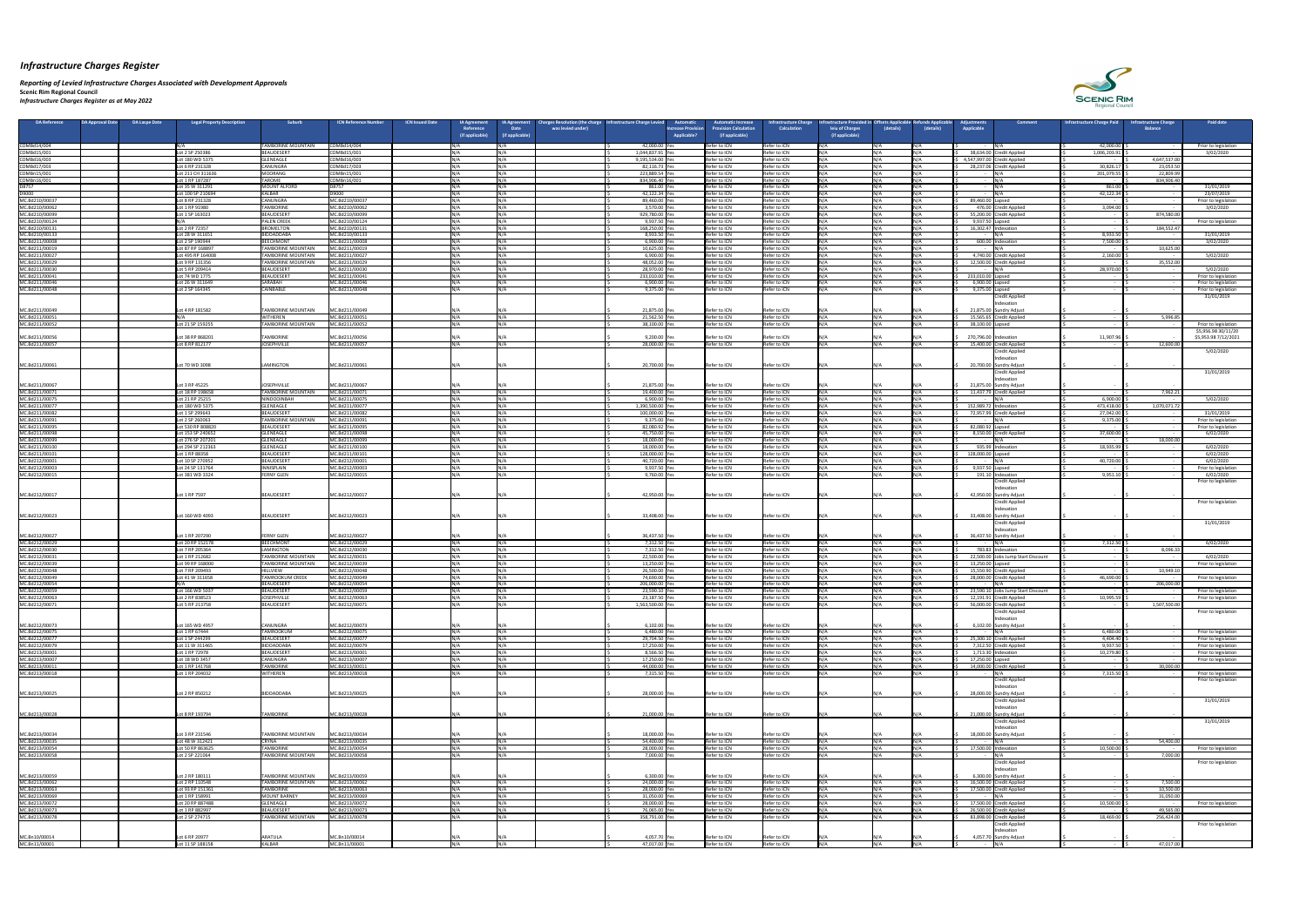*Reporting of Levied Infrastructure Charges Associated with Development Approvals*  **Scenic Rim Regional Council** *Infrastructure Charges Register as at May 2022*

| 42,000.00<br>TAMBORINE MOUNTAIN<br>COMBd14/004<br>42,000.00 Ye<br>Refer to ICN<br>COMBd14/004<br>Refer to ICN<br>INI / A<br>COMBd15/001<br>1,044,837.91 Ye<br>Refer to ICN<br>Refer to ICN<br>38,634.00 Credit Applied<br>1,006,203.91<br>COMBd15/001<br>Lot 2 SP 250386<br>BEAUDESERT<br>COMBd16/003<br>Refer to ICN<br>Refer to ICN<br>4,647,537.00<br>COMBd16/003<br>Lot 180 WD 5375<br><b>GLENEAGLE</b><br>4,547,997.00 Credit Applied<br>9,195,534.00 Yes<br><b>Ν/Δ</b><br>$\sim$ $-$<br>30,826.17<br>COMBd17/003<br>COMBd17/003<br>82,116.73 Yes<br>Refer to ICN<br>Refer to ICN<br>28,237.06 Credit Applied<br>23,053.50<br>Lot 6 RP 231328<br><b>CANUNGRA</b><br>COMBn15/001<br>MOORANG<br>COMBn15/001<br><b>Ν</b> /Δ<br>223,889.54 Yes<br>Refer to ICN<br>Refer to ICN<br>INI/A<br>201,079.55<br>22,809.99<br>Lot 211 CH 311636<br>834,906.40<br><b>TAROME</b><br>COMBn16/001<br>Refer to ICN<br>Refer to ICN<br>COMBn16/001<br>Lot 1 RP 187287<br>834,906.40 Yes<br>$\sim$ $-$<br>D8757<br>Refer to ICN<br>D8757<br>MOUNT ALFORD<br>861.00 Yes<br>Refer to ICN<br>861.00<br>Lot 35 W 311291<br>D9000<br>D9000<br>KALBAR<br>Refer to ICN<br>$M/\Lambda$<br>42,122.34<br>42,122.34 Ye<br>Refer to ICN<br>Lot 100 SP 210694<br><b>Ν</b> /Δ<br>MC.Bd210/00037<br><b>CANUNGRA</b><br>MC.Bd210/00037<br>Refer to ICN<br>Refer to ICN<br>89,460.00 Lapsed<br>Lot 8 RP 231328<br>89,460.00 Ye<br><b>Ν/Δ</b><br>$\sim$<br>MC.Bd210/00062<br>Refer to ICN<br>MC.Bd210/00062<br><b>TAMBORINE</b><br>3,570.00 Yes<br>Refer to ICN<br>476.00 Credit Applied<br>3,094.00<br>Lot 1 RP 91980<br>INI/A<br><b>Ν</b> /Δ<br>Refer to ICN<br>Refer to ICN<br>55,200.00 Credit Applied<br>874,580.00<br>MC.Bd210/00099<br>BEAUDESERT<br>MC.Bd210/00099<br>929,780.00 Yes<br>INI/∆<br>Lot 1 SP 163023<br>IN/A<br>$\sim$<br>9,937.50 Yes<br>Refer to ICN<br>Refer to ICN<br>9,937.50 Lapsed<br>MC.Bd210/00124<br><b>PALEN CREEK</b><br>MC.Bd210/00124<br><b>Ν/Δ</b><br>INI / A<br>$\sim$ $-$<br>MC.Bd210/00131<br>184,552.47<br>MC.Bd210/00131<br>BROMELTON<br>168,250.00 Ye<br>Refer to ICN<br>Refer to ICN<br>16,302.47   Indexation<br>Lot 2 RP 72357<br><b>NI/A</b><br>Refer to ICN<br>MC.Bd210/00133<br>BIDDADDABA<br>MC.Bd210/00133<br>Refer to ICN<br>8,933.50<br>Lot 28 W 311651<br>N/A<br>8,933.50 Yes<br>INI/Δ<br>N/A<br>MC.Bd211/00008<br>BEECHMONT<br>MC.Bd211/00008<br>6,900.00 Ye<br>Refer to ICN<br>Refer to ICN<br>7,500.00<br>Lot 2 SP 190944<br>600.00 Indexation<br><b>Contract Contract</b><br>10,625.00<br>MC.Bd211/00019<br>MC.Bd211/00019<br>10,625.00 Yes<br>Refer to ICN<br>Lot 87 RP 168897<br><b>TAMBORINE MOUNTAIN</b><br><b>Ν</b> /Δ<br>Refer to ICN<br><b>INI/A</b><br>$\sim$<br>MC.Bd211/00027<br>4,740.00 Credit Applied<br>MC.Bd211/00027<br>TAMBORINE MOUNTAIN<br>6,900.00 Yes<br>Refer to ICN<br>Refer to ICN<br>2,160.00<br>Lot 495 RP 164008<br><b>Ν/Δ</b><br>INI/A<br>MC.Bd211/00029<br><b>TAMBORINE MOUNTAIN</b><br>MC.Bd211/00029<br>Refer to ICN<br>Refer to ICN<br>12,500.00 Credit Applied<br>35,552.00<br>Lot 9 RP 131356<br>48,052.00 Yes<br>$\sim$<br>28,970.00<br>MC.Bd211/00030<br>MC.Bd211/00030<br>Refer to ICN<br>$\mathbf{N}$<br>BEAUDESERT<br><b>Ν</b> /Δ<br>28,970.00 Ye<br>Refer to ICN<br>Lot 5 RP 209414<br>233,010.00 Lapsed<br>MC.Bd211/00041<br><b>BEAUDESERT</b><br>MC.Bd211/00041<br>233,010.00 Ye<br>Refer to ICN<br><b>Refer to ICN</b><br>Lot 74 WD 1775<br>INI/A<br><b>Ν/Δ</b><br>Refer to ICN<br>Refer to ICN<br>MC.Bd211/00046<br>SARABAH<br>MC.Bd211/00046<br>6,900.00 Yes<br>6,900.00 Lapsed<br>Lot 26 W 311649<br>MC.Bd211/00048<br>Refer to ICN<br>9,375.00 Lapsed<br>MC.Bd211/00048<br><b>CAINBABLE</b><br>9,375.00 Yes<br>Refer to ICN<br>Lot 2 SP 164345<br><b>Ν</b> /Δ<br><b>Credit Applied</b><br>ndexation<br>MC.Bd211/00049<br>21,875.00 Yes<br>MC.Bd211/00049<br><b>TAMBORINE MOUNTAIN</b><br>21,875.00 Sundry Adjust<br>Lot 4 RP 181582<br>Refer to ICN<br>Refer to ICN<br>N / A<br>MC.Bd211/00051<br><b>WITHEREN</b><br>Refer to ICN<br><b>Refer to ICN</b><br>5,996.85<br>MC.Bd211/00051<br>21,562.50 Ye<br>15,565.65 Credit Applied<br>MC.Bd211/00052<br><b>TAMBORINE MOUNTAIN</b><br>MC.Bd211/00052<br>38,100.00 Lapsed<br>Lot 21 SP 159255<br>38,100.00 Ye<br>Refer to ICN<br>Refer to ICN<br>INI/A<br><b>Ν</b> /Δ<br>MC.Bd211/00056<br>270,796.00 Indexation<br>11,907.96<br>Lot 38 RP 868201<br><b>TAMBORINE</b><br>9,200.00 Yes<br>MC.Bd211/00056<br>Refer to ICN<br>Refer to ICN<br>MC.Bd211/00057<br>12,600.00<br><b>JOSEPHVILLE</b><br>MC.Bd211/00057<br>28,000.00 Yes<br>Refer to ICN<br>Refer to ICN<br>15,400.00 Credit Applied<br>Lot 8 RP 812177<br><b>Credit Applied</b><br>ndexation<br>LAMINGTON<br>MC.Bd211/00061<br>MC.Bd211/00061<br>Lot 70 WD 3098<br>20,700.00 Yes<br>20,700.00 Sundry Adjust<br>Refer to ICN<br>Refer to ICN<br>IN/A-<br>N/A<br><b>Credit Applied</b><br>ndexation<br>MC.Bd211/00067<br>MC.Bd211/00067<br>21,875.00 Yes<br>Lot 3 RP 45225<br><b>JOSEPHVILLE</b><br>21,875.00 Sundry Adjust<br>Refer to ICN<br>Refer to ICN<br>Refer to ICN<br>Refer to ICN<br>7,962.21<br>MC.Bd211/00071<br>Lot 18 RP 198658<br><b>TAMBORINE MOUNTAIN</b><br>MC.Bd211/00071<br>N/A<br>N/A<br>19,400.00 Yes<br>INI/A<br>11,437.79 Credit Applied<br><b>Contract Contract</b><br>6,900.00<br>MC.Bd211/00075<br>NINDOOINBAH<br>MC.Bd211/00075<br>6,900.00 Ye<br>Refer to ICN<br>Refer to ICN<br>Lot 21 RP 25215<br>IN /A<br>N/A<br>1,070,071.72<br>MC.Bd211/00077<br>GLENEAGLE<br>MC.Bd211/00077<br>Refer to ICN<br>Refer to ICN<br>152,989.72   Indexation<br>473,418.00<br>Lot 180 WD 5375<br>1,390,500.00 Yes<br>INI/A<br>NΙ/Δ<br>MC.Bd211/00082<br>BEAUDESERT<br>MC.Bd211/00082<br>100,000.00 Yes<br>Refer to ICN<br>Refer to ICN<br>INI/A<br>27,042.00<br>Lot 1 SP 299643<br>NI / ∆<br>N/A<br>N / A<br>72,957.99 Credit Applied<br>NI/Δ<br>MC.Bd211/00091<br>MC.Bd211/00091<br><b>TAMBORINE MOUNTAIN</b><br>Refer to ICN<br>N/A<br>9,375.00<br>Lot 2 SP 260063<br>N/A<br>9,375.00 Yes<br>Refer to ICN<br>82,080.92 Lapsed<br>MC.Bd211/00095<br>Refer to ICN<br>Lot 530 RP 808820<br>BEAUDESERT<br>MC.Bd211/00095<br>82,080.92 Yes<br>Refer to ICN<br>INI/∆<br><b>Ν</b> /Δ<br>MC.Bd211/00098<br>GLENEAGLE<br>Refer to ICN<br>Refer to ICN<br>37,600.00<br>Lot 153 SP 240652<br>MC.Bd211/00098<br>45,750.00 Yes<br>INI/∆<br>8,150.00 Credit Applied<br>N/A<br>MC.Bd211/00099<br>18,000.00<br>GLENEAGLE<br>MC.Bd211/00099<br>Refer to ICN<br>Refer to ICN<br>Lot 276 SP 207201<br>18,000.00 Yes<br>$\sim$ $-$<br>MC.Bd211/00100<br>18,000.00 Yes<br>Refer to ICN<br>Refer to ICN<br>$M/\Lambda$<br>935.99 Indexation<br>Lot 294 SP 212363<br>GLENEAGLE<br>MC.Bd211/00100<br><b>Ν</b> /Δ<br>18,935.99<br>MC.Bd211/00101<br>BEAUDESERT<br>MC.Bd211/00101<br>128,000.00 Yes<br>Refer to ICN<br>Refer to ICN<br>128,000.00 Lapsed<br>Lot 1 RP 88358<br>N/A<br>IΝ /Δ<br>$\sim$ $-$<br>40,720.00<br>MC.Bd212/00001<br>BEAUDESERT<br>MC.Bd212/00001<br>40,720.00 Yes<br>Refer to ICN<br>Refer to ICN<br>Lot 10 SP 270952<br>Refer to ICN<br>MC.Bd212/00003<br>Refer to ICN<br>9,937.50 Lapsed<br>MC.Bd212/00003<br>Lot 24 SP 131764<br>INNISPLAIN<br>9,937.50 Yes<br>INI/A<br>NI / A<br>IN/A<br>9,951.10<br>Refer to ICN<br>MC.Bd212/00015<br><b>FERNY GLEN</b><br>MC.Bd212/00015<br>9,760.00 Ye<br>Refer to ICN<br>IN/A<br>191.10 Indexation<br>Lot 381 WD 3324<br>N/A<br><b>Credit Applied</b><br>ndexation<br>Lot 1 RP 7597<br>MC.Bd212/00017<br>42,950.00 Yes<br>MC.Bd212/00017<br>BEAUDESERT<br>42,950.00 Sundry Adjust<br>Refer to ICN<br>Refer to ICN<br>N / A<br><b>Credit Applied</b><br>ndexation<br>MC.Bd212/00023<br>33,408.00 Yes<br>MC.Bd212/00023<br>Lot 160 WD 4093<br>BEAUDESERT<br>33,408.00 Sundry Adjust<br>Refer to ICN<br>Refer to ICN<br>IN/A<br>N/A<br><b>Credit Applied</b><br>ndexation<br>MC.Bd212/00027<br>MC.Bd212/00027<br>36,437.50 Yes<br>Lot 1 RP 207290<br><b>FERNY GLEN</b><br>36,437.50 Sundry Adjust<br>Refer to ICN<br>Refer to ICN<br>MC.Bd212/00029<br>MC.Bd212/00029<br>$N/\Delta$<br>Refer to ICN<br>Refer to ICN<br>7,312.50<br>BEECHMONT<br>7,312.50 Ye<br>Lot 20 RP 152178<br><b>Ν</b> /Δ<br>8,096.33<br>MC.Bd212/00030<br><b>LAMINGTON</b><br>MC.Bd212/00030<br>N/A<br>7,312.50 Yes<br>Refer to ICN<br><b>Refer to ICN</b><br>783.83 Indexation<br>Lot 7 RP 205364<br>N/A<br>$\sim$ $\sim$<br>MC.Bd212/00031<br>22,500.00 Yes<br>Refer to ICN<br>Refer to ICN<br>22,500.00 Jobs Jump Start Discount<br>MC.Bd212/00031<br>Lot 1 RP 212682<br>TAMBORINE MOUNTAIN<br>MC.Bd212/00039<br>Refer to ICN<br>Refer to ICN<br>13,250.00 Lapsed<br>MC.Bd212/00039<br><b>TAMBORINE MOUNTAIN</b><br>13,250.00 Yes<br>Lot 99 RP 168000<br><b>Ν</b> /Δ<br>INI/A<br>$\sim$<br>Refer to ICN<br>MC.Bd212/00048<br>Refer to ICN<br>10,949.10<br>MC.Bd212/00048<br>Lot 7 RP 209493<br><b>HILLVIEW</b><br>26,500.00 Yes<br>N / A<br>15,550.90 Credit Applied<br>N / A<br>N/A<br>$\sim$<br>MC.Bd212/00049<br>MC.Bd212/00049<br>74,690.00 Ye<br>Refer to ICN<br>Refer to ICN<br>46,690.00<br><b>TAMROOKUM CREEK</b><br>28,000.00 Credit Applied<br>Lot 41 W 311658<br>MC.Bd212/00054<br>BEAUDESERT<br>MC.Bd212/00054<br>Refer to ICN<br>Refer to ICN<br>206,000.00<br>206,000.00 Yes<br>INI/A<br><b>Ν/Δ</b><br>Refer to ICN<br>Refer to ICN<br>23,590.10 Jobs Jump Start Discount<br>MC.Bd212/00059<br>Lot 166 WD 5037<br>BEAUDESERT<br>MC.Bd212/00059<br>23,590.10 Yes<br>IΝ /Δ<br>N/A<br>$\sim$<br>10,995.59<br>Refer to ICN<br>MC.Bd212/00063<br>JOSEPHVILLE<br>MC.Bd212/00063<br>23,187.50 Yes<br>Refer to ICN<br>12,191.91 Credit Applied<br>Lot 2 RP 838523<br>INI/A<br>NI/Δ<br>56,000.00 Credit Applied<br>1,507,500.00<br>1,563,500.00 Yes<br>Refer to ICN<br>MC.Bd212/00071<br>Lot 5 RP 213758<br>BEAUDESERT<br>MC.Bd212/00071<br>Refer to ICN<br>INI/A<br><b>Ν</b> /Δ<br><b>Credit Applied</b><br>Indexation<br>MC.Bd212/00073<br>6,102.00 Yes<br>MC.Bd212/00073<br>Lot 165 WD 4957<br>CANUNGRA<br>Refer to ICN<br>Refer to ICN<br>6,102.00 Sundry Adjust<br>IN/A<br><b>TAMROOKUM</b><br>MC.Bd212/00075<br>Refer to ICN<br>Refer to ICN<br>6,480.00<br>MC.Bd212/00075<br>Lot 1 RP 67444<br>6,480.00 Yes<br>N/A<br>MC.Bd212/00077<br>MC.Bd212/00077<br>Refer to ICN<br>Refer to ICN<br>4,404.40<br>BEAUDESERT<br>29,704.50 Yes<br>25,300.10 Credit Applied<br>Lot 1 SP 244299<br>BIDDADDABA<br>MC.Bd212/00079<br>Refer to ICN<br>7,312.50 Credit Applied<br>9,937.50<br>MC.Bd212/00079<br>17,250.00 Yes<br>Refer to ICN<br>INI/∆<br>Lot 11 W 311465<br>$N/\Delta$<br>IN/A<br>MC.Bd213/00001<br>BEAUDESERT<br>MC.Bd213/00001<br>8,566.50 Yes<br>Refer to ICN<br>Refer to ICN<br>$1,713.30$ Indexation<br>10,279.80<br>Lot 1 RP 72978<br><b>Ν</b> /Δ<br>MC.Bd213/00007<br>Refer to ICN<br>MC.Bd213/00007<br>CANUNGRA<br>17,250.00 Yes<br>Refer to ICN<br>17,250.00 Lapsed<br>Lot 18 WD 3457<br><b>INI/A</b><br><b>Ν</b> /Δ<br>$\sim$ $-$<br>Refer to ICN<br>Refer to ICN<br>MC.Bd213/00011<br>MC.Bd213/00011<br>44,000.00 Yes<br>14,000.00 Credit Applied<br>30,000.00<br>Lot 1 RP 141768<br><b>TAMBORINE</b><br>N/A<br>IN/A<br>IN / A<br>$\sim$<br>Refer to ICN<br>7,315.50<br><b>WITHEREN</b><br>MC.Bd213/00018<br>7,315.50 Yes<br>Refer to ICN<br>MC.Bd213/00018<br>Lot 1 RP 204032<br>INI/A<br><b>Ν</b> /Δ<br><b>Credit Applied</b><br>ndexation<br>Lot 2 RP 850212<br>BIDDADDABA<br>MC.Bd213/00025<br>28,000.00 Yes<br>28,000.00 Sundry Adjust<br>MC.Bd213/00025<br>Refer to ICN<br>Refer to ICN<br><b>Credit Applied</b><br>ndexation<br>21,000.00 Yes<br>Lot 8 RP 193794<br><b>TAMBORINE</b><br>MC.Bd213/00028<br>MC.Bd213/00028<br>Refer to ICN<br>Refer to ICN<br>21,000.00 Sundry Adjust<br>N/A<br><b>Credit Applied</b><br>ndexation<br>MC.Bd213/00034<br>MC.Bd213/00034<br><b>TAMBORINE MOUNTAIN</b><br>18,000.00 Yes<br>Lot 3 RP 231546<br>Refer to ICN<br>Refer to ICN<br>18,000.00 Sundry Adjust<br>N/A<br>54,400.00<br>MC.Bd213/00035<br>54,400.00 Yes<br>Refer to ICN<br>Refer to ICN<br>MC.Bd213/00035<br>Lot 48 W 312421<br><b>CRYNA</b><br>$N/\Delta$<br>INI/A<br>IN /A<br>$\sim$<br>10,500.00<br>MC.Bd213/00054<br><b>TAMBORINE</b><br>MC.Bd213/00054<br>28,000.00 Yes<br>Refer to ICN<br>Refer to ICN<br>17,500.00 Indexation<br>Lot 50 RP 863625<br>$N/\Delta$<br>IΝ /Δ<br>N/A<br>7,000.00<br>MC.Bd213/00058<br>7,000.00 Ye<br>Refer to ICN<br>MC.Bd213/00058<br><b>TAMBORINE MOUNTAIN</b><br>Refer to ICN<br>Lot 2 SP 221064<br>Credit Applied<br>ndexatior<br>MC.Bd213/00059<br>Lot 2 RP 180111<br>MC.Bd213/00059<br>6,300.00<br>TAMBORINE MOUNTAIN<br>Refer to ICN<br>6,300.00 Sundry Adjust<br>Refer to ICN<br>N / A<br>$\sim$ $-$<br>$\sim$ $-$<br>MC.Bd213/00062<br>7,500.00<br>MC.Bd213/00062<br>24,000.00 Yes<br>Refer to ICN<br>Refer to ICN<br>16,500.00 Credit Applied<br>Lot 2 RP 110548<br><b>TAMBORINE MOUNTAIN</b><br>N/A<br>INI/A<br>N/A<br>NI/Δ<br>MC.Bd213/00063<br>10,500.00<br>Lot 93 RP 151361<br><b>TAMBORINE</b><br>MC.Bd213/00063<br>28,000.00 Yes<br>Refer to ICN<br>Refer to ICN<br>17,500.00 Credit Applied<br>MC.Bd213/00069<br>31,050.00<br>MOUNT BARNEY<br>MC.Bd213/00069<br>31,050.00 Ye<br>Refer to ICN<br>Refer to ICN<br>Lot 1 RP 158991<br><b>Ν</b> /Δ<br>$\sim$<br>MC.Bd213/00072<br>MC.Bd213/00072<br>28,000.00 Yes<br>Refer to ICN<br>Refer to ICN<br>17,500.00 Credit Applied<br>10,500.00<br>Lot 20 RP 887488<br>IGLENEAGLE<br>N/A<br>INI/A<br>MC.Bd213/00073<br>Refer to ICN<br>Refer to ICN<br>BEAUDESERT<br>MC.Bd213/00073<br>49,565.00<br>Lot 1 RP 882997<br>76,065.00 Yes<br>26,500.00 Credit Applied<br>$\sim$ $-$<br>Refer to ICN<br>18,469.00<br>MC.Bd213/00078<br><b>TAMBORINE MOUNTAIN</b><br>MC.Bd213/00078<br>358,791.00 Yes<br>Refer to ICN<br>83,898.00 Credit Applied<br>256,424.00<br>Lot 2 SP 274715<br><b>Ν</b> /Δ<br><b>Credit Applied</b><br>Indexation | DA Reference | <b>DA Approval Date</b><br><b>DA Laspe Date</b><br><b>Legal Property Description</b> | <b>Suburb</b> | <b>ICN Reference Numbe</b> | <b>ICN Issued Date</b><br><b>IA Agreement</b><br>Reference | arges Resolution (the charge<br><b>IA Agreement</b><br>was levied under<br><b>Date</b> | nfrastructure Charge Levied | <b>Automatio</b><br><b>Increase Provisio</b> | <b>Automatic Increase</b><br>rovision Calculation | nfrastructure Charge<br><b>Calculation</b> | astructure Provid<br>leiu of Charges | (details) | (details) | iustments<br>Comment<br><b>Applicable</b> | <b>Infrastructure Charge Paid</b> | <b>Ifrastructure Charge</b><br><b>Balance</b> | <b>Paid date</b>                             |
|--------------------------------------------------------------------------------------------------------------------------------------------------------------------------------------------------------------------------------------------------------------------------------------------------------------------------------------------------------------------------------------------------------------------------------------------------------------------------------------------------------------------------------------------------------------------------------------------------------------------------------------------------------------------------------------------------------------------------------------------------------------------------------------------------------------------------------------------------------------------------------------------------------------------------------------------------------------------------------------------------------------------------------------------------------------------------------------------------------------------------------------------------------------------------------------------------------------------------------------------------------------------------------------------------------------------------------------------------------------------------------------------------------------------------------------------------------------------------------------------------------------------------------------------------------------------------------------------------------------------------------------------------------------------------------------------------------------------------------------------------------------------------------------------------------------------------------------------------------------------------------------------------------------------------------------------------------------------------------------------------------------------------------------------------------------------------------------------------------------------------------------------------------------------------------------------------------------------------------------------------------------------------------------------------------------------------------------------------------------------------------------------------------------------------------------------------------------------------------------------------------------------------------------------------------------------------------------------------------------------------------------------------------------------------------------------------------------------------------------------------------------------------------------------------------------------------------------------------------------------------------------------------------------------------------------------------------------------------------------------------------------------------------------------------------------------------------------------------------------------------------------------------------------------------------------------------------------------------------------------------------------------------------------------------------------------------------------------------------------------------------------------------------------------------------------------------------------------------------------------------------------------------------------------------------------------------------------------------------------------------------------------------------------------------------------------------------------------------------------------------------------------------------------------------------------------------------------------------------------------------------------------------------------------------------------------------------------------------------------------------------------------------------------------------------------------------------------------------------------------------------------------------------------------------------------------------------------------------------------------------------------------------------------------------------------------------------------------------------------------------------------------------------------------------------------------------------------------------------------------------------------------------------------------------------------------------------------------------------------------------------------------------------------------------------------------------------------------------------------------------------------------------------------------------------------------------------------------------------------------------------------------------------------------------------------------------------------------------------------------------------------------------------------------------------------------------------------------------------------------------------------------------------------------------------------------------------------------------------------------------------------------------------------------------------------------------------------------------------------------------------------------------------------------------------------------------------------------------------------------------------------------------------------------------------------------------------------------------------------------------------------------------------------------------------------------------------------------------------------------------------------------------------------------------------------------------------------------------------------------------------------------------------------------------------------------------------------------------------------------------------------------------------------------------------------------------------------------------------------------------------------------------------------------------------------------------------------------------------------------------------------------------------------------------------------------------------------------------------------------------------------------------------------------------------------------------------------------------------------------------------------------------------------------------------------------------------------------------------------------------------------------------------------------------------------------------------------------------------------------------------------------------------------------------------------------------------------------------------------------------------------------------------------------------------------------------------------------------------------------------------------------------------------------------------------------------------------------------------------------------------------------------------------------------------------------------------------------------------------------------------------------------------------------------------------------------------------------------------------------------------------------------------------------------------------------------------------------------------------------------------------------------------------------------------------------------------------------------------------------------------------------------------------------------------------------------------------------------------------------------------------------------------------------------------------------------------------------------------------------------------------------------------------------------------------------------------------------------------------------------------------------------------------------------------------------------------------------------------------------------------------------------------------------------------------------------------------------------------------------------------------------------------------------------------------------------------------------------------------------------------------------------------------------------------------------------------------------------------------------------------------------------------------------------------------------------------------------------------------------------------------------------------------------------------------------------------------------------------------------------------------------------------------------------------------------------------------------------------------------------------------------------------------------------------------------------------------------------------------------------------------------------------------------------------------------------------------------------------------------------------------------------------------------------------------------------------------------------------------------------------------------------------------------------------------------------------------------------------------------------------------------------------------------------------------------------------------------------------------------------------------------------------------------------------------------------------------------------------------------------------------------------------------------------------------------------------------------------------------------------------------------------------------------------------------------------------------------------------------------------------------------------------------------------------------------------------------------------------------------------------------------------------------------------------------------------------------------------------------------------------------------------------------------------------------------------------------------------------------------------------------------------------------------------------------------------------------------------------------------------------------------------------------------------------------------------------------------------------------------------------------------------------------------------------------------------------------------------------------------------------------------------------------------------------------------------------------------------------------------------------------------------------------------------------------------------------------------------------------------------------------------------------------------------------------------------------------------------------------------------------------------------------------------------------------------------------------------------------------------------------------------------------------------------------------------------------------------------------------------------------------------------------------------------------------------------------------------------------------------------------------------------------------------------------------------------------------------------------------------------------------------------------------------------------------------------------------------------------------------------------------------------------------------------------------------------------------------------------------------------------------------------------------------------------------------------------------------------------------------------------------------------------------------------------------------------------------------------------------------------------------------------------------------------------------------------------------------------------------------------------------------------------------------------------------------------------------------------------------------------------------------------------------------------------------------------------------------------------------------------------------------------------------------------------------------------------------------------------------------------------------------------------------------------------------------------------------------------------------------------------------------------------------------------------------------------------------------------------------------------------------------------------------------------------------------------------------------------------------------------------------------------------------------------------------------------------------------------------------------------------------------------------------------------------------------------------------------------------------------------------------------------------------------------------------------------------------------------------------------------------------------------------------------------------------------------------------------------------------------------------------------------------------------------------------------------------------------------------------------------------------------------------------------------------------------------------------------------------------------------------------------------------------------------------------------------------------------------------------------------------------|--------------|--------------------------------------------------------------------------------------|---------------|----------------------------|------------------------------------------------------------|----------------------------------------------------------------------------------------|-----------------------------|----------------------------------------------|---------------------------------------------------|--------------------------------------------|--------------------------------------|-----------|-----------|-------------------------------------------|-----------------------------------|-----------------------------------------------|----------------------------------------------|
|                                                                                                                                                                                                                                                                                                                                                                                                                                                                                                                                                                                                                                                                                                                                                                                                                                                                                                                                                                                                                                                                                                                                                                                                                                                                                                                                                                                                                                                                                                                                                                                                                                                                                                                                                                                                                                                                                                                                                                                                                                                                                                                                                                                                                                                                                                                                                                                                                                                                                                                                                                                                                                                                                                                                                                                                                                                                                                                                                                                                                                                                                                                                                                                                                                                                                                                                                                                                                                                                                                                                                                                                                                                                                                                                                                                                                                                                                                                                                                                                                                                                                                                                                                                                                                                                                                                                                                                                                                                                                                                                                                                                                                                                                                                                                                                                                                                                                                                                                                                                                                                                                                                                                                                                                                                                                                                                                                                                                                                                                                                                                                                                                                                                                                                                                                                                                                                                                                                                                                                                                                                                                                                                                                                                                                                                                                                                                                                                                                                                                                                                                                                                                                                                                                                                                                                                                                                                                                                                                                                                                                                                                                                                                                                                                                                                                                                                                                                                                                                                                                                                                                                                                                                                                                                                                                                                                                                                                                                                                                                                                                                                                                                                                                                                                                                                                                                                                                                                                                                                                                                                                                                                                                                                                                                                                                                                                                                                                                                                                                                                                                                                                                                                                                                                                                                                                                                                                                                                                                                                                                                                                                                                                                                                                                                                                                                                                                                                                                                                                                                                                                                                                                                                                                                                                                                                                                                                                                                                                                                                                                                                                                                                                                                                                                                                                                                                                                                                                                                                                                                                                                                                                                                                                                                                                                                                                                                                                                                                                                                                                                                                                                                                                                                                                                                                                                                                                                                                                                                                                                                                                                                                                                                                                                                                                                                                                                                                                                                                                                                                                                                                                                                                                                                                                                                                                                                                                                                                                                                                                                                                                                                                                                                                                                                                                                                                                                                                                                                                                                                                                                                                                                                                                                                                                                                                                              |              |                                                                                      |               |                            | (if applicable)                                            | if applicable)                                                                         |                             | <b>Applicable?</b>                           | (if applicable)                                   |                                            | (if applicable)                      |           |           |                                           |                                   |                                               |                                              |
|                                                                                                                                                                                                                                                                                                                                                                                                                                                                                                                                                                                                                                                                                                                                                                                                                                                                                                                                                                                                                                                                                                                                                                                                                                                                                                                                                                                                                                                                                                                                                                                                                                                                                                                                                                                                                                                                                                                                                                                                                                                                                                                                                                                                                                                                                                                                                                                                                                                                                                                                                                                                                                                                                                                                                                                                                                                                                                                                                                                                                                                                                                                                                                                                                                                                                                                                                                                                                                                                                                                                                                                                                                                                                                                                                                                                                                                                                                                                                                                                                                                                                                                                                                                                                                                                                                                                                                                                                                                                                                                                                                                                                                                                                                                                                                                                                                                                                                                                                                                                                                                                                                                                                                                                                                                                                                                                                                                                                                                                                                                                                                                                                                                                                                                                                                                                                                                                                                                                                                                                                                                                                                                                                                                                                                                                                                                                                                                                                                                                                                                                                                                                                                                                                                                                                                                                                                                                                                                                                                                                                                                                                                                                                                                                                                                                                                                                                                                                                                                                                                                                                                                                                                                                                                                                                                                                                                                                                                                                                                                                                                                                                                                                                                                                                                                                                                                                                                                                                                                                                                                                                                                                                                                                                                                                                                                                                                                                                                                                                                                                                                                                                                                                                                                                                                                                                                                                                                                                                                                                                                                                                                                                                                                                                                                                                                                                                                                                                                                                                                                                                                                                                                                                                                                                                                                                                                                                                                                                                                                                                                                                                                                                                                                                                                                                                                                                                                                                                                                                                                                                                                                                                                                                                                                                                                                                                                                                                                                                                                                                                                                                                                                                                                                                                                                                                                                                                                                                                                                                                                                                                                                                                                                                                                                                                                                                                                                                                                                                                                                                                                                                                                                                                                                                                                                                                                                                                                                                                                                                                                                                                                                                                                                                                                                                                                                                                                                                                                                                                                                                                                                                                                                                                                                                                                                                                              |              |                                                                                      |               |                            |                                                            |                                                                                        |                             |                                              |                                                   |                                            |                                      |           |           |                                           |                                   |                                               | Prior to legislation<br>3/02/2020            |
|                                                                                                                                                                                                                                                                                                                                                                                                                                                                                                                                                                                                                                                                                                                                                                                                                                                                                                                                                                                                                                                                                                                                                                                                                                                                                                                                                                                                                                                                                                                                                                                                                                                                                                                                                                                                                                                                                                                                                                                                                                                                                                                                                                                                                                                                                                                                                                                                                                                                                                                                                                                                                                                                                                                                                                                                                                                                                                                                                                                                                                                                                                                                                                                                                                                                                                                                                                                                                                                                                                                                                                                                                                                                                                                                                                                                                                                                                                                                                                                                                                                                                                                                                                                                                                                                                                                                                                                                                                                                                                                                                                                                                                                                                                                                                                                                                                                                                                                                                                                                                                                                                                                                                                                                                                                                                                                                                                                                                                                                                                                                                                                                                                                                                                                                                                                                                                                                                                                                                                                                                                                                                                                                                                                                                                                                                                                                                                                                                                                                                                                                                                                                                                                                                                                                                                                                                                                                                                                                                                                                                                                                                                                                                                                                                                                                                                                                                                                                                                                                                                                                                                                                                                                                                                                                                                                                                                                                                                                                                                                                                                                                                                                                                                                                                                                                                                                                                                                                                                                                                                                                                                                                                                                                                                                                                                                                                                                                                                                                                                                                                                                                                                                                                                                                                                                                                                                                                                                                                                                                                                                                                                                                                                                                                                                                                                                                                                                                                                                                                                                                                                                                                                                                                                                                                                                                                                                                                                                                                                                                                                                                                                                                                                                                                                                                                                                                                                                                                                                                                                                                                                                                                                                                                                                                                                                                                                                                                                                                                                                                                                                                                                                                                                                                                                                                                                                                                                                                                                                                                                                                                                                                                                                                                                                                                                                                                                                                                                                                                                                                                                                                                                                                                                                                                                                                                                                                                                                                                                                                                                                                                                                                                                                                                                                                                                                                                                                                                                                                                                                                                                                                                                                                                                                                                                                                                              |              |                                                                                      |               |                            |                                                            |                                                                                        |                             |                                              |                                                   |                                            |                                      |           |           |                                           |                                   |                                               |                                              |
|                                                                                                                                                                                                                                                                                                                                                                                                                                                                                                                                                                                                                                                                                                                                                                                                                                                                                                                                                                                                                                                                                                                                                                                                                                                                                                                                                                                                                                                                                                                                                                                                                                                                                                                                                                                                                                                                                                                                                                                                                                                                                                                                                                                                                                                                                                                                                                                                                                                                                                                                                                                                                                                                                                                                                                                                                                                                                                                                                                                                                                                                                                                                                                                                                                                                                                                                                                                                                                                                                                                                                                                                                                                                                                                                                                                                                                                                                                                                                                                                                                                                                                                                                                                                                                                                                                                                                                                                                                                                                                                                                                                                                                                                                                                                                                                                                                                                                                                                                                                                                                                                                                                                                                                                                                                                                                                                                                                                                                                                                                                                                                                                                                                                                                                                                                                                                                                                                                                                                                                                                                                                                                                                                                                                                                                                                                                                                                                                                                                                                                                                                                                                                                                                                                                                                                                                                                                                                                                                                                                                                                                                                                                                                                                                                                                                                                                                                                                                                                                                                                                                                                                                                                                                                                                                                                                                                                                                                                                                                                                                                                                                                                                                                                                                                                                                                                                                                                                                                                                                                                                                                                                                                                                                                                                                                                                                                                                                                                                                                                                                                                                                                                                                                                                                                                                                                                                                                                                                                                                                                                                                                                                                                                                                                                                                                                                                                                                                                                                                                                                                                                                                                                                                                                                                                                                                                                                                                                                                                                                                                                                                                                                                                                                                                                                                                                                                                                                                                                                                                                                                                                                                                                                                                                                                                                                                                                                                                                                                                                                                                                                                                                                                                                                                                                                                                                                                                                                                                                                                                                                                                                                                                                                                                                                                                                                                                                                                                                                                                                                                                                                                                                                                                                                                                                                                                                                                                                                                                                                                                                                                                                                                                                                                                                                                                                                                                                                                                                                                                                                                                                                                                                                                                                                                                                                                                              |              |                                                                                      |               |                            |                                                            |                                                                                        |                             |                                              |                                                   |                                            |                                      |           |           |                                           |                                   |                                               |                                              |
|                                                                                                                                                                                                                                                                                                                                                                                                                                                                                                                                                                                                                                                                                                                                                                                                                                                                                                                                                                                                                                                                                                                                                                                                                                                                                                                                                                                                                                                                                                                                                                                                                                                                                                                                                                                                                                                                                                                                                                                                                                                                                                                                                                                                                                                                                                                                                                                                                                                                                                                                                                                                                                                                                                                                                                                                                                                                                                                                                                                                                                                                                                                                                                                                                                                                                                                                                                                                                                                                                                                                                                                                                                                                                                                                                                                                                                                                                                                                                                                                                                                                                                                                                                                                                                                                                                                                                                                                                                                                                                                                                                                                                                                                                                                                                                                                                                                                                                                                                                                                                                                                                                                                                                                                                                                                                                                                                                                                                                                                                                                                                                                                                                                                                                                                                                                                                                                                                                                                                                                                                                                                                                                                                                                                                                                                                                                                                                                                                                                                                                                                                                                                                                                                                                                                                                                                                                                                                                                                                                                                                                                                                                                                                                                                                                                                                                                                                                                                                                                                                                                                                                                                                                                                                                                                                                                                                                                                                                                                                                                                                                                                                                                                                                                                                                                                                                                                                                                                                                                                                                                                                                                                                                                                                                                                                                                                                                                                                                                                                                                                                                                                                                                                                                                                                                                                                                                                                                                                                                                                                                                                                                                                                                                                                                                                                                                                                                                                                                                                                                                                                                                                                                                                                                                                                                                                                                                                                                                                                                                                                                                                                                                                                                                                                                                                                                                                                                                                                                                                                                                                                                                                                                                                                                                                                                                                                                                                                                                                                                                                                                                                                                                                                                                                                                                                                                                                                                                                                                                                                                                                                                                                                                                                                                                                                                                                                                                                                                                                                                                                                                                                                                                                                                                                                                                                                                                                                                                                                                                                                                                                                                                                                                                                                                                                                                                                                                                                                                                                                                                                                                                                                                                                                                                                                                                                                              |              |                                                                                      |               |                            |                                                            |                                                                                        |                             |                                              |                                                   |                                            |                                      |           |           |                                           |                                   |                                               |                                              |
|                                                                                                                                                                                                                                                                                                                                                                                                                                                                                                                                                                                                                                                                                                                                                                                                                                                                                                                                                                                                                                                                                                                                                                                                                                                                                                                                                                                                                                                                                                                                                                                                                                                                                                                                                                                                                                                                                                                                                                                                                                                                                                                                                                                                                                                                                                                                                                                                                                                                                                                                                                                                                                                                                                                                                                                                                                                                                                                                                                                                                                                                                                                                                                                                                                                                                                                                                                                                                                                                                                                                                                                                                                                                                                                                                                                                                                                                                                                                                                                                                                                                                                                                                                                                                                                                                                                                                                                                                                                                                                                                                                                                                                                                                                                                                                                                                                                                                                                                                                                                                                                                                                                                                                                                                                                                                                                                                                                                                                                                                                                                                                                                                                                                                                                                                                                                                                                                                                                                                                                                                                                                                                                                                                                                                                                                                                                                                                                                                                                                                                                                                                                                                                                                                                                                                                                                                                                                                                                                                                                                                                                                                                                                                                                                                                                                                                                                                                                                                                                                                                                                                                                                                                                                                                                                                                                                                                                                                                                                                                                                                                                                                                                                                                                                                                                                                                                                                                                                                                                                                                                                                                                                                                                                                                                                                                                                                                                                                                                                                                                                                                                                                                                                                                                                                                                                                                                                                                                                                                                                                                                                                                                                                                                                                                                                                                                                                                                                                                                                                                                                                                                                                                                                                                                                                                                                                                                                                                                                                                                                                                                                                                                                                                                                                                                                                                                                                                                                                                                                                                                                                                                                                                                                                                                                                                                                                                                                                                                                                                                                                                                                                                                                                                                                                                                                                                                                                                                                                                                                                                                                                                                                                                                                                                                                                                                                                                                                                                                                                                                                                                                                                                                                                                                                                                                                                                                                                                                                                                                                                                                                                                                                                                                                                                                                                                                                                                                                                                                                                                                                                                                                                                                                                                                                                                                                                              |              |                                                                                      |               |                            |                                                            |                                                                                        |                             |                                              |                                                   |                                            |                                      |           |           |                                           |                                   |                                               | 31/01/2019                                   |
|                                                                                                                                                                                                                                                                                                                                                                                                                                                                                                                                                                                                                                                                                                                                                                                                                                                                                                                                                                                                                                                                                                                                                                                                                                                                                                                                                                                                                                                                                                                                                                                                                                                                                                                                                                                                                                                                                                                                                                                                                                                                                                                                                                                                                                                                                                                                                                                                                                                                                                                                                                                                                                                                                                                                                                                                                                                                                                                                                                                                                                                                                                                                                                                                                                                                                                                                                                                                                                                                                                                                                                                                                                                                                                                                                                                                                                                                                                                                                                                                                                                                                                                                                                                                                                                                                                                                                                                                                                                                                                                                                                                                                                                                                                                                                                                                                                                                                                                                                                                                                                                                                                                                                                                                                                                                                                                                                                                                                                                                                                                                                                                                                                                                                                                                                                                                                                                                                                                                                                                                                                                                                                                                                                                                                                                                                                                                                                                                                                                                                                                                                                                                                                                                                                                                                                                                                                                                                                                                                                                                                                                                                                                                                                                                                                                                                                                                                                                                                                                                                                                                                                                                                                                                                                                                                                                                                                                                                                                                                                                                                                                                                                                                                                                                                                                                                                                                                                                                                                                                                                                                                                                                                                                                                                                                                                                                                                                                                                                                                                                                                                                                                                                                                                                                                                                                                                                                                                                                                                                                                                                                                                                                                                                                                                                                                                                                                                                                                                                                                                                                                                                                                                                                                                                                                                                                                                                                                                                                                                                                                                                                                                                                                                                                                                                                                                                                                                                                                                                                                                                                                                                                                                                                                                                                                                                                                                                                                                                                                                                                                                                                                                                                                                                                                                                                                                                                                                                                                                                                                                                                                                                                                                                                                                                                                                                                                                                                                                                                                                                                                                                                                                                                                                                                                                                                                                                                                                                                                                                                                                                                                                                                                                                                                                                                                                                                                                                                                                                                                                                                                                                                                                                                                                                                                                                                                              |              |                                                                                      |               |                            |                                                            |                                                                                        |                             |                                              |                                                   |                                            |                                      |           |           |                                           |                                   |                                               | 23/07/201<br>Prior to legislation            |
|                                                                                                                                                                                                                                                                                                                                                                                                                                                                                                                                                                                                                                                                                                                                                                                                                                                                                                                                                                                                                                                                                                                                                                                                                                                                                                                                                                                                                                                                                                                                                                                                                                                                                                                                                                                                                                                                                                                                                                                                                                                                                                                                                                                                                                                                                                                                                                                                                                                                                                                                                                                                                                                                                                                                                                                                                                                                                                                                                                                                                                                                                                                                                                                                                                                                                                                                                                                                                                                                                                                                                                                                                                                                                                                                                                                                                                                                                                                                                                                                                                                                                                                                                                                                                                                                                                                                                                                                                                                                                                                                                                                                                                                                                                                                                                                                                                                                                                                                                                                                                                                                                                                                                                                                                                                                                                                                                                                                                                                                                                                                                                                                                                                                                                                                                                                                                                                                                                                                                                                                                                                                                                                                                                                                                                                                                                                                                                                                                                                                                                                                                                                                                                                                                                                                                                                                                                                                                                                                                                                                                                                                                                                                                                                                                                                                                                                                                                                                                                                                                                                                                                                                                                                                                                                                                                                                                                                                                                                                                                                                                                                                                                                                                                                                                                                                                                                                                                                                                                                                                                                                                                                                                                                                                                                                                                                                                                                                                                                                                                                                                                                                                                                                                                                                                                                                                                                                                                                                                                                                                                                                                                                                                                                                                                                                                                                                                                                                                                                                                                                                                                                                                                                                                                                                                                                                                                                                                                                                                                                                                                                                                                                                                                                                                                                                                                                                                                                                                                                                                                                                                                                                                                                                                                                                                                                                                                                                                                                                                                                                                                                                                                                                                                                                                                                                                                                                                                                                                                                                                                                                                                                                                                                                                                                                                                                                                                                                                                                                                                                                                                                                                                                                                                                                                                                                                                                                                                                                                                                                                                                                                                                                                                                                                                                                                                                                                                                                                                                                                                                                                                                                                                                                                                                                                                                                                              |              |                                                                                      |               |                            |                                                            |                                                                                        |                             |                                              |                                                   |                                            |                                      |           |           |                                           |                                   |                                               | 3/02/2020                                    |
|                                                                                                                                                                                                                                                                                                                                                                                                                                                                                                                                                                                                                                                                                                                                                                                                                                                                                                                                                                                                                                                                                                                                                                                                                                                                                                                                                                                                                                                                                                                                                                                                                                                                                                                                                                                                                                                                                                                                                                                                                                                                                                                                                                                                                                                                                                                                                                                                                                                                                                                                                                                                                                                                                                                                                                                                                                                                                                                                                                                                                                                                                                                                                                                                                                                                                                                                                                                                                                                                                                                                                                                                                                                                                                                                                                                                                                                                                                                                                                                                                                                                                                                                                                                                                                                                                                                                                                                                                                                                                                                                                                                                                                                                                                                                                                                                                                                                                                                                                                                                                                                                                                                                                                                                                                                                                                                                                                                                                                                                                                                                                                                                                                                                                                                                                                                                                                                                                                                                                                                                                                                                                                                                                                                                                                                                                                                                                                                                                                                                                                                                                                                                                                                                                                                                                                                                                                                                                                                                                                                                                                                                                                                                                                                                                                                                                                                                                                                                                                                                                                                                                                                                                                                                                                                                                                                                                                                                                                                                                                                                                                                                                                                                                                                                                                                                                                                                                                                                                                                                                                                                                                                                                                                                                                                                                                                                                                                                                                                                                                                                                                                                                                                                                                                                                                                                                                                                                                                                                                                                                                                                                                                                                                                                                                                                                                                                                                                                                                                                                                                                                                                                                                                                                                                                                                                                                                                                                                                                                                                                                                                                                                                                                                                                                                                                                                                                                                                                                                                                                                                                                                                                                                                                                                                                                                                                                                                                                                                                                                                                                                                                                                                                                                                                                                                                                                                                                                                                                                                                                                                                                                                                                                                                                                                                                                                                                                                                                                                                                                                                                                                                                                                                                                                                                                                                                                                                                                                                                                                                                                                                                                                                                                                                                                                                                                                                                                                                                                                                                                                                                                                                                                                                                                                                                                                                                              |              |                                                                                      |               |                            |                                                            |                                                                                        |                             |                                              |                                                   |                                            |                                      |           |           |                                           |                                   |                                               |                                              |
|                                                                                                                                                                                                                                                                                                                                                                                                                                                                                                                                                                                                                                                                                                                                                                                                                                                                                                                                                                                                                                                                                                                                                                                                                                                                                                                                                                                                                                                                                                                                                                                                                                                                                                                                                                                                                                                                                                                                                                                                                                                                                                                                                                                                                                                                                                                                                                                                                                                                                                                                                                                                                                                                                                                                                                                                                                                                                                                                                                                                                                                                                                                                                                                                                                                                                                                                                                                                                                                                                                                                                                                                                                                                                                                                                                                                                                                                                                                                                                                                                                                                                                                                                                                                                                                                                                                                                                                                                                                                                                                                                                                                                                                                                                                                                                                                                                                                                                                                                                                                                                                                                                                                                                                                                                                                                                                                                                                                                                                                                                                                                                                                                                                                                                                                                                                                                                                                                                                                                                                                                                                                                                                                                                                                                                                                                                                                                                                                                                                                                                                                                                                                                                                                                                                                                                                                                                                                                                                                                                                                                                                                                                                                                                                                                                                                                                                                                                                                                                                                                                                                                                                                                                                                                                                                                                                                                                                                                                                                                                                                                                                                                                                                                                                                                                                                                                                                                                                                                                                                                                                                                                                                                                                                                                                                                                                                                                                                                                                                                                                                                                                                                                                                                                                                                                                                                                                                                                                                                                                                                                                                                                                                                                                                                                                                                                                                                                                                                                                                                                                                                                                                                                                                                                                                                                                                                                                                                                                                                                                                                                                                                                                                                                                                                                                                                                                                                                                                                                                                                                                                                                                                                                                                                                                                                                                                                                                                                                                                                                                                                                                                                                                                                                                                                                                                                                                                                                                                                                                                                                                                                                                                                                                                                                                                                                                                                                                                                                                                                                                                                                                                                                                                                                                                                                                                                                                                                                                                                                                                                                                                                                                                                                                                                                                                                                                                                                                                                                                                                                                                                                                                                                                                                                                                                                                                                              |              |                                                                                      |               |                            |                                                            |                                                                                        |                             |                                              |                                                   |                                            |                                      |           |           |                                           |                                   |                                               | Prior to legislation                         |
|                                                                                                                                                                                                                                                                                                                                                                                                                                                                                                                                                                                                                                                                                                                                                                                                                                                                                                                                                                                                                                                                                                                                                                                                                                                                                                                                                                                                                                                                                                                                                                                                                                                                                                                                                                                                                                                                                                                                                                                                                                                                                                                                                                                                                                                                                                                                                                                                                                                                                                                                                                                                                                                                                                                                                                                                                                                                                                                                                                                                                                                                                                                                                                                                                                                                                                                                                                                                                                                                                                                                                                                                                                                                                                                                                                                                                                                                                                                                                                                                                                                                                                                                                                                                                                                                                                                                                                                                                                                                                                                                                                                                                                                                                                                                                                                                                                                                                                                                                                                                                                                                                                                                                                                                                                                                                                                                                                                                                                                                                                                                                                                                                                                                                                                                                                                                                                                                                                                                                                                                                                                                                                                                                                                                                                                                                                                                                                                                                                                                                                                                                                                                                                                                                                                                                                                                                                                                                                                                                                                                                                                                                                                                                                                                                                                                                                                                                                                                                                                                                                                                                                                                                                                                                                                                                                                                                                                                                                                                                                                                                                                                                                                                                                                                                                                                                                                                                                                                                                                                                                                                                                                                                                                                                                                                                                                                                                                                                                                                                                                                                                                                                                                                                                                                                                                                                                                                                                                                                                                                                                                                                                                                                                                                                                                                                                                                                                                                                                                                                                                                                                                                                                                                                                                                                                                                                                                                                                                                                                                                                                                                                                                                                                                                                                                                                                                                                                                                                                                                                                                                                                                                                                                                                                                                                                                                                                                                                                                                                                                                                                                                                                                                                                                                                                                                                                                                                                                                                                                                                                                                                                                                                                                                                                                                                                                                                                                                                                                                                                                                                                                                                                                                                                                                                                                                                                                                                                                                                                                                                                                                                                                                                                                                                                                                                                                                                                                                                                                                                                                                                                                                                                                                                                                                                                                                                              |              |                                                                                      |               |                            |                                                            |                                                                                        |                             |                                              |                                                   |                                            |                                      |           |           |                                           |                                   |                                               | 31/01/2019                                   |
|                                                                                                                                                                                                                                                                                                                                                                                                                                                                                                                                                                                                                                                                                                                                                                                                                                                                                                                                                                                                                                                                                                                                                                                                                                                                                                                                                                                                                                                                                                                                                                                                                                                                                                                                                                                                                                                                                                                                                                                                                                                                                                                                                                                                                                                                                                                                                                                                                                                                                                                                                                                                                                                                                                                                                                                                                                                                                                                                                                                                                                                                                                                                                                                                                                                                                                                                                                                                                                                                                                                                                                                                                                                                                                                                                                                                                                                                                                                                                                                                                                                                                                                                                                                                                                                                                                                                                                                                                                                                                                                                                                                                                                                                                                                                                                                                                                                                                                                                                                                                                                                                                                                                                                                                                                                                                                                                                                                                                                                                                                                                                                                                                                                                                                                                                                                                                                                                                                                                                                                                                                                                                                                                                                                                                                                                                                                                                                                                                                                                                                                                                                                                                                                                                                                                                                                                                                                                                                                                                                                                                                                                                                                                                                                                                                                                                                                                                                                                                                                                                                                                                                                                                                                                                                                                                                                                                                                                                                                                                                                                                                                                                                                                                                                                                                                                                                                                                                                                                                                                                                                                                                                                                                                                                                                                                                                                                                                                                                                                                                                                                                                                                                                                                                                                                                                                                                                                                                                                                                                                                                                                                                                                                                                                                                                                                                                                                                                                                                                                                                                                                                                                                                                                                                                                                                                                                                                                                                                                                                                                                                                                                                                                                                                                                                                                                                                                                                                                                                                                                                                                                                                                                                                                                                                                                                                                                                                                                                                                                                                                                                                                                                                                                                                                                                                                                                                                                                                                                                                                                                                                                                                                                                                                                                                                                                                                                                                                                                                                                                                                                                                                                                                                                                                                                                                                                                                                                                                                                                                                                                                                                                                                                                                                                                                                                                                                                                                                                                                                                                                                                                                                                                                                                                                                                                                                                              |              |                                                                                      |               |                            |                                                            |                                                                                        |                             |                                              |                                                   |                                            |                                      |           |           |                                           |                                   |                                               | 3/02/2020                                    |
|                                                                                                                                                                                                                                                                                                                                                                                                                                                                                                                                                                                                                                                                                                                                                                                                                                                                                                                                                                                                                                                                                                                                                                                                                                                                                                                                                                                                                                                                                                                                                                                                                                                                                                                                                                                                                                                                                                                                                                                                                                                                                                                                                                                                                                                                                                                                                                                                                                                                                                                                                                                                                                                                                                                                                                                                                                                                                                                                                                                                                                                                                                                                                                                                                                                                                                                                                                                                                                                                                                                                                                                                                                                                                                                                                                                                                                                                                                                                                                                                                                                                                                                                                                                                                                                                                                                                                                                                                                                                                                                                                                                                                                                                                                                                                                                                                                                                                                                                                                                                                                                                                                                                                                                                                                                                                                                                                                                                                                                                                                                                                                                                                                                                                                                                                                                                                                                                                                                                                                                                                                                                                                                                                                                                                                                                                                                                                                                                                                                                                                                                                                                                                                                                                                                                                                                                                                                                                                                                                                                                                                                                                                                                                                                                                                                                                                                                                                                                                                                                                                                                                                                                                                                                                                                                                                                                                                                                                                                                                                                                                                                                                                                                                                                                                                                                                                                                                                                                                                                                                                                                                                                                                                                                                                                                                                                                                                                                                                                                                                                                                                                                                                                                                                                                                                                                                                                                                                                                                                                                                                                                                                                                                                                                                                                                                                                                                                                                                                                                                                                                                                                                                                                                                                                                                                                                                                                                                                                                                                                                                                                                                                                                                                                                                                                                                                                                                                                                                                                                                                                                                                                                                                                                                                                                                                                                                                                                                                                                                                                                                                                                                                                                                                                                                                                                                                                                                                                                                                                                                                                                                                                                                                                                                                                                                                                                                                                                                                                                                                                                                                                                                                                                                                                                                                                                                                                                                                                                                                                                                                                                                                                                                                                                                                                                                                                                                                                                                                                                                                                                                                                                                                                                                                                                                                                                                              |              |                                                                                      |               |                            |                                                            |                                                                                        |                             |                                              |                                                   |                                            |                                      |           |           |                                           |                                   |                                               | 5/02/2020                                    |
|                                                                                                                                                                                                                                                                                                                                                                                                                                                                                                                                                                                                                                                                                                                                                                                                                                                                                                                                                                                                                                                                                                                                                                                                                                                                                                                                                                                                                                                                                                                                                                                                                                                                                                                                                                                                                                                                                                                                                                                                                                                                                                                                                                                                                                                                                                                                                                                                                                                                                                                                                                                                                                                                                                                                                                                                                                                                                                                                                                                                                                                                                                                                                                                                                                                                                                                                                                                                                                                                                                                                                                                                                                                                                                                                                                                                                                                                                                                                                                                                                                                                                                                                                                                                                                                                                                                                                                                                                                                                                                                                                                                                                                                                                                                                                                                                                                                                                                                                                                                                                                                                                                                                                                                                                                                                                                                                                                                                                                                                                                                                                                                                                                                                                                                                                                                                                                                                                                                                                                                                                                                                                                                                                                                                                                                                                                                                                                                                                                                                                                                                                                                                                                                                                                                                                                                                                                                                                                                                                                                                                                                                                                                                                                                                                                                                                                                                                                                                                                                                                                                                                                                                                                                                                                                                                                                                                                                                                                                                                                                                                                                                                                                                                                                                                                                                                                                                                                                                                                                                                                                                                                                                                                                                                                                                                                                                                                                                                                                                                                                                                                                                                                                                                                                                                                                                                                                                                                                                                                                                                                                                                                                                                                                                                                                                                                                                                                                                                                                                                                                                                                                                                                                                                                                                                                                                                                                                                                                                                                                                                                                                                                                                                                                                                                                                                                                                                                                                                                                                                                                                                                                                                                                                                                                                                                                                                                                                                                                                                                                                                                                                                                                                                                                                                                                                                                                                                                                                                                                                                                                                                                                                                                                                                                                                                                                                                                                                                                                                                                                                                                                                                                                                                                                                                                                                                                                                                                                                                                                                                                                                                                                                                                                                                                                                                                                                                                                                                                                                                                                                                                                                                                                                                                                                                                                                                              |              |                                                                                      |               |                            |                                                            |                                                                                        |                             |                                              |                                                   |                                            |                                      |           |           |                                           |                                   |                                               | 5/02/2020                                    |
|                                                                                                                                                                                                                                                                                                                                                                                                                                                                                                                                                                                                                                                                                                                                                                                                                                                                                                                                                                                                                                                                                                                                                                                                                                                                                                                                                                                                                                                                                                                                                                                                                                                                                                                                                                                                                                                                                                                                                                                                                                                                                                                                                                                                                                                                                                                                                                                                                                                                                                                                                                                                                                                                                                                                                                                                                                                                                                                                                                                                                                                                                                                                                                                                                                                                                                                                                                                                                                                                                                                                                                                                                                                                                                                                                                                                                                                                                                                                                                                                                                                                                                                                                                                                                                                                                                                                                                                                                                                                                                                                                                                                                                                                                                                                                                                                                                                                                                                                                                                                                                                                                                                                                                                                                                                                                                                                                                                                                                                                                                                                                                                                                                                                                                                                                                                                                                                                                                                                                                                                                                                                                                                                                                                                                                                                                                                                                                                                                                                                                                                                                                                                                                                                                                                                                                                                                                                                                                                                                                                                                                                                                                                                                                                                                                                                                                                                                                                                                                                                                                                                                                                                                                                                                                                                                                                                                                                                                                                                                                                                                                                                                                                                                                                                                                                                                                                                                                                                                                                                                                                                                                                                                                                                                                                                                                                                                                                                                                                                                                                                                                                                                                                                                                                                                                                                                                                                                                                                                                                                                                                                                                                                                                                                                                                                                                                                                                                                                                                                                                                                                                                                                                                                                                                                                                                                                                                                                                                                                                                                                                                                                                                                                                                                                                                                                                                                                                                                                                                                                                                                                                                                                                                                                                                                                                                                                                                                                                                                                                                                                                                                                                                                                                                                                                                                                                                                                                                                                                                                                                                                                                                                                                                                                                                                                                                                                                                                                                                                                                                                                                                                                                                                                                                                                                                                                                                                                                                                                                                                                                                                                                                                                                                                                                                                                                                                                                                                                                                                                                                                                                                                                                                                                                                                                                                                                              |              |                                                                                      |               |                            |                                                            |                                                                                        |                             |                                              |                                                   |                                            |                                      |           |           |                                           |                                   |                                               | Prior to legislation                         |
|                                                                                                                                                                                                                                                                                                                                                                                                                                                                                                                                                                                                                                                                                                                                                                                                                                                                                                                                                                                                                                                                                                                                                                                                                                                                                                                                                                                                                                                                                                                                                                                                                                                                                                                                                                                                                                                                                                                                                                                                                                                                                                                                                                                                                                                                                                                                                                                                                                                                                                                                                                                                                                                                                                                                                                                                                                                                                                                                                                                                                                                                                                                                                                                                                                                                                                                                                                                                                                                                                                                                                                                                                                                                                                                                                                                                                                                                                                                                                                                                                                                                                                                                                                                                                                                                                                                                                                                                                                                                                                                                                                                                                                                                                                                                                                                                                                                                                                                                                                                                                                                                                                                                                                                                                                                                                                                                                                                                                                                                                                                                                                                                                                                                                                                                                                                                                                                                                                                                                                                                                                                                                                                                                                                                                                                                                                                                                                                                                                                                                                                                                                                                                                                                                                                                                                                                                                                                                                                                                                                                                                                                                                                                                                                                                                                                                                                                                                                                                                                                                                                                                                                                                                                                                                                                                                                                                                                                                                                                                                                                                                                                                                                                                                                                                                                                                                                                                                                                                                                                                                                                                                                                                                                                                                                                                                                                                                                                                                                                                                                                                                                                                                                                                                                                                                                                                                                                                                                                                                                                                                                                                                                                                                                                                                                                                                                                                                                                                                                                                                                                                                                                                                                                                                                                                                                                                                                                                                                                                                                                                                                                                                                                                                                                                                                                                                                                                                                                                                                                                                                                                                                                                                                                                                                                                                                                                                                                                                                                                                                                                                                                                                                                                                                                                                                                                                                                                                                                                                                                                                                                                                                                                                                                                                                                                                                                                                                                                                                                                                                                                                                                                                                                                                                                                                                                                                                                                                                                                                                                                                                                                                                                                                                                                                                                                                                                                                                                                                                                                                                                                                                                                                                                                                                                                                                                                              |              |                                                                                      |               |                            |                                                            |                                                                                        |                             |                                              |                                                   |                                            |                                      |           |           |                                           |                                   |                                               | Prior to legislation                         |
|                                                                                                                                                                                                                                                                                                                                                                                                                                                                                                                                                                                                                                                                                                                                                                                                                                                                                                                                                                                                                                                                                                                                                                                                                                                                                                                                                                                                                                                                                                                                                                                                                                                                                                                                                                                                                                                                                                                                                                                                                                                                                                                                                                                                                                                                                                                                                                                                                                                                                                                                                                                                                                                                                                                                                                                                                                                                                                                                                                                                                                                                                                                                                                                                                                                                                                                                                                                                                                                                                                                                                                                                                                                                                                                                                                                                                                                                                                                                                                                                                                                                                                                                                                                                                                                                                                                                                                                                                                                                                                                                                                                                                                                                                                                                                                                                                                                                                                                                                                                                                                                                                                                                                                                                                                                                                                                                                                                                                                                                                                                                                                                                                                                                                                                                                                                                                                                                                                                                                                                                                                                                                                                                                                                                                                                                                                                                                                                                                                                                                                                                                                                                                                                                                                                                                                                                                                                                                                                                                                                                                                                                                                                                                                                                                                                                                                                                                                                                                                                                                                                                                                                                                                                                                                                                                                                                                                                                                                                                                                                                                                                                                                                                                                                                                                                                                                                                                                                                                                                                                                                                                                                                                                                                                                                                                                                                                                                                                                                                                                                                                                                                                                                                                                                                                                                                                                                                                                                                                                                                                                                                                                                                                                                                                                                                                                                                                                                                                                                                                                                                                                                                                                                                                                                                                                                                                                                                                                                                                                                                                                                                                                                                                                                                                                                                                                                                                                                                                                                                                                                                                                                                                                                                                                                                                                                                                                                                                                                                                                                                                                                                                                                                                                                                                                                                                                                                                                                                                                                                                                                                                                                                                                                                                                                                                                                                                                                                                                                                                                                                                                                                                                                                                                                                                                                                                                                                                                                                                                                                                                                                                                                                                                                                                                                                                                                                                                                                                                                                                                                                                                                                                                                                                                                                                                                                                              |              |                                                                                      |               |                            |                                                            |                                                                                        |                             |                                              |                                                   |                                            |                                      |           |           |                                           |                                   |                                               | Prior to legislation<br>31/01/2019           |
|                                                                                                                                                                                                                                                                                                                                                                                                                                                                                                                                                                                                                                                                                                                                                                                                                                                                                                                                                                                                                                                                                                                                                                                                                                                                                                                                                                                                                                                                                                                                                                                                                                                                                                                                                                                                                                                                                                                                                                                                                                                                                                                                                                                                                                                                                                                                                                                                                                                                                                                                                                                                                                                                                                                                                                                                                                                                                                                                                                                                                                                                                                                                                                                                                                                                                                                                                                                                                                                                                                                                                                                                                                                                                                                                                                                                                                                                                                                                                                                                                                                                                                                                                                                                                                                                                                                                                                                                                                                                                                                                                                                                                                                                                                                                                                                                                                                                                                                                                                                                                                                                                                                                                                                                                                                                                                                                                                                                                                                                                                                                                                                                                                                                                                                                                                                                                                                                                                                                                                                                                                                                                                                                                                                                                                                                                                                                                                                                                                                                                                                                                                                                                                                                                                                                                                                                                                                                                                                                                                                                                                                                                                                                                                                                                                                                                                                                                                                                                                                                                                                                                                                                                                                                                                                                                                                                                                                                                                                                                                                                                                                                                                                                                                                                                                                                                                                                                                                                                                                                                                                                                                                                                                                                                                                                                                                                                                                                                                                                                                                                                                                                                                                                                                                                                                                                                                                                                                                                                                                                                                                                                                                                                                                                                                                                                                                                                                                                                                                                                                                                                                                                                                                                                                                                                                                                                                                                                                                                                                                                                                                                                                                                                                                                                                                                                                                                                                                                                                                                                                                                                                                                                                                                                                                                                                                                                                                                                                                                                                                                                                                                                                                                                                                                                                                                                                                                                                                                                                                                                                                                                                                                                                                                                                                                                                                                                                                                                                                                                                                                                                                                                                                                                                                                                                                                                                                                                                                                                                                                                                                                                                                                                                                                                                                                                                                                                                                                                                                                                                                                                                                                                                                                                                                                                                                                                              |              |                                                                                      |               |                            |                                                            |                                                                                        |                             |                                              |                                                   |                                            |                                      |           |           |                                           |                                   |                                               |                                              |
|                                                                                                                                                                                                                                                                                                                                                                                                                                                                                                                                                                                                                                                                                                                                                                                                                                                                                                                                                                                                                                                                                                                                                                                                                                                                                                                                                                                                                                                                                                                                                                                                                                                                                                                                                                                                                                                                                                                                                                                                                                                                                                                                                                                                                                                                                                                                                                                                                                                                                                                                                                                                                                                                                                                                                                                                                                                                                                                                                                                                                                                                                                                                                                                                                                                                                                                                                                                                                                                                                                                                                                                                                                                                                                                                                                                                                                                                                                                                                                                                                                                                                                                                                                                                                                                                                                                                                                                                                                                                                                                                                                                                                                                                                                                                                                                                                                                                                                                                                                                                                                                                                                                                                                                                                                                                                                                                                                                                                                                                                                                                                                                                                                                                                                                                                                                                                                                                                                                                                                                                                                                                                                                                                                                                                                                                                                                                                                                                                                                                                                                                                                                                                                                                                                                                                                                                                                                                                                                                                                                                                                                                                                                                                                                                                                                                                                                                                                                                                                                                                                                                                                                                                                                                                                                                                                                                                                                                                                                                                                                                                                                                                                                                                                                                                                                                                                                                                                                                                                                                                                                                                                                                                                                                                                                                                                                                                                                                                                                                                                                                                                                                                                                                                                                                                                                                                                                                                                                                                                                                                                                                                                                                                                                                                                                                                                                                                                                                                                                                                                                                                                                                                                                                                                                                                                                                                                                                                                                                                                                                                                                                                                                                                                                                                                                                                                                                                                                                                                                                                                                                                                                                                                                                                                                                                                                                                                                                                                                                                                                                                                                                                                                                                                                                                                                                                                                                                                                                                                                                                                                                                                                                                                                                                                                                                                                                                                                                                                                                                                                                                                                                                                                                                                                                                                                                                                                                                                                                                                                                                                                                                                                                                                                                                                                                                                                                                                                                                                                                                                                                                                                                                                                                                                                                                                                                                              |              |                                                                                      |               |                            |                                                            |                                                                                        |                             |                                              |                                                   |                                            |                                      |           |           |                                           |                                   |                                               |                                              |
|                                                                                                                                                                                                                                                                                                                                                                                                                                                                                                                                                                                                                                                                                                                                                                                                                                                                                                                                                                                                                                                                                                                                                                                                                                                                                                                                                                                                                                                                                                                                                                                                                                                                                                                                                                                                                                                                                                                                                                                                                                                                                                                                                                                                                                                                                                                                                                                                                                                                                                                                                                                                                                                                                                                                                                                                                                                                                                                                                                                                                                                                                                                                                                                                                                                                                                                                                                                                                                                                                                                                                                                                                                                                                                                                                                                                                                                                                                                                                                                                                                                                                                                                                                                                                                                                                                                                                                                                                                                                                                                                                                                                                                                                                                                                                                                                                                                                                                                                                                                                                                                                                                                                                                                                                                                                                                                                                                                                                                                                                                                                                                                                                                                                                                                                                                                                                                                                                                                                                                                                                                                                                                                                                                                                                                                                                                                                                                                                                                                                                                                                                                                                                                                                                                                                                                                                                                                                                                                                                                                                                                                                                                                                                                                                                                                                                                                                                                                                                                                                                                                                                                                                                                                                                                                                                                                                                                                                                                                                                                                                                                                                                                                                                                                                                                                                                                                                                                                                                                                                                                                                                                                                                                                                                                                                                                                                                                                                                                                                                                                                                                                                                                                                                                                                                                                                                                                                                                                                                                                                                                                                                                                                                                                                                                                                                                                                                                                                                                                                                                                                                                                                                                                                                                                                                                                                                                                                                                                                                                                                                                                                                                                                                                                                                                                                                                                                                                                                                                                                                                                                                                                                                                                                                                                                                                                                                                                                                                                                                                                                                                                                                                                                                                                                                                                                                                                                                                                                                                                                                                                                                                                                                                                                                                                                                                                                                                                                                                                                                                                                                                                                                                                                                                                                                                                                                                                                                                                                                                                                                                                                                                                                                                                                                                                                                                                                                                                                                                                                                                                                                                                                                                                                                                                                                                                                                              |              |                                                                                      |               |                            |                                                            |                                                                                        |                             |                                              |                                                   |                                            |                                      |           |           |                                           |                                   |                                               | Prior to legislation                         |
|                                                                                                                                                                                                                                                                                                                                                                                                                                                                                                                                                                                                                                                                                                                                                                                                                                                                                                                                                                                                                                                                                                                                                                                                                                                                                                                                                                                                                                                                                                                                                                                                                                                                                                                                                                                                                                                                                                                                                                                                                                                                                                                                                                                                                                                                                                                                                                                                                                                                                                                                                                                                                                                                                                                                                                                                                                                                                                                                                                                                                                                                                                                                                                                                                                                                                                                                                                                                                                                                                                                                                                                                                                                                                                                                                                                                                                                                                                                                                                                                                                                                                                                                                                                                                                                                                                                                                                                                                                                                                                                                                                                                                                                                                                                                                                                                                                                                                                                                                                                                                                                                                                                                                                                                                                                                                                                                                                                                                                                                                                                                                                                                                                                                                                                                                                                                                                                                                                                                                                                                                                                                                                                                                                                                                                                                                                                                                                                                                                                                                                                                                                                                                                                                                                                                                                                                                                                                                                                                                                                                                                                                                                                                                                                                                                                                                                                                                                                                                                                                                                                                                                                                                                                                                                                                                                                                                                                                                                                                                                                                                                                                                                                                                                                                                                                                                                                                                                                                                                                                                                                                                                                                                                                                                                                                                                                                                                                                                                                                                                                                                                                                                                                                                                                                                                                                                                                                                                                                                                                                                                                                                                                                                                                                                                                                                                                                                                                                                                                                                                                                                                                                                                                                                                                                                                                                                                                                                                                                                                                                                                                                                                                                                                                                                                                                                                                                                                                                                                                                                                                                                                                                                                                                                                                                                                                                                                                                                                                                                                                                                                                                                                                                                                                                                                                                                                                                                                                                                                                                                                                                                                                                                                                                                                                                                                                                                                                                                                                                                                                                                                                                                                                                                                                                                                                                                                                                                                                                                                                                                                                                                                                                                                                                                                                                                                                                                                                                                                                                                                                                                                                                                                                                                                                                                                                                                              |              |                                                                                      |               |                            |                                                            |                                                                                        |                             |                                              |                                                   |                                            |                                      |           |           |                                           |                                   |                                               | \$5,956.98 30/11/20                          |
|                                                                                                                                                                                                                                                                                                                                                                                                                                                                                                                                                                                                                                                                                                                                                                                                                                                                                                                                                                                                                                                                                                                                                                                                                                                                                                                                                                                                                                                                                                                                                                                                                                                                                                                                                                                                                                                                                                                                                                                                                                                                                                                                                                                                                                                                                                                                                                                                                                                                                                                                                                                                                                                                                                                                                                                                                                                                                                                                                                                                                                                                                                                                                                                                                                                                                                                                                                                                                                                                                                                                                                                                                                                                                                                                                                                                                                                                                                                                                                                                                                                                                                                                                                                                                                                                                                                                                                                                                                                                                                                                                                                                                                                                                                                                                                                                                                                                                                                                                                                                                                                                                                                                                                                                                                                                                                                                                                                                                                                                                                                                                                                                                                                                                                                                                                                                                                                                                                                                                                                                                                                                                                                                                                                                                                                                                                                                                                                                                                                                                                                                                                                                                                                                                                                                                                                                                                                                                                                                                                                                                                                                                                                                                                                                                                                                                                                                                                                                                                                                                                                                                                                                                                                                                                                                                                                                                                                                                                                                                                                                                                                                                                                                                                                                                                                                                                                                                                                                                                                                                                                                                                                                                                                                                                                                                                                                                                                                                                                                                                                                                                                                                                                                                                                                                                                                                                                                                                                                                                                                                                                                                                                                                                                                                                                                                                                                                                                                                                                                                                                                                                                                                                                                                                                                                                                                                                                                                                                                                                                                                                                                                                                                                                                                                                                                                                                                                                                                                                                                                                                                                                                                                                                                                                                                                                                                                                                                                                                                                                                                                                                                                                                                                                                                                                                                                                                                                                                                                                                                                                                                                                                                                                                                                                                                                                                                                                                                                                                                                                                                                                                                                                                                                                                                                                                                                                                                                                                                                                                                                                                                                                                                                                                                                                                                                                                                                                                                                                                                                                                                                                                                                                                                                                                                                                                                                              |              |                                                                                      |               |                            |                                                            |                                                                                        |                             |                                              |                                                   |                                            |                                      |           |           |                                           |                                   |                                               | \$5,953.98 7/12/2021                         |
|                                                                                                                                                                                                                                                                                                                                                                                                                                                                                                                                                                                                                                                                                                                                                                                                                                                                                                                                                                                                                                                                                                                                                                                                                                                                                                                                                                                                                                                                                                                                                                                                                                                                                                                                                                                                                                                                                                                                                                                                                                                                                                                                                                                                                                                                                                                                                                                                                                                                                                                                                                                                                                                                                                                                                                                                                                                                                                                                                                                                                                                                                                                                                                                                                                                                                                                                                                                                                                                                                                                                                                                                                                                                                                                                                                                                                                                                                                                                                                                                                                                                                                                                                                                                                                                                                                                                                                                                                                                                                                                                                                                                                                                                                                                                                                                                                                                                                                                                                                                                                                                                                                                                                                                                                                                                                                                                                                                                                                                                                                                                                                                                                                                                                                                                                                                                                                                                                                                                                                                                                                                                                                                                                                                                                                                                                                                                                                                                                                                                                                                                                                                                                                                                                                                                                                                                                                                                                                                                                                                                                                                                                                                                                                                                                                                                                                                                                                                                                                                                                                                                                                                                                                                                                                                                                                                                                                                                                                                                                                                                                                                                                                                                                                                                                                                                                                                                                                                                                                                                                                                                                                                                                                                                                                                                                                                                                                                                                                                                                                                                                                                                                                                                                                                                                                                                                                                                                                                                                                                                                                                                                                                                                                                                                                                                                                                                                                                                                                                                                                                                                                                                                                                                                                                                                                                                                                                                                                                                                                                                                                                                                                                                                                                                                                                                                                                                                                                                                                                                                                                                                                                                                                                                                                                                                                                                                                                                                                                                                                                                                                                                                                                                                                                                                                                                                                                                                                                                                                                                                                                                                                                                                                                                                                                                                                                                                                                                                                                                                                                                                                                                                                                                                                                                                                                                                                                                                                                                                                                                                                                                                                                                                                                                                                                                                                                                                                                                                                                                                                                                                                                                                                                                                                                                                                                                                              |              |                                                                                      |               |                            |                                                            |                                                                                        |                             |                                              |                                                   |                                            |                                      |           |           |                                           |                                   |                                               | 5/02/2020                                    |
|                                                                                                                                                                                                                                                                                                                                                                                                                                                                                                                                                                                                                                                                                                                                                                                                                                                                                                                                                                                                                                                                                                                                                                                                                                                                                                                                                                                                                                                                                                                                                                                                                                                                                                                                                                                                                                                                                                                                                                                                                                                                                                                                                                                                                                                                                                                                                                                                                                                                                                                                                                                                                                                                                                                                                                                                                                                                                                                                                                                                                                                                                                                                                                                                                                                                                                                                                                                                                                                                                                                                                                                                                                                                                                                                                                                                                                                                                                                                                                                                                                                                                                                                                                                                                                                                                                                                                                                                                                                                                                                                                                                                                                                                                                                                                                                                                                                                                                                                                                                                                                                                                                                                                                                                                                                                                                                                                                                                                                                                                                                                                                                                                                                                                                                                                                                                                                                                                                                                                                                                                                                                                                                                                                                                                                                                                                                                                                                                                                                                                                                                                                                                                                                                                                                                                                                                                                                                                                                                                                                                                                                                                                                                                                                                                                                                                                                                                                                                                                                                                                                                                                                                                                                                                                                                                                                                                                                                                                                                                                                                                                                                                                                                                                                                                                                                                                                                                                                                                                                                                                                                                                                                                                                                                                                                                                                                                                                                                                                                                                                                                                                                                                                                                                                                                                                                                                                                                                                                                                                                                                                                                                                                                                                                                                                                                                                                                                                                                                                                                                                                                                                                                                                                                                                                                                                                                                                                                                                                                                                                                                                                                                                                                                                                                                                                                                                                                                                                                                                                                                                                                                                                                                                                                                                                                                                                                                                                                                                                                                                                                                                                                                                                                                                                                                                                                                                                                                                                                                                                                                                                                                                                                                                                                                                                                                                                                                                                                                                                                                                                                                                                                                                                                                                                                                                                                                                                                                                                                                                                                                                                                                                                                                                                                                                                                                                                                                                                                                                                                                                                                                                                                                                                                                                                                                                                                              |              |                                                                                      |               |                            |                                                            |                                                                                        |                             |                                              |                                                   |                                            |                                      |           |           |                                           |                                   |                                               |                                              |
|                                                                                                                                                                                                                                                                                                                                                                                                                                                                                                                                                                                                                                                                                                                                                                                                                                                                                                                                                                                                                                                                                                                                                                                                                                                                                                                                                                                                                                                                                                                                                                                                                                                                                                                                                                                                                                                                                                                                                                                                                                                                                                                                                                                                                                                                                                                                                                                                                                                                                                                                                                                                                                                                                                                                                                                                                                                                                                                                                                                                                                                                                                                                                                                                                                                                                                                                                                                                                                                                                                                                                                                                                                                                                                                                                                                                                                                                                                                                                                                                                                                                                                                                                                                                                                                                                                                                                                                                                                                                                                                                                                                                                                                                                                                                                                                                                                                                                                                                                                                                                                                                                                                                                                                                                                                                                                                                                                                                                                                                                                                                                                                                                                                                                                                                                                                                                                                                                                                                                                                                                                                                                                                                                                                                                                                                                                                                                                                                                                                                                                                                                                                                                                                                                                                                                                                                                                                                                                                                                                                                                                                                                                                                                                                                                                                                                                                                                                                                                                                                                                                                                                                                                                                                                                                                                                                                                                                                                                                                                                                                                                                                                                                                                                                                                                                                                                                                                                                                                                                                                                                                                                                                                                                                                                                                                                                                                                                                                                                                                                                                                                                                                                                                                                                                                                                                                                                                                                                                                                                                                                                                                                                                                                                                                                                                                                                                                                                                                                                                                                                                                                                                                                                                                                                                                                                                                                                                                                                                                                                                                                                                                                                                                                                                                                                                                                                                                                                                                                                                                                                                                                                                                                                                                                                                                                                                                                                                                                                                                                                                                                                                                                                                                                                                                                                                                                                                                                                                                                                                                                                                                                                                                                                                                                                                                                                                                                                                                                                                                                                                                                                                                                                                                                                                                                                                                                                                                                                                                                                                                                                                                                                                                                                                                                                                                                                                                                                                                                                                                                                                                                                                                                                                                                                                                                                                                              |              |                                                                                      |               |                            |                                                            |                                                                                        |                             |                                              |                                                   |                                            |                                      |           |           |                                           |                                   |                                               | 31/01/2019                                   |
|                                                                                                                                                                                                                                                                                                                                                                                                                                                                                                                                                                                                                                                                                                                                                                                                                                                                                                                                                                                                                                                                                                                                                                                                                                                                                                                                                                                                                                                                                                                                                                                                                                                                                                                                                                                                                                                                                                                                                                                                                                                                                                                                                                                                                                                                                                                                                                                                                                                                                                                                                                                                                                                                                                                                                                                                                                                                                                                                                                                                                                                                                                                                                                                                                                                                                                                                                                                                                                                                                                                                                                                                                                                                                                                                                                                                                                                                                                                                                                                                                                                                                                                                                                                                                                                                                                                                                                                                                                                                                                                                                                                                                                                                                                                                                                                                                                                                                                                                                                                                                                                                                                                                                                                                                                                                                                                                                                                                                                                                                                                                                                                                                                                                                                                                                                                                                                                                                                                                                                                                                                                                                                                                                                                                                                                                                                                                                                                                                                                                                                                                                                                                                                                                                                                                                                                                                                                                                                                                                                                                                                                                                                                                                                                                                                                                                                                                                                                                                                                                                                                                                                                                                                                                                                                                                                                                                                                                                                                                                                                                                                                                                                                                                                                                                                                                                                                                                                                                                                                                                                                                                                                                                                                                                                                                                                                                                                                                                                                                                                                                                                                                                                                                                                                                                                                                                                                                                                                                                                                                                                                                                                                                                                                                                                                                                                                                                                                                                                                                                                                                                                                                                                                                                                                                                                                                                                                                                                                                                                                                                                                                                                                                                                                                                                                                                                                                                                                                                                                                                                                                                                                                                                                                                                                                                                                                                                                                                                                                                                                                                                                                                                                                                                                                                                                                                                                                                                                                                                                                                                                                                                                                                                                                                                                                                                                                                                                                                                                                                                                                                                                                                                                                                                                                                                                                                                                                                                                                                                                                                                                                                                                                                                                                                                                                                                                                                                                                                                                                                                                                                                                                                                                                                                                                                                                                                              |              |                                                                                      |               |                            |                                                            |                                                                                        |                             |                                              |                                                   |                                            |                                      |           |           |                                           |                                   |                                               |                                              |
|                                                                                                                                                                                                                                                                                                                                                                                                                                                                                                                                                                                                                                                                                                                                                                                                                                                                                                                                                                                                                                                                                                                                                                                                                                                                                                                                                                                                                                                                                                                                                                                                                                                                                                                                                                                                                                                                                                                                                                                                                                                                                                                                                                                                                                                                                                                                                                                                                                                                                                                                                                                                                                                                                                                                                                                                                                                                                                                                                                                                                                                                                                                                                                                                                                                                                                                                                                                                                                                                                                                                                                                                                                                                                                                                                                                                                                                                                                                                                                                                                                                                                                                                                                                                                                                                                                                                                                                                                                                                                                                                                                                                                                                                                                                                                                                                                                                                                                                                                                                                                                                                                                                                                                                                                                                                                                                                                                                                                                                                                                                                                                                                                                                                                                                                                                                                                                                                                                                                                                                                                                                                                                                                                                                                                                                                                                                                                                                                                                                                                                                                                                                                                                                                                                                                                                                                                                                                                                                                                                                                                                                                                                                                                                                                                                                                                                                                                                                                                                                                                                                                                                                                                                                                                                                                                                                                                                                                                                                                                                                                                                                                                                                                                                                                                                                                                                                                                                                                                                                                                                                                                                                                                                                                                                                                                                                                                                                                                                                                                                                                                                                                                                                                                                                                                                                                                                                                                                                                                                                                                                                                                                                                                                                                                                                                                                                                                                                                                                                                                                                                                                                                                                                                                                                                                                                                                                                                                                                                                                                                                                                                                                                                                                                                                                                                                                                                                                                                                                                                                                                                                                                                                                                                                                                                                                                                                                                                                                                                                                                                                                                                                                                                                                                                                                                                                                                                                                                                                                                                                                                                                                                                                                                                                                                                                                                                                                                                                                                                                                                                                                                                                                                                                                                                                                                                                                                                                                                                                                                                                                                                                                                                                                                                                                                                                                                                                                                                                                                                                                                                                                                                                                                                                                                                                                                                                              |              |                                                                                      |               |                            |                                                            |                                                                                        |                             |                                              |                                                   |                                            |                                      |           |           |                                           |                                   |                                               |                                              |
|                                                                                                                                                                                                                                                                                                                                                                                                                                                                                                                                                                                                                                                                                                                                                                                                                                                                                                                                                                                                                                                                                                                                                                                                                                                                                                                                                                                                                                                                                                                                                                                                                                                                                                                                                                                                                                                                                                                                                                                                                                                                                                                                                                                                                                                                                                                                                                                                                                                                                                                                                                                                                                                                                                                                                                                                                                                                                                                                                                                                                                                                                                                                                                                                                                                                                                                                                                                                                                                                                                                                                                                                                                                                                                                                                                                                                                                                                                                                                                                                                                                                                                                                                                                                                                                                                                                                                                                                                                                                                                                                                                                                                                                                                                                                                                                                                                                                                                                                                                                                                                                                                                                                                                                                                                                                                                                                                                                                                                                                                                                                                                                                                                                                                                                                                                                                                                                                                                                                                                                                                                                                                                                                                                                                                                                                                                                                                                                                                                                                                                                                                                                                                                                                                                                                                                                                                                                                                                                                                                                                                                                                                                                                                                                                                                                                                                                                                                                                                                                                                                                                                                                                                                                                                                                                                                                                                                                                                                                                                                                                                                                                                                                                                                                                                                                                                                                                                                                                                                                                                                                                                                                                                                                                                                                                                                                                                                                                                                                                                                                                                                                                                                                                                                                                                                                                                                                                                                                                                                                                                                                                                                                                                                                                                                                                                                                                                                                                                                                                                                                                                                                                                                                                                                                                                                                                                                                                                                                                                                                                                                                                                                                                                                                                                                                                                                                                                                                                                                                                                                                                                                                                                                                                                                                                                                                                                                                                                                                                                                                                                                                                                                                                                                                                                                                                                                                                                                                                                                                                                                                                                                                                                                                                                                                                                                                                                                                                                                                                                                                                                                                                                                                                                                                                                                                                                                                                                                                                                                                                                                                                                                                                                                                                                                                                                                                                                                                                                                                                                                                                                                                                                                                                                                                                                                                                                              |              |                                                                                      |               |                            |                                                            |                                                                                        |                             |                                              |                                                   |                                            |                                      |           |           |                                           |                                   |                                               | 5/02/2020                                    |
|                                                                                                                                                                                                                                                                                                                                                                                                                                                                                                                                                                                                                                                                                                                                                                                                                                                                                                                                                                                                                                                                                                                                                                                                                                                                                                                                                                                                                                                                                                                                                                                                                                                                                                                                                                                                                                                                                                                                                                                                                                                                                                                                                                                                                                                                                                                                                                                                                                                                                                                                                                                                                                                                                                                                                                                                                                                                                                                                                                                                                                                                                                                                                                                                                                                                                                                                                                                                                                                                                                                                                                                                                                                                                                                                                                                                                                                                                                                                                                                                                                                                                                                                                                                                                                                                                                                                                                                                                                                                                                                                                                                                                                                                                                                                                                                                                                                                                                                                                                                                                                                                                                                                                                                                                                                                                                                                                                                                                                                                                                                                                                                                                                                                                                                                                                                                                                                                                                                                                                                                                                                                                                                                                                                                                                                                                                                                                                                                                                                                                                                                                                                                                                                                                                                                                                                                                                                                                                                                                                                                                                                                                                                                                                                                                                                                                                                                                                                                                                                                                                                                                                                                                                                                                                                                                                                                                                                                                                                                                                                                                                                                                                                                                                                                                                                                                                                                                                                                                                                                                                                                                                                                                                                                                                                                                                                                                                                                                                                                                                                                                                                                                                                                                                                                                                                                                                                                                                                                                                                                                                                                                                                                                                                                                                                                                                                                                                                                                                                                                                                                                                                                                                                                                                                                                                                                                                                                                                                                                                                                                                                                                                                                                                                                                                                                                                                                                                                                                                                                                                                                                                                                                                                                                                                                                                                                                                                                                                                                                                                                                                                                                                                                                                                                                                                                                                                                                                                                                                                                                                                                                                                                                                                                                                                                                                                                                                                                                                                                                                                                                                                                                                                                                                                                                                                                                                                                                                                                                                                                                                                                                                                                                                                                                                                                                                                                                                                                                                                                                                                                                                                                                                                                                                                                                                                                                              |              |                                                                                      |               |                            |                                                            |                                                                                        |                             |                                              |                                                   |                                            |                                      |           |           |                                           |                                   |                                               | 31/01/2019                                   |
|                                                                                                                                                                                                                                                                                                                                                                                                                                                                                                                                                                                                                                                                                                                                                                                                                                                                                                                                                                                                                                                                                                                                                                                                                                                                                                                                                                                                                                                                                                                                                                                                                                                                                                                                                                                                                                                                                                                                                                                                                                                                                                                                                                                                                                                                                                                                                                                                                                                                                                                                                                                                                                                                                                                                                                                                                                                                                                                                                                                                                                                                                                                                                                                                                                                                                                                                                                                                                                                                                                                                                                                                                                                                                                                                                                                                                                                                                                                                                                                                                                                                                                                                                                                                                                                                                                                                                                                                                                                                                                                                                                                                                                                                                                                                                                                                                                                                                                                                                                                                                                                                                                                                                                                                                                                                                                                                                                                                                                                                                                                                                                                                                                                                                                                                                                                                                                                                                                                                                                                                                                                                                                                                                                                                                                                                                                                                                                                                                                                                                                                                                                                                                                                                                                                                                                                                                                                                                                                                                                                                                                                                                                                                                                                                                                                                                                                                                                                                                                                                                                                                                                                                                                                                                                                                                                                                                                                                                                                                                                                                                                                                                                                                                                                                                                                                                                                                                                                                                                                                                                                                                                                                                                                                                                                                                                                                                                                                                                                                                                                                                                                                                                                                                                                                                                                                                                                                                                                                                                                                                                                                                                                                                                                                                                                                                                                                                                                                                                                                                                                                                                                                                                                                                                                                                                                                                                                                                                                                                                                                                                                                                                                                                                                                                                                                                                                                                                                                                                                                                                                                                                                                                                                                                                                                                                                                                                                                                                                                                                                                                                                                                                                                                                                                                                                                                                                                                                                                                                                                                                                                                                                                                                                                                                                                                                                                                                                                                                                                                                                                                                                                                                                                                                                                                                                                                                                                                                                                                                                                                                                                                                                                                                                                                                                                                                                                                                                                                                                                                                                                                                                                                                                                                                                                                                                                                              |              |                                                                                      |               |                            |                                                            |                                                                                        |                             |                                              |                                                   |                                            |                                      |           |           |                                           |                                   |                                               | Prior to legislation                         |
|                                                                                                                                                                                                                                                                                                                                                                                                                                                                                                                                                                                                                                                                                                                                                                                                                                                                                                                                                                                                                                                                                                                                                                                                                                                                                                                                                                                                                                                                                                                                                                                                                                                                                                                                                                                                                                                                                                                                                                                                                                                                                                                                                                                                                                                                                                                                                                                                                                                                                                                                                                                                                                                                                                                                                                                                                                                                                                                                                                                                                                                                                                                                                                                                                                                                                                                                                                                                                                                                                                                                                                                                                                                                                                                                                                                                                                                                                                                                                                                                                                                                                                                                                                                                                                                                                                                                                                                                                                                                                                                                                                                                                                                                                                                                                                                                                                                                                                                                                                                                                                                                                                                                                                                                                                                                                                                                                                                                                                                                                                                                                                                                                                                                                                                                                                                                                                                                                                                                                                                                                                                                                                                                                                                                                                                                                                                                                                                                                                                                                                                                                                                                                                                                                                                                                                                                                                                                                                                                                                                                                                                                                                                                                                                                                                                                                                                                                                                                                                                                                                                                                                                                                                                                                                                                                                                                                                                                                                                                                                                                                                                                                                                                                                                                                                                                                                                                                                                                                                                                                                                                                                                                                                                                                                                                                                                                                                                                                                                                                                                                                                                                                                                                                                                                                                                                                                                                                                                                                                                                                                                                                                                                                                                                                                                                                                                                                                                                                                                                                                                                                                                                                                                                                                                                                                                                                                                                                                                                                                                                                                                                                                                                                                                                                                                                                                                                                                                                                                                                                                                                                                                                                                                                                                                                                                                                                                                                                                                                                                                                                                                                                                                                                                                                                                                                                                                                                                                                                                                                                                                                                                                                                                                                                                                                                                                                                                                                                                                                                                                                                                                                                                                                                                                                                                                                                                                                                                                                                                                                                                                                                                                                                                                                                                                                                                                                                                                                                                                                                                                                                                                                                                                                                                                                                                                                                              |              |                                                                                      |               |                            |                                                            |                                                                                        |                             |                                              |                                                   |                                            |                                      |           |           |                                           |                                   |                                               | Prior to legislation                         |
|                                                                                                                                                                                                                                                                                                                                                                                                                                                                                                                                                                                                                                                                                                                                                                                                                                                                                                                                                                                                                                                                                                                                                                                                                                                                                                                                                                                                                                                                                                                                                                                                                                                                                                                                                                                                                                                                                                                                                                                                                                                                                                                                                                                                                                                                                                                                                                                                                                                                                                                                                                                                                                                                                                                                                                                                                                                                                                                                                                                                                                                                                                                                                                                                                                                                                                                                                                                                                                                                                                                                                                                                                                                                                                                                                                                                                                                                                                                                                                                                                                                                                                                                                                                                                                                                                                                                                                                                                                                                                                                                                                                                                                                                                                                                                                                                                                                                                                                                                                                                                                                                                                                                                                                                                                                                                                                                                                                                                                                                                                                                                                                                                                                                                                                                                                                                                                                                                                                                                                                                                                                                                                                                                                                                                                                                                                                                                                                                                                                                                                                                                                                                                                                                                                                                                                                                                                                                                                                                                                                                                                                                                                                                                                                                                                                                                                                                                                                                                                                                                                                                                                                                                                                                                                                                                                                                                                                                                                                                                                                                                                                                                                                                                                                                                                                                                                                                                                                                                                                                                                                                                                                                                                                                                                                                                                                                                                                                                                                                                                                                                                                                                                                                                                                                                                                                                                                                                                                                                                                                                                                                                                                                                                                                                                                                                                                                                                                                                                                                                                                                                                                                                                                                                                                                                                                                                                                                                                                                                                                                                                                                                                                                                                                                                                                                                                                                                                                                                                                                                                                                                                                                                                                                                                                                                                                                                                                                                                                                                                                                                                                                                                                                                                                                                                                                                                                                                                                                                                                                                                                                                                                                                                                                                                                                                                                                                                                                                                                                                                                                                                                                                                                                                                                                                                                                                                                                                                                                                                                                                                                                                                                                                                                                                                                                                                                                                                                                                                                                                                                                                                                                                                                                                                                                                                                                                              |              |                                                                                      |               |                            |                                                            |                                                                                        |                             |                                              |                                                   |                                            |                                      |           |           |                                           |                                   |                                               | 6/02/2020                                    |
|                                                                                                                                                                                                                                                                                                                                                                                                                                                                                                                                                                                                                                                                                                                                                                                                                                                                                                                                                                                                                                                                                                                                                                                                                                                                                                                                                                                                                                                                                                                                                                                                                                                                                                                                                                                                                                                                                                                                                                                                                                                                                                                                                                                                                                                                                                                                                                                                                                                                                                                                                                                                                                                                                                                                                                                                                                                                                                                                                                                                                                                                                                                                                                                                                                                                                                                                                                                                                                                                                                                                                                                                                                                                                                                                                                                                                                                                                                                                                                                                                                                                                                                                                                                                                                                                                                                                                                                                                                                                                                                                                                                                                                                                                                                                                                                                                                                                                                                                                                                                                                                                                                                                                                                                                                                                                                                                                                                                                                                                                                                                                                                                                                                                                                                                                                                                                                                                                                                                                                                                                                                                                                                                                                                                                                                                                                                                                                                                                                                                                                                                                                                                                                                                                                                                                                                                                                                                                                                                                                                                                                                                                                                                                                                                                                                                                                                                                                                                                                                                                                                                                                                                                                                                                                                                                                                                                                                                                                                                                                                                                                                                                                                                                                                                                                                                                                                                                                                                                                                                                                                                                                                                                                                                                                                                                                                                                                                                                                                                                                                                                                                                                                                                                                                                                                                                                                                                                                                                                                                                                                                                                                                                                                                                                                                                                                                                                                                                                                                                                                                                                                                                                                                                                                                                                                                                                                                                                                                                                                                                                                                                                                                                                                                                                                                                                                                                                                                                                                                                                                                                                                                                                                                                                                                                                                                                                                                                                                                                                                                                                                                                                                                                                                                                                                                                                                                                                                                                                                                                                                                                                                                                                                                                                                                                                                                                                                                                                                                                                                                                                                                                                                                                                                                                                                                                                                                                                                                                                                                                                                                                                                                                                                                                                                                                                                                                                                                                                                                                                                                                                                                                                                                                                                                                                                                                                              |              |                                                                                      |               |                            |                                                            |                                                                                        |                             |                                              |                                                   |                                            |                                      |           |           |                                           |                                   |                                               | 6/02/2020                                    |
|                                                                                                                                                                                                                                                                                                                                                                                                                                                                                                                                                                                                                                                                                                                                                                                                                                                                                                                                                                                                                                                                                                                                                                                                                                                                                                                                                                                                                                                                                                                                                                                                                                                                                                                                                                                                                                                                                                                                                                                                                                                                                                                                                                                                                                                                                                                                                                                                                                                                                                                                                                                                                                                                                                                                                                                                                                                                                                                                                                                                                                                                                                                                                                                                                                                                                                                                                                                                                                                                                                                                                                                                                                                                                                                                                                                                                                                                                                                                                                                                                                                                                                                                                                                                                                                                                                                                                                                                                                                                                                                                                                                                                                                                                                                                                                                                                                                                                                                                                                                                                                                                                                                                                                                                                                                                                                                                                                                                                                                                                                                                                                                                                                                                                                                                                                                                                                                                                                                                                                                                                                                                                                                                                                                                                                                                                                                                                                                                                                                                                                                                                                                                                                                                                                                                                                                                                                                                                                                                                                                                                                                                                                                                                                                                                                                                                                                                                                                                                                                                                                                                                                                                                                                                                                                                                                                                                                                                                                                                                                                                                                                                                                                                                                                                                                                                                                                                                                                                                                                                                                                                                                                                                                                                                                                                                                                                                                                                                                                                                                                                                                                                                                                                                                                                                                                                                                                                                                                                                                                                                                                                                                                                                                                                                                                                                                                                                                                                                                                                                                                                                                                                                                                                                                                                                                                                                                                                                                                                                                                                                                                                                                                                                                                                                                                                                                                                                                                                                                                                                                                                                                                                                                                                                                                                                                                                                                                                                                                                                                                                                                                                                                                                                                                                                                                                                                                                                                                                                                                                                                                                                                                                                                                                                                                                                                                                                                                                                                                                                                                                                                                                                                                                                                                                                                                                                                                                                                                                                                                                                                                                                                                                                                                                                                                                                                                                                                                                                                                                                                                                                                                                                                                                                                                                                                                                                              |              |                                                                                      |               |                            |                                                            |                                                                                        |                             |                                              |                                                   |                                            |                                      |           |           |                                           |                                   |                                               | 6/02/2020<br>6/02/2020                       |
|                                                                                                                                                                                                                                                                                                                                                                                                                                                                                                                                                                                                                                                                                                                                                                                                                                                                                                                                                                                                                                                                                                                                                                                                                                                                                                                                                                                                                                                                                                                                                                                                                                                                                                                                                                                                                                                                                                                                                                                                                                                                                                                                                                                                                                                                                                                                                                                                                                                                                                                                                                                                                                                                                                                                                                                                                                                                                                                                                                                                                                                                                                                                                                                                                                                                                                                                                                                                                                                                                                                                                                                                                                                                                                                                                                                                                                                                                                                                                                                                                                                                                                                                                                                                                                                                                                                                                                                                                                                                                                                                                                                                                                                                                                                                                                                                                                                                                                                                                                                                                                                                                                                                                                                                                                                                                                                                                                                                                                                                                                                                                                                                                                                                                                                                                                                                                                                                                                                                                                                                                                                                                                                                                                                                                                                                                                                                                                                                                                                                                                                                                                                                                                                                                                                                                                                                                                                                                                                                                                                                                                                                                                                                                                                                                                                                                                                                                                                                                                                                                                                                                                                                                                                                                                                                                                                                                                                                                                                                                                                                                                                                                                                                                                                                                                                                                                                                                                                                                                                                                                                                                                                                                                                                                                                                                                                                                                                                                                                                                                                                                                                                                                                                                                                                                                                                                                                                                                                                                                                                                                                                                                                                                                                                                                                                                                                                                                                                                                                                                                                                                                                                                                                                                                                                                                                                                                                                                                                                                                                                                                                                                                                                                                                                                                                                                                                                                                                                                                                                                                                                                                                                                                                                                                                                                                                                                                                                                                                                                                                                                                                                                                                                                                                                                                                                                                                                                                                                                                                                                                                                                                                                                                                                                                                                                                                                                                                                                                                                                                                                                                                                                                                                                                                                                                                                                                                                                                                                                                                                                                                                                                                                                                                                                                                                                                                                                                                                                                                                                                                                                                                                                                                                                                                                                                                                                              |              |                                                                                      |               |                            |                                                            |                                                                                        |                             |                                              |                                                   |                                            |                                      |           |           |                                           |                                   |                                               | Prior to legislation                         |
|                                                                                                                                                                                                                                                                                                                                                                                                                                                                                                                                                                                                                                                                                                                                                                                                                                                                                                                                                                                                                                                                                                                                                                                                                                                                                                                                                                                                                                                                                                                                                                                                                                                                                                                                                                                                                                                                                                                                                                                                                                                                                                                                                                                                                                                                                                                                                                                                                                                                                                                                                                                                                                                                                                                                                                                                                                                                                                                                                                                                                                                                                                                                                                                                                                                                                                                                                                                                                                                                                                                                                                                                                                                                                                                                                                                                                                                                                                                                                                                                                                                                                                                                                                                                                                                                                                                                                                                                                                                                                                                                                                                                                                                                                                                                                                                                                                                                                                                                                                                                                                                                                                                                                                                                                                                                                                                                                                                                                                                                                                                                                                                                                                                                                                                                                                                                                                                                                                                                                                                                                                                                                                                                                                                                                                                                                                                                                                                                                                                                                                                                                                                                                                                                                                                                                                                                                                                                                                                                                                                                                                                                                                                                                                                                                                                                                                                                                                                                                                                                                                                                                                                                                                                                                                                                                                                                                                                                                                                                                                                                                                                                                                                                                                                                                                                                                                                                                                                                                                                                                                                                                                                                                                                                                                                                                                                                                                                                                                                                                                                                                                                                                                                                                                                                                                                                                                                                                                                                                                                                                                                                                                                                                                                                                                                                                                                                                                                                                                                                                                                                                                                                                                                                                                                                                                                                                                                                                                                                                                                                                                                                                                                                                                                                                                                                                                                                                                                                                                                                                                                                                                                                                                                                                                                                                                                                                                                                                                                                                                                                                                                                                                                                                                                                                                                                                                                                                                                                                                                                                                                                                                                                                                                                                                                                                                                                                                                                                                                                                                                                                                                                                                                                                                                                                                                                                                                                                                                                                                                                                                                                                                                                                                                                                                                                                                                                                                                                                                                                                                                                                                                                                                                                                                                                                                                                                              |              |                                                                                      |               |                            |                                                            |                                                                                        |                             |                                              |                                                   |                                            |                                      |           |           |                                           |                                   |                                               | 6/02/2020                                    |
|                                                                                                                                                                                                                                                                                                                                                                                                                                                                                                                                                                                                                                                                                                                                                                                                                                                                                                                                                                                                                                                                                                                                                                                                                                                                                                                                                                                                                                                                                                                                                                                                                                                                                                                                                                                                                                                                                                                                                                                                                                                                                                                                                                                                                                                                                                                                                                                                                                                                                                                                                                                                                                                                                                                                                                                                                                                                                                                                                                                                                                                                                                                                                                                                                                                                                                                                                                                                                                                                                                                                                                                                                                                                                                                                                                                                                                                                                                                                                                                                                                                                                                                                                                                                                                                                                                                                                                                                                                                                                                                                                                                                                                                                                                                                                                                                                                                                                                                                                                                                                                                                                                                                                                                                                                                                                                                                                                                                                                                                                                                                                                                                                                                                                                                                                                                                                                                                                                                                                                                                                                                                                                                                                                                                                                                                                                                                                                                                                                                                                                                                                                                                                                                                                                                                                                                                                                                                                                                                                                                                                                                                                                                                                                                                                                                                                                                                                                                                                                                                                                                                                                                                                                                                                                                                                                                                                                                                                                                                                                                                                                                                                                                                                                                                                                                                                                                                                                                                                                                                                                                                                                                                                                                                                                                                                                                                                                                                                                                                                                                                                                                                                                                                                                                                                                                                                                                                                                                                                                                                                                                                                                                                                                                                                                                                                                                                                                                                                                                                                                                                                                                                                                                                                                                                                                                                                                                                                                                                                                                                                                                                                                                                                                                                                                                                                                                                                                                                                                                                                                                                                                                                                                                                                                                                                                                                                                                                                                                                                                                                                                                                                                                                                                                                                                                                                                                                                                                                                                                                                                                                                                                                                                                                                                                                                                                                                                                                                                                                                                                                                                                                                                                                                                                                                                                                                                                                                                                                                                                                                                                                                                                                                                                                                                                                                                                                                                                                                                                                                                                                                                                                                                                                                                                                                                                                                              |              |                                                                                      |               |                            |                                                            |                                                                                        |                             |                                              |                                                   |                                            |                                      |           |           |                                           |                                   |                                               | Prior to legislation                         |
|                                                                                                                                                                                                                                                                                                                                                                                                                                                                                                                                                                                                                                                                                                                                                                                                                                                                                                                                                                                                                                                                                                                                                                                                                                                                                                                                                                                                                                                                                                                                                                                                                                                                                                                                                                                                                                                                                                                                                                                                                                                                                                                                                                                                                                                                                                                                                                                                                                                                                                                                                                                                                                                                                                                                                                                                                                                                                                                                                                                                                                                                                                                                                                                                                                                                                                                                                                                                                                                                                                                                                                                                                                                                                                                                                                                                                                                                                                                                                                                                                                                                                                                                                                                                                                                                                                                                                                                                                                                                                                                                                                                                                                                                                                                                                                                                                                                                                                                                                                                                                                                                                                                                                                                                                                                                                                                                                                                                                                                                                                                                                                                                                                                                                                                                                                                                                                                                                                                                                                                                                                                                                                                                                                                                                                                                                                                                                                                                                                                                                                                                                                                                                                                                                                                                                                                                                                                                                                                                                                                                                                                                                                                                                                                                                                                                                                                                                                                                                                                                                                                                                                                                                                                                                                                                                                                                                                                                                                                                                                                                                                                                                                                                                                                                                                                                                                                                                                                                                                                                                                                                                                                                                                                                                                                                                                                                                                                                                                                                                                                                                                                                                                                                                                                                                                                                                                                                                                                                                                                                                                                                                                                                                                                                                                                                                                                                                                                                                                                                                                                                                                                                                                                                                                                                                                                                                                                                                                                                                                                                                                                                                                                                                                                                                                                                                                                                                                                                                                                                                                                                                                                                                                                                                                                                                                                                                                                                                                                                                                                                                                                                                                                                                                                                                                                                                                                                                                                                                                                                                                                                                                                                                                                                                                                                                                                                                                                                                                                                                                                                                                                                                                                                                                                                                                                                                                                                                                                                                                                                                                                                                                                                                                                                                                                                                                                                                                                                                                                                                                                                                                                                                                                                                                                                                                                                                              |              |                                                                                      |               |                            |                                                            |                                                                                        |                             |                                              |                                                   |                                            |                                      |           |           |                                           |                                   |                                               |                                              |
|                                                                                                                                                                                                                                                                                                                                                                                                                                                                                                                                                                                                                                                                                                                                                                                                                                                                                                                                                                                                                                                                                                                                                                                                                                                                                                                                                                                                                                                                                                                                                                                                                                                                                                                                                                                                                                                                                                                                                                                                                                                                                                                                                                                                                                                                                                                                                                                                                                                                                                                                                                                                                                                                                                                                                                                                                                                                                                                                                                                                                                                                                                                                                                                                                                                                                                                                                                                                                                                                                                                                                                                                                                                                                                                                                                                                                                                                                                                                                                                                                                                                                                                                                                                                                                                                                                                                                                                                                                                                                                                                                                                                                                                                                                                                                                                                                                                                                                                                                                                                                                                                                                                                                                                                                                                                                                                                                                                                                                                                                                                                                                                                                                                                                                                                                                                                                                                                                                                                                                                                                                                                                                                                                                                                                                                                                                                                                                                                                                                                                                                                                                                                                                                                                                                                                                                                                                                                                                                                                                                                                                                                                                                                                                                                                                                                                                                                                                                                                                                                                                                                                                                                                                                                                                                                                                                                                                                                                                                                                                                                                                                                                                                                                                                                                                                                                                                                                                                                                                                                                                                                                                                                                                                                                                                                                                                                                                                                                                                                                                                                                                                                                                                                                                                                                                                                                                                                                                                                                                                                                                                                                                                                                                                                                                                                                                                                                                                                                                                                                                                                                                                                                                                                                                                                                                                                                                                                                                                                                                                                                                                                                                                                                                                                                                                                                                                                                                                                                                                                                                                                                                                                                                                                                                                                                                                                                                                                                                                                                                                                                                                                                                                                                                                                                                                                                                                                                                                                                                                                                                                                                                                                                                                                                                                                                                                                                                                                                                                                                                                                                                                                                                                                                                                                                                                                                                                                                                                                                                                                                                                                                                                                                                                                                                                                                                                                                                                                                                                                                                                                                                                                                                                                                                                                                                                                                              |              |                                                                                      |               |                            |                                                            |                                                                                        |                             |                                              |                                                   |                                            |                                      |           |           |                                           |                                   |                                               | Prior to legislation                         |
|                                                                                                                                                                                                                                                                                                                                                                                                                                                                                                                                                                                                                                                                                                                                                                                                                                                                                                                                                                                                                                                                                                                                                                                                                                                                                                                                                                                                                                                                                                                                                                                                                                                                                                                                                                                                                                                                                                                                                                                                                                                                                                                                                                                                                                                                                                                                                                                                                                                                                                                                                                                                                                                                                                                                                                                                                                                                                                                                                                                                                                                                                                                                                                                                                                                                                                                                                                                                                                                                                                                                                                                                                                                                                                                                                                                                                                                                                                                                                                                                                                                                                                                                                                                                                                                                                                                                                                                                                                                                                                                                                                                                                                                                                                                                                                                                                                                                                                                                                                                                                                                                                                                                                                                                                                                                                                                                                                                                                                                                                                                                                                                                                                                                                                                                                                                                                                                                                                                                                                                                                                                                                                                                                                                                                                                                                                                                                                                                                                                                                                                                                                                                                                                                                                                                                                                                                                                                                                                                                                                                                                                                                                                                                                                                                                                                                                                                                                                                                                                                                                                                                                                                                                                                                                                                                                                                                                                                                                                                                                                                                                                                                                                                                                                                                                                                                                                                                                                                                                                                                                                                                                                                                                                                                                                                                                                                                                                                                                                                                                                                                                                                                                                                                                                                                                                                                                                                                                                                                                                                                                                                                                                                                                                                                                                                                                                                                                                                                                                                                                                                                                                                                                                                                                                                                                                                                                                                                                                                                                                                                                                                                                                                                                                                                                                                                                                                                                                                                                                                                                                                                                                                                                                                                                                                                                                                                                                                                                                                                                                                                                                                                                                                                                                                                                                                                                                                                                                                                                                                                                                                                                                                                                                                                                                                                                                                                                                                                                                                                                                                                                                                                                                                                                                                                                                                                                                                                                                                                                                                                                                                                                                                                                                                                                                                                                                                                                                                                                                                                                                                                                                                                                                                                                                                                                                                                              |              |                                                                                      |               |                            |                                                            |                                                                                        |                             |                                              |                                                   |                                            |                                      |           |           |                                           |                                   |                                               |                                              |
|                                                                                                                                                                                                                                                                                                                                                                                                                                                                                                                                                                                                                                                                                                                                                                                                                                                                                                                                                                                                                                                                                                                                                                                                                                                                                                                                                                                                                                                                                                                                                                                                                                                                                                                                                                                                                                                                                                                                                                                                                                                                                                                                                                                                                                                                                                                                                                                                                                                                                                                                                                                                                                                                                                                                                                                                                                                                                                                                                                                                                                                                                                                                                                                                                                                                                                                                                                                                                                                                                                                                                                                                                                                                                                                                                                                                                                                                                                                                                                                                                                                                                                                                                                                                                                                                                                                                                                                                                                                                                                                                                                                                                                                                                                                                                                                                                                                                                                                                                                                                                                                                                                                                                                                                                                                                                                                                                                                                                                                                                                                                                                                                                                                                                                                                                                                                                                                                                                                                                                                                                                                                                                                                                                                                                                                                                                                                                                                                                                                                                                                                                                                                                                                                                                                                                                                                                                                                                                                                                                                                                                                                                                                                                                                                                                                                                                                                                                                                                                                                                                                                                                                                                                                                                                                                                                                                                                                                                                                                                                                                                                                                                                                                                                                                                                                                                                                                                                                                                                                                                                                                                                                                                                                                                                                                                                                                                                                                                                                                                                                                                                                                                                                                                                                                                                                                                                                                                                                                                                                                                                                                                                                                                                                                                                                                                                                                                                                                                                                                                                                                                                                                                                                                                                                                                                                                                                                                                                                                                                                                                                                                                                                                                                                                                                                                                                                                                                                                                                                                                                                                                                                                                                                                                                                                                                                                                                                                                                                                                                                                                                                                                                                                                                                                                                                                                                                                                                                                                                                                                                                                                                                                                                                                                                                                                                                                                                                                                                                                                                                                                                                                                                                                                                                                                                                                                                                                                                                                                                                                                                                                                                                                                                                                                                                                                                                                                                                                                                                                                                                                                                                                                                                                                                                                                                                                                              |              |                                                                                      |               |                            |                                                            |                                                                                        |                             |                                              |                                                   |                                            |                                      |           |           |                                           |                                   |                                               | 31/01/2019                                   |
|                                                                                                                                                                                                                                                                                                                                                                                                                                                                                                                                                                                                                                                                                                                                                                                                                                                                                                                                                                                                                                                                                                                                                                                                                                                                                                                                                                                                                                                                                                                                                                                                                                                                                                                                                                                                                                                                                                                                                                                                                                                                                                                                                                                                                                                                                                                                                                                                                                                                                                                                                                                                                                                                                                                                                                                                                                                                                                                                                                                                                                                                                                                                                                                                                                                                                                                                                                                                                                                                                                                                                                                                                                                                                                                                                                                                                                                                                                                                                                                                                                                                                                                                                                                                                                                                                                                                                                                                                                                                                                                                                                                                                                                                                                                                                                                                                                                                                                                                                                                                                                                                                                                                                                                                                                                                                                                                                                                                                                                                                                                                                                                                                                                                                                                                                                                                                                                                                                                                                                                                                                                                                                                                                                                                                                                                                                                                                                                                                                                                                                                                                                                                                                                                                                                                                                                                                                                                                                                                                                                                                                                                                                                                                                                                                                                                                                                                                                                                                                                                                                                                                                                                                                                                                                                                                                                                                                                                                                                                                                                                                                                                                                                                                                                                                                                                                                                                                                                                                                                                                                                                                                                                                                                                                                                                                                                                                                                                                                                                                                                                                                                                                                                                                                                                                                                                                                                                                                                                                                                                                                                                                                                                                                                                                                                                                                                                                                                                                                                                                                                                                                                                                                                                                                                                                                                                                                                                                                                                                                                                                                                                                                                                                                                                                                                                                                                                                                                                                                                                                                                                                                                                                                                                                                                                                                                                                                                                                                                                                                                                                                                                                                                                                                                                                                                                                                                                                                                                                                                                                                                                                                                                                                                                                                                                                                                                                                                                                                                                                                                                                                                                                                                                                                                                                                                                                                                                                                                                                                                                                                                                                                                                                                                                                                                                                                                                                                                                                                                                                                                                                                                                                                                                                                                                                                                                                              |              |                                                                                      |               |                            |                                                            |                                                                                        |                             |                                              |                                                   |                                            |                                      |           |           |                                           |                                   |                                               |                                              |
|                                                                                                                                                                                                                                                                                                                                                                                                                                                                                                                                                                                                                                                                                                                                                                                                                                                                                                                                                                                                                                                                                                                                                                                                                                                                                                                                                                                                                                                                                                                                                                                                                                                                                                                                                                                                                                                                                                                                                                                                                                                                                                                                                                                                                                                                                                                                                                                                                                                                                                                                                                                                                                                                                                                                                                                                                                                                                                                                                                                                                                                                                                                                                                                                                                                                                                                                                                                                                                                                                                                                                                                                                                                                                                                                                                                                                                                                                                                                                                                                                                                                                                                                                                                                                                                                                                                                                                                                                                                                                                                                                                                                                                                                                                                                                                                                                                                                                                                                                                                                                                                                                                                                                                                                                                                                                                                                                                                                                                                                                                                                                                                                                                                                                                                                                                                                                                                                                                                                                                                                                                                                                                                                                                                                                                                                                                                                                                                                                                                                                                                                                                                                                                                                                                                                                                                                                                                                                                                                                                                                                                                                                                                                                                                                                                                                                                                                                                                                                                                                                                                                                                                                                                                                                                                                                                                                                                                                                                                                                                                                                                                                                                                                                                                                                                                                                                                                                                                                                                                                                                                                                                                                                                                                                                                                                                                                                                                                                                                                                                                                                                                                                                                                                                                                                                                                                                                                                                                                                                                                                                                                                                                                                                                                                                                                                                                                                                                                                                                                                                                                                                                                                                                                                                                                                                                                                                                                                                                                                                                                                                                                                                                                                                                                                                                                                                                                                                                                                                                                                                                                                                                                                                                                                                                                                                                                                                                                                                                                                                                                                                                                                                                                                                                                                                                                                                                                                                                                                                                                                                                                                                                                                                                                                                                                                                                                                                                                                                                                                                                                                                                                                                                                                                                                                                                                                                                                                                                                                                                                                                                                                                                                                                                                                                                                                                                                                                                                                                                                                                                                                                                                                                                                                                                                                                                                                              |              |                                                                                      |               |                            |                                                            |                                                                                        |                             |                                              |                                                   |                                            |                                      |           |           |                                           |                                   |                                               | 6/02/2020                                    |
|                                                                                                                                                                                                                                                                                                                                                                                                                                                                                                                                                                                                                                                                                                                                                                                                                                                                                                                                                                                                                                                                                                                                                                                                                                                                                                                                                                                                                                                                                                                                                                                                                                                                                                                                                                                                                                                                                                                                                                                                                                                                                                                                                                                                                                                                                                                                                                                                                                                                                                                                                                                                                                                                                                                                                                                                                                                                                                                                                                                                                                                                                                                                                                                                                                                                                                                                                                                                                                                                                                                                                                                                                                                                                                                                                                                                                                                                                                                                                                                                                                                                                                                                                                                                                                                                                                                                                                                                                                                                                                                                                                                                                                                                                                                                                                                                                                                                                                                                                                                                                                                                                                                                                                                                                                                                                                                                                                                                                                                                                                                                                                                                                                                                                                                                                                                                                                                                                                                                                                                                                                                                                                                                                                                                                                                                                                                                                                                                                                                                                                                                                                                                                                                                                                                                                                                                                                                                                                                                                                                                                                                                                                                                                                                                                                                                                                                                                                                                                                                                                                                                                                                                                                                                                                                                                                                                                                                                                                                                                                                                                                                                                                                                                                                                                                                                                                                                                                                                                                                                                                                                                                                                                                                                                                                                                                                                                                                                                                                                                                                                                                                                                                                                                                                                                                                                                                                                                                                                                                                                                                                                                                                                                                                                                                                                                                                                                                                                                                                                                                                                                                                                                                                                                                                                                                                                                                                                                                                                                                                                                                                                                                                                                                                                                                                                                                                                                                                                                                                                                                                                                                                                                                                                                                                                                                                                                                                                                                                                                                                                                                                                                                                                                                                                                                                                                                                                                                                                                                                                                                                                                                                                                                                                                                                                                                                                                                                                                                                                                                                                                                                                                                                                                                                                                                                                                                                                                                                                                                                                                                                                                                                                                                                                                                                                                                                                                                                                                                                                                                                                                                                                                                                                                                                                                                                                                              |              |                                                                                      |               |                            |                                                            |                                                                                        |                             |                                              |                                                   |                                            |                                      |           |           |                                           |                                   |                                               | 6/02/2020                                    |
|                                                                                                                                                                                                                                                                                                                                                                                                                                                                                                                                                                                                                                                                                                                                                                                                                                                                                                                                                                                                                                                                                                                                                                                                                                                                                                                                                                                                                                                                                                                                                                                                                                                                                                                                                                                                                                                                                                                                                                                                                                                                                                                                                                                                                                                                                                                                                                                                                                                                                                                                                                                                                                                                                                                                                                                                                                                                                                                                                                                                                                                                                                                                                                                                                                                                                                                                                                                                                                                                                                                                                                                                                                                                                                                                                                                                                                                                                                                                                                                                                                                                                                                                                                                                                                                                                                                                                                                                                                                                                                                                                                                                                                                                                                                                                                                                                                                                                                                                                                                                                                                                                                                                                                                                                                                                                                                                                                                                                                                                                                                                                                                                                                                                                                                                                                                                                                                                                                                                                                                                                                                                                                                                                                                                                                                                                                                                                                                                                                                                                                                                                                                                                                                                                                                                                                                                                                                                                                                                                                                                                                                                                                                                                                                                                                                                                                                                                                                                                                                                                                                                                                                                                                                                                                                                                                                                                                                                                                                                                                                                                                                                                                                                                                                                                                                                                                                                                                                                                                                                                                                                                                                                                                                                                                                                                                                                                                                                                                                                                                                                                                                                                                                                                                                                                                                                                                                                                                                                                                                                                                                                                                                                                                                                                                                                                                                                                                                                                                                                                                                                                                                                                                                                                                                                                                                                                                                                                                                                                                                                                                                                                                                                                                                                                                                                                                                                                                                                                                                                                                                                                                                                                                                                                                                                                                                                                                                                                                                                                                                                                                                                                                                                                                                                                                                                                                                                                                                                                                                                                                                                                                                                                                                                                                                                                                                                                                                                                                                                                                                                                                                                                                                                                                                                                                                                                                                                                                                                                                                                                                                                                                                                                                                                                                                                                                                                                                                                                                                                                                                                                                                                                                                                                                                                                                                                                              |              |                                                                                      |               |                            |                                                            |                                                                                        |                             |                                              |                                                   |                                            |                                      |           |           |                                           |                                   |                                               | Prior to legislation                         |
|                                                                                                                                                                                                                                                                                                                                                                                                                                                                                                                                                                                                                                                                                                                                                                                                                                                                                                                                                                                                                                                                                                                                                                                                                                                                                                                                                                                                                                                                                                                                                                                                                                                                                                                                                                                                                                                                                                                                                                                                                                                                                                                                                                                                                                                                                                                                                                                                                                                                                                                                                                                                                                                                                                                                                                                                                                                                                                                                                                                                                                                                                                                                                                                                                                                                                                                                                                                                                                                                                                                                                                                                                                                                                                                                                                                                                                                                                                                                                                                                                                                                                                                                                                                                                                                                                                                                                                                                                                                                                                                                                                                                                                                                                                                                                                                                                                                                                                                                                                                                                                                                                                                                                                                                                                                                                                                                                                                                                                                                                                                                                                                                                                                                                                                                                                                                                                                                                                                                                                                                                                                                                                                                                                                                                                                                                                                                                                                                                                                                                                                                                                                                                                                                                                                                                                                                                                                                                                                                                                                                                                                                                                                                                                                                                                                                                                                                                                                                                                                                                                                                                                                                                                                                                                                                                                                                                                                                                                                                                                                                                                                                                                                                                                                                                                                                                                                                                                                                                                                                                                                                                                                                                                                                                                                                                                                                                                                                                                                                                                                                                                                                                                                                                                                                                                                                                                                                                                                                                                                                                                                                                                                                                                                                                                                                                                                                                                                                                                                                                                                                                                                                                                                                                                                                                                                                                                                                                                                                                                                                                                                                                                                                                                                                                                                                                                                                                                                                                                                                                                                                                                                                                                                                                                                                                                                                                                                                                                                                                                                                                                                                                                                                                                                                                                                                                                                                                                                                                                                                                                                                                                                                                                                                                                                                                                                                                                                                                                                                                                                                                                                                                                                                                                                                                                                                                                                                                                                                                                                                                                                                                                                                                                                                                                                                                                                                                                                                                                                                                                                                                                                                                                                                                                                                                                                                                              |              |                                                                                      |               |                            |                                                            |                                                                                        |                             |                                              |                                                   |                                            |                                      |           |           |                                           |                                   |                                               |                                              |
|                                                                                                                                                                                                                                                                                                                                                                                                                                                                                                                                                                                                                                                                                                                                                                                                                                                                                                                                                                                                                                                                                                                                                                                                                                                                                                                                                                                                                                                                                                                                                                                                                                                                                                                                                                                                                                                                                                                                                                                                                                                                                                                                                                                                                                                                                                                                                                                                                                                                                                                                                                                                                                                                                                                                                                                                                                                                                                                                                                                                                                                                                                                                                                                                                                                                                                                                                                                                                                                                                                                                                                                                                                                                                                                                                                                                                                                                                                                                                                                                                                                                                                                                                                                                                                                                                                                                                                                                                                                                                                                                                                                                                                                                                                                                                                                                                                                                                                                                                                                                                                                                                                                                                                                                                                                                                                                                                                                                                                                                                                                                                                                                                                                                                                                                                                                                                                                                                                                                                                                                                                                                                                                                                                                                                                                                                                                                                                                                                                                                                                                                                                                                                                                                                                                                                                                                                                                                                                                                                                                                                                                                                                                                                                                                                                                                                                                                                                                                                                                                                                                                                                                                                                                                                                                                                                                                                                                                                                                                                                                                                                                                                                                                                                                                                                                                                                                                                                                                                                                                                                                                                                                                                                                                                                                                                                                                                                                                                                                                                                                                                                                                                                                                                                                                                                                                                                                                                                                                                                                                                                                                                                                                                                                                                                                                                                                                                                                                                                                                                                                                                                                                                                                                                                                                                                                                                                                                                                                                                                                                                                                                                                                                                                                                                                                                                                                                                                                                                                                                                                                                                                                                                                                                                                                                                                                                                                                                                                                                                                                                                                                                                                                                                                                                                                                                                                                                                                                                                                                                                                                                                                                                                                                                                                                                                                                                                                                                                                                                                                                                                                                                                                                                                                                                                                                                                                                                                                                                                                                                                                                                                                                                                                                                                                                                                                                                                                                                                                                                                                                                                                                                                                                                                                                                                                                                                              |              |                                                                                      |               |                            |                                                            |                                                                                        |                             |                                              |                                                   |                                            |                                      |           |           |                                           |                                   |                                               | Prior to legislation                         |
|                                                                                                                                                                                                                                                                                                                                                                                                                                                                                                                                                                                                                                                                                                                                                                                                                                                                                                                                                                                                                                                                                                                                                                                                                                                                                                                                                                                                                                                                                                                                                                                                                                                                                                                                                                                                                                                                                                                                                                                                                                                                                                                                                                                                                                                                                                                                                                                                                                                                                                                                                                                                                                                                                                                                                                                                                                                                                                                                                                                                                                                                                                                                                                                                                                                                                                                                                                                                                                                                                                                                                                                                                                                                                                                                                                                                                                                                                                                                                                                                                                                                                                                                                                                                                                                                                                                                                                                                                                                                                                                                                                                                                                                                                                                                                                                                                                                                                                                                                                                                                                                                                                                                                                                                                                                                                                                                                                                                                                                                                                                                                                                                                                                                                                                                                                                                                                                                                                                                                                                                                                                                                                                                                                                                                                                                                                                                                                                                                                                                                                                                                                                                                                                                                                                                                                                                                                                                                                                                                                                                                                                                                                                                                                                                                                                                                                                                                                                                                                                                                                                                                                                                                                                                                                                                                                                                                                                                                                                                                                                                                                                                                                                                                                                                                                                                                                                                                                                                                                                                                                                                                                                                                                                                                                                                                                                                                                                                                                                                                                                                                                                                                                                                                                                                                                                                                                                                                                                                                                                                                                                                                                                                                                                                                                                                                                                                                                                                                                                                                                                                                                                                                                                                                                                                                                                                                                                                                                                                                                                                                                                                                                                                                                                                                                                                                                                                                                                                                                                                                                                                                                                                                                                                                                                                                                                                                                                                                                                                                                                                                                                                                                                                                                                                                                                                                                                                                                                                                                                                                                                                                                                                                                                                                                                                                                                                                                                                                                                                                                                                                                                                                                                                                                                                                                                                                                                                                                                                                                                                                                                                                                                                                                                                                                                                                                                                                                                                                                                                                                                                                                                                                                                                                                                                                                                                                              |              |                                                                                      |               |                            |                                                            |                                                                                        |                             |                                              |                                                   |                                            |                                      |           |           |                                           |                                   |                                               | Prior to legislation                         |
|                                                                                                                                                                                                                                                                                                                                                                                                                                                                                                                                                                                                                                                                                                                                                                                                                                                                                                                                                                                                                                                                                                                                                                                                                                                                                                                                                                                                                                                                                                                                                                                                                                                                                                                                                                                                                                                                                                                                                                                                                                                                                                                                                                                                                                                                                                                                                                                                                                                                                                                                                                                                                                                                                                                                                                                                                                                                                                                                                                                                                                                                                                                                                                                                                                                                                                                                                                                                                                                                                                                                                                                                                                                                                                                                                                                                                                                                                                                                                                                                                                                                                                                                                                                                                                                                                                                                                                                                                                                                                                                                                                                                                                                                                                                                                                                                                                                                                                                                                                                                                                                                                                                                                                                                                                                                                                                                                                                                                                                                                                                                                                                                                                                                                                                                                                                                                                                                                                                                                                                                                                                                                                                                                                                                                                                                                                                                                                                                                                                                                                                                                                                                                                                                                                                                                                                                                                                                                                                                                                                                                                                                                                                                                                                                                                                                                                                                                                                                                                                                                                                                                                                                                                                                                                                                                                                                                                                                                                                                                                                                                                                                                                                                                                                                                                                                                                                                                                                                                                                                                                                                                                                                                                                                                                                                                                                                                                                                                                                                                                                                                                                                                                                                                                                                                                                                                                                                                                                                                                                                                                                                                                                                                                                                                                                                                                                                                                                                                                                                                                                                                                                                                                                                                                                                                                                                                                                                                                                                                                                                                                                                                                                                                                                                                                                                                                                                                                                                                                                                                                                                                                                                                                                                                                                                                                                                                                                                                                                                                                                                                                                                                                                                                                                                                                                                                                                                                                                                                                                                                                                                                                                                                                                                                                                                                                                                                                                                                                                                                                                                                                                                                                                                                                                                                                                                                                                                                                                                                                                                                                                                                                                                                                                                                                                                                                                                                                                                                                                                                                                                                                                                                                                                                                                                                                                                                              |              |                                                                                      |               |                            |                                                            |                                                                                        |                             |                                              |                                                   |                                            |                                      |           |           |                                           |                                   |                                               | Prior to legislation                         |
|                                                                                                                                                                                                                                                                                                                                                                                                                                                                                                                                                                                                                                                                                                                                                                                                                                                                                                                                                                                                                                                                                                                                                                                                                                                                                                                                                                                                                                                                                                                                                                                                                                                                                                                                                                                                                                                                                                                                                                                                                                                                                                                                                                                                                                                                                                                                                                                                                                                                                                                                                                                                                                                                                                                                                                                                                                                                                                                                                                                                                                                                                                                                                                                                                                                                                                                                                                                                                                                                                                                                                                                                                                                                                                                                                                                                                                                                                                                                                                                                                                                                                                                                                                                                                                                                                                                                                                                                                                                                                                                                                                                                                                                                                                                                                                                                                                                                                                                                                                                                                                                                                                                                                                                                                                                                                                                                                                                                                                                                                                                                                                                                                                                                                                                                                                                                                                                                                                                                                                                                                                                                                                                                                                                                                                                                                                                                                                                                                                                                                                                                                                                                                                                                                                                                                                                                                                                                                                                                                                                                                                                                                                                                                                                                                                                                                                                                                                                                                                                                                                                                                                                                                                                                                                                                                                                                                                                                                                                                                                                                                                                                                                                                                                                                                                                                                                                                                                                                                                                                                                                                                                                                                                                                                                                                                                                                                                                                                                                                                                                                                                                                                                                                                                                                                                                                                                                                                                                                                                                                                                                                                                                                                                                                                                                                                                                                                                                                                                                                                                                                                                                                                                                                                                                                                                                                                                                                                                                                                                                                                                                                                                                                                                                                                                                                                                                                                                                                                                                                                                                                                                                                                                                                                                                                                                                                                                                                                                                                                                                                                                                                                                                                                                                                                                                                                                                                                                                                                                                                                                                                                                                                                                                                                                                                                                                                                                                                                                                                                                                                                                                                                                                                                                                                                                                                                                                                                                                                                                                                                                                                                                                                                                                                                                                                                                                                                                                                                                                                                                                                                                                                                                                                                                                                                                                                                              |              |                                                                                      |               |                            |                                                            |                                                                                        |                             |                                              |                                                   |                                            |                                      |           |           |                                           |                                   |                                               | Prior to legislation                         |
|                                                                                                                                                                                                                                                                                                                                                                                                                                                                                                                                                                                                                                                                                                                                                                                                                                                                                                                                                                                                                                                                                                                                                                                                                                                                                                                                                                                                                                                                                                                                                                                                                                                                                                                                                                                                                                                                                                                                                                                                                                                                                                                                                                                                                                                                                                                                                                                                                                                                                                                                                                                                                                                                                                                                                                                                                                                                                                                                                                                                                                                                                                                                                                                                                                                                                                                                                                                                                                                                                                                                                                                                                                                                                                                                                                                                                                                                                                                                                                                                                                                                                                                                                                                                                                                                                                                                                                                                                                                                                                                                                                                                                                                                                                                                                                                                                                                                                                                                                                                                                                                                                                                                                                                                                                                                                                                                                                                                                                                                                                                                                                                                                                                                                                                                                                                                                                                                                                                                                                                                                                                                                                                                                                                                                                                                                                                                                                                                                                                                                                                                                                                                                                                                                                                                                                                                                                                                                                                                                                                                                                                                                                                                                                                                                                                                                                                                                                                                                                                                                                                                                                                                                                                                                                                                                                                                                                                                                                                                                                                                                                                                                                                                                                                                                                                                                                                                                                                                                                                                                                                                                                                                                                                                                                                                                                                                                                                                                                                                                                                                                                                                                                                                                                                                                                                                                                                                                                                                                                                                                                                                                                                                                                                                                                                                                                                                                                                                                                                                                                                                                                                                                                                                                                                                                                                                                                                                                                                                                                                                                                                                                                                                                                                                                                                                                                                                                                                                                                                                                                                                                                                                                                                                                                                                                                                                                                                                                                                                                                                                                                                                                                                                                                                                                                                                                                                                                                                                                                                                                                                                                                                                                                                                                                                                                                                                                                                                                                                                                                                                                                                                                                                                                                                                                                                                                                                                                                                                                                                                                                                                                                                                                                                                                                                                                                                                                                                                                                                                                                                                                                                                                                                                                                                                                                                                                              |              |                                                                                      |               |                            |                                                            |                                                                                        |                             |                                              |                                                   |                                            |                                      |           |           |                                           |                                   |                                               |                                              |
|                                                                                                                                                                                                                                                                                                                                                                                                                                                                                                                                                                                                                                                                                                                                                                                                                                                                                                                                                                                                                                                                                                                                                                                                                                                                                                                                                                                                                                                                                                                                                                                                                                                                                                                                                                                                                                                                                                                                                                                                                                                                                                                                                                                                                                                                                                                                                                                                                                                                                                                                                                                                                                                                                                                                                                                                                                                                                                                                                                                                                                                                                                                                                                                                                                                                                                                                                                                                                                                                                                                                                                                                                                                                                                                                                                                                                                                                                                                                                                                                                                                                                                                                                                                                                                                                                                                                                                                                                                                                                                                                                                                                                                                                                                                                                                                                                                                                                                                                                                                                                                                                                                                                                                                                                                                                                                                                                                                                                                                                                                                                                                                                                                                                                                                                                                                                                                                                                                                                                                                                                                                                                                                                                                                                                                                                                                                                                                                                                                                                                                                                                                                                                                                                                                                                                                                                                                                                                                                                                                                                                                                                                                                                                                                                                                                                                                                                                                                                                                                                                                                                                                                                                                                                                                                                                                                                                                                                                                                                                                                                                                                                                                                                                                                                                                                                                                                                                                                                                                                                                                                                                                                                                                                                                                                                                                                                                                                                                                                                                                                                                                                                                                                                                                                                                                                                                                                                                                                                                                                                                                                                                                                                                                                                                                                                                                                                                                                                                                                                                                                                                                                                                                                                                                                                                                                                                                                                                                                                                                                                                                                                                                                                                                                                                                                                                                                                                                                                                                                                                                                                                                                                                                                                                                                                                                                                                                                                                                                                                                                                                                                                                                                                                                                                                                                                                                                                                                                                                                                                                                                                                                                                                                                                                                                                                                                                                                                                                                                                                                                                                                                                                                                                                                                                                                                                                                                                                                                                                                                                                                                                                                                                                                                                                                                                                                                                                                                                                                                                                                                                                                                                                                                                                                                                                                                                                              |              |                                                                                      |               |                            |                                                            |                                                                                        |                             |                                              |                                                   |                                            |                                      |           |           |                                           |                                   |                                               | Prior to legislation                         |
|                                                                                                                                                                                                                                                                                                                                                                                                                                                                                                                                                                                                                                                                                                                                                                                                                                                                                                                                                                                                                                                                                                                                                                                                                                                                                                                                                                                                                                                                                                                                                                                                                                                                                                                                                                                                                                                                                                                                                                                                                                                                                                                                                                                                                                                                                                                                                                                                                                                                                                                                                                                                                                                                                                                                                                                                                                                                                                                                                                                                                                                                                                                                                                                                                                                                                                                                                                                                                                                                                                                                                                                                                                                                                                                                                                                                                                                                                                                                                                                                                                                                                                                                                                                                                                                                                                                                                                                                                                                                                                                                                                                                                                                                                                                                                                                                                                                                                                                                                                                                                                                                                                                                                                                                                                                                                                                                                                                                                                                                                                                                                                                                                                                                                                                                                                                                                                                                                                                                                                                                                                                                                                                                                                                                                                                                                                                                                                                                                                                                                                                                                                                                                                                                                                                                                                                                                                                                                                                                                                                                                                                                                                                                                                                                                                                                                                                                                                                                                                                                                                                                                                                                                                                                                                                                                                                                                                                                                                                                                                                                                                                                                                                                                                                                                                                                                                                                                                                                                                                                                                                                                                                                                                                                                                                                                                                                                                                                                                                                                                                                                                                                                                                                                                                                                                                                                                                                                                                                                                                                                                                                                                                                                                                                                                                                                                                                                                                                                                                                                                                                                                                                                                                                                                                                                                                                                                                                                                                                                                                                                                                                                                                                                                                                                                                                                                                                                                                                                                                                                                                                                                                                                                                                                                                                                                                                                                                                                                                                                                                                                                                                                                                                                                                                                                                                                                                                                                                                                                                                                                                                                                                                                                                                                                                                                                                                                                                                                                                                                                                                                                                                                                                                                                                                                                                                                                                                                                                                                                                                                                                                                                                                                                                                                                                                                                                                                                                                                                                                                                                                                                                                                                                                                                                                                                                                                              |              |                                                                                      |               |                            |                                                            |                                                                                        |                             |                                              |                                                   |                                            |                                      |           |           |                                           |                                   |                                               | Prior to legislation                         |
|                                                                                                                                                                                                                                                                                                                                                                                                                                                                                                                                                                                                                                                                                                                                                                                                                                                                                                                                                                                                                                                                                                                                                                                                                                                                                                                                                                                                                                                                                                                                                                                                                                                                                                                                                                                                                                                                                                                                                                                                                                                                                                                                                                                                                                                                                                                                                                                                                                                                                                                                                                                                                                                                                                                                                                                                                                                                                                                                                                                                                                                                                                                                                                                                                                                                                                                                                                                                                                                                                                                                                                                                                                                                                                                                                                                                                                                                                                                                                                                                                                                                                                                                                                                                                                                                                                                                                                                                                                                                                                                                                                                                                                                                                                                                                                                                                                                                                                                                                                                                                                                                                                                                                                                                                                                                                                                                                                                                                                                                                                                                                                                                                                                                                                                                                                                                                                                                                                                                                                                                                                                                                                                                                                                                                                                                                                                                                                                                                                                                                                                                                                                                                                                                                                                                                                                                                                                                                                                                                                                                                                                                                                                                                                                                                                                                                                                                                                                                                                                                                                                                                                                                                                                                                                                                                                                                                                                                                                                                                                                                                                                                                                                                                                                                                                                                                                                                                                                                                                                                                                                                                                                                                                                                                                                                                                                                                                                                                                                                                                                                                                                                                                                                                                                                                                                                                                                                                                                                                                                                                                                                                                                                                                                                                                                                                                                                                                                                                                                                                                                                                                                                                                                                                                                                                                                                                                                                                                                                                                                                                                                                                                                                                                                                                                                                                                                                                                                                                                                                                                                                                                                                                                                                                                                                                                                                                                                                                                                                                                                                                                                                                                                                                                                                                                                                                                                                                                                                                                                                                                                                                                                                                                                                                                                                                                                                                                                                                                                                                                                                                                                                                                                                                                                                                                                                                                                                                                                                                                                                                                                                                                                                                                                                                                                                                                                                                                                                                                                                                                                                                                                                                                                                                                                                                                                                                              |              |                                                                                      |               |                            |                                                            |                                                                                        |                             |                                              |                                                   |                                            |                                      |           |           |                                           |                                   |                                               | Prior to legislation<br>Prior to legislation |
|                                                                                                                                                                                                                                                                                                                                                                                                                                                                                                                                                                                                                                                                                                                                                                                                                                                                                                                                                                                                                                                                                                                                                                                                                                                                                                                                                                                                                                                                                                                                                                                                                                                                                                                                                                                                                                                                                                                                                                                                                                                                                                                                                                                                                                                                                                                                                                                                                                                                                                                                                                                                                                                                                                                                                                                                                                                                                                                                                                                                                                                                                                                                                                                                                                                                                                                                                                                                                                                                                                                                                                                                                                                                                                                                                                                                                                                                                                                                                                                                                                                                                                                                                                                                                                                                                                                                                                                                                                                                                                                                                                                                                                                                                                                                                                                                                                                                                                                                                                                                                                                                                                                                                                                                                                                                                                                                                                                                                                                                                                                                                                                                                                                                                                                                                                                                                                                                                                                                                                                                                                                                                                                                                                                                                                                                                                                                                                                                                                                                                                                                                                                                                                                                                                                                                                                                                                                                                                                                                                                                                                                                                                                                                                                                                                                                                                                                                                                                                                                                                                                                                                                                                                                                                                                                                                                                                                                                                                                                                                                                                                                                                                                                                                                                                                                                                                                                                                                                                                                                                                                                                                                                                                                                                                                                                                                                                                                                                                                                                                                                                                                                                                                                                                                                                                                                                                                                                                                                                                                                                                                                                                                                                                                                                                                                                                                                                                                                                                                                                                                                                                                                                                                                                                                                                                                                                                                                                                                                                                                                                                                                                                                                                                                                                                                                                                                                                                                                                                                                                                                                                                                                                                                                                                                                                                                                                                                                                                                                                                                                                                                                                                                                                                                                                                                                                                                                                                                                                                                                                                                                                                                                                                                                                                                                                                                                                                                                                                                                                                                                                                                                                                                                                                                                                                                                                                                                                                                                                                                                                                                                                                                                                                                                                                                                                                                                                                                                                                                                                                                                                                                                                                                                                                                                                                                                                              |              |                                                                                      |               |                            |                                                            |                                                                                        |                             |                                              |                                                   |                                            |                                      |           |           |                                           |                                   |                                               | Prior to legislation                         |
|                                                                                                                                                                                                                                                                                                                                                                                                                                                                                                                                                                                                                                                                                                                                                                                                                                                                                                                                                                                                                                                                                                                                                                                                                                                                                                                                                                                                                                                                                                                                                                                                                                                                                                                                                                                                                                                                                                                                                                                                                                                                                                                                                                                                                                                                                                                                                                                                                                                                                                                                                                                                                                                                                                                                                                                                                                                                                                                                                                                                                                                                                                                                                                                                                                                                                                                                                                                                                                                                                                                                                                                                                                                                                                                                                                                                                                                                                                                                                                                                                                                                                                                                                                                                                                                                                                                                                                                                                                                                                                                                                                                                                                                                                                                                                                                                                                                                                                                                                                                                                                                                                                                                                                                                                                                                                                                                                                                                                                                                                                                                                                                                                                                                                                                                                                                                                                                                                                                                                                                                                                                                                                                                                                                                                                                                                                                                                                                                                                                                                                                                                                                                                                                                                                                                                                                                                                                                                                                                                                                                                                                                                                                                                                                                                                                                                                                                                                                                                                                                                                                                                                                                                                                                                                                                                                                                                                                                                                                                                                                                                                                                                                                                                                                                                                                                                                                                                                                                                                                                                                                                                                                                                                                                                                                                                                                                                                                                                                                                                                                                                                                                                                                                                                                                                                                                                                                                                                                                                                                                                                                                                                                                                                                                                                                                                                                                                                                                                                                                                                                                                                                                                                                                                                                                                                                                                                                                                                                                                                                                                                                                                                                                                                                                                                                                                                                                                                                                                                                                                                                                                                                                                                                                                                                                                                                                                                                                                                                                                                                                                                                                                                                                                                                                                                                                                                                                                                                                                                                                                                                                                                                                                                                                                                                                                                                                                                                                                                                                                                                                                                                                                                                                                                                                                                                                                                                                                                                                                                                                                                                                                                                                                                                                                                                                                                                                                                                                                                                                                                                                                                                                                                                                                                                                                                                                                              |              |                                                                                      |               |                            |                                                            |                                                                                        |                             |                                              |                                                   |                                            |                                      |           |           |                                           |                                   |                                               | Prior to legislation                         |
|                                                                                                                                                                                                                                                                                                                                                                                                                                                                                                                                                                                                                                                                                                                                                                                                                                                                                                                                                                                                                                                                                                                                                                                                                                                                                                                                                                                                                                                                                                                                                                                                                                                                                                                                                                                                                                                                                                                                                                                                                                                                                                                                                                                                                                                                                                                                                                                                                                                                                                                                                                                                                                                                                                                                                                                                                                                                                                                                                                                                                                                                                                                                                                                                                                                                                                                                                                                                                                                                                                                                                                                                                                                                                                                                                                                                                                                                                                                                                                                                                                                                                                                                                                                                                                                                                                                                                                                                                                                                                                                                                                                                                                                                                                                                                                                                                                                                                                                                                                                                                                                                                                                                                                                                                                                                                                                                                                                                                                                                                                                                                                                                                                                                                                                                                                                                                                                                                                                                                                                                                                                                                                                                                                                                                                                                                                                                                                                                                                                                                                                                                                                                                                                                                                                                                                                                                                                                                                                                                                                                                                                                                                                                                                                                                                                                                                                                                                                                                                                                                                                                                                                                                                                                                                                                                                                                                                                                                                                                                                                                                                                                                                                                                                                                                                                                                                                                                                                                                                                                                                                                                                                                                                                                                                                                                                                                                                                                                                                                                                                                                                                                                                                                                                                                                                                                                                                                                                                                                                                                                                                                                                                                                                                                                                                                                                                                                                                                                                                                                                                                                                                                                                                                                                                                                                                                                                                                                                                                                                                                                                                                                                                                                                                                                                                                                                                                                                                                                                                                                                                                                                                                                                                                                                                                                                                                                                                                                                                                                                                                                                                                                                                                                                                                                                                                                                                                                                                                                                                                                                                                                                                                                                                                                                                                                                                                                                                                                                                                                                                                                                                                                                                                                                                                                                                                                                                                                                                                                                                                                                                                                                                                                                                                                                                                                                                                                                                                                                                                                                                                                                                                                                                                                                                                                                                                                              |              |                                                                                      |               |                            |                                                            |                                                                                        |                             |                                              |                                                   |                                            |                                      |           |           |                                           |                                   |                                               | Prior to legislation                         |
|                                                                                                                                                                                                                                                                                                                                                                                                                                                                                                                                                                                                                                                                                                                                                                                                                                                                                                                                                                                                                                                                                                                                                                                                                                                                                                                                                                                                                                                                                                                                                                                                                                                                                                                                                                                                                                                                                                                                                                                                                                                                                                                                                                                                                                                                                                                                                                                                                                                                                                                                                                                                                                                                                                                                                                                                                                                                                                                                                                                                                                                                                                                                                                                                                                                                                                                                                                                                                                                                                                                                                                                                                                                                                                                                                                                                                                                                                                                                                                                                                                                                                                                                                                                                                                                                                                                                                                                                                                                                                                                                                                                                                                                                                                                                                                                                                                                                                                                                                                                                                                                                                                                                                                                                                                                                                                                                                                                                                                                                                                                                                                                                                                                                                                                                                                                                                                                                                                                                                                                                                                                                                                                                                                                                                                                                                                                                                                                                                                                                                                                                                                                                                                                                                                                                                                                                                                                                                                                                                                                                                                                                                                                                                                                                                                                                                                                                                                                                                                                                                                                                                                                                                                                                                                                                                                                                                                                                                                                                                                                                                                                                                                                                                                                                                                                                                                                                                                                                                                                                                                                                                                                                                                                                                                                                                                                                                                                                                                                                                                                                                                                                                                                                                                                                                                                                                                                                                                                                                                                                                                                                                                                                                                                                                                                                                                                                                                                                                                                                                                                                                                                                                                                                                                                                                                                                                                                                                                                                                                                                                                                                                                                                                                                                                                                                                                                                                                                                                                                                                                                                                                                                                                                                                                                                                                                                                                                                                                                                                                                                                                                                                                                                                                                                                                                                                                                                                                                                                                                                                                                                                                                                                                                                                                                                                                                                                                                                                                                                                                                                                                                                                                                                                                                                                                                                                                                                                                                                                                                                                                                                                                                                                                                                                                                                                                                                                                                                                                                                                                                                                                                                                                                                                                                                                                                                                              |              |                                                                                      |               |                            |                                                            |                                                                                        |                             |                                              |                                                   |                                            |                                      |           |           |                                           |                                   |                                               |                                              |
|                                                                                                                                                                                                                                                                                                                                                                                                                                                                                                                                                                                                                                                                                                                                                                                                                                                                                                                                                                                                                                                                                                                                                                                                                                                                                                                                                                                                                                                                                                                                                                                                                                                                                                                                                                                                                                                                                                                                                                                                                                                                                                                                                                                                                                                                                                                                                                                                                                                                                                                                                                                                                                                                                                                                                                                                                                                                                                                                                                                                                                                                                                                                                                                                                                                                                                                                                                                                                                                                                                                                                                                                                                                                                                                                                                                                                                                                                                                                                                                                                                                                                                                                                                                                                                                                                                                                                                                                                                                                                                                                                                                                                                                                                                                                                                                                                                                                                                                                                                                                                                                                                                                                                                                                                                                                                                                                                                                                                                                                                                                                                                                                                                                                                                                                                                                                                                                                                                                                                                                                                                                                                                                                                                                                                                                                                                                                                                                                                                                                                                                                                                                                                                                                                                                                                                                                                                                                                                                                                                                                                                                                                                                                                                                                                                                                                                                                                                                                                                                                                                                                                                                                                                                                                                                                                                                                                                                                                                                                                                                                                                                                                                                                                                                                                                                                                                                                                                                                                                                                                                                                                                                                                                                                                                                                                                                                                                                                                                                                                                                                                                                                                                                                                                                                                                                                                                                                                                                                                                                                                                                                                                                                                                                                                                                                                                                                                                                                                                                                                                                                                                                                                                                                                                                                                                                                                                                                                                                                                                                                                                                                                                                                                                                                                                                                                                                                                                                                                                                                                                                                                                                                                                                                                                                                                                                                                                                                                                                                                                                                                                                                                                                                                                                                                                                                                                                                                                                                                                                                                                                                                                                                                                                                                                                                                                                                                                                                                                                                                                                                                                                                                                                                                                                                                                                                                                                                                                                                                                                                                                                                                                                                                                                                                                                                                                                                                                                                                                                                                                                                                                                                                                                                                                                                                                                                                              |              |                                                                                      |               |                            |                                                            |                                                                                        |                             |                                              |                                                   |                                            |                                      |           |           |                                           |                                   |                                               | 31/01/2019                                   |
|                                                                                                                                                                                                                                                                                                                                                                                                                                                                                                                                                                                                                                                                                                                                                                                                                                                                                                                                                                                                                                                                                                                                                                                                                                                                                                                                                                                                                                                                                                                                                                                                                                                                                                                                                                                                                                                                                                                                                                                                                                                                                                                                                                                                                                                                                                                                                                                                                                                                                                                                                                                                                                                                                                                                                                                                                                                                                                                                                                                                                                                                                                                                                                                                                                                                                                                                                                                                                                                                                                                                                                                                                                                                                                                                                                                                                                                                                                                                                                                                                                                                                                                                                                                                                                                                                                                                                                                                                                                                                                                                                                                                                                                                                                                                                                                                                                                                                                                                                                                                                                                                                                                                                                                                                                                                                                                                                                                                                                                                                                                                                                                                                                                                                                                                                                                                                                                                                                                                                                                                                                                                                                                                                                                                                                                                                                                                                                                                                                                                                                                                                                                                                                                                                                                                                                                                                                                                                                                                                                                                                                                                                                                                                                                                                                                                                                                                                                                                                                                                                                                                                                                                                                                                                                                                                                                                                                                                                                                                                                                                                                                                                                                                                                                                                                                                                                                                                                                                                                                                                                                                                                                                                                                                                                                                                                                                                                                                                                                                                                                                                                                                                                                                                                                                                                                                                                                                                                                                                                                                                                                                                                                                                                                                                                                                                                                                                                                                                                                                                                                                                                                                                                                                                                                                                                                                                                                                                                                                                                                                                                                                                                                                                                                                                                                                                                                                                                                                                                                                                                                                                                                                                                                                                                                                                                                                                                                                                                                                                                                                                                                                                                                                                                                                                                                                                                                                                                                                                                                                                                                                                                                                                                                                                                                                                                                                                                                                                                                                                                                                                                                                                                                                                                                                                                                                                                                                                                                                                                                                                                                                                                                                                                                                                                                                                                                                                                                                                                                                                                                                                                                                                                                                                                                                                                                                                              |              |                                                                                      |               |                            |                                                            |                                                                                        |                             |                                              |                                                   |                                            |                                      |           |           |                                           |                                   |                                               |                                              |
|                                                                                                                                                                                                                                                                                                                                                                                                                                                                                                                                                                                                                                                                                                                                                                                                                                                                                                                                                                                                                                                                                                                                                                                                                                                                                                                                                                                                                                                                                                                                                                                                                                                                                                                                                                                                                                                                                                                                                                                                                                                                                                                                                                                                                                                                                                                                                                                                                                                                                                                                                                                                                                                                                                                                                                                                                                                                                                                                                                                                                                                                                                                                                                                                                                                                                                                                                                                                                                                                                                                                                                                                                                                                                                                                                                                                                                                                                                                                                                                                                                                                                                                                                                                                                                                                                                                                                                                                                                                                                                                                                                                                                                                                                                                                                                                                                                                                                                                                                                                                                                                                                                                                                                                                                                                                                                                                                                                                                                                                                                                                                                                                                                                                                                                                                                                                                                                                                                                                                                                                                                                                                                                                                                                                                                                                                                                                                                                                                                                                                                                                                                                                                                                                                                                                                                                                                                                                                                                                                                                                                                                                                                                                                                                                                                                                                                                                                                                                                                                                                                                                                                                                                                                                                                                                                                                                                                                                                                                                                                                                                                                                                                                                                                                                                                                                                                                                                                                                                                                                                                                                                                                                                                                                                                                                                                                                                                                                                                                                                                                                                                                                                                                                                                                                                                                                                                                                                                                                                                                                                                                                                                                                                                                                                                                                                                                                                                                                                                                                                                                                                                                                                                                                                                                                                                                                                                                                                                                                                                                                                                                                                                                                                                                                                                                                                                                                                                                                                                                                                                                                                                                                                                                                                                                                                                                                                                                                                                                                                                                                                                                                                                                                                                                                                                                                                                                                                                                                                                                                                                                                                                                                                                                                                                                                                                                                                                                                                                                                                                                                                                                                                                                                                                                                                                                                                                                                                                                                                                                                                                                                                                                                                                                                                                                                                                                                                                                                                                                                                                                                                                                                                                                                                                                                                                                                                              |              |                                                                                      |               |                            |                                                            |                                                                                        |                             |                                              |                                                   |                                            |                                      |           |           |                                           |                                   |                                               | 31/01/2019                                   |
|                                                                                                                                                                                                                                                                                                                                                                                                                                                                                                                                                                                                                                                                                                                                                                                                                                                                                                                                                                                                                                                                                                                                                                                                                                                                                                                                                                                                                                                                                                                                                                                                                                                                                                                                                                                                                                                                                                                                                                                                                                                                                                                                                                                                                                                                                                                                                                                                                                                                                                                                                                                                                                                                                                                                                                                                                                                                                                                                                                                                                                                                                                                                                                                                                                                                                                                                                                                                                                                                                                                                                                                                                                                                                                                                                                                                                                                                                                                                                                                                                                                                                                                                                                                                                                                                                                                                                                                                                                                                                                                                                                                                                                                                                                                                                                                                                                                                                                                                                                                                                                                                                                                                                                                                                                                                                                                                                                                                                                                                                                                                                                                                                                                                                                                                                                                                                                                                                                                                                                                                                                                                                                                                                                                                                                                                                                                                                                                                                                                                                                                                                                                                                                                                                                                                                                                                                                                                                                                                                                                                                                                                                                                                                                                                                                                                                                                                                                                                                                                                                                                                                                                                                                                                                                                                                                                                                                                                                                                                                                                                                                                                                                                                                                                                                                                                                                                                                                                                                                                                                                                                                                                                                                                                                                                                                                                                                                                                                                                                                                                                                                                                                                                                                                                                                                                                                                                                                                                                                                                                                                                                                                                                                                                                                                                                                                                                                                                                                                                                                                                                                                                                                                                                                                                                                                                                                                                                                                                                                                                                                                                                                                                                                                                                                                                                                                                                                                                                                                                                                                                                                                                                                                                                                                                                                                                                                                                                                                                                                                                                                                                                                                                                                                                                                                                                                                                                                                                                                                                                                                                                                                                                                                                                                                                                                                                                                                                                                                                                                                                                                                                                                                                                                                                                                                                                                                                                                                                                                                                                                                                                                                                                                                                                                                                                                                                                                                                                                                                                                                                                                                                                                                                                                                                                                                                                                              |              |                                                                                      |               |                            |                                                            |                                                                                        |                             |                                              |                                                   |                                            |                                      |           |           |                                           |                                   |                                               |                                              |
|                                                                                                                                                                                                                                                                                                                                                                                                                                                                                                                                                                                                                                                                                                                                                                                                                                                                                                                                                                                                                                                                                                                                                                                                                                                                                                                                                                                                                                                                                                                                                                                                                                                                                                                                                                                                                                                                                                                                                                                                                                                                                                                                                                                                                                                                                                                                                                                                                                                                                                                                                                                                                                                                                                                                                                                                                                                                                                                                                                                                                                                                                                                                                                                                                                                                                                                                                                                                                                                                                                                                                                                                                                                                                                                                                                                                                                                                                                                                                                                                                                                                                                                                                                                                                                                                                                                                                                                                                                                                                                                                                                                                                                                                                                                                                                                                                                                                                                                                                                                                                                                                                                                                                                                                                                                                                                                                                                                                                                                                                                                                                                                                                                                                                                                                                                                                                                                                                                                                                                                                                                                                                                                                                                                                                                                                                                                                                                                                                                                                                                                                                                                                                                                                                                                                                                                                                                                                                                                                                                                                                                                                                                                                                                                                                                                                                                                                                                                                                                                                                                                                                                                                                                                                                                                                                                                                                                                                                                                                                                                                                                                                                                                                                                                                                                                                                                                                                                                                                                                                                                                                                                                                                                                                                                                                                                                                                                                                                                                                                                                                                                                                                                                                                                                                                                                                                                                                                                                                                                                                                                                                                                                                                                                                                                                                                                                                                                                                                                                                                                                                                                                                                                                                                                                                                                                                                                                                                                                                                                                                                                                                                                                                                                                                                                                                                                                                                                                                                                                                                                                                                                                                                                                                                                                                                                                                                                                                                                                                                                                                                                                                                                                                                                                                                                                                                                                                                                                                                                                                                                                                                                                                                                                                                                                                                                                                                                                                                                                                                                                                                                                                                                                                                                                                                                                                                                                                                                                                                                                                                                                                                                                                                                                                                                                                                                                                                                                                                                                                                                                                                                                                                                                                                                                                                                                                                              |              |                                                                                      |               |                            |                                                            |                                                                                        |                             |                                              |                                                   |                                            |                                      |           |           |                                           |                                   |                                               |                                              |
|                                                                                                                                                                                                                                                                                                                                                                                                                                                                                                                                                                                                                                                                                                                                                                                                                                                                                                                                                                                                                                                                                                                                                                                                                                                                                                                                                                                                                                                                                                                                                                                                                                                                                                                                                                                                                                                                                                                                                                                                                                                                                                                                                                                                                                                                                                                                                                                                                                                                                                                                                                                                                                                                                                                                                                                                                                                                                                                                                                                                                                                                                                                                                                                                                                                                                                                                                                                                                                                                                                                                                                                                                                                                                                                                                                                                                                                                                                                                                                                                                                                                                                                                                                                                                                                                                                                                                                                                                                                                                                                                                                                                                                                                                                                                                                                                                                                                                                                                                                                                                                                                                                                                                                                                                                                                                                                                                                                                                                                                                                                                                                                                                                                                                                                                                                                                                                                                                                                                                                                                                                                                                                                                                                                                                                                                                                                                                                                                                                                                                                                                                                                                                                                                                                                                                                                                                                                                                                                                                                                                                                                                                                                                                                                                                                                                                                                                                                                                                                                                                                                                                                                                                                                                                                                                                                                                                                                                                                                                                                                                                                                                                                                                                                                                                                                                                                                                                                                                                                                                                                                                                                                                                                                                                                                                                                                                                                                                                                                                                                                                                                                                                                                                                                                                                                                                                                                                                                                                                                                                                                                                                                                                                                                                                                                                                                                                                                                                                                                                                                                                                                                                                                                                                                                                                                                                                                                                                                                                                                                                                                                                                                                                                                                                                                                                                                                                                                                                                                                                                                                                                                                                                                                                                                                                                                                                                                                                                                                                                                                                                                                                                                                                                                                                                                                                                                                                                                                                                                                                                                                                                                                                                                                                                                                                                                                                                                                                                                                                                                                                                                                                                                                                                                                                                                                                                                                                                                                                                                                                                                                                                                                                                                                                                                                                                                                                                                                                                                                                                                                                                                                                                                                                                                                                                                                                                              |              |                                                                                      |               |                            |                                                            |                                                                                        |                             |                                              |                                                   |                                            |                                      |           |           |                                           |                                   |                                               | Prior to legislation                         |
|                                                                                                                                                                                                                                                                                                                                                                                                                                                                                                                                                                                                                                                                                                                                                                                                                                                                                                                                                                                                                                                                                                                                                                                                                                                                                                                                                                                                                                                                                                                                                                                                                                                                                                                                                                                                                                                                                                                                                                                                                                                                                                                                                                                                                                                                                                                                                                                                                                                                                                                                                                                                                                                                                                                                                                                                                                                                                                                                                                                                                                                                                                                                                                                                                                                                                                                                                                                                                                                                                                                                                                                                                                                                                                                                                                                                                                                                                                                                                                                                                                                                                                                                                                                                                                                                                                                                                                                                                                                                                                                                                                                                                                                                                                                                                                                                                                                                                                                                                                                                                                                                                                                                                                                                                                                                                                                                                                                                                                                                                                                                                                                                                                                                                                                                                                                                                                                                                                                                                                                                                                                                                                                                                                                                                                                                                                                                                                                                                                                                                                                                                                                                                                                                                                                                                                                                                                                                                                                                                                                                                                                                                                                                                                                                                                                                                                                                                                                                                                                                                                                                                                                                                                                                                                                                                                                                                                                                                                                                                                                                                                                                                                                                                                                                                                                                                                                                                                                                                                                                                                                                                                                                                                                                                                                                                                                                                                                                                                                                                                                                                                                                                                                                                                                                                                                                                                                                                                                                                                                                                                                                                                                                                                                                                                                                                                                                                                                                                                                                                                                                                                                                                                                                                                                                                                                                                                                                                                                                                                                                                                                                                                                                                                                                                                                                                                                                                                                                                                                                                                                                                                                                                                                                                                                                                                                                                                                                                                                                                                                                                                                                                                                                                                                                                                                                                                                                                                                                                                                                                                                                                                                                                                                                                                                                                                                                                                                                                                                                                                                                                                                                                                                                                                                                                                                                                                                                                                                                                                                                                                                                                                                                                                                                                                                                                                                                                                                                                                                                                                                                                                                                                                                                                                                                                                                                                              |              |                                                                                      |               |                            |                                                            |                                                                                        |                             |                                              |                                                   |                                            |                                      |           |           |                                           |                                   |                                               |                                              |
|                                                                                                                                                                                                                                                                                                                                                                                                                                                                                                                                                                                                                                                                                                                                                                                                                                                                                                                                                                                                                                                                                                                                                                                                                                                                                                                                                                                                                                                                                                                                                                                                                                                                                                                                                                                                                                                                                                                                                                                                                                                                                                                                                                                                                                                                                                                                                                                                                                                                                                                                                                                                                                                                                                                                                                                                                                                                                                                                                                                                                                                                                                                                                                                                                                                                                                                                                                                                                                                                                                                                                                                                                                                                                                                                                                                                                                                                                                                                                                                                                                                                                                                                                                                                                                                                                                                                                                                                                                                                                                                                                                                                                                                                                                                                                                                                                                                                                                                                                                                                                                                                                                                                                                                                                                                                                                                                                                                                                                                                                                                                                                                                                                                                                                                                                                                                                                                                                                                                                                                                                                                                                                                                                                                                                                                                                                                                                                                                                                                                                                                                                                                                                                                                                                                                                                                                                                                                                                                                                                                                                                                                                                                                                                                                                                                                                                                                                                                                                                                                                                                                                                                                                                                                                                                                                                                                                                                                                                                                                                                                                                                                                                                                                                                                                                                                                                                                                                                                                                                                                                                                                                                                                                                                                                                                                                                                                                                                                                                                                                                                                                                                                                                                                                                                                                                                                                                                                                                                                                                                                                                                                                                                                                                                                                                                                                                                                                                                                                                                                                                                                                                                                                                                                                                                                                                                                                                                                                                                                                                                                                                                                                                                                                                                                                                                                                                                                                                                                                                                                                                                                                                                                                                                                                                                                                                                                                                                                                                                                                                                                                                                                                                                                                                                                                                                                                                                                                                                                                                                                                                                                                                                                                                                                                                                                                                                                                                                                                                                                                                                                                                                                                                                                                                                                                                                                                                                                                                                                                                                                                                                                                                                                                                                                                                                                                                                                                                                                                                                                                                                                                                                                                                                                                                                                                                                                              |              |                                                                                      |               |                            |                                                            |                                                                                        |                             |                                              |                                                   |                                            |                                      |           |           |                                           |                                   |                                               | Prior to legislation                         |
|                                                                                                                                                                                                                                                                                                                                                                                                                                                                                                                                                                                                                                                                                                                                                                                                                                                                                                                                                                                                                                                                                                                                                                                                                                                                                                                                                                                                                                                                                                                                                                                                                                                                                                                                                                                                                                                                                                                                                                                                                                                                                                                                                                                                                                                                                                                                                                                                                                                                                                                                                                                                                                                                                                                                                                                                                                                                                                                                                                                                                                                                                                                                                                                                                                                                                                                                                                                                                                                                                                                                                                                                                                                                                                                                                                                                                                                                                                                                                                                                                                                                                                                                                                                                                                                                                                                                                                                                                                                                                                                                                                                                                                                                                                                                                                                                                                                                                                                                                                                                                                                                                                                                                                                                                                                                                                                                                                                                                                                                                                                                                                                                                                                                                                                                                                                                                                                                                                                                                                                                                                                                                                                                                                                                                                                                                                                                                                                                                                                                                                                                                                                                                                                                                                                                                                                                                                                                                                                                                                                                                                                                                                                                                                                                                                                                                                                                                                                                                                                                                                                                                                                                                                                                                                                                                                                                                                                                                                                                                                                                                                                                                                                                                                                                                                                                                                                                                                                                                                                                                                                                                                                                                                                                                                                                                                                                                                                                                                                                                                                                                                                                                                                                                                                                                                                                                                                                                                                                                                                                                                                                                                                                                                                                                                                                                                                                                                                                                                                                                                                                                                                                                                                                                                                                                                                                                                                                                                                                                                                                                                                                                                                                                                                                                                                                                                                                                                                                                                                                                                                                                                                                                                                                                                                                                                                                                                                                                                                                                                                                                                                                                                                                                                                                                                                                                                                                                                                                                                                                                                                                                                                                                                                                                                                                                                                                                                                                                                                                                                                                                                                                                                                                                                                                                                                                                                                                                                                                                                                                                                                                                                                                                                                                                                                                                                                                                                                                                                                                                                                                                                                                                                                                                                                                                                                                                              |              |                                                                                      |               |                            |                                                            |                                                                                        |                             |                                              |                                                   |                                            |                                      |           |           |                                           |                                   |                                               |                                              |
|                                                                                                                                                                                                                                                                                                                                                                                                                                                                                                                                                                                                                                                                                                                                                                                                                                                                                                                                                                                                                                                                                                                                                                                                                                                                                                                                                                                                                                                                                                                                                                                                                                                                                                                                                                                                                                                                                                                                                                                                                                                                                                                                                                                                                                                                                                                                                                                                                                                                                                                                                                                                                                                                                                                                                                                                                                                                                                                                                                                                                                                                                                                                                                                                                                                                                                                                                                                                                                                                                                                                                                                                                                                                                                                                                                                                                                                                                                                                                                                                                                                                                                                                                                                                                                                                                                                                                                                                                                                                                                                                                                                                                                                                                                                                                                                                                                                                                                                                                                                                                                                                                                                                                                                                                                                                                                                                                                                                                                                                                                                                                                                                                                                                                                                                                                                                                                                                                                                                                                                                                                                                                                                                                                                                                                                                                                                                                                                                                                                                                                                                                                                                                                                                                                                                                                                                                                                                                                                                                                                                                                                                                                                                                                                                                                                                                                                                                                                                                                                                                                                                                                                                                                                                                                                                                                                                                                                                                                                                                                                                                                                                                                                                                                                                                                                                                                                                                                                                                                                                                                                                                                                                                                                                                                                                                                                                                                                                                                                                                                                                                                                                                                                                                                                                                                                                                                                                                                                                                                                                                                                                                                                                                                                                                                                                                                                                                                                                                                                                                                                                                                                                                                                                                                                                                                                                                                                                                                                                                                                                                                                                                                                                                                                                                                                                                                                                                                                                                                                                                                                                                                                                                                                                                                                                                                                                                                                                                                                                                                                                                                                                                                                                                                                                                                                                                                                                                                                                                                                                                                                                                                                                                                                                                                                                                                                                                                                                                                                                                                                                                                                                                                                                                                                                                                                                                                                                                                                                                                                                                                                                                                                                                                                                                                                                                                                                                                                                                                                                                                                                                                                                                                                                                                                                                                                                                              |              |                                                                                      |               |                            |                                                            |                                                                                        |                             |                                              |                                                   |                                            |                                      |           |           |                                           |                                   |                                               |                                              |
|                                                                                                                                                                                                                                                                                                                                                                                                                                                                                                                                                                                                                                                                                                                                                                                                                                                                                                                                                                                                                                                                                                                                                                                                                                                                                                                                                                                                                                                                                                                                                                                                                                                                                                                                                                                                                                                                                                                                                                                                                                                                                                                                                                                                                                                                                                                                                                                                                                                                                                                                                                                                                                                                                                                                                                                                                                                                                                                                                                                                                                                                                                                                                                                                                                                                                                                                                                                                                                                                                                                                                                                                                                                                                                                                                                                                                                                                                                                                                                                                                                                                                                                                                                                                                                                                                                                                                                                                                                                                                                                                                                                                                                                                                                                                                                                                                                                                                                                                                                                                                                                                                                                                                                                                                                                                                                                                                                                                                                                                                                                                                                                                                                                                                                                                                                                                                                                                                                                                                                                                                                                                                                                                                                                                                                                                                                                                                                                                                                                                                                                                                                                                                                                                                                                                                                                                                                                                                                                                                                                                                                                                                                                                                                                                                                                                                                                                                                                                                                                                                                                                                                                                                                                                                                                                                                                                                                                                                                                                                                                                                                                                                                                                                                                                                                                                                                                                                                                                                                                                                                                                                                                                                                                                                                                                                                                                                                                                                                                                                                                                                                                                                                                                                                                                                                                                                                                                                                                                                                                                                                                                                                                                                                                                                                                                                                                                                                                                                                                                                                                                                                                                                                                                                                                                                                                                                                                                                                                                                                                                                                                                                                                                                                                                                                                                                                                                                                                                                                                                                                                                                                                                                                                                                                                                                                                                                                                                                                                                                                                                                                                                                                                                                                                                                                                                                                                                                                                                                                                                                                                                                                                                                                                                                                                                                                                                                                                                                                                                                                                                                                                                                                                                                                                                                                                                                                                                                                                                                                                                                                                                                                                                                                                                                                                                                                                                                                                                                                                                                                                                                                                                                                                                                                                                                                                                                              |              |                                                                                      |               |                            |                                                            |                                                                                        |                             |                                              |                                                   |                                            |                                      |           |           |                                           |                                   |                                               |                                              |
|                                                                                                                                                                                                                                                                                                                                                                                                                                                                                                                                                                                                                                                                                                                                                                                                                                                                                                                                                                                                                                                                                                                                                                                                                                                                                                                                                                                                                                                                                                                                                                                                                                                                                                                                                                                                                                                                                                                                                                                                                                                                                                                                                                                                                                                                                                                                                                                                                                                                                                                                                                                                                                                                                                                                                                                                                                                                                                                                                                                                                                                                                                                                                                                                                                                                                                                                                                                                                                                                                                                                                                                                                                                                                                                                                                                                                                                                                                                                                                                                                                                                                                                                                                                                                                                                                                                                                                                                                                                                                                                                                                                                                                                                                                                                                                                                                                                                                                                                                                                                                                                                                                                                                                                                                                                                                                                                                                                                                                                                                                                                                                                                                                                                                                                                                                                                                                                                                                                                                                                                                                                                                                                                                                                                                                                                                                                                                                                                                                                                                                                                                                                                                                                                                                                                                                                                                                                                                                                                                                                                                                                                                                                                                                                                                                                                                                                                                                                                                                                                                                                                                                                                                                                                                                                                                                                                                                                                                                                                                                                                                                                                                                                                                                                                                                                                                                                                                                                                                                                                                                                                                                                                                                                                                                                                                                                                                                                                                                                                                                                                                                                                                                                                                                                                                                                                                                                                                                                                                                                                                                                                                                                                                                                                                                                                                                                                                                                                                                                                                                                                                                                                                                                                                                                                                                                                                                                                                                                                                                                                                                                                                                                                                                                                                                                                                                                                                                                                                                                                                                                                                                                                                                                                                                                                                                                                                                                                                                                                                                                                                                                                                                                                                                                                                                                                                                                                                                                                                                                                                                                                                                                                                                                                                                                                                                                                                                                                                                                                                                                                                                                                                                                                                                                                                                                                                                                                                                                                                                                                                                                                                                                                                                                                                                                                                                                                                                                                                                                                                                                                                                                                                                                                                                                                                                                                                              |              |                                                                                      |               |                            |                                                            |                                                                                        |                             |                                              |                                                   |                                            |                                      |           |           |                                           |                                   |                                               | Prior to legislation                         |
|                                                                                                                                                                                                                                                                                                                                                                                                                                                                                                                                                                                                                                                                                                                                                                                                                                                                                                                                                                                                                                                                                                                                                                                                                                                                                                                                                                                                                                                                                                                                                                                                                                                                                                                                                                                                                                                                                                                                                                                                                                                                                                                                                                                                                                                                                                                                                                                                                                                                                                                                                                                                                                                                                                                                                                                                                                                                                                                                                                                                                                                                                                                                                                                                                                                                                                                                                                                                                                                                                                                                                                                                                                                                                                                                                                                                                                                                                                                                                                                                                                                                                                                                                                                                                                                                                                                                                                                                                                                                                                                                                                                                                                                                                                                                                                                                                                                                                                                                                                                                                                                                                                                                                                                                                                                                                                                                                                                                                                                                                                                                                                                                                                                                                                                                                                                                                                                                                                                                                                                                                                                                                                                                                                                                                                                                                                                                                                                                                                                                                                                                                                                                                                                                                                                                                                                                                                                                                                                                                                                                                                                                                                                                                                                                                                                                                                                                                                                                                                                                                                                                                                                                                                                                                                                                                                                                                                                                                                                                                                                                                                                                                                                                                                                                                                                                                                                                                                                                                                                                                                                                                                                                                                                                                                                                                                                                                                                                                                                                                                                                                                                                                                                                                                                                                                                                                                                                                                                                                                                                                                                                                                                                                                                                                                                                                                                                                                                                                                                                                                                                                                                                                                                                                                                                                                                                                                                                                                                                                                                                                                                                                                                                                                                                                                                                                                                                                                                                                                                                                                                                                                                                                                                                                                                                                                                                                                                                                                                                                                                                                                                                                                                                                                                                                                                                                                                                                                                                                                                                                                                                                                                                                                                                                                                                                                                                                                                                                                                                                                                                                                                                                                                                                                                                                                                                                                                                                                                                                                                                                                                                                                                                                                                                                                                                                                                                                                                                                                                                                                                                                                                                                                                                                                                                                                                                                              |              |                                                                                      |               |                            |                                                            |                                                                                        |                             |                                              |                                                   |                                            |                                      |           |           |                                           |                                   |                                               |                                              |
|                                                                                                                                                                                                                                                                                                                                                                                                                                                                                                                                                                                                                                                                                                                                                                                                                                                                                                                                                                                                                                                                                                                                                                                                                                                                                                                                                                                                                                                                                                                                                                                                                                                                                                                                                                                                                                                                                                                                                                                                                                                                                                                                                                                                                                                                                                                                                                                                                                                                                                                                                                                                                                                                                                                                                                                                                                                                                                                                                                                                                                                                                                                                                                                                                                                                                                                                                                                                                                                                                                                                                                                                                                                                                                                                                                                                                                                                                                                                                                                                                                                                                                                                                                                                                                                                                                                                                                                                                                                                                                                                                                                                                                                                                                                                                                                                                                                                                                                                                                                                                                                                                                                                                                                                                                                                                                                                                                                                                                                                                                                                                                                                                                                                                                                                                                                                                                                                                                                                                                                                                                                                                                                                                                                                                                                                                                                                                                                                                                                                                                                                                                                                                                                                                                                                                                                                                                                                                                                                                                                                                                                                                                                                                                                                                                                                                                                                                                                                                                                                                                                                                                                                                                                                                                                                                                                                                                                                                                                                                                                                                                                                                                                                                                                                                                                                                                                                                                                                                                                                                                                                                                                                                                                                                                                                                                                                                                                                                                                                                                                                                                                                                                                                                                                                                                                                                                                                                                                                                                                                                                                                                                                                                                                                                                                                                                                                                                                                                                                                                                                                                                                                                                                                                                                                                                                                                                                                                                                                                                                                                                                                                                                                                                                                                                                                                                                                                                                                                                                                                                                                                                                                                                                                                                                                                                                                                                                                                                                                                                                                                                                                                                                                                                                                                                                                                                                                                                                                                                                                                                                                                                                                                                                                                                                                                                                                                                                                                                                                                                                                                                                                                                                                                                                                                                                                                                                                                                                                                                                                                                                                                                                                                                                                                                                                                                                                                                                                                                                                                                                                                                                                                                                                                                                                                                                                                              |              |                                                                                      |               |                            |                                                            |                                                                                        |                             |                                              |                                                   |                                            |                                      |           |           |                                           |                                   |                                               | Prior to legislation                         |
| MC.Bn10/00014<br>4,057.70 Yes<br>Lot 6 RP 20977<br>Refer to ICN<br>Refer to ICN<br>N / A                                                                                                                                                                                                                                                                                                                                                                                                                                                                                                                                                                                                                                                                                                                                                                                                                                                                                                                                                                                                                                                                                                                                                                                                                                                                                                                                                                                                                                                                                                                                                                                                                                                                                                                                                                                                                                                                                                                                                                                                                                                                                                                                                                                                                                                                                                                                                                                                                                                                                                                                                                                                                                                                                                                                                                                                                                                                                                                                                                                                                                                                                                                                                                                                                                                                                                                                                                                                                                                                                                                                                                                                                                                                                                                                                                                                                                                                                                                                                                                                                                                                                                                                                                                                                                                                                                                                                                                                                                                                                                                                                                                                                                                                                                                                                                                                                                                                                                                                                                                                                                                                                                                                                                                                                                                                                                                                                                                                                                                                                                                                                                                                                                                                                                                                                                                                                                                                                                                                                                                                                                                                                                                                                                                                                                                                                                                                                                                                                                                                                                                                                                                                                                                                                                                                                                                                                                                                                                                                                                                                                                                                                                                                                                                                                                                                                                                                                                                                                                                                                                                                                                                                                                                                                                                                                                                                                                                                                                                                                                                                                                                                                                                                                                                                                                                                                                                                                                                                                                                                                                                                                                                                                                                                                                                                                                                                                                                                                                                                                                                                                                                                                                                                                                                                                                                                                                                                                                                                                                                                                                                                                                                                                                                                                                                                                                                                                                                                                                                                                                                                                                                                                                                                                                                                                                                                                                                                                                                                                                                                                                                                                                                                                                                                                                                                                                                                                                                                                                                                                                                                                                                                                                                                                                                                                                                                                                                                                                                                                                                                                                                                                                                                                                                                                                                                                                                                                                                                                                                                                                                                                                                                                                                                                                                                                                                                                                                                                                                                                                                                                                                                                                                                                                                                                                                                                                                                                                                                                                                                                                                                                                                                                                                                                                                                                                                                                                                                                                                                                                                                                                                                                                                                                                                                     |              |                                                                                      |               |                            |                                                            |                                                                                        |                             |                                              |                                                   |                                            |                                      |           |           |                                           |                                   |                                               |                                              |
| MC.Bn10/00014<br>ARATULA<br>4,057.70 Sundry Adjust<br>KALBAR<br>N/A<br>Refer to ICN<br>Refer to ICN<br>47,017.00<br>MC.Bn11/00001<br>Lot 11 SP 188158<br>MC.Bn11/00001<br>N/A<br>47,017.00 Yes<br>INI/∆<br>N/A<br>$\sim$ $\sim$                                                                                                                                                                                                                                                                                                                                                                                                                                                                                                                                                                                                                                                                                                                                                                                                                                                                                                                                                                                                                                                                                                                                                                                                                                                                                                                                                                                                                                                                                                                                                                                                                                                                                                                                                                                                                                                                                                                                                                                                                                                                                                                                                                                                                                                                                                                                                                                                                                                                                                                                                                                                                                                                                                                                                                                                                                                                                                                                                                                                                                                                                                                                                                                                                                                                                                                                                                                                                                                                                                                                                                                                                                                                                                                                                                                                                                                                                                                                                                                                                                                                                                                                                                                                                                                                                                                                                                                                                                                                                                                                                                                                                                                                                                                                                                                                                                                                                                                                                                                                                                                                                                                                                                                                                                                                                                                                                                                                                                                                                                                                                                                                                                                                                                                                                                                                                                                                                                                                                                                                                                                                                                                                                                                                                                                                                                                                                                                                                                                                                                                                                                                                                                                                                                                                                                                                                                                                                                                                                                                                                                                                                                                                                                                                                                                                                                                                                                                                                                                                                                                                                                                                                                                                                                                                                                                                                                                                                                                                                                                                                                                                                                                                                                                                                                                                                                                                                                                                                                                                                                                                                                                                                                                                                                                                                                                                                                                                                                                                                                                                                                                                                                                                                                                                                                                                                                                                                                                                                                                                                                                                                                                                                                                                                                                                                                                                                                                                                                                                                                                                                                                                                                                                                                                                                                                                                                                                                                                                                                                                                                                                                                                                                                                                                                                                                                                                                                                                                                                                                                                                                                                                                                                                                                                                                                                                                                                                                                                                                                                                                                                                                                                                                                                                                                                                                                                                                                                                                                                                                                                                                                                                                                                                                                                                                                                                                                                                                                                                                                                                                                                                                                                                                                                                                                                                                                                                                                                                                                                                                                                                                                                                                                                                                                                                                                                                                                                                                                                                                                                                                                                              |              |                                                                                      |               |                            |                                                            |                                                                                        |                             |                                              |                                                   |                                            |                                      |           |           |                                           |                                   |                                               |                                              |

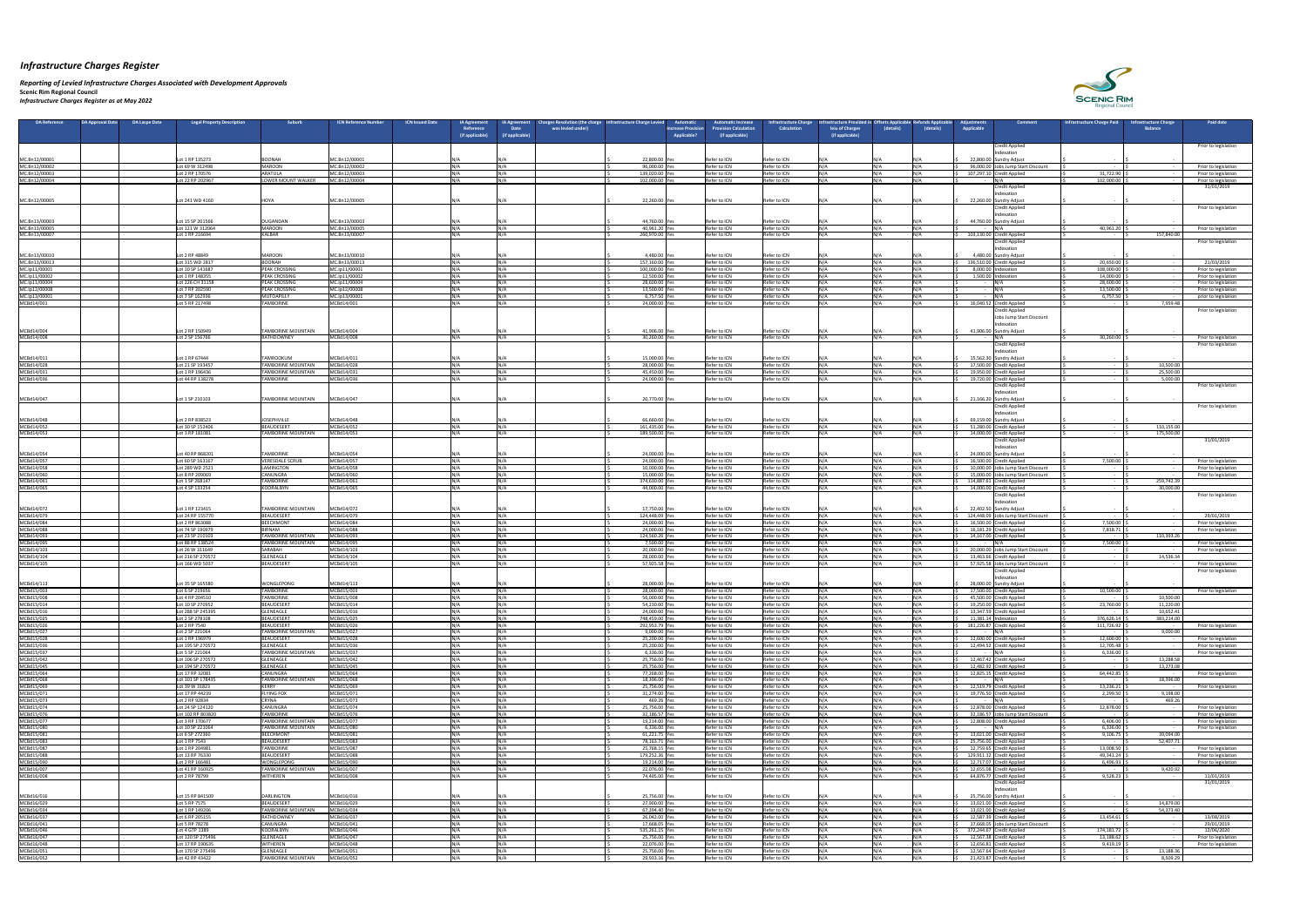*Reporting of Levied Infrastructure Charges Associated with Development Approvals*  **Scenic Rim Regional Council**

*Infrastructure Charges Register as at May 2022*

| <b>DA Reference</b>            | <b>DA Approval Date</b><br><b>DA Laspe Date</b> | <b>Legal Property Description</b>     | Suburb                                                 | <b>ICN Reference Number</b><br><b>ICN Issued Date</b> | <b>IA Agreement</b><br>Reference<br>(if applicable) | <b>Charges Resolution (the charge Infrastructure Charge Levied</b><br><b>IA Agreement</b><br><b>Date</b><br>was levied under<br>(if applicable) | <b>Automatic</b><br><b>Increase Provisior</b><br><b>Applicable?</b> | <b>Automatic Increase</b><br>rovision Calculation<br>(if applicable) | <b>Infrastructure Charge</b><br><b>Calculation</b> | frastructure Provided in Offsets Applicable<br>leiu of Charges<br>(if applicable) | <b>Refunds Applicable</b><br>(details)<br>(details) | <b>Adiustments</b><br><b>Applicable</b> | <b>Comment</b>                                                  | Infrastructure Charge Paid                       | <b>Infrastructure Charge</b><br><b>Balance</b> | <b>Paid date</b>                             |
|--------------------------------|-------------------------------------------------|---------------------------------------|--------------------------------------------------------|-------------------------------------------------------|-----------------------------------------------------|-------------------------------------------------------------------------------------------------------------------------------------------------|---------------------------------------------------------------------|----------------------------------------------------------------------|----------------------------------------------------|-----------------------------------------------------------------------------------|-----------------------------------------------------|-----------------------------------------|-----------------------------------------------------------------|--------------------------------------------------|------------------------------------------------|----------------------------------------------|
|                                |                                                 |                                       |                                                        |                                                       |                                                     |                                                                                                                                                 |                                                                     |                                                                      |                                                    |                                                                                   |                                                     |                                         | <b>Credit Applied</b>                                           |                                                  |                                                | Prior to legislation                         |
| MC.Bn12/00001                  |                                                 | Lot 1 RP 135273                       | BOONAH                                                 | MC.Bn12/00001                                         |                                                     |                                                                                                                                                 | 22,800.00 Yes                                                       | Refer to ICN                                                         | Refer to ICN                                       |                                                                                   |                                                     |                                         | Indexation<br>22,800.00 Sundry Adjust                           |                                                  |                                                |                                              |
| MC.Bn12/00002                  |                                                 | Lot 69 W 312498                       | <b>MAROON</b>                                          | MC.Bn12/00002                                         | N / A                                               |                                                                                                                                                 | 96,000.00 Ye                                                        | Refer to ICN                                                         | Refer to ICN                                       | N /Δ                                                                              |                                                     |                                         | 96,000.00 Jobs Jump Start Discount                              | <b>Contract Contract</b>                         |                                                | Prior to legislation                         |
| MC.Bn12/00003<br>MC.Bn12/00004 |                                                 | Lot 2 RP 170576<br>Lot 22 RP 202967   | ARATULA<br>LOWER MOUNT WALKER                          | MC.Bn12/00003<br>MC.Bn12/00004                        | N/N                                                 |                                                                                                                                                 | 139,020.00 Yes<br>102,000.00 Ye                                     | Refer to ICN<br>Refer to ICN                                         | Refer to ICN<br>Refer to ICN                       | N/A                                                                               |                                                     |                                         | 107,297.10 Credit Applied<br>IN/A                               | 31,722.90<br>102,000.00                          |                                                | Prior to legislation<br>Prior to legislation |
|                                |                                                 |                                       |                                                        |                                                       |                                                     |                                                                                                                                                 |                                                                     |                                                                      |                                                    |                                                                                   |                                                     |                                         | Credit Applied<br>Indexation                                    |                                                  |                                                | 31/01/2019                                   |
| MC.Bn12/00005                  |                                                 | Lot 241 WD 4160                       | <b>IHOYA</b>                                           | MC.Bn12/00005                                         |                                                     |                                                                                                                                                 | 22,260.00 Yes                                                       | Refer to ICN                                                         | Refer to ICN                                       | IN/A                                                                              |                                                     |                                         | 22,260.00 Sundry Adjust                                         |                                                  |                                                |                                              |
|                                |                                                 |                                       |                                                        |                                                       |                                                     |                                                                                                                                                 |                                                                     |                                                                      |                                                    |                                                                                   |                                                     |                                         | <b>Credit Applied</b><br>Indexation                             |                                                  |                                                | Prior to legislation                         |
| MC.Bn13/00003                  |                                                 | Lot 15 SP 201566                      | DUGANDAN                                               | MC.Bn13/00003                                         |                                                     |                                                                                                                                                 | 44,760.00 Yes                                                       | Refer to ICN                                                         | Refer to ICN                                       |                                                                                   |                                                     |                                         | 44,760.00 Sundry Adjust                                         |                                                  |                                                |                                              |
| MC.Bn13/00005<br>MC.Bn13/00007 |                                                 | Lot 121 W 312064<br>Lot 1 RP 216694   | <b>MAROON</b><br>KALBAR                                | MC.Bn13/00005<br>MC.Bn13/00007                        |                                                     |                                                                                                                                                 | 40,961.20 Ye<br>260,970.00 Ye                                       | Refer to ICN<br>Refer to ICN                                         | Refer to ICN<br>Refer to ICN                       | NI / A                                                                            |                                                     |                                         | 103,130.00 Credit Applied                                       | 40,961.20                                        | 157,840.00                                     | Prior to legislation                         |
|                                |                                                 |                                       |                                                        |                                                       |                                                     |                                                                                                                                                 |                                                                     |                                                                      |                                                    |                                                                                   |                                                     |                                         | Credit Applied                                                  |                                                  |                                                | Prior to legislation                         |
| MC.Bn13/00010                  |                                                 | Lot 2 RP 48849                        | <b>MAROON</b>                                          | MC.Bn13/00010                                         |                                                     |                                                                                                                                                 | 4,480.00                                                            | Refer to ICN                                                         | Refer to ICN                                       |                                                                                   |                                                     |                                         | Indexatior<br>4,480.00 Sundry Adjust                            |                                                  |                                                |                                              |
| MC.Bn13/00013                  |                                                 | Lot 315 WD 2817<br>Lot 10 SP 141687   | <b>BOONAH</b><br><b>PEAK CROSSING</b>                  | MC.Bn13/00013<br>MC.Ip11/00001                        | $N/\Delta$                                          |                                                                                                                                                 | 157,160.00 Yes<br>100,000.00 Yes                                    | Refer to ICN<br>Refer to ICN                                         | Refer to ICN<br>Refer to ICN                       | N/A                                                                               |                                                     |                                         | 136,510.00 Credit Applied<br>8,000.00 Indexation                | 20,650.00<br>108,000.00                          |                                                | 21/03/2019<br>Prior to legislation           |
| MC.Ip11/00001<br>MC.Ip11/00002 |                                                 | Lot 1 RP 148355                       | <b>PEAK CROSSING</b>                                   | MC.Ip11/00002                                         | ៱៲៸៱                                                |                                                                                                                                                 | 12,500.00 Yes                                                       | Refer to ICN                                                         | Refer to ICN                                       | N/A                                                                               |                                                     |                                         | 1,500.00 Indexation                                             | 14,000.00                                        |                                                | Prior to legislation                         |
| MC.Ip11/00004<br>MC.Ip12/00008 |                                                 | Lot 226 CH 31158<br>Lot 7 RP 202590   | <b>PEAK CROSSING</b><br><b>PEAK CROSSING</b>           | MC.lp11/00004<br>MC.lp12/00008                        | N/L                                                 |                                                                                                                                                 | 28,600.00 Yes<br>13,500.00 Yes                                      | Refer to ICN<br>Refer to ICN                                         | Refer to ICN<br>Refer to ICN                       | N/A                                                                               |                                                     | $\sim$ $-$<br>$\sim$ $-$                | IN/A<br>IN/A                                                    | 28,600.00<br>13,500.00                           |                                                | Prior to legislation<br>Prior to legislation |
| MC.lp13/00001                  |                                                 | Lot 7 SP 162936                       | <b>MUTDAPILLY</b>                                      | MC.lp13/00001                                         | ៱៲៸៸                                                |                                                                                                                                                 | 6,757.50 Yes                                                        | Refer to ICN                                                         | Refer to ICN                                       | N/A                                                                               |                                                     |                                         |                                                                 | 6,757.50                                         |                                                | prior to legislation                         |
| MCBd14/001                     |                                                 | Lot 5 RP 217498                       | <b>TAMBORINE</b>                                       | MCBd14/001                                            | $N/\Lambda$                                         |                                                                                                                                                 | 24,000.00 Yes                                                       | Refer to ICN                                                         | Refer to ICN                                       | N/A                                                                               |                                                     |                                         | 16,040.52 Credit Applied<br><b>Credit Applied</b>               | $\sim$ 100 $-$ 100 $-$                           | 7,959.48                                       | Prior to legislation                         |
|                                |                                                 |                                       |                                                        |                                                       |                                                     |                                                                                                                                                 |                                                                     |                                                                      |                                                    |                                                                                   |                                                     |                                         | Jobs Jump Start Discount                                        |                                                  |                                                |                                              |
| MCBd14/004                     |                                                 | Lot 2 RP 150949                       | <b>TAMBORINE MOUNTAIN</b>                              | MCBd14/004                                            |                                                     |                                                                                                                                                 | 41,906.00 Yes                                                       | Refer to ICN                                                         | Refer to ICN                                       |                                                                                   |                                                     |                                         | Indexation<br>41,906.00 Sundry Adjust                           |                                                  |                                                |                                              |
| MCBd14/008                     |                                                 | Lot 2 SP 156766                       | RATHDOWNEY                                             | MCBd14/008                                            |                                                     |                                                                                                                                                 | 30,260.00 Yes                                                       | Refer to ICN                                                         | Refer to ICN                                       |                                                                                   |                                                     |                                         | N/A<br><b>Credit Applied</b>                                    | 30,260.00                                        |                                                | Prior to legislation<br>Prior to legislation |
|                                |                                                 |                                       |                                                        |                                                       |                                                     |                                                                                                                                                 |                                                                     |                                                                      |                                                    |                                                                                   |                                                     |                                         | Indexation                                                      |                                                  |                                                |                                              |
| MCBd14/011<br>MCBd14/028       |                                                 | Lot 1 RP 67444<br>Lot 21 SP 193457    | <b>TAMROOKUM</b><br><b>TAMBORINE MOUNTAIN</b>          | MCBd14/011<br>MCBd14/028                              |                                                     |                                                                                                                                                 | 15,000.00 Yes<br>28,000.00 Yes                                      | Refer to ICN<br>Refer to ICN                                         | Refer to ICN<br><b>IRefer to ICN</b>               |                                                                                   |                                                     |                                         | 15,562.30 Sundry Adjust<br>17,500.00 Credit Applied             | $\sim$ $-$                                       | 10,500.00                                      |                                              |
| MCBd14/031                     |                                                 | ot 1 RP 196436                        | TAMBORINE MOUNTAIN                                     | MCBd14/031                                            |                                                     |                                                                                                                                                 | 45,450.00 Yes                                                       | Refer to ICN                                                         | Refer to ICN                                       | N/A                                                                               |                                                     |                                         | 19,950.00 Credit Applied                                        |                                                  | 25,500.00                                      |                                              |
| MCBd14/036                     |                                                 | Lot 44 RP 138278                      | <b>TAMBORINE</b>                                       | MCBd14/036                                            | IN / A                                              |                                                                                                                                                 | 24,000.00 Ye                                                        | Refer to ICN                                                         | Refer to ICN                                       | N/A                                                                               |                                                     |                                         | 19,720.00 Credit Applied<br><b>Credit Applied</b>               |                                                  | 5,000.00                                       | Prior to legislation                         |
|                                |                                                 |                                       |                                                        |                                                       |                                                     |                                                                                                                                                 |                                                                     |                                                                      |                                                    |                                                                                   |                                                     |                                         | Indexatior                                                      |                                                  |                                                |                                              |
| MCBd14/047                     |                                                 | Lot 1 SP 210103                       | <b>TAMBORINE MOUNTAIN</b>                              | MCBd14/047                                            |                                                     |                                                                                                                                                 | 20,770.00 Yes                                                       | Refer to ICN                                                         | Refer to ICN                                       |                                                                                   |                                                     |                                         | 21,166.20 Sundry Adjust<br><b>Credit Applied</b>                |                                                  |                                                | Prior to legislation                         |
|                                |                                                 |                                       |                                                        | MCBd14/048                                            |                                                     |                                                                                                                                                 |                                                                     |                                                                      |                                                    |                                                                                   |                                                     |                                         | <b>Indexation</b>                                               |                                                  |                                                |                                              |
| MCBd14/048<br>MCBd14/052       |                                                 | Lot 2 RP 838523<br>Lot 30 SP 152406   | <b>JOSEPHVILLE</b><br>BEAUDESERT                       | MCBd14/052                                            |                                                     |                                                                                                                                                 | 66,660.00 Yes<br>161,435.00 Yes                                     | Refer to ICN<br>Refer to ICN                                         | Refer to ICN<br>Refer to ICN                       |                                                                                   |                                                     |                                         | 69,159.00 Sundry Adjust<br>51,280.00 Credit Applied             |                                                  | 110,155.00                                     |                                              |
| MCBd14/053                     |                                                 | Lot 3 RP 181081                       | <b>TAMBORINE MOUNTAIN</b>                              | MCBd14/053                                            | $N/\Lambda$                                         | INI/A                                                                                                                                           | 189,500.00 Ye                                                       | Refer to ICN                                                         | Refer to ICN                                       | N/A                                                                               |                                                     |                                         | 14,000.00 Credit Applied<br><b>Credit Applied</b>               |                                                  | 175,500.00                                     | 31/01/2019                                   |
|                                |                                                 |                                       |                                                        |                                                       |                                                     |                                                                                                                                                 |                                                                     |                                                                      |                                                    |                                                                                   |                                                     |                                         | <b>Indexation</b>                                               |                                                  |                                                |                                              |
| MCBd14/054<br>MCBd14/057       |                                                 | Lot 40 RP 868201<br>Lot 60 SP 163167  | <b>TAMBORINE</b><br>VERESDALE SCRU                     | MCBd14/054<br>MCBd14/057                              | NI / 2                                              |                                                                                                                                                 | 24,000.00 Yes<br>24,000.00 Yes                                      | Refer to ICN<br>Refer to ICN                                         | Refer to ICN<br>Refer to ICN                       | N/A                                                                               |                                                     |                                         | 24,000.00 Sundry Adjust<br>16,500.00 Credit Applied             | 7,500.00                                         |                                                | Prior to legislation                         |
| MCBd14/058                     |                                                 | Lot 289 WD 2521                       | LAMINGTON                                              | MCBd14/058                                            |                                                     |                                                                                                                                                 | 10,000.00 Yes                                                       | Refer to ICN                                                         | Refer to ICN                                       | N /Δ                                                                              |                                                     |                                         | 10,000.00 Jobs Jump Start Discount                              |                                                  |                                                | Prior to legislation                         |
| MCBd14/060<br>MCBd14/061       |                                                 | Lot 8 RP 209069<br>Lot 1 SP 268147    | <b>CANUNGRA</b><br><b>TAMBORINE</b>                    | MCBd14/060<br>MCBd14/061                              | NI / A                                              |                                                                                                                                                 | 15,000.00 Yes<br>374,630.00 Yes                                     | Refer to ICN<br>Refer to ICN                                         | Refer to ICN<br>Refer to ICN                       | N/A<br>N/A                                                                        |                                                     |                                         | 15,000.00 Jobs Jump Start Discount<br>114,887.61 Credit Applied | $\sim 100$ m $^{-1}$<br><b>Contract Contract</b> | 259,742.39                                     | Prior to legislation                         |
| MCBd14/065                     |                                                 | Lot 4 SP 133254                       | KOORALBYN                                              | MCBd14/065                                            |                                                     |                                                                                                                                                 | 44,000.00 Ye                                                        | Refer to ICN                                                         | Refer to ICN                                       |                                                                                   |                                                     |                                         | 14,000.00 Credit Applied                                        |                                                  | 30,000.00                                      |                                              |
|                                |                                                 |                                       |                                                        |                                                       |                                                     |                                                                                                                                                 |                                                                     |                                                                      |                                                    |                                                                                   |                                                     |                                         | <b>Credit Applied</b><br>Indexation                             |                                                  |                                                | Prior to legislation                         |
| MCBd14/072                     |                                                 | Lot 1 RP 123415                       | <b>TAMBORINE MOUNTAIN</b>                              | MCBd14/072                                            | N/A                                                 | $N/\Delta$                                                                                                                                      | 17,750.00 Yes                                                       | Refer to ICN                                                         | Refer to ICN                                       | N/A                                                                               |                                                     |                                         | 22,402.50 Sundry Adjust                                         |                                                  |                                                |                                              |
| MCBd14/079<br>MCBd14/084       |                                                 | Lot 24 RP 155770<br>Lot 2 RP 863088   | BEAUDESERT<br>BEECHMONT                                | MCBd14/079<br>MCBd14/084                              |                                                     |                                                                                                                                                 | 124,448.09 Yes<br>24,000.00 Yes                                     | Refer to ICN<br>Refer to ICN                                         | Refer to ICN<br>Refer to ICN                       | N/A                                                                               |                                                     |                                         | 124,448.09 Jobs Jump Start Discount<br>16,500.00 Credit Applied | $\sim 100$ m $^{-1}$<br>7,500.00                 |                                                | 29/01/2019<br>Prior to legislation           |
| MCBd14/088                     |                                                 | Lot 74 SP 190979<br>Lot 23 SP 210103  | <b>BIRNAM</b><br><b>TAMBORINE MOUNTAIN</b>             | MCBd14/088<br>MCBd14/093                              | N/2                                                 |                                                                                                                                                 | 24,000.00 Yes<br>124,560.26 Yes                                     | Refer to ICN<br>Refer to ICN                                         | Refer to ICN<br>Refer to ICN                       | N / A<br>N/A                                                                      |                                                     |                                         | 16,181.29 Credit Applied<br>14,167.00 Credit Applied            | 7,818.71<br>$\sim 100$ m $^{-1}$                 | 110,393.26                                     | Prior to legislation                         |
| MCBd14/093<br>MCBd14/095       |                                                 | Lot 88 RP 138524                      | <b>TAMBORINE MOUNTAIN</b>                              | MCBd14/095                                            |                                                     |                                                                                                                                                 | 7,500.00 Yes                                                        | Refer to ICN                                                         | Refer to ICN                                       | N/A                                                                               |                                                     |                                         |                                                                 | 7,500.00                                         |                                                | Prior to legislation                         |
| MCBd14/103<br>MCBd14/104       |                                                 | Lot 26 W 311649<br>Lot 216 SP 270572  | <b>SARABAH</b><br>GLENEAGLE                            | MCBd14/103<br>MCBd14/104                              | $N/\Lambda$                                         |                                                                                                                                                 | 20,000.00 Yes<br>28,000.00 Yes                                      | Refer to ICN<br>Refer to ICN                                         | Refer to ICN<br>Refer to ICN                       | N/A                                                                               |                                                     |                                         | 20,000.00 Jobs Jump Start Discount<br>13,463.66 Credit Applied  |                                                  | 14,536.34                                      | Prior to legislation                         |
| MCBd14/105                     |                                                 | Lot 166 WD 5037                       | BEAUDESERT                                             | MCBd14/105                                            |                                                     |                                                                                                                                                 | 57,925.58 Ye                                                        | Refer to ICN                                                         | Refer to ICN                                       |                                                                                   |                                                     |                                         | 57,925.58 Jobs Jump Start Discount                              |                                                  |                                                | Prior to legislation                         |
|                                |                                                 |                                       |                                                        |                                                       |                                                     |                                                                                                                                                 |                                                                     |                                                                      |                                                    |                                                                                   |                                                     |                                         | <b>Credit Applied</b><br>Indexatior                             |                                                  |                                                | Prior to legislation                         |
| MCBd14/113                     |                                                 | Lot 35 SP 165580                      | <b>WONGLEPONG</b>                                      | MCBd14/113                                            | $N/\Lambda$                                         |                                                                                                                                                 | 28,000.00 Yes                                                       | Refer to ICN                                                         | Refer to ICN                                       | N / A                                                                             |                                                     |                                         | 28,000.00 Sundry Adjust                                         |                                                  |                                                |                                              |
| MCBd15/003<br>MCBd15/008       |                                                 | Lot 6 SP 219656<br>Lot 4 RP 204510    | <b>TAMBORINE</b><br><b>TAMBORINE</b>                   | MCBd15/003<br>MCBd15/008                              |                                                     |                                                                                                                                                 | 28,000.00 Yes<br>56,000.00 Yes                                      | Refer to ICN<br>Refer to ICN                                         | Refer to ICN<br>Refer to ICN                       | N/A                                                                               |                                                     |                                         | 17,500.00 Credit Applied<br>45,500.00 Credit Applied            | 10,500.00<br>$\sim$ $-$                          | 10,500.00                                      | Prior to legislation                         |
| MCBd15/014                     |                                                 | Lot 10 SP 270952<br>Lot 288 SP 245395 | BEAUDESERT<br>GLENEAGLE                                | MCBd15/014<br>MCBd15/016                              |                                                     |                                                                                                                                                 | 54,230.00 Ye<br>24,000.00 Yes                                       | Refer to ICN<br>Refer to ICN                                         | Refer to ICN<br>Refer to ICN                       | N / A                                                                             |                                                     |                                         | 19,250.00 Credit Applied<br>13,347.59 Credit Applied            | 23,760.00<br>$\sim$ $-$                          | 11,220.00<br>10,652.41                         |                                              |
| MCBd15/016<br>MCBd15/025       |                                                 | Lot 2 SP 278108                       | BEAUDESERT                                             | MCBd15/025                                            |                                                     |                                                                                                                                                 | 748,459.00 Ye                                                       | Refer to ICN                                                         | Refer to ICN                                       |                                                                                   |                                                     |                                         | 11,381.14 $ $ Indexation                                        | 376,626.14                                       | 383,214.00                                     |                                              |
| MCBd15/026<br>MCBd15/027       |                                                 | Lot 2 RP 7540<br>Lot 2 SP 221064      | BEAUDESERT<br><b>TAMBORINE MOUNTAIN</b>                | MCBd15/026<br>MCBd15/027                              |                                                     |                                                                                                                                                 | 292,953.79 Yes<br>9,000.00 Yes                                      | Refer to ICN<br>Refer to ICN                                         | Refer to ICN<br>Refer to ICN                       | N /Δ<br>N/A                                                                       |                                                     |                                         | 181,226.87 Credit Applied                                       | 111,726.92<br>$\sim 100$ m $^{-1}$               | 9,000.00                                       | Prior to legislation                         |
| MCBd15/028                     |                                                 | Lot 1 RP 196979                       | BEAUDESERT                                             | MCBd15/028                                            |                                                     |                                                                                                                                                 | 25,200.00 Yes                                                       | Refer to ICN                                                         | Refer to ICN                                       |                                                                                   |                                                     |                                         | 12,600.00 Credit Applied                                        | 12,600.00                                        |                                                | Prior to legislation                         |
| MCBd15/036<br>MCBd15/037       |                                                 | Lot 195 SP 270572<br>Lot 5 SP 221064  | GLENEAGLE<br><b>TAMBORINE MOUNTAIN</b>                 | MCBd15/036<br>MCBd15/037                              |                                                     |                                                                                                                                                 | 25,200.00 Yes<br>6,336.00 Yes                                       | Refer to ICN<br>Refer to ICN                                         | Refer to ICN<br>Refer to ICN                       | N/A                                                                               |                                                     |                                         | 12,494.52 Credit Applied                                        | 12,705.48<br>6,336.00                            |                                                | Prior to legislation<br>Prior to legislation |
| MCBd15/042                     |                                                 | Lot 106 SP 270572                     | <b>GLENEAGLE</b>                                       | MCBd15/042                                            |                                                     |                                                                                                                                                 | 25,756.00 Yes                                                       | Refer to ICN                                                         | Refer to ICN                                       | NΙ/Δ                                                                              |                                                     |                                         | 12,467.42 Credit Applied                                        | <b>Contract Contract</b>                         | 13,288.58                                      |                                              |
| MCBd15/045<br>MCBd15/064       |                                                 | Lot 194 SP 270572<br>Lot 17 RP 32081  | GLENEAGLE<br><b>CANUNGRA</b>                           | MCBd15/045<br>MCBd15/064                              |                                                     |                                                                                                                                                 | 25,756.00 Yes<br>77,268.00 Yes                                      | Refer to ICN<br>Refer to ICN                                         | Refer to ICN<br>Refer to ICN                       | N/A                                                                               |                                                     |                                         | 12,482.92 Credit Applied<br>12,825.15 Credit Applied            | $\sim$ 100 $\sim$<br>64,442.85                   | 13,273.08                                      | Prior to legislation                         |
| MCBd15/068                     |                                                 | Lot 101 SP 178435<br>Lot 39 W 31823   | <b>TAMBORINE MOUNTAIN</b><br>KERRY                     | MCBd15/068<br>MCBd15/069                              |                                                     |                                                                                                                                                 | 18,396.00 Ye<br>25,756.00 Ye                                        | Refer to ICN<br>Refer to ICN                                         | Refer to ICN<br>Refer to ICN                       |                                                                                   |                                                     |                                         | 12,519.79 Credit Applied                                        | <b>Service</b><br>13,236.21                      | 18,396.00                                      |                                              |
| MCBd15/069<br>MCBd15/071       |                                                 | Lot 17 RP 44239                       | <b>FLYING FOX</b>                                      | MCBd15/071                                            | NI / 4                                              |                                                                                                                                                 | 31,274.00 Yes                                                       | Refer to ICN                                                         | Refer to ICN                                       | N/A                                                                               |                                                     |                                         | 19,776.50 Credit Applied                                        | 2,299.50                                         | 9,198.00                                       | Prior to legislation                         |
| MCBd15/073<br>MCBd15/074       |                                                 | Lot 2 RP 92834<br>Lot 24 SP 124120    | <b>CRYNA</b><br>CANUNGRA                               | MCBd15/073<br>MCBd15/074                              |                                                     |                                                                                                                                                 | 469.26 Yes<br>25,756.00 Yes                                         | Refer to ICN<br>Refer to ICN                                         | Refer to ICN<br>Refer to ICN                       |                                                                                   |                                                     |                                         | 12,878.00 Credit Applied                                        | $\sim$ $-$<br>12,878.00                          | 469.26                                         | Prior to legislation                         |
| MCBd15/076                     |                                                 | Lot 102 RP 803820                     | <b>TAMBORINE</b>                                       | MCBd15/076                                            | $N/\Delta$                                          |                                                                                                                                                 | 32,186.57 Yes                                                       | Refer to ICN                                                         | Refer to ICN                                       | N/A                                                                               |                                                     |                                         | 32,186.57 Jobs Jump Start Discount                              | $\sim 100$ m $^{-1}$                             |                                                | Prior to legislation                         |
| MCBd15/077<br>MCBd15/080       |                                                 | Lot 3 RP 170677<br>Lot 10 SP 221064   | <b>TAMBORINE MOUNTAIN</b><br><b>TAMBORINE MOUNTAIN</b> | MCBd15/077<br>MCBd15/080                              |                                                     |                                                                                                                                                 | 19,214.00 Yes<br>6,336.00 Yes                                       | Refer to ICN<br>Refer to ICN                                         | Refer to ICN<br>Refer to ICN                       | N/A                                                                               |                                                     |                                         | 12,808.00 Credit Applied                                        | 6,406.00<br>6,336.00                             |                                                | Prior to legislation<br>Prior to legislation |
| MCBd15/081                     |                                                 | Lot 6 SP 272360                       | <b>BEECHMONT</b>                                       | MCBd15/081                                            |                                                     |                                                                                                                                                 | 61,221.75 Yes                                                       | Refer to ICN                                                         | Refer to ICN                                       | N / A                                                                             |                                                     |                                         | 13,021.00 Credit Applied                                        | 9,106.75                                         | 39,094.00                                      |                                              |
| MCBd15/083<br>MCBd15/087       |                                                 | Lot 1 RP 7543<br>Lot 1 RP 204981      | BEAUDESERT<br><b>TAMBORINE</b>                         | MCBd15/083<br>MCBd15/087                              |                                                     |                                                                                                                                                 | 78,163.71 Yes<br>25,768.15 Yes                                      | Refer to ICN<br>Refer to ICN                                         | Refer to ICN<br>Refer to ICN                       | N /Δ<br>N / A                                                                     |                                                     |                                         | 25,756.00 Credit Applied<br>12,759.65 Credit Applied            | $\sim$ $-$<br>13,008.50                          | 52,407.71                                      | Prior to legislation                         |
| MCBd15/088                     |                                                 | Lot 13 RP 76330                       | BEAUDESERT                                             | MCBd15/088                                            |                                                     |                                                                                                                                                 | 179,252.36 Ye:                                                      | Refer to ICN                                                         | Refer to ICN                                       | N/A                                                                               |                                                     |                                         | 129,911.12 Credit Applied                                       | 49,341.24                                        |                                                | Prior to legislation                         |
| MCBd15/090<br>MCBd16/007       |                                                 | ot 2 RP 166481<br>Lot 41 RP 160925    | <b>WONGLEPONG</b><br><b>TAMBORINE MOUNTAIN</b>         | MCBd15/090<br>MCBd16/007                              |                                                     |                                                                                                                                                 | 19,214.00 \<br>22.076.00 Yes                                        | Refer to ICN<br>Refer to ICN                                         | Refer to ICN<br>Refer to ICN                       |                                                                                   |                                                     |                                         | 12,717.07 Credit Applied<br>12.655.08 Credit Applied            | 6,496.93                                         | 9.420.92                                       | Prior to legislation                         |
| MCBd16/008                     |                                                 | Lot 2 RP 78799                        | <b>WITHEREN</b>                                        | MCBd16/008                                            |                                                     |                                                                                                                                                 | 74,405.00 Yes                                                       | Refer to ICN                                                         | Refer to ICN                                       |                                                                                   |                                                     |                                         | 64,876.77 Credit Applied<br><b>Credit Applied</b>               | 9,528.23                                         |                                                | 11/01/2019                                   |
|                                |                                                 |                                       |                                                        |                                                       |                                                     |                                                                                                                                                 |                                                                     |                                                                      |                                                    |                                                                                   |                                                     |                                         | Indexation                                                      |                                                  |                                                | 31/01/2019                                   |
| MCBd16/016<br>MCBd16/029       |                                                 | Lot 15 RP 841509<br>Lot 5 RP 7575     | DARLINGTON<br>BEAUDESERT                               | MCBd16/016<br>MCBd16/029                              | ៱៲៸៱                                                |                                                                                                                                                 | 25,756.00 Yes<br>27,900.00 Yes                                      | Refer to ICN<br>Refer to ICN                                         | Refer to ICN<br>Refer to ICN                       |                                                                                   |                                                     |                                         | 25,756.00 Sundry Adjust<br>13,021.00 Credit Applied             | $\sim$ $-$<br>$\sim 100$ m $^{-1}$               | 14,879.00                                      |                                              |
| MCBd16/034                     |                                                 | Lot 1 RP 149206                       | <b>TAMBORINE MOUNTAIN</b>                              | MCBd16/034                                            | $N/\Delta$                                          |                                                                                                                                                 | 67,394.40 Yes                                                       | Refer to ICN                                                         | Refer to ICN                                       | N/A                                                                               | IN/A                                                |                                         | 13,021.00 Credit Applied                                        | $\sim$ $-$                                       | 54,373.40                                      |                                              |
| MCBd16/037<br>MCBd16/041       |                                                 | Lot 6 RP 205155<br>Lot 5 RP 78278     | RATHDOWNEY<br>CANUNGRA                                 | MCBd16/037<br>MCBd16/041                              |                                                     |                                                                                                                                                 | 26,042.00 Yes<br>17,668.05 Yes                                      | Refer to ICN<br>Refer to ICN                                         | Refer to ICN<br>Refer to ICN                       | N/A<br>N / A                                                                      |                                                     |                                         | 12,587.39 Credit Applied<br>17,668.05 Jobs Jump Start Discount  | 13,454.61                                        |                                                | 13/08/2019<br>29/01/2019                     |
| MCBd16/046                     |                                                 | Lot 4 GTP 1389                        | <b>KOORALBYN</b>                                       | MCBd16/046                                            |                                                     |                                                                                                                                                 | 535,261.15 Yes                                                      | Refer to ICN                                                         | Refer to ICN                                       | N/A                                                                               | IN/A                                                |                                         | 372,244.67 Credit Applied                                       | 174,181.72                                       |                                                | 12/06/2020                                   |
| MCBd16/047<br>MCBd16/048       |                                                 | Lot 120 SP 275496<br>Lot 17 RP 190635 | GLENEAGLE<br><b>WITHEREN</b>                           | MCBd16/047<br>MCBd16/048                              |                                                     |                                                                                                                                                 | 25,756.00 Ye<br>22,076.00 Yes                                       | Refer to ICN<br>Refer to ICN                                         | Refer to ICN<br>Refer to ICN                       | N / A                                                                             |                                                     |                                         | 12,567.38 Credit Applied<br>12,656.81 Credit Applied            | 13,188.62<br>9,419.19                            |                                                | Prior to legislation<br>Prior to legislation |
| MCBd16/051<br>MCBd16/052       |                                                 | Lot 170 SP 275496                     | GLENEAGLE<br><b>TAMBORINE MOUNTAIN</b>                 | MCBd16/051<br>MCBd16/052                              | N/A                                                 |                                                                                                                                                 | 25,756.00 Yes<br>29,933.16 Yes                                      | Refer to ICN<br>Refer to ICN                                         | Refer to ICN<br>Refer to ICN                       | N/A<br>N/A                                                                        |                                                     |                                         | 12,567.64 Credit Applied<br>21,423.87 Credit Applied            | $\sim$ $-$<br>$\sim$ $-$                         | 13,188.36<br>8,509.29                          |                                              |
|                                |                                                 | Lot 42 RP 43422                       |                                                        |                                                       |                                                     |                                                                                                                                                 |                                                                     |                                                                      |                                                    |                                                                                   |                                                     |                                         |                                                                 |                                                  |                                                |                                              |

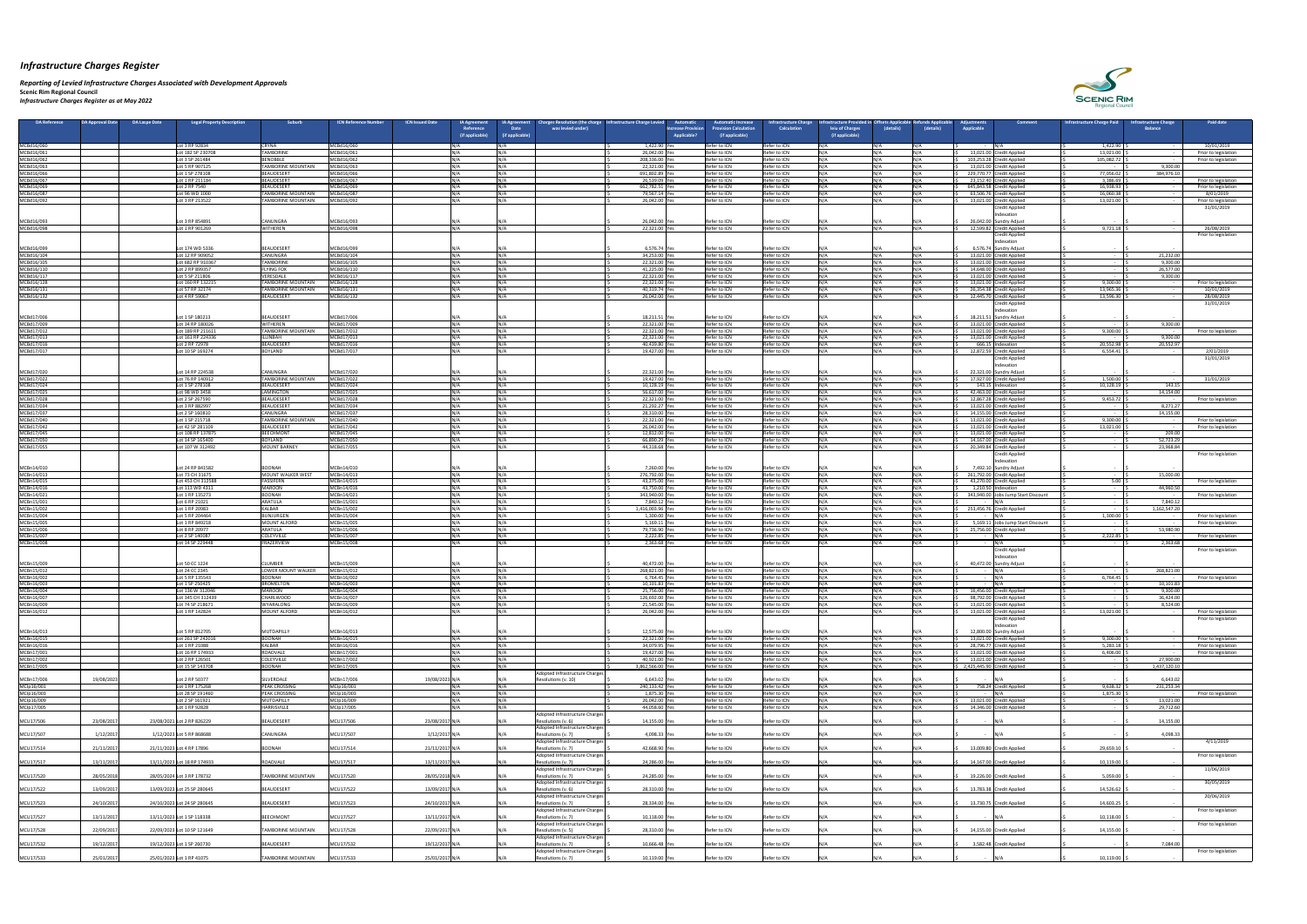*Reporting of Levied Infrastructure Charges Associated with Development Approvals*  **Scenic Rim Regional Council**

*Infrastructure Charges Register as at May 2022*

| DA Reference<br><b>DA Approval Date</b> | <b>DA Laspe Date</b> | <b>Legal Property Description</b>     | <b>Suburb</b>                                    | <b>ICN Issued Date</b><br><b>ICN Reference Number</b> |                | IA Agreement<br>Reference<br>(if applicable) | <b>IA Agreement</b><br><b>Date</b><br>(if applicable) | arges Resolution (the charge<br>was levied under)    | <b>Automatio</b><br>nfrastructure Charge Levie<br>Increase Provision<br><b>Applicable?</b> | utomatic Increase.<br><b>rovision Calculation</b><br>(if applicable) | nfrastructure Chargo<br><b>Calculation</b> | astructure Provided<br>leiu of Charges<br>(if applicable) | (details)     | (details)    | ustments<br><b>Applicable</b> | Comment                                               | <b>Infrastructure Charge Paid</b> | <b>nfrastructure Charge</b><br><b>Balance</b> | <b>Paid date</b>                   |
|-----------------------------------------|----------------------|---------------------------------------|--------------------------------------------------|-------------------------------------------------------|----------------|----------------------------------------------|-------------------------------------------------------|------------------------------------------------------|--------------------------------------------------------------------------------------------|----------------------------------------------------------------------|--------------------------------------------|-----------------------------------------------------------|---------------|--------------|-------------------------------|-------------------------------------------------------|-----------------------------------|-----------------------------------------------|------------------------------------|
| MCBd16/060                              |                      | Lot 3 RP 92834                        | <b>CRYNA</b>                                     | MCBd16/060                                            |                |                                              |                                                       |                                                      | 1,422.90 Ye                                                                                | Refer to ICN                                                         | Refer to ICN                               |                                                           | N / Δ         | INIA         | - N/A                         |                                                       | 1,422.90                          |                                               | 10/01/2019                         |
| MCBd16/061                              |                      | ot 182 SP 230708                      | <b>TAMBORINE</b>                                 | MCBd16/061                                            |                |                                              |                                                       |                                                      | 26,042.00 Y                                                                                | Refer to ICN                                                         | Refer to ICN                               |                                                           |               |              |                               | 13,021.00 Credit Applied                              | 13,021.00                         |                                               | Prior to legislation               |
| MCBd16/062                              |                      | Lot 3 SP 261484                       | <b>BENOBBLE</b>                                  | MCBd16/062                                            |                | NI / /                                       |                                                       |                                                      | 208,336.00 Ye                                                                              | Refer to ICN                                                         | Refer to ICN                               |                                                           | IN/A          |              |                               | 103,253.28 Credit Applied                             | 105,082.72                        |                                               | Prior to legislation               |
| MCBd16/063<br>MCBd16/066                |                      | Lot 5 RP 907125<br>Lot 1 SP 278108    | <b>TAMBORINE MOUNTAIN</b><br>BEAUDESERT          | MCBd16/063<br>MCBd16/066                              |                |                                              |                                                       |                                                      | 22,321.00 Yes<br>691,802.89 Ye                                                             | Refer to ICN<br>Refer to ICN                                         | Refer to ICN<br>Refer to ICN               |                                                           | N /Δ          |              |                               | 13,021.00 Credit Applied<br>229,770.77 Credit Applied | $\sim$ $-$<br>77,056.02           | 9,300.00<br>384,976.10                        |                                    |
| MCBd16/067                              |                      | Lot 1 RP 211184                       | <b>BEAUDESERT</b>                                | MCBd16/067                                            |                | 11 / A                                       |                                                       |                                                      | 26,539.09 Yes                                                                              | Refer to ICN                                                         | Refer to ICN                               |                                                           | N/A           |              |                               | 23,152.40 Credit Applied                              | 3,386.69                          |                                               | Prior to legislation               |
| MCBd16/069                              |                      | Lot 2 RP 7540                         | BEAUDESERT                                       | MCBd16/069                                            |                |                                              |                                                       |                                                      | 662,782.51 Yes                                                                             | Refer to ICN                                                         | Refer to ICN                               |                                                           |               |              |                               | 645,843.58 Credit Applied                             | 16,938.93                         |                                               | Prior to legislation               |
| MCBd16/087<br>MCBd16/092                |                      | ot 96 WD 1000<br>Lot 3 RP 213522      | <b>TAMBORINE MOUNTAIN</b><br>ITAMBORINE MOUNTAIN | MCBd16/087<br>MCBd16/092                              |                | $NI/\Delta$                                  |                                                       |                                                      | 79,567.14<br>26,042.00 Ye                                                                  | Refer to ICN<br>Refer to ICN                                         | Refer to ICN<br>Refer to ICN               |                                                           | N /Δ          | <b>INI/A</b> |                               | 63,506.76 Credit Applied<br>13,021.00 Credit Applied  | 16,060.38<br>13,021.00            |                                               | 8/01/2019<br>Prior to legislation  |
|                                         |                      |                                       |                                                  |                                                       |                |                                              |                                                       |                                                      |                                                                                            |                                                                      |                                            |                                                           |               |              |                               | Credit Applied                                        |                                   |                                               | 31/01/2019                         |
|                                         |                      |                                       |                                                  |                                                       |                |                                              |                                                       |                                                      |                                                                                            |                                                                      |                                            |                                                           |               |              |                               | ndexatio                                              |                                   |                                               |                                    |
| MCBd16/093                              |                      | Lot 3 RP 854891                       | <b>CANUNGRA</b>                                  | MCBd16/093                                            |                |                                              |                                                       |                                                      | 26,042.00 Yes                                                                              | Refer to ICN                                                         | Refer to ICN                               |                                                           |               |              |                               | 26,042.00 Sundry Adjust                               |                                   |                                               |                                    |
| MCBd16/098                              |                      | Lot 1 RP 901269                       | <b>WITHEREN</b>                                  | MCBd16/098                                            |                |                                              |                                                       |                                                      | 22,321.00 Y                                                                                | Refer to ICN                                                         | Refer to ICN                               |                                                           |               |              |                               | 12,599.82 Credit Applied<br>Credit Applied            | 9,721.18                          |                                               | 26/08/2019<br>Prior to legislation |
|                                         |                      |                                       |                                                  |                                                       |                |                                              |                                                       |                                                      |                                                                                            |                                                                      |                                            |                                                           |               |              |                               | ndexation                                             |                                   |                                               |                                    |
| MCBd16/099                              |                      | Lot 174 WD 5336                       | BEAUDESERT                                       | MCBd16/099                                            |                |                                              |                                                       |                                                      | 6,576.74 Yes                                                                               | Refer to ICN                                                         | Refer to ICN                               |                                                           |               |              |                               | 6,576.74 Sundry Adjust                                | $\sim$ $-$                        |                                               |                                    |
| MCBd16/104                              |                      | Lot 12 RP 909052                      | <b>CANUNGRA</b>                                  | MCBd16/104                                            |                | ៱៲៸៱                                         |                                                       |                                                      | 34,253.00 Ye                                                                               | Refer to ICN                                                         | Refer to ICN                               |                                                           | N /Δ          |              |                               | 13,021.00 Credit Applied                              |                                   | 21,232.00                                     |                                    |
| MCBd16/105<br>MCBd16/110                |                      | Lot 682 RP 910367<br>ot 2 RP 899357   | <b>TAMBORINE</b><br><b>FLYING FOX</b>            | MCBd16/105<br>MCBd16/110                              |                | NI / /                                       |                                                       |                                                      | 22,321.00 Yes<br>41,225.00 Y                                                               | Refer to ICN<br>Refer to ICN                                         | Refer to ICN<br>Refer to ICN               |                                                           | N / A         |              | 14,648.00   0                 | 13,021.00 Credit Applied<br><b>Credit Applied</b>     | $\sim$ $-$                        | 9,300.00<br>26,577.00                         |                                    |
| MCBd16/117                              |                      | Lot 5 SP 211806                       | <b>VERESDALE</b>                                 | MCBd16/117                                            |                | NI / /                                       |                                                       |                                                      | 22,321.00 Ye                                                                               | Refer to ICN                                                         | Refer to ICN                               |                                                           | N / A         |              |                               | 13,021.00 Credit Applied                              | $\sim$ $-$                        | 9,300.00                                      |                                    |
| MCBd16/128                              |                      | Lot 160 RP 132215                     | <b>TAMBORINE MOUNTAIN</b>                        | MCBd16/128                                            |                |                                              |                                                       |                                                      | 22,321.00 Yes                                                                              | Refer to ICN                                                         | Refer to ICN                               |                                                           | N / A         |              |                               | 13,021.00 Credit Applied                              | 9,300.00                          |                                               | Prior to legislation               |
| MCBd16/131                              |                      | Lot 57 RP 32174                       | <b>TAMBORINE MOUNTAIN</b>                        | MCBd16/131                                            |                | IN/A                                         | INI/A                                                 |                                                      | 40,319.74 Yes                                                                              | Refer to ICN                                                         | Refer to ICN                               |                                                           | N / A         | <b>INI/A</b> |                               | 26,354.38 Credit Applied                              | 13,965.36                         |                                               | 10/01/2019                         |
| MCBd16/132                              |                      | Lot 4 RP 59067                        | <b>BEAUDESERT</b>                                | MCBd16/132                                            |                |                                              |                                                       |                                                      | 26,042.00 Ye                                                                               | Refer to ICN                                                         | Refer to ICN                               |                                                           | N/A           |              |                               | 12,445.70 Credit Applied<br>Credit Applied            | 13,596.30                         |                                               | 28/08/2019<br>31/01/2019           |
|                                         |                      |                                       |                                                  |                                                       |                |                                              |                                                       |                                                      |                                                                                            |                                                                      |                                            |                                                           |               |              |                               | ndexatior                                             |                                   |                                               |                                    |
| MCBd17/006                              |                      | Lot 1 SP 180213                       | BEAUDESERT                                       | MCBd17/006                                            |                |                                              |                                                       |                                                      | 18,211.51 Yes                                                                              | Refer to ICN                                                         | Refer to ICN                               |                                                           |               |              |                               | 18,211.51 Sundry Adjust                               | $\sim$ $-$                        |                                               |                                    |
| MCBd17/009                              |                      | Lot 34 RP 180026<br>Lot 189 RP 211611 | <b>WITHEREN</b>                                  | MCBd17/009<br>MCBd17/012                              |                | <b>N/4</b>                                   |                                                       |                                                      | 22,321.00 Ye                                                                               | Refer to ICN<br>Refer to ICN                                         | Refer to ICN<br>Refer to ICN               |                                                           | NΙ/Δ          |              |                               | 13,021.00 Credit Applied                              | $\sim$ $-$<br>9,300.00            | 9,300.00                                      |                                    |
| MCBd17/012<br>MCBd17/013                |                      | Lot 161 RP 224336                     | <b>TAMBORINE MOUNTAIN</b><br>ILLINBAH            | MCBd17/013                                            |                |                                              |                                                       |                                                      | 22,321.00 Yes<br>22,321.00 Yes                                                             | Refer to ICN                                                         | Refer to ICN                               |                                                           |               |              |                               | 13,021.00 Credit Applied<br>13,021.00 Credit Applied  |                                   | 9,300.00                                      | Prior to legislation               |
| MCBd17/016                              |                      | Lot 2 RP 72978                        | BEAUDESERT                                       | MCBd17/016                                            |                |                                              |                                                       |                                                      | 40,439.80 Yes                                                                              | Refer to ICN                                                         | Refer to ICN                               |                                                           |               |              |                               | 666.15 Indexation                                     | 20,552.98                         | 20,552.97                                     |                                    |
| MCBd17/017                              |                      | Lot 10 SP 169274                      | <b>BOYLAND</b>                                   | MCBd17/017                                            |                | 11 / A                                       |                                                       |                                                      | 19,427.00 Ye                                                                               | Refer to ICN                                                         | Refer to ICN                               |                                                           | N / A         |              |                               | 12,872.59 Credit Applied                              | 6,554.41                          |                                               | 2/01/2019                          |
|                                         |                      |                                       |                                                  |                                                       |                |                                              |                                                       |                                                      |                                                                                            |                                                                      |                                            |                                                           |               |              |                               | <b>Credit Applied</b><br>Indexation                   |                                   |                                               | 31/01/2019                         |
| MCBd17/020                              |                      | ot 14 RP 224538                       | CANUNGRA                                         | MCBd17/020                                            |                |                                              |                                                       |                                                      | 22,321.00 Yes                                                                              | Refer to ICN                                                         | Refer to ICN                               |                                                           |               |              |                               | 22,321.00 Sundry Adjust                               | $\sim$ $-$                        |                                               |                                    |
| MCBd17/022                              |                      | Lot 76 RP 140912                      | <b>TAMBORINE MOUNTAIN</b>                        | MCBd17/022                                            |                |                                              |                                                       |                                                      | 19,427.00 Yes                                                                              | Refer to ICN                                                         | Refer to ICN                               |                                                           | N / A         |              |                               | 17,927.00 Credit Applied                              | 1,500.00                          |                                               | 31/01/2019                         |
| MCBd17/024                              |                      | Lot 1 SP 278108                       | BEAUDESERT                                       | MCBd17/024                                            |                |                                              |                                                       |                                                      | 10,128.19 Yes                                                                              | Refer to ICN                                                         | Refer to ICN                               |                                                           | N / A         |              |                               | 143.15 Indexation                                     | 10,128.19                         | 143.15                                        |                                    |
| MCBd17/025<br>MCBd17/028                |                      | Lot 98 WD 3458<br>Lot 2 SP 267590     | LAMINGTON<br>BEAUDESERT                          | MCBd17/025<br>MCBd17/028                              |                |                                              |                                                       |                                                      | 56,617.00 Yes<br>22,321.00 Yes                                                             | Refer to ICN<br>Refer to ICN                                         | Refer to ICN<br>Refer to ICN               |                                                           | N / A<br>N/A  |              |                               | 42,463.00 Credit Applied<br>12,867.28 Credit Applied  | <b>Contractor</b><br>9,453.72     | 14,154.00                                     | Prior to legislation               |
| MCBd17/034                              |                      | Lot 3 RP 882997                       | BEAUDESERT                                       | MCBd17/034                                            |                |                                              |                                                       |                                                      | 21,292.27 Yes                                                                              | Refer to ICN                                                         | Refer to ICN                               |                                                           | N / A         |              |                               | 13,021.00 Credit Applied                              | $\sim$ $-$                        | 8,271.27                                      |                                    |
| MCBd17/037                              |                      | Lot 2 SP 160810                       | <b>CANUNGRA</b>                                  | MCBd17/037                                            |                | NI / A                                       | N/A                                                   |                                                      | 28,310.00 Yes                                                                              | Refer to ICN                                                         | Refer to ICN                               |                                                           | N/A           | INI / A      |                               | 14,155.00 Credit Applied                              | <b>Contract Contract</b>          | 14,155.00                                     |                                    |
| MCBd17/040                              |                      | Lot 1 SP 215718                       | <b>TAMBORINE MOUNTAIN</b>                        | MCBd17/040                                            |                |                                              |                                                       |                                                      | 22,321.00 Ye                                                                               | Refer to ICN                                                         | Refer to ICN                               |                                                           | N/A           |              |                               | 13,021.00 Credit Applied                              | 9,300.00                          |                                               | Prior to legislation               |
| MCBd17/042<br>MCBd17/045                |                      | Lot 42 SP 281109<br>Lot 108 RP 137875 | BEAUDESERT<br>BEECHMONT                          | MCBd17/042<br>MCBd17/045                              |                |                                              |                                                       |                                                      | 26,042.00 Ye<br>12,812.00 Yes                                                              | Refer to ICN<br>Refer to ICN                                         | Refer to ICN<br>Refer to ICN               |                                                           | N /Δ<br>N /Δ  |              |                               | 13,021.00 Credit Applied<br>13,021.00 Credit Applied  | 13,021.00                         | 209.00                                        | Prior to legislation               |
| MCBd17/050                              |                      | Lot 14 SP 165400                      | <b>BOYLAND</b>                                   | MCBd17/050                                            |                |                                              |                                                       |                                                      | 66,890.29 Yes                                                                              | Refer to ICN                                                         | Refer to ICN                               |                                                           | N/A           |              |                               | 14,167.00 Credit Applied                              | $\sim$ $-$                        | 52,723.29                                     |                                    |
| MCBd17/055                              |                      | Lot 107 W 312492                      | MOUNT BARNEY                                     | MCBd17/055                                            |                |                                              |                                                       |                                                      | 44,318.68 Ye                                                                               | Refer to ICN                                                         | Refer to ICN                               |                                                           | N /Δ          |              |                               | 20,349.84 Credit Applied                              |                                   | 23,968.84                                     |                                    |
|                                         |                      |                                       |                                                  |                                                       |                |                                              |                                                       |                                                      |                                                                                            |                                                                      |                                            |                                                           |               |              |                               | <b>Credit Applied</b>                                 |                                   |                                               | Prior to legislation               |
| MCBn14/010                              |                      | Lot 24 RP 841582                      | <b>BOONAH</b>                                    | MCBn14/010                                            |                |                                              |                                                       |                                                      | 7,260.00 Yes                                                                               | Refer to ICN                                                         | Refer to ICN                               |                                                           |               |              |                               | ndexation<br>7,492.10 Sundry Adjust                   |                                   |                                               |                                    |
| MCBn14/013                              |                      | Lot 73 CH 31675                       | MOUNT WALKER WEST                                | MCBn14/013                                            |                | IN/4                                         | IN/A                                                  |                                                      | 276,792.00 Yes                                                                             | Refer to ICN                                                         | Refer to ICN                               |                                                           | N/A           |              |                               | 261,792.00 Credit Applied                             | $\sim$ $-$                        | 15,000.00                                     |                                    |
| MCBn14/015                              |                      | Lot 453 CH 312588                     | <b>FASSIFERN</b>                                 | MCBn14/015                                            |                |                                              |                                                       |                                                      | 43,275.00 Yes                                                                              | Refer to ICN                                                         | Refer to ICN                               |                                                           | N / A         |              |                               | 43,270.00 Credit Applied                              | 5.00                              |                                               | Prior to legislation               |
| MCBn14/016                              |                      | Lot 113 WD 4311                       | <b>MAROON</b>                                    | MCBn14/016                                            |                |                                              |                                                       |                                                      | 43,750.00 Yes                                                                              | Refer to ICN                                                         | Refer to ICN                               |                                                           | N / A         |              |                               | 1,210.50 Indexation                                   |                                   | 44,960.50                                     |                                    |
| MCBn14/021<br>MCBn15/001                |                      | ot 1 RP 135273<br>Lot 6 RP 21021      | BOONAH<br>ARATULA                                | MCBn14/021<br>MCBn15/001                              |                |                                              |                                                       |                                                      | 343,940.00 Ye<br>7,840.12 Ye                                                               | Refer to ICN<br>Refer to ICN                                         | Refer to ICN<br>Refer to ICN               |                                                           | N/A<br>N /Δ   |              |                               | 343,940.00 Jobs Jump Start Discount                   |                                   | 7,840.12                                      | Prior to legislation               |
| MCBn15/002                              |                      | ot 1 RP 20983                         | KALBAR                                           | MCBn15/002                                            |                |                                              | <b>INI/A</b>                                          |                                                      | 1,416,003.96 Yes                                                                           | Refer to ICN                                                         | Refer to ICN                               |                                                           | NΙ/Δ          |              |                               | 253,456.76 Credit Applied                             |                                   | 1,162,547.20                                  |                                    |
| MCBn15/004                              |                      | Lot 5 RP 204464                       | BUNJURGEN                                        | MCBn15/004                                            |                |                                              |                                                       |                                                      | 1,300.00 Yes                                                                               | Refer to ICN                                                         | Refer to ICN                               |                                                           | N/A           |              |                               |                                                       | 1,300.00                          |                                               | Prior to legislation               |
| MCBn15/005                              |                      | Lot 1 RP 849218                       | MOUNT ALFORD                                     | MCBn15/005                                            |                |                                              | INI/∆                                                 |                                                      | 5,169.11 Ye                                                                                | Refer to ICN                                                         | Refer to ICN                               |                                                           | N /∆<br>N / A |              |                               | 5,169.11 Jobs Jump Start Discount                     | $\sim$ $-$                        |                                               | Prior to legislation               |
| MCBn15/006<br>MCBn15/007                |                      | Lot 8 RP 20977<br>Lot 2 SP 140087     | ARATULA<br><b>COLEYVILLE</b>                     | MCBn15/006<br>MCBn15/007                              |                |                                              |                                                       |                                                      | 79,736.90 Ye<br>2,222.85 Ye                                                                | Refer to ICN<br>Refer to ICN                                         | Refer to ICN<br>Refer to ICN               |                                                           | N/A           |              |                               | 25,756.00 Credit Applied<br>IN/A                      | $\sim$ $-$<br>2,222.85            | 53,980.90                                     | Prior to legislation               |
| MCBn15/008                              |                      | Lot 14 SP 229448                      | FRAZERVIEW                                       | MCBn15/008                                            |                |                                              |                                                       |                                                      | 2,363.68 Yes                                                                               | Refer to ICN                                                         | Refer to ICN                               |                                                           | N /Δ          |              |                               | IN/4                                                  |                                   | 2,363.68                                      |                                    |
|                                         |                      |                                       |                                                  |                                                       |                |                                              |                                                       |                                                      |                                                                                            |                                                                      |                                            |                                                           |               |              |                               | <b>Credit Applied</b>                                 |                                   |                                               | Prior to legislation               |
| MCBn15/009                              |                      | Lot 50 CC 1224                        | CLUMBER                                          | MCBn15/009                                            |                |                                              |                                                       |                                                      | 40,472.00 Yes                                                                              |                                                                      |                                            |                                                           |               |              |                               | Indexation                                            |                                   |                                               |                                    |
| MCBn15/012                              |                      | Lot 24 CC 2345                        | LOWER MOUNT WALKER                               | MCBn15/012                                            |                | IN/A                                         | INI/A                                                 |                                                      | 268,821.00 Yes                                                                             | Refer to ICN<br>Refer to ICN                                         | Refer to ICN<br>Refer to ICN               |                                                           | N / A         |              |                               | 40,472.00 Sundry Adjust<br>IN/A                       | $\sim 100$ m $^{-1}$              | 268,821.00                                    |                                    |
| MCBn16/002                              |                      | Lot 5 RP 135543                       | <b>BOONAH</b>                                    | MCBn16/002                                            |                |                                              |                                                       |                                                      | 6,764.45 Ye                                                                                | Refer to ICN                                                         | Refer to ICN                               |                                                           |               |              |                               | IN/A                                                  | 6,764.45                          |                                               | Prior to legislation               |
| MCBn16/003                              |                      | Lot 1 SP 250425                       | <b>BROMELTON</b>                                 | MCBn16/003                                            |                | ៱៲៸៱                                         |                                                       |                                                      | 10,101.83 Yes                                                                              | Refer to ICN                                                         | Refer to ICN                               |                                                           | NΙ/Δ          |              |                               | ININ                                                  |                                   | 10,101.83                                     |                                    |
| MCBn16/004<br>MCBn16/007                |                      | Lot 136 W 312046<br>Lot 345 CH 312439 | <b>MAROON</b><br><b>CHARLWOOD</b>                | MCBn16/004<br>MCBn16/007                              |                | NI / 4                                       |                                                       |                                                      | 25,756.00 Yes<br>126,692.00 Ye                                                             | Refer to ICN<br>Refer to ICN                                         | Refer to ICN<br>Refer to ICN               |                                                           | N/A<br>N /Δ   |              |                               | 16,456.00 Credit Applied<br>98,792.00 Credit Applied  |                                   | 9,300.00<br>36,424.00                         |                                    |
| MCBn16/009                              |                      | Lot 74 SP 218671                      | <b>WYARALONG</b>                                 | MCBn16/009                                            |                |                                              |                                                       |                                                      | 21,545.00 Ye                                                                               | Refer to ICN                                                         | Refer to ICN                               |                                                           | N /Δ          |              |                               | 13,021.00 Credit Applied                              |                                   | 8,524.00                                      |                                    |
| MCBn16/012                              |                      | ot 1 RP 142824                        | MOUNT ALFORD                                     | MCBn16/012                                            |                | NI / A                                       |                                                       |                                                      | 26,042.00 Ye                                                                               | Refer to ICN                                                         | Refer to ICN                               |                                                           | N/A           |              |                               | 13,021.00 Credit Applied                              | 13,021.00                         |                                               | Prior to legislation               |
|                                         |                      |                                       |                                                  |                                                       |                |                                              |                                                       |                                                      |                                                                                            |                                                                      |                                            |                                                           |               |              |                               | <b>Credit Applied</b>                                 |                                   |                                               | Prior to legislation               |
| MCBn16/013                              |                      | Lot 5 RP 812705                       | MUTDAPILLY                                       | MCBn16/013                                            |                |                                              |                                                       |                                                      | 12,575.00 Yes                                                                              | Refer to ICN                                                         | Refer to ICN                               |                                                           |               |              |                               | ndexatioi<br>12,800.00 Sundry Adjust                  |                                   |                                               |                                    |
| MCBn16/015                              |                      | Lot 261 SP 242016                     | <b>BOONAH</b>                                    | MCBn16/015                                            |                |                                              |                                                       |                                                      | 22,321.00 Yes                                                                              | Refer to ICN                                                         | Refer to ICN                               |                                                           |               |              |                               | 13,021.00 Credit Applied                              | 9,300.00                          |                                               | Prior to legislation               |
| MCBn16/016                              |                      | ot 1 RP 21088                         | <b>KALBAR</b>                                    | MCBn16/016                                            |                | N/N                                          |                                                       |                                                      | 34,079.95 Yes                                                                              | Refer to ICN                                                         | Refer to ICN                               |                                                           | N/A           |              |                               | 28,796.77 Credit Applied                              | 5,283.18                          |                                               | Prior to legislation               |
| MCBn17/001<br>MCBn17/002                |                      | Lot 16 RP 174933<br>Lot 2 RP 126501   | ROADVALE<br>COLEYVILLE                           | MCBn17/001<br>MCBn17/002                              |                | N/N                                          |                                                       |                                                      | 19,427.00 Yes<br>40,921.00 Yes                                                             | Refer to ICN<br>Refer to ICN                                         | Refer to ICN<br>Refer to ICN               |                                                           | N /Δ<br>N /Δ  |              |                               | 13,021.00 Credit Applied<br>13,021.00 Credit Applied  | 6,406.00<br>$\sim$ $-$            | 27,900.00                                     | Prior to legislation               |
| MCBn17/005                              |                      | Lot 15 SP 143708                      | <b>BOONAH</b>                                    | MCBn17/005                                            |                |                                              |                                                       |                                                      | 3,862,566.00 Yes                                                                           | Refer to ICN                                                         | Refer to ICN                               |                                                           | N/A           |              | 2,425,445.90 Credit Applied   |                                                       |                                   | 1,437,120.10                                  |                                    |
|                                         |                      |                                       |                                                  |                                                       |                |                                              |                                                       | Adopted Infrastructure Charges                       |                                                                                            |                                                                      |                                            |                                                           |               |              |                               |                                                       |                                   |                                               |                                    |
| 19/08/202<br>MCBn17/006                 |                      | Lot 2 RP 50377                        | SILVERDALE                                       | MCBn17/006                                            | 19/08/2023 N/  |                                              |                                                       | Resolutions (v. 10)                                  | 6,643.02                                                                                   | Refer to ICN                                                         | Refer to ICN                               |                                                           | N/A           |              |                               |                                                       |                                   | 6,643.02                                      |                                    |
| MClp16/001<br>MCIp16/003                |                      | ot 1 RP 175268<br>Lot 28 SP 191460    | <b>PEAK CROSSING</b><br><b>PEAK CROSSING</b>     | MClp16/001<br>MCIp16/003                              |                |                                              |                                                       |                                                      | 240,133.42 Ye<br>1,875.30 Yes                                                              | Refer to ICN<br>Refer to ICN                                         | Refer to ICN<br>Refer to ICN               |                                                           | N /Δ          |              |                               | 758.24 Credit Applied                                 | 9,638.32<br>1,875.30              | 231,253.34                                    | Prior to legislation               |
| MClp16/009                              |                      | Lot 2 SP 161921                       | MUTDAPILLY                                       | MClp16/009                                            |                |                                              |                                                       |                                                      | 26,042.00 Ye                                                                               | Refer to ICN                                                         | Refer to ICN                               |                                                           | N / A         |              |                               | 13,021.00 Credit Applied                              | $\sim$ $-$                        | 13,021.00                                     |                                    |
| MClp17/005                              |                      | Lot 1 RP 92828                        | <b>HARRISVILLE</b>                               | MClp17/005                                            |                | 11 / A                                       |                                                       |                                                      | 44,058.60 Ye                                                                               | Refer to ICN                                                         | Refer to ICN                               |                                                           | N/A           |              |                               | 14,346.00 Credit Applied                              |                                   | 29,712.60                                     |                                    |
| 23/08/201<br>MCU17/506                  |                      | 23/08/2021 Lot 2 RP 826229            | BEAUDESERT                                       | MCU17/506                                             | 23/08/2017 N/  |                                              |                                                       | Adopted Infrastructure Charges<br>Resolutions (v. 6) | 14,155.00 Yes                                                                              | Refer to ICN                                                         | Refer to ICN                               |                                                           |               |              |                               |                                                       |                                   | 14,155.00                                     |                                    |
|                                         |                      |                                       |                                                  |                                                       |                |                                              |                                                       | Adopted Infrastructure Charges                       |                                                                                            |                                                                      |                                            |                                                           |               |              |                               |                                                       |                                   |                                               |                                    |
| 1/12/2017<br>MCU17/507                  |                      | 1/12/2023 Lot 5 RP 868688             | <b>CANUNGRA</b>                                  | MCU17/507                                             | 1/12/2017 N/A  |                                              |                                                       | Resolutions (v. 7)                                   | 4,098.33 Yes                                                                               | Refer to ICN                                                         | Refer to ICN                               |                                                           |               |              | $\sim$ $-$                    | IN/A                                                  |                                   | 4,098.33                                      |                                    |
|                                         |                      |                                       |                                                  |                                                       |                |                                              |                                                       | Adopted Infrastructure Charges                       |                                                                                            |                                                                      |                                            |                                                           |               |              |                               |                                                       |                                   |                                               | 4/11/2019                          |
| MCU17/514<br>21/11/2017                 |                      | 21/11/2023 Lot 4 RP 17896             | <b>BOONAH</b>                                    | MCU17/514                                             | 21/11/2017 N/A |                                              |                                                       | Resolutions (v. 7)<br>Adopted Infrastructure Charges | 42,668.90 Yes                                                                              | Refer to ICN                                                         | Refer to ICN                               |                                                           | N / A         |              |                               | 13,009.80 Credit Applied                              | 29,659.10                         |                                               | Prior to legislation               |
| 13/11/2017<br>MCU17/517                 |                      | 13/11/2023 Lot 18 RP 174933           | ROADVALE                                         | MCU17/517                                             | 13/11/2017 N/A |                                              |                                                       | Resolutions (v. 7)                                   | 24,286.00 Yes                                                                              | Refer to ICN                                                         | Refer to ICN                               |                                                           |               |              |                               | 14,167.00 Credit Applied                              | 10,119.00                         |                                               |                                    |
|                                         |                      |                                       |                                                  |                                                       |                |                                              |                                                       | Adopted Infrastructure Charges                       |                                                                                            |                                                                      |                                            |                                                           |               |              |                               |                                                       |                                   |                                               | 11/06/2019                         |
| MCU17/520<br>28/05/2018                 |                      | 28/05/2024 Lot 3 RP 178732            | <b>TAMBORINE MOUNTAIN</b>                        | MCU17/520                                             | 28/05/2018 N/A |                                              |                                                       | Resolutions (v. 7)                                   | 24,285.00 Yes                                                                              | Refer to ICN                                                         | Refer to ICN                               |                                                           |               |              |                               | 19,226.00 Credit Applied                              | 5,059.00                          |                                               |                                    |
| MCU17/522<br>13/09/2017                 |                      | 13/09/2023 Lot 25 SP 280645           | BEAUDESERT                                       | MCU17/522                                             | 13/09/2017 N/A |                                              |                                                       | Adopted Infrastructure Charges<br>Resolutions (v. 6) | 28,310.00 Yes                                                                              | Refer to ICN                                                         | Refer to ICN                               |                                                           | N/A           |              |                               | 13,783.38 Credit Applied                              | 14,526.62                         |                                               | 30/05/2019                         |
|                                         |                      |                                       |                                                  |                                                       |                |                                              |                                                       | Adopted Infrastructure Charges                       |                                                                                            |                                                                      |                                            |                                                           |               |              |                               |                                                       |                                   |                                               | 20/06/2019                         |
| MCU17/523<br>24/10/2017                 |                      | 24/10/2023 Lot 24 SP 280645           | BEAUDESERT                                       | MCU17/523                                             | 24/10/2017 N/A |                                              |                                                       | Resolutions (v. 7)                                   | 28,334.00 Yes                                                                              | Refer to ICN                                                         | Refer to ICN                               |                                                           |               |              |                               | 13,730.75 Credit Applied                              | 14,603.25                         |                                               |                                    |
| 13/11/2017<br>MCU17/527                 |                      | 13/11/2023 Lot 1 SP 118338            | BEECHMONT                                        | MCU17/527                                             | 13/11/2017 N/A |                                              |                                                       | Adopted Infrastructure Charges<br>Resolutions (v. 7) | 10,118.00 Yes                                                                              | Refer to ICN                                                         | Refer to ICN                               |                                                           | N / A         |              |                               |                                                       | 10,118.00                         |                                               | Prior to legislation               |
|                                         |                      |                                       |                                                  |                                                       |                |                                              |                                                       | Adopted Infrastructure Charges                       |                                                                                            |                                                                      |                                            |                                                           |               |              | - IN/A                        |                                                       |                                   |                                               | Prior to legislation               |
| 22/09/2017<br>MCU17/528                 |                      | 22/09/2023 Lot 10 SP 121649           | <b>TAMBORINE MOUNTAIN</b>                        | MCU17/528                                             | 22/09/2017 N/A |                                              |                                                       | Resolutions (v. 5)                                   | 28,310.00 Yes                                                                              | Refer to ICN                                                         | Refer to ICN                               |                                                           | N/A           |              |                               | 14,155.00 Credit Applied                              | 14,155.00                         |                                               |                                    |
|                                         |                      |                                       |                                                  |                                                       |                |                                              |                                                       | Adopted Infrastructure Charges                       |                                                                                            |                                                                      |                                            |                                                           |               |              |                               |                                                       |                                   |                                               |                                    |
| 19/12/2017<br>MCU17/532                 |                      | 19/12/2023 Lot 1 SP 260730            | BEAUDESERT                                       | MCU17/532                                             | 19/12/2017 N/A |                                              |                                                       | Resolutions (v. 7)<br>Adopted Infrastructure Charges | 10,666.48 Yes                                                                              | Refer to ICN                                                         | Refer to ICN                               |                                                           | N / A         |              |                               | 3,582.48 Credit Applied                               | $\sim$ $-$                        | 7,084.00                                      | Prior to legislation               |
| 25/01/2017<br>MCU17/533                 |                      | 25/01/2023 Lot 1 RP 41075             | <b>TAMBORINE MOUNTAIN</b>                        | MCU17/533                                             | 25/01/2017 N/A |                                              |                                                       | Resolutions (v. 7)                                   | 10,119.00 Yes                                                                              | Refer to ICN                                                         | Refer to ICN                               |                                                           | N/A           |              | $-N/A$                        |                                                       | $10,119.00$ \$                    |                                               |                                    |
|                                         |                      |                                       |                                                  |                                                       |                |                                              |                                                       |                                                      |                                                                                            |                                                                      |                                            |                                                           |               |              |                               |                                                       |                                   |                                               |                                    |

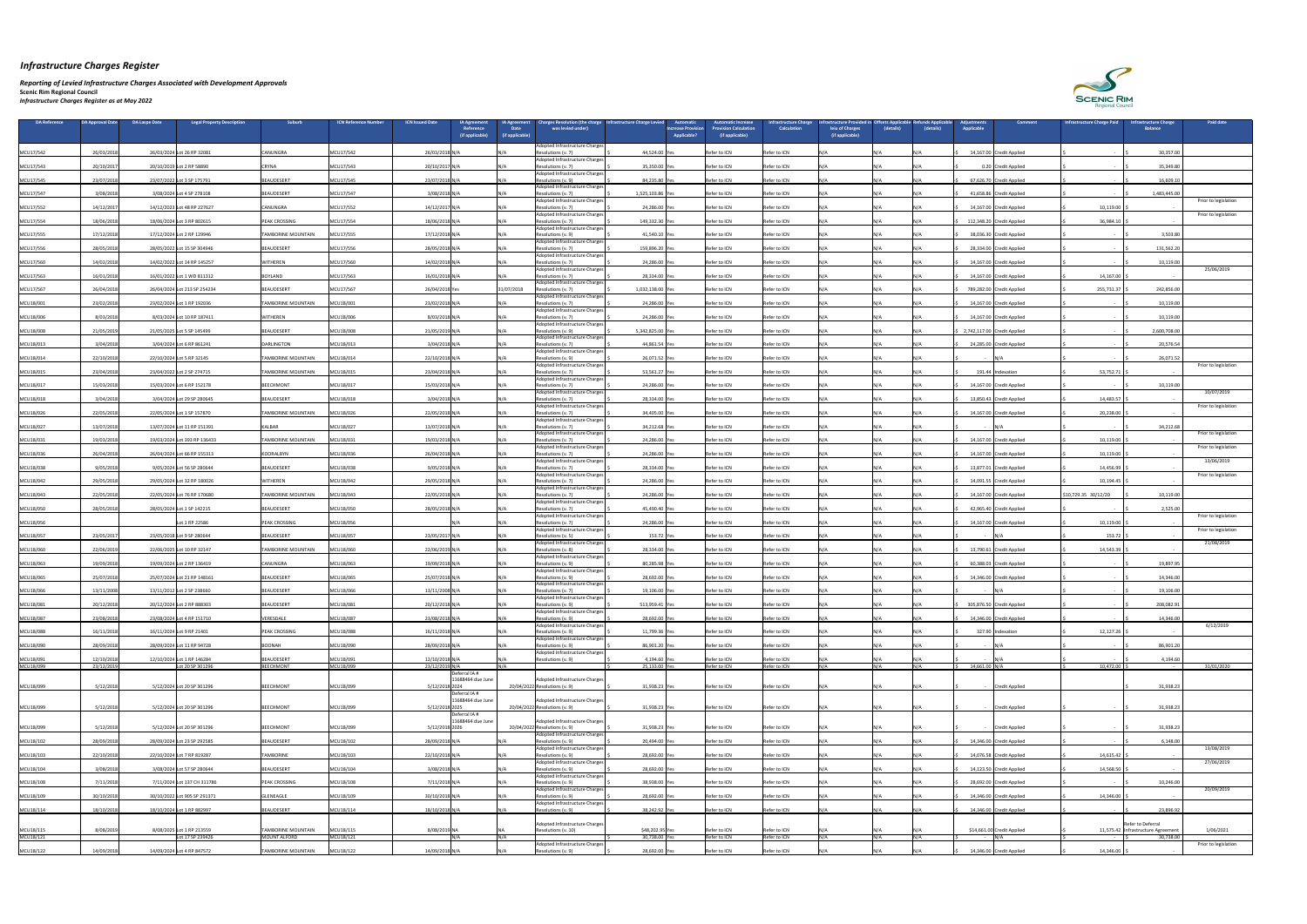*Reporting of Levied Infrastructure Charges Associated with Development Approvals* 

| <b>DA Reference</b>    | <b>DA Approval Date</b>  | <b>DA Laspe Date</b> | <b>Legal Property Description</b>              | Suburb                                           | <b>ICN Reference Number</b> | <b>ICN Issued Date</b><br><b>IA Agreement</b><br>Reference<br>(if applicable) | <b>IA Agreement</b><br><b>Date</b><br>(if applicable) | Charges Resolution (the charge   Infrastructure Charge Levied<br>was levied under) | <b>Automatic</b><br><b>Increase Provision</b><br><b>Applicable?</b> | <b>Automatic Increase</b><br><b>Provision Calculation</b><br>(if applicable) | <b>Infrastructure Charge</b><br><b>Calculation</b> | rastructure Provided in Offsets Applicable<br>leiu of Charges<br>(if applicable) | (details) | <b>Refunds Applicable</b><br>(details) | iustments<br><b>Applicable</b> | Comment                    | <b>Infrastructure Charge Paid</b> | <b>Infrastructure Charge</b><br><b>Balance</b>  | <b>Paid date</b>     |
|------------------------|--------------------------|----------------------|------------------------------------------------|--------------------------------------------------|-----------------------------|-------------------------------------------------------------------------------|-------------------------------------------------------|------------------------------------------------------------------------------------|---------------------------------------------------------------------|------------------------------------------------------------------------------|----------------------------------------------------|----------------------------------------------------------------------------------|-----------|----------------------------------------|--------------------------------|----------------------------|-----------------------------------|-------------------------------------------------|----------------------|
| MCU17/542              | 26/03/2018               |                      | 26/03/2024 Lot 26 RP 32081                     | <b>CANUNGRA</b>                                  | MCU17/542                   | 26/03/2018 N/                                                                 |                                                       | Adopted Infrastructure Charges<br>Resolutions (v. 7)                               | 44,524.00 Yes                                                       | Refer to ICN                                                                 | Refer to ICN                                       |                                                                                  |           |                                        |                                | 14,167.00 Credit Applied   |                                   | 30,357.00                                       |                      |
| MCU17/543              | 20/10/2017               |                      | 20/10/2019 Lot 2 RP 58890                      | CRYNA                                            | MCU17/543                   | 20/10/2017 N/A                                                                |                                                       | Adopted Infrastructure Charges<br>Resolutions (v. 7)                               | 35,350.00 Yes                                                       | Refer to ICN                                                                 | Refer to ICN                                       |                                                                                  |           |                                        |                                | 0.20 Credit Applied        |                                   | 35,349.80                                       |                      |
| MCU17/545              | 23/07/2018               |                      | 23/07/2022 Lot 3 SP 175791                     | BEAUDESERT                                       | MCU17/545                   | 23/07/2018 N/A                                                                |                                                       | Adopted Infrastructure Charges<br>Resolutions (v. 9)                               | 84,235.80                                                           | Refer to ICN                                                                 | Refer to ICN                                       |                                                                                  |           |                                        |                                | 67,626.70 Credit Applied   |                                   | 16,609.1                                        |                      |
| MCU17/547              | 3/08/2018                |                      | 3/08/2024 Lot 4 SP 278108                      | BEAUDESERT                                       | MCU17/547                   | 3/08/2018 N/A                                                                 |                                                       | Adopted Infrastructure Charges<br>Resolutions (v. 7)                               | 1,525,103.86 Ye                                                     | Refer to ICN                                                                 | Refer to ICN                                       |                                                                                  |           |                                        |                                | 41,658.86 Credit Applied   |                                   | 1,483,445.00                                    |                      |
| MCU17/552              | 14/12/201                |                      | 14/12/2023 Lot 48 RP 227627                    | CANUNGRA                                         | MCU17/552                   | 14/12/2017 N/A                                                                |                                                       | <b>Adopted Infrastructure Charges</b><br>Resolutions (v. 7)                        | 24,286.00                                                           | Refer to ICN                                                                 | Refer to ICN                                       |                                                                                  |           |                                        |                                | 14,167.00 Credit Applied   | 10,119.00                         |                                                 | Prior to legislation |
| MCU17/554              | 18/06/2018               |                      | 18/06/2024 Lot 3 RP 802615                     | <b>PEAK CROSSING</b>                             | MCU17/554                   | 18/06/2018 N/A                                                                |                                                       | <b>Adopted Infrastructure Charges</b><br>Resolutions (v. 7)                        | 149,332.30 Yes                                                      | Refer to ICN                                                                 | Refer to ICN                                       |                                                                                  |           |                                        |                                | 112,348.20 Credit Applied  | 36,984.10                         |                                                 | Prior to legislation |
| MCU17/555              | 17/12/2018               |                      | 17/12/2024 Lot 2 RP 129946                     | <b>TAMBORINE MOUNTAIN</b>                        | MCU17/555                   | 17/12/2018 N/A                                                                |                                                       | Adopted Infrastructure Charges<br>Resolutions (v. 9)                               | 41,540.10 Yes                                                       | Refer to ICN                                                                 | Refer to ICN                                       |                                                                                  |           |                                        |                                | 38,036.30 Credit Applied   |                                   | 3,503.80                                        |                      |
| MCU17/556              | 28/05/2018               |                      | 28/05/2022 Lot 15 SP 304946                    | BEAUDESERT                                       | MCU17/556                   | 28/05/2018 N/A                                                                |                                                       | <b>Adopted Infrastructure Charges</b><br>Resolutions (v. 7)                        | 159,896.20                                                          | Refer to ICN                                                                 | Refer to ICN                                       |                                                                                  |           |                                        |                                | 28,334.00 Credit Applied   |                                   | 131,562.20                                      |                      |
| MCU17/560              | 14/02/2018               |                      | 14/02/2022 Lot 14 RP 145257                    | <b>WITHEREN</b>                                  | MCU17/560                   | 14/02/2018 N/                                                                 |                                                       | Adopted Infrastructure Charges<br>Resolutions (v. 7)                               | 24,286.00                                                           | Refer to ICN                                                                 | Refer to ICN                                       |                                                                                  |           |                                        |                                | 14,167.00 Credit Applied   |                                   | 10,119.00                                       |                      |
| MCU17/563              | 16/01/2018               |                      | 16/01/2022 Lot 1 WD 811312                     | <b>BOYLAND</b>                                   | MCU17/563                   | 16/01/2018 N/                                                                 |                                                       | Adopted Infrastructure Charges<br>Resolutions (v. 7)                               | 28,334.00 Yes                                                       | Refer to ICN                                                                 | Refer to ICN                                       |                                                                                  |           |                                        |                                | 14,167.00 Credit Applied   | 14,167.00                         |                                                 | 25/06/2019           |
| MCU17/567              | 26/04/2018               |                      | 26/04/2024 Lot 213 SP 254234                   | BEAUDESERT                                       | MCU17/567                   | 26/04/2018 Ye                                                                 | 31/07/2018                                            | <b>Adopted Infrastructure Charges</b><br>Resolutions (v. 7)                        | 1,032,138.00 Y                                                      | Refer to ICN                                                                 | Refer to ICN                                       |                                                                                  |           |                                        |                                | 789,282.00 Credit Applied  | 255,731.37                        | 242,856.00                                      |                      |
| MCU18/001              | 23/02/2018               |                      | 23/02/2024 Lot 1 RP 192036                     | <b>TAMBORINE MOUNTAIN</b>                        | MCU18/001                   | 23/02/2018 N/A                                                                |                                                       | Adopted Infrastructure Charges<br>Resolutions (v. 7)                               | 24,286.00                                                           | Refer to ICN                                                                 | Refer to ICN                                       |                                                                                  |           |                                        |                                | 14,167.00 Credit Applied   |                                   | 10,119.00                                       |                      |
| MCU18/006              | 8/03/2018                |                      | 8/03/2024 Lot 10 RP 187411                     | <b>WITHEREN</b>                                  | MCU18/006                   | 8/03/2018 N/A                                                                 |                                                       | Adopted Infrastructure Charges<br>Resolutions (v. 7)                               | 24,286.00 Yes                                                       | Refer to ICN                                                                 | Refer to ICN                                       |                                                                                  | N/A       |                                        |                                | 14,167.00 Credit Applied   |                                   | 10,119.00                                       |                      |
| MCU18/008              | 21/05/2019               |                      | 21/05/2025 Lot 5 SP 145499                     | BEAUDESERT                                       | MCU18/008                   | 21/05/2019 N/A                                                                |                                                       | Adopted Infrastructure Charges<br>Resolutions (v. 9)                               | 5,342,825.00 Yes                                                    | Refer to ICN                                                                 | Refer to ICN                                       |                                                                                  |           |                                        | 2,742,117.00 Credit Applied    |                            |                                   | 2,600,708.00                                    |                      |
| MCU18/013              | 3/04/2018                |                      | 3/04/2024 Lot 6 RP 861241                      | DARLINGTON                                       | MCU18/013                   | 3/04/2018 N/A                                                                 |                                                       | Adopted Infrastructure Charges<br>Resolutions (v. 7)                               | 44,861.54 Yes                                                       | Refer to ICN                                                                 | Refer to ICN                                       |                                                                                  |           |                                        |                                | 24,285.00 Credit Applied   |                                   | 20,576.54                                       |                      |
| MCU18/014              | 22/10/2018               |                      | 22/10/2024 Lot 5 RP 32145                      | <b>TAMBORINE MOUNTAIN</b>                        | MCU18/014                   | 22/10/2018 N/A                                                                |                                                       | Adopted Infrastructure Charges<br>Resolutions (v. 9)                               | 26,071.52                                                           | Refer to ICN                                                                 | Refer to ICN                                       |                                                                                  |           |                                        | $\sim$                         | IN/A                       |                                   | 26,071.52                                       |                      |
| MCU18/015              | 23/04/2018               |                      | 23/04/2022 Lot 2 SP 274715                     | <b>TAMBORINE MOUNTAIN</b>                        | MCU18/015                   | 23/04/2018 N/A                                                                |                                                       | Adopted Infrastructure Charges<br>Resolutions (v. 7)                               | 53,561.27 Yes                                                       | Refer to ICN                                                                 | Refer to ICN                                       |                                                                                  |           |                                        |                                | 191.44 Indexation          | 53,752.71                         |                                                 | Prior to legislation |
| MCU18/017              | 15/03/2018               |                      | 15/03/2024 Lot 6 RP 152178                     | BEECHMONT                                        | MCU18/017                   | 15/03/2018 N/A                                                                |                                                       | Adopted Infrastructure Charges<br>Resolutions (v. 7)                               | 24,286.00                                                           | Refer to ICN                                                                 | Refer to ICN                                       |                                                                                  |           |                                        |                                | 14,167.00 Credit Applied   |                                   | 10,119.00                                       |                      |
| MCU18/018              | 3/04/2018                |                      | 3/04/2024 Lot 29 SP 280645                     | BEAUDESERT                                       | MCU18/018                   | 3/04/2018 N/A                                                                 |                                                       | Adopted Infrastructure Charges<br>Resolutions (v. 7)                               | 28,334.00 Yes                                                       | Refer to ICN                                                                 | Refer to ICN                                       |                                                                                  |           |                                        |                                | 13,850.43 Credit Applied   | 14,483.57                         |                                                 | 10/07/2019           |
|                        | 22/05/2018               |                      | 22/05/2024 Lot 1 SP 157870                     | TAMBORINE MOUNTAIN                               | MCU18/026                   | 22/05/2018 N/A                                                                |                                                       | Adopted Infrastructure Charges<br>Resolutions (v. 7)                               |                                                                     | Refer to ICN                                                                 | Refer to ICN                                       |                                                                                  |           |                                        |                                | 14,167.00 Credit Applied   | 20,238.00                         |                                                 | Prior to legislation |
| MCU18/026              |                          |                      |                                                |                                                  |                             |                                                                               |                                                       | Adopted Infrastructure Charges                                                     | 34,405.00 Yes                                                       |                                                                              |                                                    |                                                                                  |           |                                        |                                |                            |                                   |                                                 |                      |
| MCU18/027              | 13/07/2018               |                      | 13/07/2024 Lot 11 RP 151391                    | <b>KALBAR</b>                                    | MCU18/027                   | 13/07/2018 N/A                                                                |                                                       | Resolutions (v. 7)<br>Adopted Infrastructure Charges                               | 34,212.68 Yes                                                       | Refer to ICN                                                                 | Refer to ICN                                       |                                                                                  |           |                                        | $\sim$                         |                            |                                   | 34,212.68                                       | Prior to legislation |
| MCU18/031              | 19/03/2018               |                      | 19/03/2024 Lot 393 RP 136433                   | <b>TAMBORINE MOUNTAIN</b>                        | MCU18/031                   | 19/03/2018 N/A                                                                |                                                       | Resolutions (v. 7)<br>Adopted Infrastructure Charges                               | 24,286.00 Yes                                                       | Refer to ICN                                                                 | Refer to ICN                                       |                                                                                  |           |                                        |                                | 14,167.00 Credit Applied   | 10,119.00                         |                                                 | Prior to legislation |
| MCU18/036              | 26/04/2018               |                      | 26/04/2024 Lot 66 RP 155313                    | KOORALBYN                                        | MCU18/036                   | 26/04/2018 N/A                                                                |                                                       | Resolutions (v. 7)<br>Adopted Infrastructure Charges                               | 24,286.00                                                           | Refer to ICN                                                                 | Refer to ICN                                       |                                                                                  |           |                                        |                                | 14,167.00 Credit Applied   | 10,119.00                         |                                                 | 13/06/2019           |
| MCU18/038              | 9/05/2018                |                      | 9/05/2024 Lot 56 SP 280644                     | BEAUDESERT                                       | MCU18/038                   | 9/05/2018 N/A                                                                 |                                                       | Resolutions (v. 7)<br>Adopted Infrastructure Charges                               | 28,334.00 Yes                                                       | Refer to ICN                                                                 | Refer to ICN                                       |                                                                                  |           |                                        |                                | 13,877.01 Credit Applied   | 14,456.99                         |                                                 | Prior to legislation |
| MCU18/042              | 29/05/2018               |                      | 29/05/2024 Lot 32 RP 180026                    | <b>WITHEREN</b>                                  | MCU18/042                   | 29/05/2018 N/A                                                                |                                                       | Resolutions (v. 7)<br>Adopted Infrastructure Charges                               | 24,286.00 Yes                                                       | Refer to ICN                                                                 | Refer to ICN                                       |                                                                                  |           |                                        |                                | 14,091.55 Credit Applied   | 10,194.45                         |                                                 |                      |
| MCU18/043              | 22/05/2018               |                      | 22/05/2024 Lot 76 RP 170680                    | TAMBORINE MOUNTAIN                               | MCU18/043                   | 22/05/2018 N/A                                                                |                                                       | Resolutions (v. 7)<br>Adopted Infrastructure Charges                               | 24,286.00 Yes                                                       | Refer to ICN                                                                 | Refer to ICN                                       |                                                                                  |           |                                        |                                | 14,167.00 Credit Applied   | \$10,729.35 30/12/20              | 10,119.00                                       |                      |
| MCU18/050              | 28/05/2018               |                      | 28/05/2024 Lot 1 SP 142215                     | BEAUDESERT                                       | MCU18/050                   | 28/05/2018 N/A                                                                |                                                       | Resolutions (v. 7)<br>Adopted Infrastructure Charges                               | 45,490.40                                                           | Refer to ICN                                                                 | Refer to ICN                                       |                                                                                  |           |                                        |                                | 42,965.40 Credit Applied   |                                   | 2,525.00                                        | Prior to legislation |
| MCU18/056              |                          |                      | Lot 1 RP 22586                                 | PEAK CROSSING                                    | MCU18/056                   |                                                                               |                                                       | Resolutions (v. 7)<br>Adopted Infrastructure Charges <sup>1</sup>                  | 24,286.00 Yes                                                       | Refer to ICN                                                                 | Refer to ICN                                       |                                                                                  |           |                                        |                                | 14,167.00 Credit Applied   | 10,119.00                         |                                                 | Prior to legislation |
| MCU18/057              | 23/05/2017               |                      | 23/05/2018 Lot 9 SP 280644                     | BEAUDESERT                                       | MCU18/057                   | 23/05/2017 N/A                                                                |                                                       | Resolutions (v. 5)<br>Adopted Infrastructure Charges                               | 153.72 Yes                                                          | Refer to ICN                                                                 | Refer to ICN                                       |                                                                                  |           |                                        | $\sim$ $-$                     |                            | 153.72                            |                                                 | 21/08/2019           |
| MCU18/060              | 22/06/2019               |                      | 22/06/2025 Lot 10 RP 32147                     | <b>TAMBORINE MOUNTAIN</b>                        | MCU18/060                   | 22/06/2019 N/                                                                 |                                                       | Resolutions (v. 8)<br>Adopted Infrastructure Charges                               | 28,334.00 Yes                                                       | Refer to ICN                                                                 | Refer to ICN                                       |                                                                                  |           |                                        |                                | 13,790.61 Credit Applied   | 14,543.39                         |                                                 |                      |
| MCU18/063              | 19/09/2018               |                      | 19/09/2024 Lot 2 RP 136419                     | CANUNGRA                                         | MCU18/063                   | 19/09/2018 N/A                                                                |                                                       | Resolutions (v. 9)<br>Adopted Infrastructure Charges                               | 80,285.98                                                           | Refer to ICN                                                                 | Refer to ICN                                       |                                                                                  |           |                                        |                                | 60,388.03 Credit Applied   |                                   | 19,897.95                                       |                      |
| MCU18/065              | 25/07/2018               |                      | 25/07/2024 Lot 21 RP 148161                    | <b>BEAUDESERT</b>                                | MCU18/065                   | 25/07/2018 N/A                                                                |                                                       | Resolutions (v. 9)<br>Adopted Infrastructure Charges                               | 28,692.00 Yes                                                       | Refer to ICN                                                                 | Refer to ICN                                       |                                                                                  |           |                                        |                                | 14,346.00 Credit Applied   |                                   | 14,346.00                                       |                      |
| MCU18/066              | 13/11/2008               |                      | 13/11/2012 Lot 2 SP 238660                     | BEAUDESERT                                       | MCU18/066                   | 13/11/2008 N/A                                                                |                                                       | Resolutions (v. 7)<br>Adopted Infrastructure Charges                               | 19,106.00 Yes                                                       | Refer to ICN                                                                 | Refer to ICN                                       |                                                                                  | N / A     |                                        | - IN/A                         |                            |                                   | 19,106.00                                       |                      |
| MCU18/081              | 20/12/2018               |                      | 20/12/2024 Lot 2 RP 888303                     | BEAUDESERT                                       | MCU18/081                   | 20/12/2018 N/A                                                                |                                                       | Resolutions (v. 9)<br>Adopted Infrastructure Charges                               | 513,959.41 Yes                                                      | Refer to ICN                                                                 | Refer to ICN                                       |                                                                                  |           |                                        |                                | 305,876.50 Credit Applied  |                                   | 208,082.9                                       |                      |
| MCU18/087              | 23/08/2018               |                      | 23/08/2024 Lot 4 RP 151710                     | VERESDALE                                        | MCU18/087                   | 23/08/2018 N/A                                                                |                                                       | Resolutions (v. 9)<br>Adopted Infrastructure Charges                               | 28,692.00 Ye                                                        | Refer to ICN                                                                 | Refer to ICN                                       |                                                                                  |           |                                        |                                | 14,346.00 Credit Applied   |                                   | 14,346.00                                       | 6/12/2019            |
| MCU18/088              | 16/11/2018               |                      | 16/11/2024 Lot 9 RP 21401                      | PEAK CROSSING                                    | MCU18/088                   | 16/11/2018 N/A                                                                |                                                       | Resolutions (v. 9)<br>Adopted Infrastructure Charges                               | 11,799.36 Yes                                                       | Refer to ICN                                                                 | Refer to ICN                                       |                                                                                  |           |                                        |                                | 327.90 Indexation          | 12,127.26                         |                                                 |                      |
| MCU18/090              | 28/09/2018               |                      | 28/09/2024 Lot 11 RP 94728                     | BOONAH                                           | MCU18/090                   | 28/09/2018 N/A                                                                |                                                       | Resolutions (v. 9)<br>Adopted Infrastructure Charges                               | 86,901.20 Yes                                                       | Refer to ICN                                                                 | Refer to ICN                                       |                                                                                  |           |                                        |                                |                            |                                   | 86,901.20                                       |                      |
| MCU18/091<br>MCU18/099 | 12/10/2018<br>23/12/2019 |                      | 12/10/2024 Lot 1 RP 146284<br>Lot 20 SP 301296 | BEAUDESERT<br>BEECHMONT                          | MCU18/091<br>MCU18/099      | 12/10/2018 N/A<br>23/12/2019 N/A                                              |                                                       | Resolutions (v. 9)                                                                 | 4,194.60 Yes<br>25,133.00 Yes                                       | Refer to ICN<br>Refer to ICN                                                 | Refer to ICN<br>Refer to ICN                       |                                                                                  | N / A     |                                        | 14,661.00 N/A                  |                            | 10,472.00                         | 4,194.60                                        | 31/01/2020           |
|                        |                          |                      |                                                |                                                  |                             | Deferral IA #<br>11688464 due June                                            |                                                       | Adopted Infrastructure Charges                                                     |                                                                     |                                                                              |                                                    |                                                                                  |           |                                        |                                |                            |                                   |                                                 |                      |
| MCU18/099              | 5/12/2018                |                      | 5/12/2024 Lot 20 SP 301296                     | BEECHMONT                                        | MCU18/099                   | 5/12/2018 2024<br>Deferral IA #                                               |                                                       | 20/04/2022 Resolutions (v. 9)                                                      | 31,938.23 Yes                                                       | Refer to ICN                                                                 | Refer to ICN                                       |                                                                                  | N/A       |                                        |                                | - Credit Applied           |                                   | 31,938.23                                       |                      |
| MCU18/099              | 5/12/2018                |                      | 5/12/2024 Lot 20 SP 301296                     | BEECHMONT                                        | MCU18/099                   | 11688464 due June<br>5/12/2018 2025                                           |                                                       | Adopted Infrastructure Charges<br>20/04/2022 Resolutions (v. 9)                    | 31,938.23 Yes                                                       | Refer to ICN                                                                 | Refer to ICN                                       |                                                                                  |           |                                        | $\sim$ $-$                     | <b>Credit Applied</b>      |                                   | 31,938.23                                       |                      |
|                        |                          |                      |                                                |                                                  |                             | Deferral IA #                                                                 |                                                       |                                                                                    |                                                                     |                                                                              |                                                    |                                                                                  |           |                                        |                                |                            |                                   |                                                 |                      |
| MCU18/099              | 5/12/2018                |                      | 5/12/2024 Lot 20 SP 301296                     | BEECHMONT                                        | MCU18/099                   | 11688464 due June<br>5/12/2018 2026                                           |                                                       | Adopted Infrastructure Charges<br>20/04/2022 Resolutions (v. 9)                    | 31,938.23 Yes                                                       | Refer to ICN                                                                 | Refer to ICN                                       |                                                                                  |           |                                        | $\sim$ $-$                     | <b>Credit Applied</b>      |                                   | 31,938.23                                       |                      |
| MCU18/102              | 28/09/2018               |                      | 28/09/2024 Lot 23 SP 292585                    | BEAUDESERT                                       | MCU18/102                   | 28/09/2018 N/A                                                                |                                                       | Adopted Infrastructure Charges<br>Resolutions (v. 9)                               | 20,494.00 Yes                                                       | Refer to ICN                                                                 | Refer to ICN                                       |                                                                                  |           |                                        |                                | 14,346.00 Credit Applied   |                                   | 6,148.00                                        |                      |
| MCU18/103              | 22/10/2018               |                      | 22/10/2024 Lot 7 RP 819287                     | TAMBORINE                                        | MCU18/103                   | 22/10/2018 N/A                                                                |                                                       | Adopted Infrastructure Charges<br>Resolutions (v. 9)                               | 28,692.00 Yes                                                       | Refer to ICN                                                                 | Refer to ICN                                       |                                                                                  |           |                                        |                                | 14,076.58 Credit Applied   | 14,615.42                         |                                                 | 13/08/2019           |
| MCU18/104              | 3/08/2018                |                      | 3/08/2024 Lot 57 SP 280644                     | BEAUDESERT                                       | MCU18/104                   | 3/08/2018 N/A                                                                 |                                                       | Adopted Infrastructure Charges<br>Resolutions (v. 9)                               | 28,692.00 Yes                                                       | Refer to ICN                                                                 | Refer to ICN                                       |                                                                                  |           |                                        |                                | 14,123.50 Credit Applied   | 14,568.50                         |                                                 | 27/06/2019           |
| MCU18/108              | 7/11/2018                |                      | 7/11/2024 Lot 137 CH 311786                    | <b>PEAK CROSSING</b>                             | MCU18/108                   | 7/11/2018 N/A                                                                 |                                                       | Adopted Infrastructure Charges<br>Resolutions (v. 9)                               | 38,938.00 Yes                                                       | Refer to ICN                                                                 | Refer to ICN                                       |                                                                                  |           |                                        |                                | 28,692.00 Credit Applied   |                                   | 10,246.00                                       |                      |
| MCU18/109              | 30/10/2018               |                      | 30/10/2022 Lot 905 SP 291371                   | GLENEAGLE                                        | MCU18/109                   | 30/10/2018 N/A                                                                |                                                       | Adopted Infrastructure Charges<br>Resolutions (v. 9)                               | 28,692.00 Yes                                                       | Refer to ICN                                                                 | Refer to ICN                                       |                                                                                  |           |                                        |                                | 14,346.00 Credit Applied   | 14,346.00                         |                                                 | 20/09/2019           |
| MCU18/114              | 18/10/2018               |                      | 18/10/2024 Lot 1 RP 882997                     | BEAUDESERT                                       | MCU18/114                   | 18/10/2018 N/A                                                                |                                                       | Adopted Infrastructure Charges<br>Resolutions (v. 9)                               | 38,242.92 Yes                                                       | Refer to ICN                                                                 | Refer to ICN                                       |                                                                                  |           |                                        |                                | 14,346.00 Credit Applied   |                                   | 23,896.92                                       |                      |
|                        |                          |                      |                                                |                                                  |                             |                                                                               |                                                       | Adopted Infrastructure Charges                                                     |                                                                     |                                                                              |                                                    |                                                                                  |           |                                        |                                |                            |                                   | Refer to Deferral                               |                      |
| MCU18/115<br>MCU18/121 | 8/08/2019                |                      | 8/08/2025 Lot 1 RP 213559<br>Lot 17 SP 239426  | <b>TAMBORINE MOUNTAIN</b><br><b>MOUNT ALFORD</b> | MCU18/115<br>MCU18/121      | 8/08/2019 NA                                                                  |                                                       | Resolutions (v. 10)                                                                | \$48,202.95 Yes<br>30,738.00 Yes                                    | Refer to ICN<br>Refer to ICN                                                 | Refer to ICN<br>Refer to ICN                       |                                                                                  | N/A       | $N1/\Lambda$                           | $-N/A$                         | \$14,661.00 Credit Applied |                                   | 11,575.42 Infrastructure Agreement<br>30,738.00 | 1/06/2021            |
| MCU18/122              | 14/09/2018               |                      | 14/09/2024 Lot 4 RP 847572                     | <b>TAMBORINE MOUNTAIN</b>                        | MCU18/122                   | 14/09/2018 N/A                                                                |                                                       | Adopted Infrastructure Charges<br>Resolutions (v. 9)                               | 28,692.00 Yes                                                       | Refer to ICN                                                                 | Refer to ICN                                       |                                                                                  |           |                                        |                                | 14,346.00 Credit Applied   | 14,346.00 \$                      |                                                 | Prior to legislation |

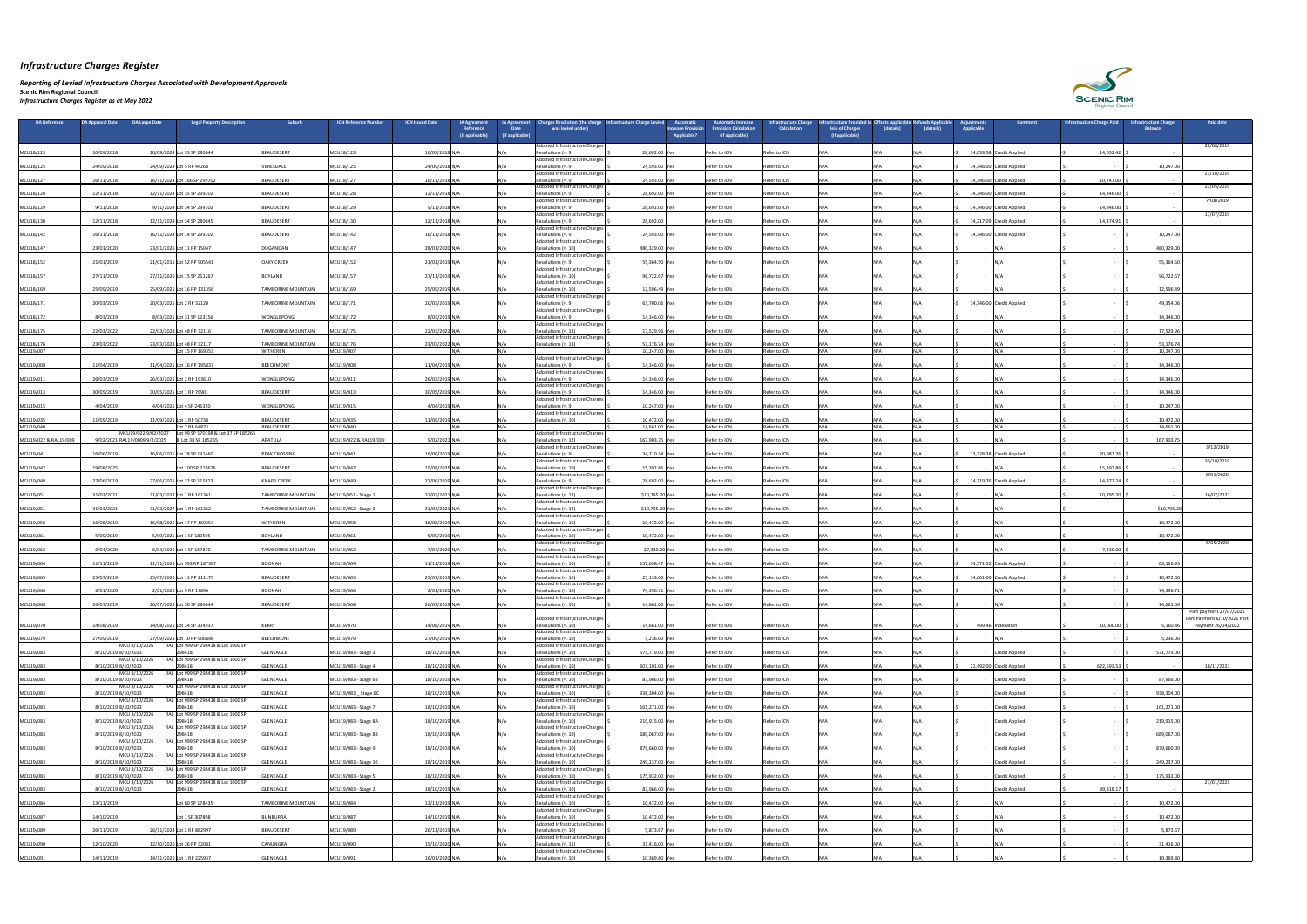*Reporting of Levied Infrastructure Charges Associated with Development Approvals* 

| DA Reference           | <b>DA Approval Date</b>       | DA Laspe Date       | <b>Legal Property Description</b>                      | <b>Suburb</b>                                | <b>ICN Reference Number</b><br><b>ICN Issued Date</b> | <b>IA Agreement</b><br>Reference<br>(if applicable) | <b>IA Agreement</b><br><b>Date</b><br>(if applicable) | <b>Charges Resolution (the charge</b><br>was levied under)                | <b>Automatic</b><br>Infrastructure Charge Levied<br><b>Increase Provision</b><br><b>Applicable?</b> | <b>Automatic Increase</b><br><b>rovision Calculation</b><br>(if applicable) | <b>Infrastructure Charge</b><br><b>Calculation</b> | frastructure Provided in Offsets Applicable<br>leiu of Charges<br>(if applicable) | (details)   | (details)    | liustments<br>Applicable | Comment                  | Infrastructure Charge Paid | <b>Infrastructure Charge</b><br><b>Balance</b> | <b>Paid date</b>                                       |
|------------------------|-------------------------------|---------------------|--------------------------------------------------------|----------------------------------------------|-------------------------------------------------------|-----------------------------------------------------|-------------------------------------------------------|---------------------------------------------------------------------------|-----------------------------------------------------------------------------------------------------|-----------------------------------------------------------------------------|----------------------------------------------------|-----------------------------------------------------------------------------------|-------------|--------------|--------------------------|--------------------------|----------------------------|------------------------------------------------|--------------------------------------------------------|
|                        |                               |                     |                                                        |                                              |                                                       |                                                     |                                                       | Adopted Infrastructure Charges                                            |                                                                                                     |                                                                             |                                                    |                                                                                   |             |              |                          |                          |                            |                                                | 28/08/2019                                             |
| MCU18/123              | 10/09/201                     |                     | 10/09/2024 Lot 55 SP 280644                            | BEAUDESERT                                   | MCU18/123<br>10/09/2018 N/A                           |                                                     |                                                       | Resolutions (v. 9)<br>Adopted Infrastructure Charges                      | 28,692.00 Yes                                                                                       | Refer to ICN                                                                | Refer to ICN                                       |                                                                                   |             |              |                          | 14,039.58 Credit Applied | 14,652.42                  |                                                |                                                        |
| MCU18/125              | 24/09/201                     |                     | 24/09/2024 Lot 5 RP 44268                              | VERESDALE                                    | 24/09/2018 N/A<br>MCU18/125                           |                                                     |                                                       | Resolutions (v. 9)<br>Adopted Infrastructure Charges                      | 24,593.00 Yes                                                                                       | Refer to ICN                                                                | Refer to ICN                                       |                                                                                   |             |              |                          | 14,346.00 Credit Applied |                            | 10,247.00                                      | 23/10/2019                                             |
| MCU18/127              | 16/11/2018                    |                     | 16/11/2024 Lot 166 SP 299702                           | BEAUDESERT                                   | MCU18/127<br>16/11/2018 N/A                           |                                                     |                                                       | Resolutions (v. 9)<br>Adopted Infrastructure Charges                      | 24,593.00 Yes                                                                                       | Refer to ICN                                                                | Refer to ICN                                       |                                                                                   | N / A       |              |                          | 14,346.00 Credit Applied | 10,247.00                  |                                                | 23/05/2019                                             |
| MCU18/128              | 12/11/2018                    |                     | 12/11/2024 Lot 35 SP 299702                            | BEAUDESERT                                   | 12/11/2018 N/A<br>MCU18/128                           |                                                     |                                                       | Resolutions (v. 9)<br>Adopted Infrastructure Charges                      | 28,692.00 Yes                                                                                       | Refer to ICN                                                                | Refer to ICN                                       |                                                                                   |             |              |                          | 14,346.00 Credit Applied | 14,346.00                  |                                                | 7/08/2019                                              |
| MCU18/129              | 9/11/2018                     |                     | 9/11/2024 Lot 34 SP 299702                             | BEAUDESERT                                   | MCU18/129<br>9/11/2018 N/A                            |                                                     |                                                       | Resolutions (v. 9)<br>Adopted Infrastructure Charges                      | 28,692.00 Yes                                                                                       | Refer to ICN                                                                | Refer to ICN                                       |                                                                                   |             |              |                          | 14,346.00 Credit Applied | 14,346.00                  |                                                | 17/07/2019                                             |
| MCU18/130              | 12/11/2018                    |                     | 12/11/2024 Lot 34 SP 280645                            | BEAUDESERT                                   | MCU18/130<br>12/11/2018 N/A                           |                                                     |                                                       | Resolutions (v. 9)<br>Adopted Infrastructure Charges                      | 28,692.00                                                                                           | Refer to ICN                                                                | Refer to ICN                                       |                                                                                   |             |              |                          | 14,217.09 Credit Applied | 14,474.91                  |                                                |                                                        |
| MCU18/142              | 16/11/2018                    |                     | 16/11/2024 Lot 14 SP 299702                            | BEAUDESERT                                   | MCU18/142<br>16/11/2018 N/A                           |                                                     |                                                       | Resolutions (v. 9)<br>Adopted Infrastructure Charges                      | 24,593.00 Yes                                                                                       | Refer to ICN                                                                | Refer to ICN                                       |                                                                                   | N /Δ        |              |                          | 14,346.00 Credit Applied |                            | 10,247.00                                      |                                                        |
| MCU18/147              | 23/01/2020                    |                     | 23/01/2026 Lot 11 RP 15047                             | DUGANDAN                                     | MCU18/147<br>28/01/2020 N/A                           |                                                     |                                                       | Resolutions (v. 10)<br>Adopted Infrastructure Charges                     | 480,329.00 Yes                                                                                      | Refer to ICN                                                                | Refer to ICN                                       |                                                                                   | N /Δ        |              |                          |                          |                            | 480,329.00                                     |                                                        |
| MCU18/152              | 21/01/2019                    |                     | 21/01/2015 Lot 52 RP 905541                            | <b>OAKY CREEK</b>                            | MCU18/152<br>21/01/2019 N/A                           |                                                     |                                                       | Resolutions (v. 9)<br>Adopted Infrastructure Charges                      | 55,364.50 Ye                                                                                        | Refer to ICN                                                                | Refer to ICN                                       |                                                                                   | N / A       |              |                          |                          |                            | 55,364.50                                      |                                                        |
| MCU18/157              | 27/11/2019                    |                     | 27/11/2026 Lot 15 SP 251267                            | <b>BOYLAND</b>                               | 27/11/2019 N/A<br>MCU18/157                           |                                                     |                                                       | Resolutions (v. 10)<br>Adopted Infrastructure Charges                     | 96,722.67 Yes                                                                                       | Refer to ICN                                                                | Refer to ICN                                       |                                                                                   | N / A       |              |                          |                          |                            | 96,722.67                                      |                                                        |
| MCU18/169              | 25/09/201                     |                     | 25/09/2025 Lot 16 RP 131356                            | <b>TAMBORINE MOUNTAIN</b>                    | MCU18/169<br>25/09/2019 N/A                           |                                                     |                                                       | Resolutions (v. 10)<br>Adopted Infrastructure Charges                     | 12,596.49 Yes                                                                                       | Refer to ICN                                                                | Refer to ICN                                       |                                                                                   |             |              |                          |                          |                            | 12,596.49                                      |                                                        |
| MCU18/171              | 20/03/2019                    |                     | 20/03/2025 Lot 2 RP 32120                              | <b>TAMBORINE MOUNTAIN</b>                    | MCU18/171<br>20/03/2019 N/A                           |                                                     |                                                       | Resolutions (v. 9)<br>Adopted Infrastructure Charges                      | 63,700.06 Yes                                                                                       | Refer to ICN                                                                | Refer to ICN                                       |                                                                                   | N /Δ        |              |                          | 14,346.00 Credit Applied |                            | 49,354.06                                      |                                                        |
| MCU18/172              | 8/03/2019                     |                     | 8/03/2025 Lot 31 SP 123156                             | <b>WONGLEPONG</b>                            | MCU18/172<br>8/03/2019 N/A                            |                                                     |                                                       | Resolutions (v. 9)<br>Adopted Infrastructure Charges                      | 14,346.00 Yes                                                                                       | Refer to ICN                                                                | Refer to ICN                                       |                                                                                   | N/A         |              | $\sim$ $-$               | IN/A                     |                            | 14,346.00                                      |                                                        |
| MCU18/175              | 22/03/2022                    |                     | 22/03/2028 Lot 48 RP 32116                             | <b>TAMBORINE MOUNTAIN</b>                    | 22/03/2022 N/A<br>MCU18/175                           |                                                     |                                                       | Resolutions (v. 13)<br>Adopted Infrastructure Charges <sup>1</sup>        | 17,529.96 Yes                                                                                       | Refer to ICN                                                                | Refer to ICN                                       |                                                                                   |             |              |                          |                          |                            | 17,529.96                                      |                                                        |
| MCU18/176<br>MCU19/007 | 23/03/2022                    |                     | 23/03/2028 Lot 48 RP 32117<br>Lot 15 RP 169353         | <b>TAMBORINE MOUNTAIN</b><br><b>WITHEREN</b> | 23/03/2022 N/A<br>MCU18/176<br>MCU19/007              |                                                     | <b>INI/A</b>                                          | Resolutions (v. 13)                                                       | 53,176.74 Yes<br>10,247.00 Yes                                                                      | Refer to ICN<br>Refer to ICN                                                | Refer to ICN<br>Refer to ICN                       |                                                                                   | NΙ/Δ<br>N/A | $\mathbf{N}$ |                          | IN/A                     |                            | 53,176.74<br>10,247.00                         |                                                        |
| MCU19/008              | 11/04/2019                    |                     | 11/04/2025 Lot 16 RP 195837                            | BEECHMONT                                    | 11/04/2019 N/A<br>MCU19/008                           |                                                     |                                                       | Adopted Infrastructure Charges<br>Resolutions (v. 9)                      | 14,346.00 Yes                                                                                       | Refer to ICN                                                                | Refer to ICN                                       |                                                                                   | NΙ/Δ        |              |                          |                          |                            | 14,346.00                                      |                                                        |
| MCU19/011              | 26/03/2019                    |                     | 26/03/2025 Lot 2 RP 193610                             | <b>WONGLEPONG</b>                            | MCU19/011<br>26/03/2019 N/A                           |                                                     |                                                       | Adopted Infrastructure Charges<br>Resolutions (v. 9)                      | 14,346.00 Yes                                                                                       | Refer to ICN                                                                | Refer to ICN                                       |                                                                                   | N / A       |              |                          |                          |                            | 14,346.00                                      |                                                        |
| MCU19/013              | 30/05/2019                    |                     | 30/05/2025 Lot 1 RP 76901                              | BEAUDESERT                                   | MCU19/013<br>30/05/2019 N/A                           |                                                     |                                                       | Adopted Infrastructure Charges<br>Resolutions (v. 9)                      | 14,346.00 Yes                                                                                       | Refer to ICN                                                                | Refer to ICN                                       |                                                                                   | N/A         |              |                          |                          |                            | 14,346.00                                      |                                                        |
| MCU19/015              | 4/04/201                      |                     | 4/04/2025 Lot 4 SP 246350                              | <b>WONGLEPONG</b>                            | MCU19/015<br>4/04/2019 N/A                            |                                                     |                                                       | Adopted Infrastructure Charges<br>Resolutions (v. 9)                      | 10,247.00 Yes                                                                                       | Refer to ICN                                                                | Refer to ICN                                       |                                                                                   |             |              |                          |                          |                            | 10,247.00                                      |                                                        |
| MCU19/035              | 11/09/2019                    |                     | 11/09/2025 Lot 1 RP 50738                              | BEAUDESERT                                   | MCU19/035<br>11/09/2019 N/A                           |                                                     |                                                       | Adopted Infrastructure Charges'<br>Resolutions (v. 10)                    | 10,472.00 Yes                                                                                       | Refer to ICN                                                                | Refer to ICN                                       |                                                                                   |             |              |                          |                          |                            | 10,472.00                                      |                                                        |
| MCU19/040              |                               | MCU19/022 9/02/2027 | Lot 7 RP 64873<br>Lot 99 SP 170198 & Lot 37 SP 185265  | BEAUDESERT                                   | MCU19/040                                             |                                                     |                                                       | Adopted Infrastructure Charges                                            | 14,661.00 Yes                                                                                       | Refer to ICN                                                                | Refer to ICN                                       |                                                                                   | <b>Ν</b> /Δ |              |                          | ININ                     |                            | 14,661.00                                      |                                                        |
| MCU19/022 & RAL19/009  | 9/02/2021 RAL19/0009 9/2/2025 |                     | & Lot 38 SP 185265                                     | ARATULA                                      | MCU19/022 & RAL19/009<br>9/02/2021 N/A                |                                                     |                                                       | Resolutions (v. 12)<br>Adopted Infrastructure Charges                     | 167,903.75 Yes                                                                                      | Refer to ICN                                                                | Refer to ICN                                       |                                                                                   | N / A       |              |                          |                          |                            | 167,903.75                                     | 3/12/2019                                              |
| MCU19/041              | 16/06/2019                    |                     | 16/06/2025 Lot 28 SP 191460                            | <b>PEAK CROSSING</b>                         | MCU19/041<br>16/06/2019 N/A                           |                                                     |                                                       | Resolutions (v. 9)<br>Adopted Infrastructure Charges                      | 34,210.14 Yes                                                                                       | Refer to ICN                                                                | Refer to ICN                                       |                                                                                   | N/A         |              |                          | 13,228.38 Credit Applied | 20,981.76                  |                                                | 10/10/2019                                             |
| MCU19/047              | 19/08/2025                    |                     | Lot 100 SP 219676                                      | BEAUDESERT                                   | MCU19/047<br>19/08/2025 N/A                           |                                                     |                                                       | Resolutions (v. 10)<br>Adopted Infrastructure Charges                     | 15,392.86 Yes                                                                                       | Refer to ICN                                                                | Refer to ICN                                       |                                                                                   |             |              |                          |                          | 15,392.86                  |                                                | 8/01/2020                                              |
| MCU19/049              | 27/06/2019                    |                     | 27/06/2025 Lot 22 SP 115823                            | KNAPP CREEK                                  | MCU19/049<br>27/06/2019 N/A                           |                                                     |                                                       | Resolutions (v. 9)<br>Adopted Infrastructure Charges                      | 28,692.00 Yes                                                                                       | Refer to ICN                                                                | Refer to ICN                                       |                                                                                   |             |              |                          | 14,219.76 Credit Applied | 14,472.24                  |                                                |                                                        |
| MCU19/051              | 31/03/2021                    |                     | 31/03/2027 Lot 1 RP 161361                             | <b>TAMBORINE MOUNTAIN</b>                    | 31/03/2021 N/A<br>MCU19/051 - Stage 1                 |                                                     |                                                       | Resolutions (v. 12)<br>Adopted Infrastructure Charges                     | \$10,795.20 Yes                                                                                     | Refer to ICN                                                                | Refer to ICN                                       |                                                                                   | N / A       |              |                          |                          | 10,795.20                  |                                                | 26/07/2021                                             |
| MCU19/051              | 31/03/2021                    |                     | 31/03/2027 Lot 1 RP 161362                             | <b>TAMBORINE MOUNTAIN</b>                    | 31/03/2021 N/A<br>MCU19/052 - Stage 2                 |                                                     |                                                       | Resolutions (v. 12)<br>Adopted Infrastructure Charges                     | \$10,795.20 Yes                                                                                     | Refer to ICN                                                                | Refer to ICN                                       |                                                                                   | N/A         |              |                          |                          |                            | \$10,795.20                                    |                                                        |
| MCU19/058              | 16/08/2019                    |                     | 16/08/2025 Lot 17 RP 169353                            | <b>WITHEREN</b>                              | 16/08/2019 N/A<br>MCU19/058                           |                                                     |                                                       | Resolutions (v. 10)<br>Adopted Infrastructure Charges'                    | 10,472.00 Yes                                                                                       | Refer to ICN                                                                | Refer to ICN                                       |                                                                                   | N /Δ        |              |                          |                          |                            | 10,472.00                                      |                                                        |
| MCU19/061              | 5/09/2019                     |                     | 5/09/2025 Lot 1 SP 180595                              | <b>BOYLAND</b>                               | MCU19/061<br>5/09/2019 N/A                            |                                                     |                                                       | Resolutions (v. 10)<br>Adopted Infrastructure Charges                     | 10,472.00 Yes                                                                                       | Refer to ICN                                                                | Refer to ICN                                       |                                                                                   | N / A       |              |                          |                          |                            | 10,472.00                                      | 5/05/2020                                              |
| MCU19/062              | 6/04/2020                     |                     | 6/04/2026 Lot 1 SP 157870                              | <b>TAMBORINE MOUNTAIN</b>                    | 7/04/2020 N/<br>MCU19/062                             |                                                     |                                                       | Resolutions (v. 11)<br>Adopted Infrastructure Charges                     | \$7,330.00 Yes                                                                                      | Refer to ICN                                                                | Refer to ICN                                       |                                                                                   |             |              |                          |                          | 7,330.00                   |                                                |                                                        |
| MCU19/064              | 11/11/201                     |                     | 11/11/2025 Lot 993 RP 187387                           | <b>BOONAH</b>                                | MCU19/064<br>11/11/2019 N/A                           |                                                     |                                                       | Resolutions (v. 10)<br>Adopted Infrastructure Charges                     | 157,698.47 Yes                                                                                      | Refer to ICN                                                                | Refer to ICN                                       |                                                                                   |             |              |                          | 74,571.52 Credit Applied |                            | 83,126.95                                      |                                                        |
| MCU19/065              | 25/07/2019                    |                     | 25/07/2026 Lot 11 RP 211175                            | BEAUDESERT                                   | MCU19/065<br>25/07/2019 N/A                           |                                                     |                                                       | Resolutions (v. 10)<br>Adopted Infrastructure Charges                     | 25,133.00 Yes                                                                                       | Refer to ICN                                                                | Refer to ICN                                       |                                                                                   |             |              |                          | 14,661.00 Credit Applied |                            | 10,472.00                                      |                                                        |
| MCU19/066              | 2/01/2020                     |                     | 2/01/2026 Lot 9 RP 17896                               | BOONAH                                       | MCU19/066<br>2/01/2020 N/A                            |                                                     |                                                       | Resolutions (v. 10)<br>Adopted Infrastructure Charges                     | 74,396.71 Yes                                                                                       | Refer to ICN                                                                | Refer to ICN                                       |                                                                                   | N / A       |              |                          |                          |                            | 74,396.7                                       |                                                        |
| MCU19/068              | 26/07/201                     |                     | 26/07/2025 Lot 50 SP 280644                            | BEAUDESERT                                   | MCU19/068<br>26/07/2019 N/A                           |                                                     |                                                       | Resolutions (v. 10)                                                       | 14,661.00 Yes                                                                                       | Refer to ICN                                                                | Refer to ICN                                       |                                                                                   | N /Δ        |              |                          |                          |                            | 14,661.00                                      |                                                        |
|                        | 14/08/201                     |                     | 14/08/2025 Lot 24 SP 304937                            | KFRRY                                        | MCU19/070<br>14/08/2019 N/A                           |                                                     |                                                       | <b>IAdopted Infrastructure Charges<sup>1</sup></b><br>Resolutions (v. 10) |                                                                                                     | Refer to ICN                                                                | Refer to ICN                                       |                                                                                   |             |              |                          | 499.46 Indexation        | 10,000.00                  | 5,160.46                                       | Part payment 27/07/2021<br>Part Payment 6/10/2021 Part |
| MCU19/070              | 27/09/201                     |                     | 27/09/2025 Lot 10 RP 906898                            | BEECHMONT                                    | MCU19/079<br>27/09/2019 N/                            |                                                     |                                                       | Adopted Infrastructure Charges                                            | 14,661.00 Yes                                                                                       |                                                                             |                                                    |                                                                                   |             |              |                          |                          |                            | 5,236.00                                       | Payment 26/04/2022                                     |
| MCU19/079              |                               | MCU 8/10/2026       | RAL Lot 999 SP 298418 & Lot 1000 SP                    | GLENEAGLE                                    | MCU19/083 - Stage 3<br>18/10/2019 N/A                 |                                                     |                                                       | Resolutions (v. 10)<br>Adopted Infrastructure Charges'                    | 5,236.00 Yes<br>571,779.00 Yes                                                                      | Refer to ICN<br>Refer to ICN                                                | Refer to ICN<br>Refer to ICN                       |                                                                                   | N / A       |              |                          |                          |                            | 571,779.00                                     |                                                        |
| MCU19/083              | 8/10/2019 8/10/2023           | MCU 8/10/2026       | 298418<br>RAL Lot 999 SP 298418 & Lot 1000 SP<br>98418 | GLENEAGLE                                    | 18/10/2019 N/A                                        |                                                     |                                                       | Resolutions (v. 10)<br>Adopted Infrastructure Charges                     |                                                                                                     |                                                                             |                                                    |                                                                                   | N /Δ        |              |                          | Credit Applied           | 622,593.53                 |                                                | 18/11/2021                                             |
| MCU19/083              | 8/10/2019 8/10/2023           | MCU 8/10/2026       | RAL Lot 999 SP 298418 & Lot 1000 SP                    |                                              | MCU19/083 - Stage 4                                   |                                                     |                                                       | Resolutions (v. 10)<br>Adopted Infrastructure Charges                     | 601,101.00 Yes                                                                                      | Refer to ICN                                                                | Refer to ICN                                       |                                                                                   |             |              |                          | 21,492.00 Credit Applied |                            |                                                |                                                        |
| MCU19/083              | 8/10/2019 8/10/2023           | MCU 8/10/2026       | 298418<br>RAL Lot 999 SP 298418 & Lot 1000 SP          | GLENEAGLE                                    | MCU19/083 - Stage 6B<br>18/10/2019 N/A                |                                                     |                                                       | Resolutions (v. 10)<br>Adopted Infrastructure Charges                     | 87,966.00 Yes                                                                                       | Refer to ICN                                                                | Refer to ICN                                       |                                                                                   |             |              |                          | Credit Applied           |                            | 87,966.00                                      |                                                        |
| MCU19/083              | 8/10/2019 8/10/2023           | MCU 8/10/2026       | 298418<br>RAL Lot 999 SP 298418 & Lot 1000 SP          | GLENEAGLE                                    | 18/10/2019 N/A<br>MCU19/083 _ Stage 6C                |                                                     |                                                       | Resolutions (v. 10)<br>Adopted Infrastructure Charges                     | 938,304.00 Ye                                                                                       | Refer to ICN                                                                | Refer to ICN                                       |                                                                                   |             |              |                          | <b>Credit Applied</b>    |                            | 938,304.00                                     |                                                        |
| MCU19/083              | 8/10/2019 8/10/2023           | MCU 8/10/2026       | 298418<br>RAL Lot 999 SP 298418 & Lot 1000 SP          | GLENEAGLE                                    | MCU19/083 - Stage 7<br>18/10/2019 N/                  |                                                     |                                                       | Resolutions (v. 10)<br>Adopted Infrastructure Charges                     | 161,271.00 Yes                                                                                      | Refer to ICN                                                                | Refer to ICN                                       |                                                                                   | N /Δ        |              |                          | <b>Credit Applied</b>    |                            | 161,271.00                                     |                                                        |
| MCU19/083              | 8/10/2019 8/10/2023           | MCU 8/10/2026       | 98418<br>RAL Lot 999 SP 298418 & Lot 1000 SP           | GLENEAGLE                                    | 18/10/2019 N/A<br>MCU19/083 - Stage 8A                |                                                     |                                                       | Resolutions (v. 10)<br>Adopted Infrastructure Charges                     | 219,915.00 Yes                                                                                      | Refer to ICN                                                                | Refer to ICN                                       |                                                                                   |             |              |                          | Credit Applied           |                            | 219,915.00                                     |                                                        |
| MCU19/083              | 8/10/2019 8/10/2023           | MCU 8/10/2026       | 298418<br>RAL Lot 999 SP 298418 & Lot 1000 SP          | GLENEAGLE                                    | MCU19/083 - Stage 8B<br>18/10/2019 N/A                |                                                     |                                                       | Resolutions (v. 10)<br>Adopted Infrastructure Charges                     | 689,067.00 Yes                                                                                      | Refer to ICN                                                                | Refer to ICN                                       |                                                                                   |             |              |                          | <b>Credit Applied</b>    |                            | 689,067.00                                     |                                                        |
| MCU19/083              | 8/10/2019 8/10/2023           | MCU 8/10/2026       | 298418<br>RAL Lot 999 SP 298418 & Lot 1000 SP          | GLENEAGLE                                    | MCU19/083 - Stage 9<br>18/10/2019 N/A                 |                                                     |                                                       | Resolutions (v. 10)<br>Adopted Infrastructure Charges                     | 879,660.00 Ye                                                                                       | Refer to ICN                                                                | Refer to ICN                                       |                                                                                   | N/A         |              |                          | <b>Credit Applied</b>    |                            | 879,660.00                                     |                                                        |
| MCU19/083              | 8/10/2019 8/10/2023           | MCU 8/10/2026       | 298418<br>RAL Lot 999 SP 298418 & Lot 1000 SP          | <b>GLENEAGLE</b>                             | 18/10/2019 N/A<br>MCU19/083 - Stage 10                |                                                     |                                                       | Resolutions (v. 10)<br>Adopted Infrastructure Charges                     | 249,237.00 Yes                                                                                      | Refer to ICN                                                                | Refer to ICN                                       |                                                                                   |             |              |                          | <b>Credit Applied</b>    |                            | 249,237.00                                     |                                                        |
| MCU19/083              | 8/10/2019 8/10/2023           | MCU 8/10/2026       | 298418<br>RAL Lot 999 SP 298418 & Lot 1000 SP          | <b>GLENEAGLE</b>                             | MCU19/083 - Stage 5<br>18/10/2019 N/A                 |                                                     |                                                       | Resolutions (v. 10)<br>Adopted Infrastructure Charges                     | 175,932.00 Yes                                                                                      | Refer to ICN                                                                | Refer to ICN                                       |                                                                                   | N /Δ        |              |                          | <b>Credit Applied</b>    |                            | 175,932.00                                     | 21/01/2021                                             |
| MCU19/083              | 8/10/2019 8/10/2023           |                     | 298418                                                 | <b>GLENEAGLE</b>                             | 18/10/2019 N/A<br>MCU19/083 - Stage 2                 |                                                     |                                                       | Resolutions (v. 10)<br>Adopted Infrastructure Charges                     | 87,966.00 Yes                                                                                       | Refer to ICN                                                                | Refer to ICN                                       |                                                                                   | N/A         |              |                          | - Credit Applied         | 89,818.17                  |                                                |                                                        |
| MCU19/084              | 13/11/2019                    |                     | Lot 80 SP 178435                                       | <b>TAMBORINE MOUNTAIN</b>                    | MCU19/084<br>13/11/2019 N/A                           |                                                     |                                                       | Resolutions (v. 10)<br>Adopted Infrastructure Charges                     | 10,472.00 Yes                                                                                       | Refer to ICN                                                                | Refer to ICN                                       |                                                                                   | N / A       |              |                          |                          |                            | 10,472.00                                      |                                                        |
| MCU19/087              | 14/10/2019                    |                     | Lot 1 SP 307898                                        | <b>BUNBURRA</b>                              | MCU19/087<br>14/10/2019 N/A                           |                                                     |                                                       | Resolutions (v. 10)<br>Adopted Infrastructure Charges                     | 10,472.00 Yes                                                                                       | Refer to ICN                                                                | Refer to ICN                                       |                                                                                   |             |              |                          |                          |                            | 10,472.00                                      |                                                        |
| MCU19/089              | 26/11/2019                    |                     | 26/11/2024 Lot 2 RP 882997                             | BEAUDESERT                                   | MCU19/089<br>26/11/2019 N/A                           |                                                     |                                                       | Resolutions (v. 10)<br>Adopted Infrastructure Charges                     | 5,873.67 Yes                                                                                        | Refer to ICN                                                                | Refer to ICN                                       |                                                                                   | N/A         |              | $\sim$ $-$               | IN/A                     |                            | 5,873.67                                       |                                                        |
| MCU19/090              | 12/10/2020                    |                     | 12/10/2026 Lot 26 RP 32081                             | <b>CANUNGRA</b>                              | MCU19/090<br>15/10/2020 N/A                           |                                                     |                                                       | Resolutions (v. 11)<br>Adopted Infrastructure Charges                     | 31,416.00 Yes                                                                                       | Refer to ICN                                                                | Refer to ICN                                       |                                                                                   | N/A         |              | $\sim$                   | IN/A                     |                            | 31,416.00                                      |                                                        |
| MCU19/091              | 14/11/201                     |                     | 14/11/2025 Lot 1 RP 225937                             | GLENEAGLE                                    | MCU19/091<br>16/01/2020 N/A                           |                                                     |                                                       | Resolutions (v. 10)                                                       | 10,369.80 Yes                                                                                       | Refer to ICN                                                                | Refer to ICN                                       |                                                                                   |             |              |                          |                          |                            | 10,369.80                                      |                                                        |

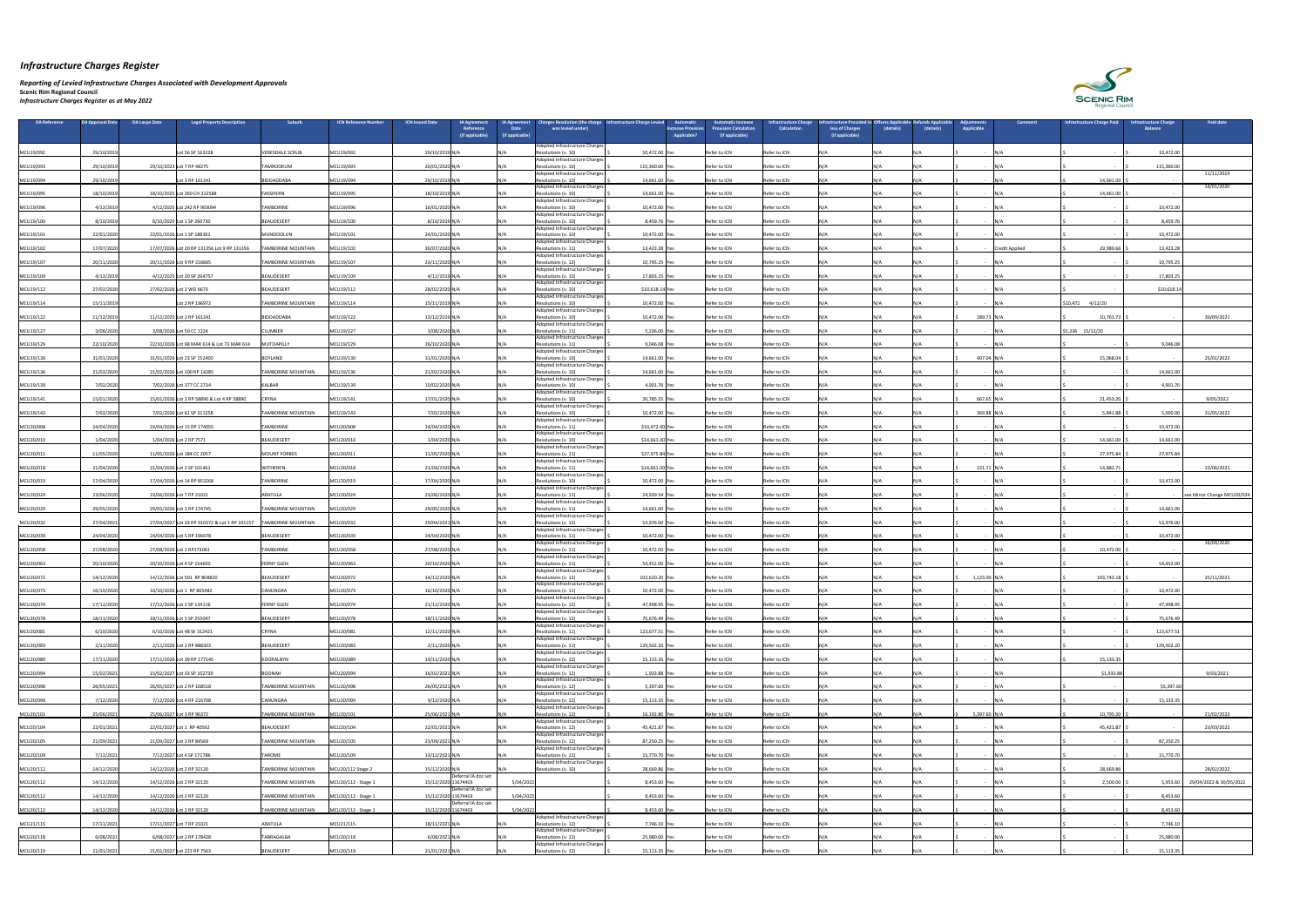*Reporting of Levied Infrastructure Charges Associated with Development Approvals* 

| DA Reference | DA Approval Date | <b>DA Laspe Date</b> | Legal Property Description                    | <b>Suburb</b>             | <b>ICN Reference Numbe</b> | <b>ICN Issued Date</b> | <b>IA Agreement</b><br>Reference | <b>IA Agreement</b><br><b>Date</b> | arges Resolution (the charge<br>was levied under)                  | <b>Automatio</b><br>Infrastructure Charge Levie<br><b>Increase Provision</b> | utomatic Increase.<br><b>rovision Calculation</b> | nfrastructure Charge<br><b>Calculation</b> | rastructure Provided<br>leiu of Charges | (details) | (details) | ustments<br>Applicable   | Comment               | <b>Infrastructure Charge Paid</b> | nfrastructure Charge<br><b>Balance</b> | <b>Paid date</b>                 |
|--------------|------------------|----------------------|-----------------------------------------------|---------------------------|----------------------------|------------------------|----------------------------------|------------------------------------|--------------------------------------------------------------------|------------------------------------------------------------------------------|---------------------------------------------------|--------------------------------------------|-----------------------------------------|-----------|-----------|--------------------------|-----------------------|-----------------------------------|----------------------------------------|----------------------------------|
|              |                  |                      |                                               |                           |                            |                        | (if applicable)                  | (if applicable)                    |                                                                    | <b>Applicable?</b>                                                           | (if applicable)                                   |                                            | (if applicable)                         |           |           |                          |                       |                                   |                                        |                                  |
| MCU19/092    | 29/10/2019       |                      | Lot 56 SP 163228                              | <b>VERESDALE SCRUB</b>    | MCU19/092                  | 29/10/2019 N           |                                  |                                    | Adopted Infrastructure Charges<br>Resolutions (v. 10)              | 10,472.00                                                                    | Refer to ICN                                      | Refer to ICN                               |                                         |           |           |                          |                       |                                   | 10,472.00                              |                                  |
| MCU19/093    | 29/10/2019       |                      | 29/10/2023 Lot 7 RP 48275                     | <b>TAMROOKUM</b>          | MCU19/093                  | 20/01/2020 N/          |                                  |                                    | Adopted Infrastructure Charges<br>Resolutions (v. 10)              | 115,360.00 Yes                                                               | Refer to ICN                                      | Refer to ICN                               |                                         |           |           |                          |                       |                                   | 115,360.00                             |                                  |
| MCU19/094    | 29/10/2019       |                      | Lot 3 RP 161241                               | BIDDADDABA                | MCU19/094                  | 29/10/2019 N/A         |                                  |                                    | Adopted Infrastructure Charges<br>Resolutions (v. 10)              | 14,661.00 Yes                                                                | Refer to ICN                                      | Refer to ICN                               |                                         | N/A       |           |                          |                       | 14,661.00                         |                                        | 11/11/2019                       |
| MCU19/095    | 18/10/201        |                      | 18/10/2025 Lot 260 CH 312588                  | FASSIFERN                 | MCU19/095                  | 18/10/2019 N/A         |                                  |                                    | Adopted Infrastructure Charges<br>Resolutions (v. 10)              | 14,661.00                                                                    | Refer to ICN                                      | Refer to ICN                               |                                         |           |           |                          |                       | 14,661.00                         |                                        | 14/01/2020                       |
| MCU19/096    | 4/12/2019        |                      | 4/12/2025 Lot 242 RP 903094                   | <b>TAMBORINE</b>          | MCU19/096                  | 16/01/2020 N/A         |                                  |                                    | Adopted Infrastructure Charges<br>Resolutions (v. 10)              | 10,472.00 Yes                                                                | Refer to ICN                                      | Refer to ICN                               |                                         |           |           |                          |                       |                                   | 10,472.00                              |                                  |
| MCU19/100    | 8/10/2019        |                      | 8/10/2025 Lot 1 SP 260730                     | BEAUDESERT                | MCU19/100                  | 8/10/2019 N/A          |                                  |                                    | Adopted Infrastructure Charges'<br>Resolutions (v. 10)             | 8,459.76 Yes                                                                 | Refer to ICN                                      | Refer to ICN                               |                                         | N / A     |           |                          |                       |                                   | 8,459.76                               |                                  |
|              |                  |                      |                                               |                           |                            |                        |                                  |                                    | Adopted Infrastructure Charges                                     |                                                                              | Refer to ICN                                      |                                            |                                         |           |           |                          |                       |                                   |                                        |                                  |
| MCU19/101    | 22/01/2020       |                      | 22/01/2026 Lot 1 SP 188361                    | MUNDOOLUN                 | MCU19/101                  | 24/01/2020 N/A         |                                  |                                    | Resolutions (v. 10)<br>Adopted Infrastructure Charges              | 10,472.00 Yes                                                                |                                                   | Refer to ICN                               |                                         |           |           |                          |                       |                                   | 10,472.00                              |                                  |
| MCU19/102    | 17/07/2020       |                      | 17/07/2026 Lot 20 RP 131356 Lot 9 RP 131356   | <b>TAMBORINE MOUNTAIN</b> | MCU19/102                  | 30/07/2020 N/          |                                  |                                    | Resolutions (v. 11)<br>Adopted Infrastructure Charges              | 13,423.28 Ye                                                                 | Refer to ICN                                      | Refer to ICN                               |                                         |           |           |                          | <b>Credit Applied</b> | 29,989.66                         | 13,423.28                              |                                  |
| MCU19/107    | 20/11/2020       |                      | 20/11/2026 Lot 9 RP 216665                    | <b>TAMBORINE MOUNTAIN</b> | MCU19/107                  | 23/11/2020 N/          |                                  |                                    | Resolutions (v. 12)<br>Adopted Infrastructure Charges              | 10,795.25 Yes                                                                | Refer to ICN                                      | Refer to ICN                               |                                         |           |           |                          |                       |                                   | 10,795.25                              |                                  |
| MCU19/109    | 4/12/2019        |                      | 4/12/2025 Lot 20 SP 264757                    | BEAUDESERT                | MCU19/109                  | 4/12/2019 N/A          |                                  |                                    | Resolutions (v. 10)<br>Adopted Infrastructure Charges              | 17,803.25 Yes                                                                | Refer to ICN                                      | Refer to ICN                               |                                         | N /Δ      |           |                          |                       |                                   | 17,803.25                              |                                  |
| MCU19/112    | 27/02/2020       |                      | 27/02/2026 Lot 2 WD 6673                      | BEAUDESERT                | MCU19/112                  | 28/02/2020 N/A         |                                  |                                    | Resolutions (v. 10)<br>Adopted Infrastructure Charges              | \$10,618.14 Yes                                                              | Refer to ICN                                      | Refer to ICN                               |                                         |           |           |                          |                       |                                   | \$10,618.14                            |                                  |
| MCU19/114    | 15/11/2019       |                      | Lot 2 RP 196972                               | <b>TAMBORINE MOUNTAIN</b> | MCU19/114                  | 15/11/2019 N/A         |                                  |                                    | Resolutions (v. 10)<br>Adopted Infrastructure Charges              | 10,472.00 Yes                                                                | Refer to ICN                                      | Refer to ICN                               |                                         | N / A     |           |                          | IN/A                  | $$10,472$ 4/12/20                 |                                        |                                  |
| MCU19/122    | 11/12/2019       |                      | 11/12/2025 Lot 2 RP 161241                    | BIDDADDABA                | MCU19/122                  | 13/12/2019 N/A         |                                  |                                    | Resolutions (v. 10)<br>Adopted Infrastructure Charges              | 10,472.00 Yes                                                                | Refer to ICN                                      | Refer to ICN                               |                                         | N / A     |           | 289.73 N/A               |                       | 10,761.73                         |                                        | 30/09/2021                       |
| MCU19/127    | 3/08/2020        |                      | 3/08/2026 Lot 50 CC 1224                      | <b>CLUMBER</b>            | MCU19/127                  | 3/08/2020 N/A          |                                  |                                    | Resolutions (v. 11)<br>Adopted Infrastructure Charges              | 5,236.00 Yes                                                                 | Refer to ICN                                      | Refer to ICN                               |                                         |           |           |                          |                       | \$5,236 15/12/20                  |                                        |                                  |
| MCU19/129    | 22/10/2020       |                      | 22/10/2026 Lot 68 MAR 614 & Lot 73 MAR 614    | MUTDAPILLY                | MCU19/129                  | 26/10/2020 N/A         |                                  |                                    | Resolutions (v. 11)<br>Adopted Infrastructure Charges              | 9,046.08 Yes                                                                 | Refer to ICN                                      | Refer to ICN                               |                                         |           |           | $\sim$                   |                       |                                   | 9,046.08                               |                                  |
| MCU19/130    | 31/01/2020       |                      | 31/01/2026 Lot 23 SP 152400                   | <b>BOYLAND</b>            | MCU19/130                  | 31/01/2020 N/A         |                                  |                                    | Resolutions (v. 10)                                                | 14,661.00 Yes                                                                | Refer to ICN                                      | Refer to ICN                               |                                         | N / A     |           | 407.04 N/A               |                       | 15,068.04                         |                                        | 25/01/2022                       |
| MCU19/136    | 21/02/2020       |                      | 21/02/2026 Lot 100 RP 14285                   | <b>TAMBORINE MOUNTAIN</b> | MCU19/136                  | 21/02/2020 N/A         |                                  |                                    | Adopted Infrastructure Charges<br>Resolutions (v. 10)              | 14,661.00 Yes                                                                | Refer to ICN                                      | Refer to ICN                               |                                         |           |           |                          |                       |                                   | 14,661.00                              |                                  |
| MCU19/139    | 7/02/2020        |                      | 7/02/2026 Lot 377 CC 2734                     | <b>KALBAR</b>             | MCU19/139                  | 10/02/2020 N/A         |                                  |                                    | Adopted Infrastructure Charges<br>Resolutions (v. 10)              | 4,901.76 Yes                                                                 | Refer to ICN                                      | Refer to ICN                               |                                         | N /Δ      |           | $\sim$                   |                       |                                   | 4,901.76                               |                                  |
| MCU19/141    | 15/01/2020       |                      | 15/01/2026 Lot 2 RP 58890 & Lot 4 RP 58890    | CRYNA                     | MCU19/141                  | 17/01/2020 N/A         |                                  |                                    | Adopted Infrastructure Charges<br>Resolutions (v. 10)              | 20,785.55 Yes                                                                | Refer to ICN                                      | Refer to ICN                               |                                         | N/A       |           | 667.65 N/A               |                       | 21,453.20                         |                                        | 9/05/2022                        |
| MCU19/143    | 7/02/2020        |                      | 7/02/2026 Lot 61 SP 311258                    | <b>TAMBORINE MOUNTAIN</b> | MCU19/143                  | 7/02/2020 N/A          |                                  |                                    | Adopted Infrastructure Charges<br>Resolutions (v. 10)              | 10,472.00 Yes                                                                | Refer to ICN                                      | Refer to ICN                               |                                         | N /Δ      |           | 369.88 N/A               |                       | 5,841.88                          | 5,000.00                               | 31/05/2022                       |
| MCU20/008    | 24/04/2020       |                      | 24/04/2026 Lot 15 RP 174055                   | <b>TAMBORINE</b>          | MCU20/008                  | 24/04/2020 N/A         |                                  |                                    | Adopted Infrastructure Charges<br>Resolutions (v. 11)              | \$10,472.00 Yes                                                              | Refer to ICN                                      | Refer to ICN                               |                                         |           |           |                          |                       |                                   | 10,472.00                              |                                  |
| MCU20/010    | 1/04/2020        |                      | 1/04/2026 Lot 2 RP 7571                       | BEAUDESERT                | MCU20/010                  | 1/04/2020 N/           |                                  |                                    | Adopted Infrastructure Charges<br>Resolutions (v. 10)              | \$14,661.00 Yes                                                              | Refer to ICN                                      | Refer to ICN                               |                                         | N/A       |           |                          |                       | 14,661.00                         | 14,661.00                              |                                  |
| MCU20/011    | 11/05/2020       |                      | 11/05/2026 Lot 184 CC 2057                    | MOUNT FORBES              | MCU20/011                  | 11/05/2020 N/A         |                                  |                                    | Adopted Infrastructure Charges<br>Resolutions (v. 11)              | \$27,975.84 Yes                                                              | Refer to ICN                                      | Refer to ICN                               |                                         | N/A       |           | $\sim$ $\sim$            |                       | 27,975.84                         | 27,975.84                              |                                  |
| MCU20/018    | 21/04/2020       |                      | 21/04/2026 Lot 2 SP 101461                    | <b>WITHEREN</b>           | MCU20/018                  | 21/04/2020 N/A         |                                  |                                    | Adopted Infrastructure Charges <sup>1</sup><br>Resolutions (v. 11) | \$14,661.00 Yes                                                              | Refer to ICN                                      | Refer to ICN                               |                                         |           |           | $221.71$ N/A             |                       | 14,882.7                          |                                        | 23/06/2021                       |
| MCU20/019    | 17/04/2020       |                      | 17/04/2026 Lot 14 RP 853268                   | <b>TAMBORINE</b>          | MCU20/019                  | 17/04/2020 N/A         |                                  |                                    | Adopted Infrastructure Charges<br>Resolutions (v. 10)              | 10,472.00 Yes                                                                | Refer to ICN                                      | Refer to ICN                               |                                         | N/A       |           |                          | IN/A                  |                                   | 10,472.00                              |                                  |
| MCU20/024    | 23/06/2020       |                      | 23/06/2026 Lot 7 RP 21021                     | ARATULA                   | MCU20/024                  | 23/06/2020 N/A         |                                  |                                    | Adopted Infrastructure Charges<br>Resolutions (v. 11)              | 24,939.54 Yes                                                                | Refer to ICN                                      | Refer to ICN                               |                                         | N/A       |           | $\sim$                   |                       |                                   |                                        | see Minor Change MCU20/024       |
|              | 29/05/2020       |                      | 29/05/2026 Lot 2 RP 174745                    | <b>TAMBORINE MOUNTAIN</b> | MCU20/029                  | 29/05/2020 N/A         |                                  |                                    | Adopted Infrastructure Charges<br>Resolutions (v. 11)              |                                                                              | Refer to ICN                                      | Refer to ICN                               |                                         |           |           |                          |                       |                                   | 14,661.00                              |                                  |
| MCU20/029    |                  |                      |                                               |                           |                            |                        |                                  |                                    | Adopted Infrastructure Charges <sup>1</sup>                        | 14,661.00 Yes                                                                |                                                   |                                            |                                         | N /Δ      |           |                          |                       |                                   |                                        |                                  |
| MCU20/032    | 27/04/2021       |                      | 27/04/2027 Lot 33 RP 910372 & Lot 1 RP 101157 | <b>TAMBORINE MOUNTAIN</b> | MCU20/032                  | 29/04/2021 N/A         |                                  |                                    | Resolutions (v. 12)<br>Adopted Infrastructure Charges              | 53,976.00 Yes                                                                | Refer to ICN                                      | Refer to ICN                               |                                         |           |           |                          |                       |                                   | 53,976.00                              |                                  |
| MCU20/039    | 24/04/2020       |                      | 24/04/2026 Lot 5 RP 196978                    | BEAUDESERT                | MCU20/039                  | 24/04/2020 N/A         |                                  |                                    | Resolutions (v. 11)<br>Adopted Infrastructure Charges              | 10,472.00 Yes                                                                | Refer to ICN                                      | Refer to ICN                               |                                         | N/A       |           |                          |                       |                                   | 10,472.00                              | 16/09/2020                       |
| MCU20/058    | 27/08/2020       |                      | 27/08/2026 Lot 1 RP173061                     | <b>TAMBORINE</b>          | MCU20/058                  | 27/08/2020 N/A         |                                  |                                    | Resolutions (v. 11)<br>Adopted Infrastructure Charges              | 10,472.00 Yes                                                                | Refer to ICN                                      | Refer to ICN                               |                                         |           |           |                          |                       | 10,472.00                         |                                        |                                  |
| MCU20/063    | 20/10/2020       |                      | 20/10/2026 Lot 4 SP 154650                    | <b>FERNY GLEN</b>         | MCU20/063                  | 20/10/2020 N/A         |                                  |                                    | Resolutions (v. 11)<br>Adopted Infrastructure Charges              | 54,452.00 Yes                                                                | Refer to ICN                                      | Refer to ICN                               |                                         |           |           | $\sim$ $-$               |                       |                                   | 54,452.00                              |                                  |
| MCU20/072    | 14/12/2020       |                      | 14/12/2026 Lot 501 RP 808820                  | BEAUDESERT                | MCU20/072                  | 14/12/2020 N/A         |                                  |                                    | Resolutions (v. 12)<br>Adopted Infrastructure Charges              | 102,620.20 Yes                                                               | Refer to ICN                                      | Refer to ICN                               |                                         | N /Δ      |           | $1,123.00$ N/A           |                       | 103,743.18                        |                                        | 25/11/2021                       |
| MCU20/073    | 16/10/2020       |                      | 16/10/2026 Lot 1 RP 865482                    | CANUNGRA                  | MCU20/073                  | 16/10/2020 N/A         |                                  |                                    | Resolutions (v. 11)<br>Adopted Infrastructure Charges              | 10,472.00 Yes                                                                | Refer to ICN                                      | Refer to ICN                               |                                         | N/A       |           |                          |                       |                                   | 10,472.00                              |                                  |
| MCU20/074    | 17/12/2020       |                      | 17/12/2026 Lot 2 SP 134116                    | <b>FERNY GLEN</b>         | MCU20/074                  | 21/12/2020 N/A         |                                  |                                    | Resolutions (v. 12)<br>Adopted Infrastructure Charges              | 47,498.95                                                                    | Refer to ICN                                      | Refer to ICN                               |                                         |           |           |                          |                       |                                   | 47,498.9                               |                                  |
| MCU20/078    | 18/11/2020       |                      | 18/11/2026 Lot 5 SP 255047                    | BEAUDESERT                | MCU20/078                  | 18/11/2020 N/A         |                                  |                                    | Resolutions (v. 12)<br>Adopted Infrastructure Charges              | 75,676.49 Yes                                                                | Refer to ICN                                      | Refer to ICN                               |                                         |           |           |                          |                       |                                   | 75,676.49                              |                                  |
| MCU20/081    | 6/10/2020        |                      | 6/10/2026 Lot 48 W 312421                     | <b>CRYNA</b>              | MCU20/081                  | 12/11/2020 N/A         |                                  |                                    | Resolutions (v. 11)<br>Adopted Infrastructure Charges              | 123,677.51 Yes                                                               | Refer to ICN                                      | Refer to ICN                               |                                         | N/A       |           |                          |                       |                                   | 123,677.51                             |                                  |
| MCU20/083    | 2/11/2020        |                      | 2/11/2026 Lot 2 RP 888303                     | BEAUDESERT                | MCU20/083                  | 2/11/2020 N/A          |                                  |                                    | Resolutions (v. 11)                                                | 129,502.20 Yes                                                               | Refer to ICN                                      | Refer to ICN                               |                                         |           |           |                          |                       |                                   | 129,502.20                             |                                  |
| MCU20/089    | 17/11/2020       |                      | 17/11/2026 Lot 39 RP 177145                   | KOORALBYN                 | MCU20/089                  | 19/11/2020 N/A         |                                  |                                    | Adopted Infrastructure Charges<br>Resolutions (v. 12)              | 15,133.35 Yes                                                                | Refer to ICN                                      | Refer to ICN                               |                                         |           |           |                          |                       | 15,133.35                         |                                        |                                  |
| MCU20/094    | 15/02/2021       |                      | 15/02/2027 Lot 33 SP 102739                   | BOONAH                    | MCU20/094                  | 16/02/2021 N/A         |                                  |                                    | Adopted Infrastructure Charges<br>Resolutions (v. 12)              | 1,933.88 Yes                                                                 | Refer to ICN                                      | Refer to ICN                               |                                         | N / A     |           |                          |                       | \$1,933.88                        |                                        | 9/03/2021                        |
| MCU20/098    | 26/05/2021       |                      | 26/05/2027 Lot 2 RP 168518                    | <b>TAMBORINE MOUNTAIN</b> | MCU20/098                  | 26/05/2021 N/A         |                                  |                                    | Adopted Infrastructure Charges<br>Resolutions (v. 12)              | 5,397.60 Yes                                                                 | Refer to ICN                                      | Refer to ICN                               |                                         | N / A     |           |                          |                       |                                   | \$5,397.60                             |                                  |
| MCU20/099    | 7/12/2020        |                      | 7/12/2026 Lot 4 RP 216708                     | CANUNGRA                  | MCU20/099                  | 9/12/2020 N/           |                                  |                                    | <b>IAdopted Infrastructure Charges</b><br>Resolutions (v. 12)      | 15,113.35 Yes                                                                | Refer to ICN                                      | Refer to ICN                               |                                         |           |           |                          |                       |                                   | 15,133.35                              |                                  |
| MCU20/101    | 25/06/2021       |                      | 25/06/2027 Lot 3 RP 96372                     | <b>TAMBORINE MOUNTAIN</b> | MCU20/101                  | 25/06/2021 N/A         |                                  |                                    | Adopted Infrastructure Charges<br>Resolutions (v. 12)              | 16,192.80 Yes                                                                | Refer to ICN                                      | Refer to ICN                               |                                         |           |           | 5,397.60 N/A             |                       | 10,795.20                         |                                        | 21/02/2022                       |
| MCU20/104    | 22/01/2021       |                      | 22/01/2027 Lot 1 RP 40592                     | BEAUDESERT                | MCU20/104                  | 22/01/2021 N/A         |                                  |                                    | Adopted Infrastructure Charges<br>Resolutions (v. 12)              | 45,421.87 Yes                                                                | Refer to ICN                                      | Refer to ICN                               |                                         | N /Δ      |           |                          |                       | 45,421.87                         |                                        | 23/03/2022                       |
| MCU20/105    | 21/09/202        |                      | 21/09/2027 Lot 2 RP 84569                     | <b>TAMBORINE MOUNTAIN</b> | MCU20/105                  | 23/09/2021 N/A         |                                  |                                    | Adopted Infrastructure Charges<br>Resolutions (v. 12)              | 87,250.25 Yes                                                                | Refer to ICN                                      | Refer to ICN                               |                                         | N / A     |           |                          |                       |                                   | 87,250.25                              |                                  |
| MCU20/109    | 7/12/2021        |                      | 7/12/2027 Lot 4 SP 171786                     | <b>TAROME</b>             | MCU20/109                  | 13/12/2021 N/A         |                                  |                                    | Adopted Infrastructure Charges<br>Resolutions (v. 12)              | 15,770.70 Yes                                                                | Refer to ICN                                      | Refer to ICN                               |                                         | N / A     |           |                          | IN/A                  |                                   | 15,770.70                              |                                  |
| MCU20/112    | 14/12/2020       |                      | 14/12/2026 Lot 2 RP 32120                     | TAMBORINE MOUNTAIN        | MCU20/112 Stage 2          | 15/12/2020 N/A         |                                  |                                    | Adopted Infrastructure Charges<br>Resolutions (v. 10)              | 28,669.86 Yes                                                                | Refer to ICN                                      | Refer to ICN                               |                                         |           |           |                          |                       | 28,669.86                         |                                        | 28/02/2022                       |
|              |                  |                      |                                               |                           |                            |                        | Deferral IA doc set              |                                    |                                                                    |                                                                              |                                                   |                                            |                                         |           |           |                          |                       |                                   |                                        |                                  |
| MCU20/112    | 14/12/2020       |                      | 14/12/2026 Lot 2 RP 32120                     | <b>TAMBORINE MOUNTAIN</b> | MCU20/112 - Stage 1        | 15/12/2020 11674403    | Deferral IA doc set              | 5/04/2022                          |                                                                    | 8,453.60 Yes                                                                 | Refer to ICN                                      | Refer to ICN                               |                                         |           |           | - IN/A                   |                       | $2,500.00$ $\mid$ \$              |                                        | 5,953.60 29/04/2022 & 30/05/2022 |
| MCU20/112    | 14/12/2020       |                      | 14/12/2026 Lot 2 RP 32120                     | TAMBORINE MOUNTAIN        | MCU20/112 - Stage 1        | 15/12/2020 11674403    | Deferral IA doc set              | 5/04/2022                          |                                                                    | 8,453.60                                                                     | Refer to ICN                                      | Refer to ICN                               |                                         |           |           | $\sim$ $-$               |                       |                                   | 8,453.60                               |                                  |
| MCU20/112    | 14/12/2020       |                      | 14/12/2026 Lot 2 RP 32120                     | <b>TAMBORINE MOUNTAIN</b> | MCU20/112 - Stage 1        | 15/12/2020 11674403    |                                  | 5/04/2022                          | Adopted Infrastructure Charges                                     | 8,453.60 Yes                                                                 | Refer to ICN                                      | Refer to ICN                               |                                         | N/A       |           | - IN/A                   |                       |                                   | 8,453.60                               |                                  |
| MCU21/115    | 17/11/2021       |                      | 17/11/2027 Lot 7 RP 21021                     | ARATULA                   | MCU21/115                  | 18/11/2021 N/A         |                                  |                                    | Resolutions (v. 12)<br>Adopted Infrastructure Charges              | 7,746.10 Yes                                                                 | Refer to ICN                                      | Refer to ICN                               |                                         |           |           | $\sim$                   | N/A                   |                                   | 7,746.10                               |                                  |
| MCU20/118    | 6/08/2021        |                      | 6/08/2027 Lot 2 RP 178428                     | TABRAGALBA                | MCU20/118                  | 6/08/2021 N/A          |                                  |                                    | Resolutions (v. 12)<br>Adopted Infrastructure Charges              | 25,980.00 Yes                                                                | Refer to ICN                                      | Refer to ICN                               |                                         |           |           | <b>Contract Contract</b> |                       |                                   | 25,980.00                              |                                  |
| MCU20/119    | 21/01/2021       |                      | 21/01/2027 Lot 223 RP 7563                    | BEAUDESERT                | MCU20/119                  | 21/01/2021 N/A         |                                  |                                    | Resolutions (v. 12)                                                | 15,113.35 Yes                                                                | Refer to ICN                                      | Refer to ICN                               |                                         | N/A       |           | $-N/A$                   |                       |                                   | 15,113.35                              |                                  |

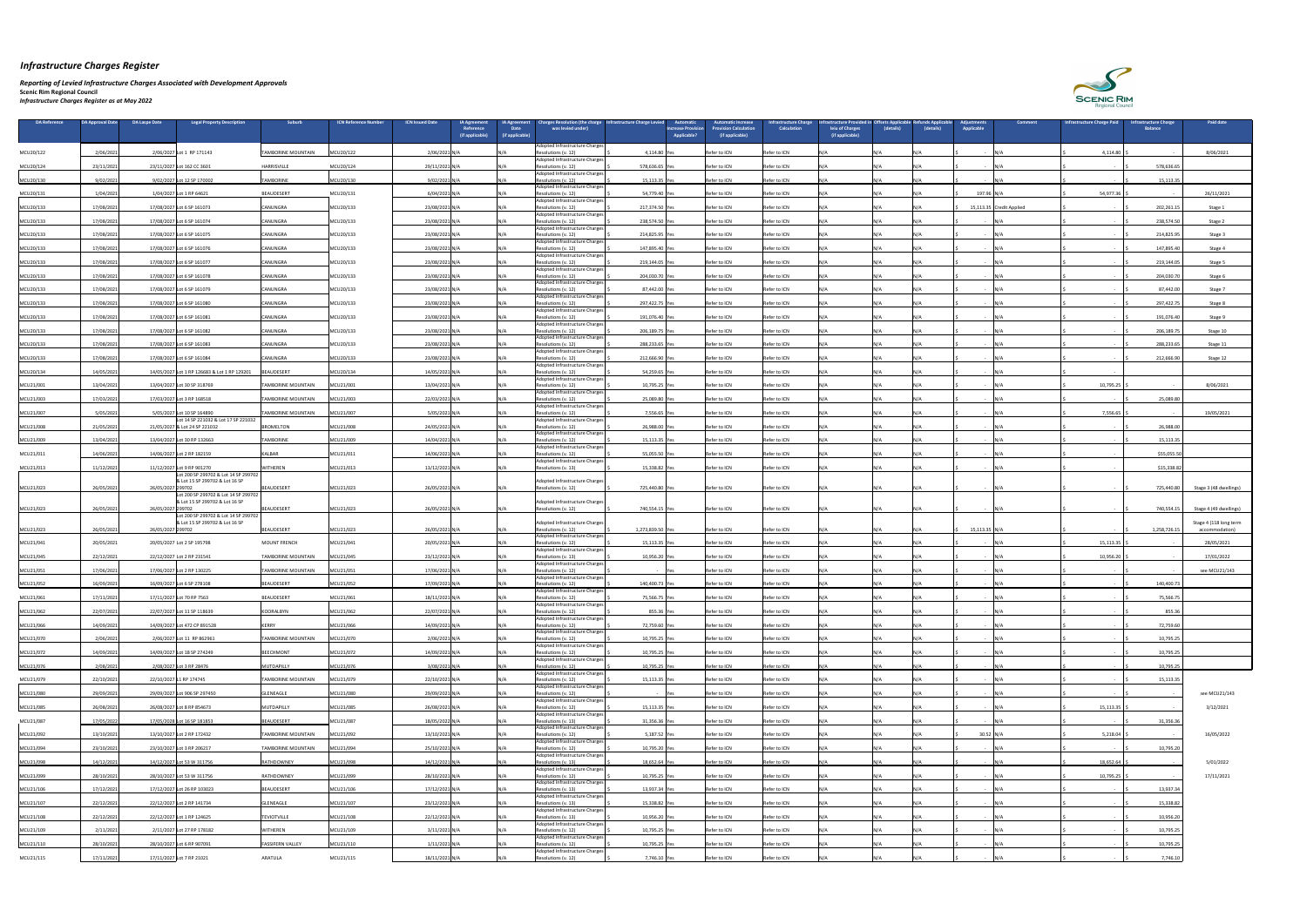#### *Reporting of Levied Infrastructure Charges Associated with Development Approvals*

| DA Reference | <b>DA Approval Date</b> | <b>DA Laspe Date</b> | <b>Legal Property Description</b>                                      | <b>Suburb</b>             | <b>ICN Reference Numbe</b> | <b>ICN Issued Date</b> | <b>IA Agreement</b><br>Reference<br>(if applicable) | arges Resolution (the charge<br><b>A Agreement</b><br><b>Date</b><br>was levied under)<br>(if applicable) | <b>Infrastructure Charge Levier</b> | <b>Automatic</b><br><b>Increase Provisior</b><br><b>Applicable?</b> | utomatic Increase<br>rovision Calculation<br>(if applicable) | <b>nfrastructure Charge</b><br><b>Calculation</b> | astructure Provide<br>leiu of Charges<br>(if applicable) | (details) | (details) | ustments<br>Comment.<br>Applicable | Infrastructure Charge Paid | <b>nfrastructure Charge</b><br><b>Balance</b> | <b>Paid date</b>                         |
|--------------|-------------------------|----------------------|------------------------------------------------------------------------|---------------------------|----------------------------|------------------------|-----------------------------------------------------|-----------------------------------------------------------------------------------------------------------|-------------------------------------|---------------------------------------------------------------------|--------------------------------------------------------------|---------------------------------------------------|----------------------------------------------------------|-----------|-----------|------------------------------------|----------------------------|-----------------------------------------------|------------------------------------------|
|              |                         |                      |                                                                        |                           |                            |                        |                                                     | Adopted Infrastructure Charges                                                                            |                                     |                                                                     |                                                              |                                                   |                                                          |           |           |                                    |                            |                                               |                                          |
| MCU20/122    | 2/06/202                |                      | 2/06/2027 Lot 1 RP 171143                                              | TAMBORINE MOUNTAIN        | MCU20/122                  | 2/06/2021              |                                                     | Resolutions (v. 12)<br>Adopted Infrastructure Charges                                                     | 4,114.80                            |                                                                     | Refer to ICN                                                 | Refer to ICN                                      |                                                          |           |           |                                    | 4,114.80                   |                                               | 8/06/2021                                |
| MCU20/124    | 23/11/2021              |                      | 23/11/2027 Lot 162 CC 3601                                             | HARRISVILLE               | MCU20/124                  | 29/11/2021 N/A         |                                                     | Resolutions (v. 12)<br>Adopted Infrastructure Charges                                                     | 578,636.65 Ye                       |                                                                     | Refer to ICN                                                 | Refer to ICN                                      |                                                          |           |           |                                    |                            | 578,636.6                                     |                                          |
| MCU20/130    | 9/02/2021               |                      | 9/02/2027 Lot 12 SP 170002                                             | <b>TAMBORINE</b>          | MCU20/130                  | 9/02/2021 N/A          |                                                     | Resolutions (v. 12)<br>IN/A<br>Adopted Infrastructure Charges                                             | 15,113.35 Ye                        |                                                                     | Refer to ICN                                                 | Refer to ICN                                      |                                                          |           |           |                                    |                            | 15,113.35                                     |                                          |
| MCU20/131    | 1/04/202                |                      | 1/04/2027 Lot 1 RP 64621                                               | BEAUDESERT                | MCU20/131                  | 6/04/2021 N/           |                                                     | Resolutions (v. 12<br>Adopted Infrastructure Charges                                                      | 54,779.40                           |                                                                     | Refer to ICN                                                 | Refer to ICN                                      |                                                          |           |           | 197.96                             | 54,977.36                  |                                               | 26/11/2021                               |
| MCU20/133    | 17/08/2021              |                      | 17/08/2027 Lot 6 SP 161073                                             | <b>CANUNGRA</b>           | MCU20/133                  | 23/08/2021 N/A         |                                                     | Resolutions (v. 12)<br>Adopted Infrastructure Charges                                                     | 217,374.50 Ye                       |                                                                     | Refer to ICN                                                 | Refer to ICN                                      |                                                          |           |           | 15,113.35 Credit Applied           | $\sim$ $-$                 | 202,261.1                                     | Stage 1                                  |
| MCU20/133    | 17/08/2021              |                      | 17/08/2027 Lot 6 SP 161074                                             | CANUNGRA                  | MCU20/133                  | 23/08/2021 N/A         |                                                     | Resolutions (v. 12)<br>N/A<br>Adopted Infrastructure Charges                                              | 238,574.50 Ye                       |                                                                     | Refer to ICN                                                 | Refer to ICN                                      |                                                          |           |           |                                    |                            | 238,574.5                                     | Stage 2                                  |
| MCU20/133    | 17/08/202               |                      | 17/08/2027 Lot 6 SP 161075                                             | CANUNGRA                  | MCU20/133                  | 23/08/2021 N/A         |                                                     | Resolutions (v. 12)<br>IN/A<br>Adopted Infrastructure Charges                                             | 214,825.95 Yes                      |                                                                     | Refer to ICN                                                 | <b>Refer to ICN</b>                               |                                                          |           |           |                                    |                            | 214,825.95                                    | Stage 3                                  |
| MCU20/133    | 17/08/2021              |                      | 17/08/2027 Lot 6 SP 161076                                             | CANUNGRA                  | MCU20/133                  | 23/08/2021 N           |                                                     | Resolutions (v. 12)<br>Adopted Infrastructure Charges                                                     | 147,895.40                          |                                                                     | Refer to ICN                                                 | Refer to ICN                                      |                                                          |           |           |                                    |                            | 147,895.4                                     | Stage 4                                  |
| MCU20/133    | 17/08/2021              |                      | 17/08/2027 Lot 6 SP 161077                                             | CANUNGRA                  | MCU20/133                  | 23/08/2021 N/A         |                                                     | Resolutions (v. 12)<br>Adopted Infrastructure Charges                                                     | 219,144.05 Ye                       |                                                                     | Refer to ICN                                                 | Refer to ICN                                      |                                                          |           |           |                                    |                            | 219,144.0                                     | Stage 5                                  |
| MCU20/133    | 17/08/2021              |                      | 17/08/2027 Lot 6 SP 161078                                             | CANUNGRA                  | MCU20/133                  | 23/08/2021 N/A         |                                                     | Resolutions (v. 12)<br>N/A<br>Adopted Infrastructure Charges                                              | 204,030.70 Yes                      |                                                                     | Refer to ICN                                                 | Refer to ICN                                      |                                                          |           |           |                                    |                            | 204,030.7                                     | Stage 6                                  |
| MCU20/133    | 17/08/202               |                      | 17/08/2027 Lot 6 SP 161079                                             | CANUNGRA                  | MCU20/133                  | 23/08/2021 N/A         |                                                     | Resolutions (v. 12)<br>IN/A<br>Adopted Infrastructure Charges                                             | 87,442.00                           |                                                                     | Refer to ICN                                                 | Refer to ICN                                      |                                                          |           |           |                                    |                            | 87,442.00                                     | Stage 7                                  |
| MCU20/133    | 17/08/2021              |                      | 17/08/2027 Lot 6 SP 161080                                             | CANUNGRA                  | MCU20/133                  | 23/08/2021 N/A         |                                                     | Resolutions (v. 12)<br>IN/A<br>Adopted Infrastructure Charges                                             | 297,422.75 Ye                       |                                                                     | Refer to ICN                                                 | Refer to ICN                                      |                                                          |           |           |                                    |                            | 297,422.7'                                    | Stage 8                                  |
| MCU20/133    | 17/08/2021              |                      | 17/08/2027 Lot 6 SP 161081                                             | CANUNGRA                  | MCU20/133                  | 23/08/2021 N/A         |                                                     | Resolutions (v. 12)<br>Adopted Infrastructure Charges                                                     | 191,076.40 Yes                      |                                                                     | Refer to ICN                                                 | Refer to ICN                                      |                                                          |           |           |                                    |                            | 191,076.40                                    | Stage 9                                  |
| MCU20/133    | 17/08/2021              |                      | 17/08/2027 Lot 6 SP 161082                                             | CANUNGRA                  | MCU20/133                  | 23/08/2021 N/A         |                                                     | Resolutions (v. 12)<br>Adopted Infrastructure Charges                                                     | 206,189.75                          |                                                                     | Refer to ICN                                                 | Refer to ICN                                      |                                                          |           |           |                                    |                            | 206,189.7                                     | Stage 10                                 |
| MCU20/133    | 17/08/2021              |                      | 17/08/2027 Lot 6 SP 161083                                             | CANUNGRA                  | MCU20/133                  | 23/08/2021 N/A         |                                                     | Resolutions (v. 12)<br>IN/A<br>Adopted Infrastructure Charges                                             | 288,233.65 Yes                      |                                                                     | Refer to ICN                                                 | Refer to ICN                                      |                                                          |           |           |                                    |                            | 288,233.65                                    | Stage 11                                 |
| MCU20/133    | 17/08/2021              |                      | 17/08/2027 Lot 6 SP 161084                                             | <b>CANUNGRA</b>           | MCU20/133                  | 23/08/2021 N/A         |                                                     | Resolutions (v. 12)<br>Adopted Infrastructure Charges                                                     | 212,666.90 Ye                       |                                                                     | Refer to ICN                                                 | Refer to ICN                                      |                                                          |           |           |                                    |                            | 212,666.90                                    | Stage 12                                 |
| MCU20/134    | 14/05/2021              |                      | 14/05/2027 Lot 1 RP 126683 & Lot 1 RP 129201                           | BEAUDESERT                | MCU20/134                  | 14/05/2021 N/A         |                                                     | Resolutions (v. 12)<br>N/A<br>Adopted Infrastructure Charges                                              | 54,259.65 Yes                       |                                                                     | Refer to ICN                                                 | Refer to ICN                                      |                                                          |           |           |                                    |                            |                                               |                                          |
| MCU21/001    | 13/04/2021              |                      | 13/04/2027 Lot 30 SP 318769                                            | <b>TAMBORINE MOUNTAIN</b> | MCU21/001                  | 13/04/2021 N/A         |                                                     | Resolutions (v. 12)<br>IN/A<br>Adopted Infrastructure Charges                                             | 10,795.25 Yes                       |                                                                     | Refer to ICN                                                 | Refer to ICN                                      |                                                          |           |           |                                    | 10,795.25                  |                                               | 8/06/2021                                |
| MCU21/003    | 17/03/2021              |                      | 17/03/2027 Lot 3 RP 168518                                             | <b>TAMBORINE MOUNTAIN</b> | MCU21/003                  | 22/03/2021 N/A         |                                                     | Resolutions (v. 12)<br>IN/A<br>Adopted Infrastructure Charges                                             | 25,089.80 Yes                       |                                                                     | Refer to ICN                                                 | Refer to ICN                                      |                                                          | IN /A     |           |                                    |                            | 25,089.80                                     |                                          |
| MCU21/007    | 5/05/2021               |                      | 5/05/2027 Lot 10 SP 164890<br>Lot 14 SP 221032 & Lot 17 SP 221032      | <b>TAMBORINE MOUNTAIN</b> | MCU21/007                  | 5/05/2021 N/A          |                                                     | Resolutions (v. 12)<br>Adopted Infrastructure Charges                                                     | 7,556.65 Yes                        |                                                                     | Refer to ICN                                                 | Refer to ICN                                      |                                                          |           |           |                                    | 7,556.65                   |                                               | 19/05/2021                               |
| MCU21/008    | 21/05/2021              |                      | 21/05/2027 & Lot 24 SP 221032                                          | BROMELTON                 | MCU21/008                  | 24/05/2021 N/A         |                                                     | Resolutions (v. 12)<br>Adopted Infrastructure Charges                                                     | 26,988.00 Yes                       |                                                                     | Refer to ICN                                                 | Refer to ICN                                      |                                                          |           |           |                                    |                            | 26,988.00                                     |                                          |
| MCU21/009    | 13/04/2021              |                      | 13/04/2027 Lot 30 RP 132663                                            | <b>TAMBORINE</b>          | MCU21/009                  | 14/04/2021 N/A         |                                                     | Resolutions (v. 12)<br>IN/A<br>Adopted Infrastructure Charges                                             | 15,113.35 Yes                       |                                                                     | Refer to ICN                                                 | Refer to ICN                                      |                                                          |           |           |                                    |                            | 15,113.35                                     |                                          |
| MCU21/011    | 14/06/2021              |                      | 14/06/2027 Lot 2 RP 182159                                             | <b>KALBAR</b>             | MCU21/011                  | 14/06/2021 N/A         |                                                     | Resolutions (v. 12)<br>IN/A<br>Adopted Infrastructure Charges                                             | 55,055.50 Yes                       |                                                                     | Refer to ICN                                                 | Refer to ICN                                      |                                                          |           |           |                                    |                            | \$55,055.50                                   |                                          |
| MCU21/013    | 11/12/2021              |                      | 11/12/2027 Lot 9 RP 901270<br>Lot 200 SP 299702 & Lot 14 SP 299702     | <b>WITHEREN</b>           | MCU21/013                  | 13/12/2021 N/A         |                                                     | Resolutions (v. 13)                                                                                       | 15,338.82 Yes                       |                                                                     | Refer to ICN                                                 | Refer to ICN                                      |                                                          |           |           |                                    |                            | \$15,338.82                                   |                                          |
| MCU21/023    | 26/05/202               | 26/05/2027 299702    | & Lot 15 SP 299702 & Lot 16 SP                                         | BEAUDESERT                | MCU21/023                  | 26/05/2021 N/A         |                                                     | Adopted Infrastructure Charges<br>Resolutions (v. 12)                                                     | 725,440.80 Yes                      |                                                                     | Refer to ICN                                                 | Refer to ICN                                      |                                                          |           |           |                                    |                            | 725,440.80                                    | Stage 3 (48 dwellings)                   |
|              |                         |                      | Lot 200 SP 299702 & Lot 14 SP 299702<br>& Lot 15 SP 299702 & Lot 16 SP |                           |                            |                        |                                                     | Adopted Infrastructure Charges                                                                            |                                     |                                                                     |                                                              |                                                   |                                                          |           |           |                                    |                            |                                               |                                          |
| MCU21/023    | 26/05/2021              | 26/05/2027 299702    | Lot 200 SP 299702 & Lot 14 SP 299702                                   | BEAUDESERT                | MCU21/023                  | 26/05/2021 N/A         |                                                     | Resolutions (v. 12)                                                                                       | 740,554.15 Yes                      |                                                                     | Refer to ICN                                                 | Refer to ICN                                      |                                                          |           |           |                                    |                            | 740,554.15                                    | Stage 4 (49 dwellings)                   |
| MCU21/023    | 26/05/2021              | 26/05/2027 299702    | & Lot 15 SP 299702 & Lot 16 SP                                         | BEAUDESERT                | MCU21/023                  | 26/05/2021 N/A         |                                                     | Adopted Infrastructure Charges<br>Resolutions (v. 12)                                                     | 1,273,839.50 Yes                    |                                                                     | Refer to ICN                                                 | Refer to ICN                                      |                                                          |           |           | 15,113.35 N/A                      |                            | 1,258,726.15                                  | Stage 4 (118 long term<br>accommodation) |
| MCU21/041    | 20/05/2021              |                      | 20/05/2027 Lot 2 SP 195798                                             | <b>MOUNT FRENCH</b>       | MCU21/041                  | 20/05/2021 N/A         |                                                     | Adopted Infrastructure Charges<br>Resolutions (v. 12)                                                     | 15,113.35 Yes                       |                                                                     | Refer to ICN                                                 | Refer to ICN                                      |                                                          |           |           |                                    | 15,113.35                  |                                               | 28/05/2021                               |
| MCU21/045    | 22/12/2021              |                      | 22/12/2027 Lot 2 RP 231541                                             | <b>TAMBORINE MOUNTAIN</b> | MCU21/045                  | 23/12/2021 N/A         |                                                     | Adopted Infrastructure Charges<br>Resolutions (v. 13)<br>N/A                                              | 10,956.20 Yes                       |                                                                     | Refer to ICN                                                 | Refer to ICN                                      |                                                          |           |           |                                    | 10,956.20                  |                                               | 17/01/2022                               |
| MCU21/051    | 17/06/202               |                      | 17/06/2027 Lot 2 RP 130225                                             | <b>TAMBORINE MOUNTAIN</b> | MCU21/051                  | 17/06/2021 N/A         |                                                     | Adopted Infrastructure Charges<br>Resolutions (v. 12)<br>IN/A                                             | $\sim$ $-$                          | - IYes                                                              | Refer to ICN                                                 | Refer to ICN                                      |                                                          |           |           |                                    |                            |                                               | see MCU21/143                            |
| MCU21/052    | 16/09/202               |                      | 16/09/2027 Lot 6 SP 278108                                             | BEAUDESERT                | MCU21/052                  | 17/09/2021 N/A         |                                                     | Adopted Infrastructure Charges<br>Resolutions (v. 12)                                                     | 140,400.73 Ye                       |                                                                     | Refer to ICN                                                 | Refer to ICN                                      |                                                          |           |           |                                    |                            | 140,400.73                                    |                                          |
| MCU21/061    | 17/11/2021              |                      | 17/11/2027 Lot 70 RP 7563                                              | <b>BEAUDESERT</b>         | MCU21/061                  | 18/11/2021 N/A         |                                                     | Adopted Infrastructure Charges<br>Resolutions (v. 12)<br>N / Δ                                            | 75,566.75 Yes                       |                                                                     | Refer to ICN                                                 | Refer to ICN                                      |                                                          |           |           |                                    |                            | 75,566.7                                      |                                          |
| MCU21/062    | 22/07/2021              |                      | 22/07/2027 Lot 11 SP 118639                                            | KOORALBYN                 | MCU21/062                  | 22/07/2021 N/A         |                                                     | Adopted Infrastructure Charges<br>Resolutions (v. 12)<br>IN/A                                             | 855.36 Yes                          |                                                                     | Refer to ICN                                                 | Refer to ICN                                      |                                                          |           |           |                                    |                            | 855.36                                        |                                          |
| MCU21/066    | 14/09/202               |                      | 14/09/2027 Lot 472 CP 891528                                           | <b>KERRY</b>              | MCU21/066                  | 14/09/2021 N/A         |                                                     | Adopted Infrastructure Charges<br>Resolutions (v. 12)                                                     | 72,759.60 Yes                       |                                                                     | Refer to ICN                                                 | Refer to ICN                                      |                                                          |           |           |                                    |                            | 72,759.60                                     |                                          |
| MCU21/070    | 2/06/2021               |                      | 2/06/2027 Lot 11 RP 862961                                             | <b>TAMBORINE MOUNTAIN</b> | MCU21/070                  | 2/06/2021 N/A          |                                                     | Adopted Infrastructure Charges<br>Resolutions (v. 12)                                                     | 10,795.25 Yes                       |                                                                     | Refer to ICN                                                 | Refer to ICN                                      |                                                          |           |           |                                    |                            | 10,795.25                                     |                                          |
| MCU21/072    | 14/09/2021              |                      | 14/09/2027 Lot 18 SP 274249                                            | BEECHMONT                 | MCU21/072                  | 14/09/2021 N/A         |                                                     | Adopted Infrastructure Charges<br>Resolutions (v. 12)<br>IN/A                                             | 10,795.25 Yes                       |                                                                     | Refer to ICN                                                 | Refer to ICN                                      |                                                          | INI/∆     |           |                                    |                            | 10,795.25                                     |                                          |
| MCU21/076    | 2/08/2021               |                      | 2/08/2027 Lot 3 RP 28476                                               | MUTDAPILLY                | MCU21/076                  | 3/08/2021 N/A          |                                                     | Adopted Infrastructure Charges<br>Resolutions (v. 12)<br>IN/A                                             | 10,795.25 Yes                       |                                                                     | Refer to ICN                                                 | Refer to ICN                                      |                                                          |           |           |                                    |                            | 10,795.25                                     |                                          |
| MCU21/079    | 22/10/2021              |                      | 22/10/2027 L1 RP 174745                                                | <b>TAMBORINE MOUNTAIN</b> | MCU21/079                  | 22/10/2021 N/A         |                                                     | Adopted Infrastructure Charges<br>Resolutions (v. 12)                                                     | 15,113.35                           |                                                                     | Refer to ICN                                                 | Refer to ICN                                      |                                                          |           |           |                                    |                            | 15,113.35                                     |                                          |
| MCU21/080    | 29/09/2021              |                      | 29/09/2027 Lot 906 SP 297450                                           | GLENEAGLE                 | MCU21/080                  | 29/09/2021 N/A         |                                                     | Adopted Infrastructure Charges<br>Resolutions (v. 12)                                                     | $\sim$ $-$                          | - ΙΥρς                                                              | Refer to ICN                                                 | Refer to ICN                                      |                                                          |           |           |                                    |                            |                                               | see MCU21/143                            |
| MCU21/085    | 26/08/2021              |                      | 26/08/2027 Lot 8 RP 854673                                             | MUTDAPILLY                | MCU21/085                  | 26/08/2021 N/A         |                                                     | Adopted Infrastructure Charges<br>Resolutions (v. 12)<br>IN / A                                           | 15,113.35 Yes                       |                                                                     | Refer to ICN                                                 | Refer to ICN                                      |                                                          |           |           |                                    | 15,113.35                  |                                               | 3/12/2021                                |
| MCU21/087    | 17/05/202               |                      | 17/05/2028 Lot 16 SP 181853                                            | BEAUDESERT                | MCU21/087                  | 18/05/2022 N/A         |                                                     | Adopted Infrastructure Charges<br>Resolutions (v. 13                                                      | 31,356.36                           |                                                                     | Refer to ICN                                                 | Refer to ICN                                      |                                                          |           |           |                                    |                            | 31,356.36                                     |                                          |
| MCU21/092    | 13/10/2021              |                      | 13/10/2027 Lot 2 RP 172432                                             | <b>TAMBORINE MOUNTAIN</b> | MCU21/092                  | 13/10/2021 N/A         |                                                     | Adopted Infrastructure Charges<br>Resolutions (v. 12)                                                     | 5,187.52 Yes                        |                                                                     | Refer to ICN                                                 | Refer to ICN                                      |                                                          |           |           | $30.52$ N/A                        | 5,218.04                   |                                               | 16/05/2022                               |
| MCU21/094    | 23/10/2021              |                      | 23/10/2027 Lot 3 RP 206217                                             | <b>TAMBORINE MOUNTAIN</b> | MCU21/094                  | 25/10/2021 N/A         |                                                     | Adopted Infrastructure Charges<br>Resolutions (v. 12)<br>N/A                                              | 10,795.20 Yes                       |                                                                     | Refer to ICN                                                 | Refer to ICN                                      |                                                          |           |           |                                    | $\sim$ $-$                 | 10,795.20                                     |                                          |
| MCU21/098    | 14/12/2021              |                      | 14/12/2027 Lot 53 W 311756                                             | RATHDOWNEY                | MCU21/098                  | 14/12/2021 N/A         |                                                     | Adopted Infrastructure Charges<br>Resolutions (v. 13)<br>IN / A                                           | 18,652.64 Yes                       |                                                                     | Refer to ICN                                                 | Refer to ICN                                      |                                                          |           |           |                                    | 18,652.64                  |                                               | 5/01/2022                                |
| MCU21/099    | 28/10/2021              |                      | 28/10/2027 Lot 53 W 311756                                             | RATHDOWNEY                | MCU21/099                  | 28/10/2021 N/A         |                                                     | Adopted Infrastructure Charges<br>Resolutions (v. 12)<br>N/A                                              | 10,795.25 Yes                       |                                                                     | Refer to ICN                                                 | Refer to ICN                                      |                                                          |           |           | IN/A<br>$\sim$ $-$                 | 10,795.25                  |                                               | 17/11/2021                               |
| MCU21/106    | 17/12/2021              |                      | 17/12/2027 Lot 26 RP 103023                                            | BEAUDESERT                | MCU21/106                  | 17/12/2021 N/A         |                                                     | Adopted Infrastructure Charges<br>Resolutions (v. 13)<br>IN/A                                             | 13,937.34 Yes                       |                                                                     | Refer to ICN                                                 | Refer to ICN                                      |                                                          |           |           |                                    |                            | 13,937.34                                     |                                          |
| MCU21/107    | 22/12/2021              |                      | 22/12/2027 Lot 2 RP 141734                                             | GLENEAGLE                 | MCU21/107                  | 23/12/2021 N/A         |                                                     | Adopted Infrastructure Charges<br>Resolutions (v. 13)                                                     | 15,338.82 Yes                       |                                                                     | Refer to ICN                                                 | Refer to ICN                                      |                                                          |           |           |                                    |                            | 15,338.82                                     |                                          |
| MCU21/108    | 22/12/2021              |                      | 22/12/2027 Lot 1 RP 124625                                             | <b>TEVIOTVILLE</b>        | MCU21/108                  | 22/12/2021 N/A         |                                                     | Adopted Infrastructure Charges<br>Resolutions (v. 13)<br>IN/A                                             | 10,956.20 Yes                       |                                                                     | Refer to ICN                                                 | Refer to ICN                                      |                                                          |           |           |                                    |                            | 10,956.20                                     |                                          |
| MCU21/109    | 2/11/2021               |                      | 2/11/2027 Lot 27 RP 178182                                             | <b>WITHEREN</b>           | MCU21/109                  | 3/11/2021 N/A          |                                                     | Adopted Infrastructure Charges<br>Resolutions (v. 12)<br>IN/A                                             | 10,795.25 Yes                       |                                                                     | Refer to ICN                                                 | Refer to ICN                                      | IN/A                                                     | N/A       |           |                                    |                            | 10,795.25                                     |                                          |
| MCU21/110    | 28/10/2021              |                      | 28/10/2027 Lot 6 RP 907091                                             | <b>FASSIFERN VALLEY</b>   | MCU21/110                  | 1/11/2021 N/A          |                                                     | Adopted Infrastructure Charges<br>Resolutions (v. 12)                                                     | 10,795.25 Yes                       |                                                                     | Refer to ICN                                                 | Refer to ICN                                      |                                                          |           |           |                                    |                            | 10,795.25                                     |                                          |
| MCU21/115    | 17/11/2021              |                      | 17/11/2027 Lot 7 RP 21021                                              | ARATULA                   | MCU21/115                  | 18/11/2021 N/A         |                                                     | Adopted Infrastructure Charges<br>Resolutions (v. 12)<br>IN/A                                             | 7,746.10 Yes                        |                                                                     | Refer to ICN                                                 | Refer to ICN                                      |                                                          |           |           |                                    |                            | 7,746.10                                      |                                          |
|              |                         |                      |                                                                        |                           |                            |                        |                                                     |                                                                                                           |                                     |                                                                     |                                                              |                                                   |                                                          |           |           |                                    |                            |                                               |                                          |

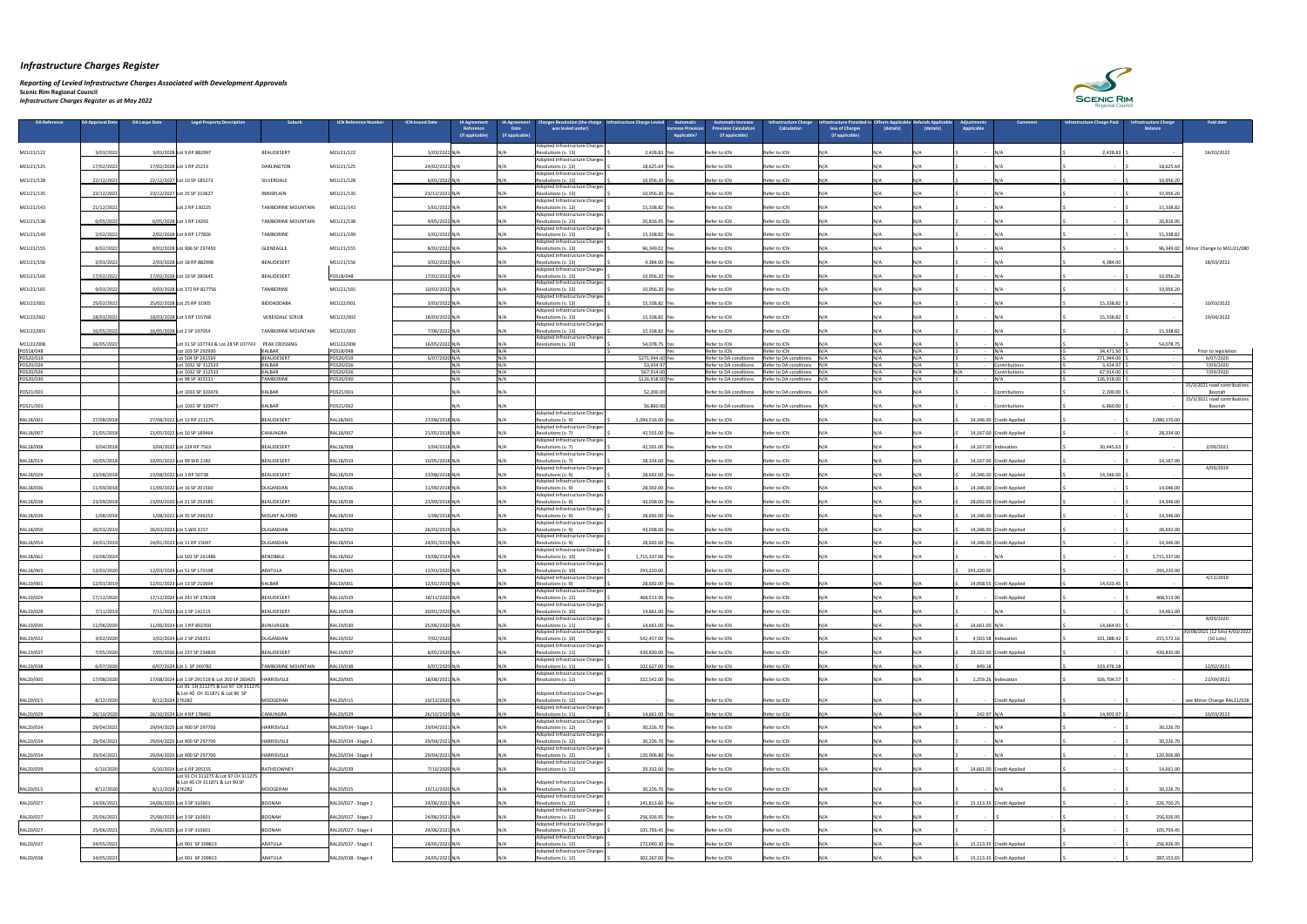#### *Reporting of Levied Infrastructure Charges Associated with Development Approvals*

| <b>DA Reference</b>    | <b>DA Approval Date</b> | DA Laspe Date<br><b>Legal Property Description</b>                    | Suburb                    | <b>ICN Reference Number</b> | <b>ICN Issued Date</b> | <b>IA Agreement</b><br>Reference<br>(if applicable) | <b>IA Agreement</b><br>Date<br>(if applicable) | <b>Charges Resolution (the charge   Infrastructure Charge Levied</b><br>was levied under) |                                                    | <b>Automatic</b><br>Automatic Increase<br><b>Provision Calculation</b><br>ncrease Provision<br><b>Applicable?</b><br>(if applicable) | <b>Infrastructure Charg</b><br><b>Calculation</b> | <b>Frastructure Provided in Offsets Applicable</b><br>leiu of Charges<br>(if applicable) | (details) | efunds Applicable)<br>(details) | Adiustments<br><b>Comment</b><br><b>Applicable</b> | <b>Infrastructure Charge Paid</b> | nfrastructure Charge<br><b>Balance</b> | <b>Paid date</b>                              |
|------------------------|-------------------------|-----------------------------------------------------------------------|---------------------------|-----------------------------|------------------------|-----------------------------------------------------|------------------------------------------------|-------------------------------------------------------------------------------------------|----------------------------------------------------|--------------------------------------------------------------------------------------------------------------------------------------|---------------------------------------------------|------------------------------------------------------------------------------------------|-----------|---------------------------------|----------------------------------------------------|-----------------------------------|----------------------------------------|-----------------------------------------------|
|                        |                         |                                                                       |                           |                             |                        |                                                     |                                                | Adopted Infrastructure Charges                                                            |                                                    |                                                                                                                                      |                                                   |                                                                                          |           |                                 |                                                    |                                   |                                        |                                               |
| MCU21/122              | 3/03/2022               | 3/03/2028 Lot 9 RP 882997                                             | <b>BEAUDESERT</b>         | MCU21/122                   | 3/03/2022 N/A          |                                                     |                                                | Resolutions (v. 13)<br>Adopted Infrastructure Charges                                     | 2,428.83                                           | Refer to ICN                                                                                                                         | Refer to ICN                                      |                                                                                          |           |                                 | IN/A<br>$\sim$                                     | 2,428.83                          |                                        | 24/03/2022                                    |
| MCU21/125              | 17/02/2022              | 17/02/2028 Lot 1 RP 25219                                             | DARLINGTON                | MCU21/125                   | 24/02/2021 N/A         |                                                     |                                                | Resolutions (v. 13)<br>Adopted Infrastructure Charges                                     | 18,625.64 Yes                                      | <b>Refer to ICN</b>                                                                                                                  | <b>Refer to ICN</b>                               |                                                                                          |           |                                 |                                                    |                                   | 18,625.64                              |                                               |
| MCU21/128              | 22/12/202               | 22/12/202<br>Lot 10 SP 185273                                         | SILVERDALE                | MCU21/128                   | 6/01/20221             |                                                     |                                                | Resolutions (v. 13)<br>Adopted Infrastructure Charges                                     | 10,956.20                                          | Refer to ICN                                                                                                                         | Refer to ICN                                      |                                                                                          |           |                                 |                                                    |                                   | 10,956.2                               |                                               |
| MCU21/135              | 23/12/2021              | 23/12/2027 Lot 25 SP 310627                                           | <b>INNISPLAIN</b>         | MCU21/135                   | 23/12/2021 N/A         |                                                     |                                                | Resolutions (v. 13)<br>Adopted Infrastructure Charges                                     | 10,956.20                                          | Refer to ICN                                                                                                                         | Refer to ICN                                      |                                                                                          |           |                                 |                                                    |                                   | 10,956.20                              |                                               |
| MCU21/143              | 21/12/2021              | Lot 2 RP 130225                                                       | TAMBORINE MOUNTAIN        | MCU21/143                   | 5/01/2022 N/A          |                                                     |                                                | Resolutions (v. 13)<br>Adopted Infrastructure Charges                                     | 15,338.82                                          | Refer to ICN                                                                                                                         | Refer to ICN                                      |                                                                                          |           |                                 |                                                    |                                   | 15,338.82                              |                                               |
| MCU21/138              | 6/05/202                | 6/05/2028 Lot 1 RP 14293                                              | TAMBORINE MOUNTAIN        | MCU21/138                   | 9/05/2022 N/A          |                                                     |                                                | Resolutions (v. 13)<br>Adopted Infrastructure Charges                                     | 20,816.95 Yes                                      | Refer to ICN                                                                                                                         | Refer to ICN                                      |                                                                                          |           |                                 |                                                    |                                   | 20,816.95                              |                                               |
| MCU21/149              | 2/02/2022               | 2/02/2028 Lot 9 RP 177826                                             | <b>TAMBORINE</b>          | MCU21/149                   | 3/02/2022 N/A          |                                                     |                                                | Resolutions (v. 13)<br>Adopted Infrastructure Charge:                                     | 15,338.82 Yes                                      | Refer to ICN                                                                                                                         | Refer to ICN                                      |                                                                                          |           |                                 | IN/A                                               |                                   | 15,338.82                              |                                               |
| MCU21/155              | 8/02/2022               | 8/02/2028 Lot 906 SP 297450                                           | <b>GLENEAGLE</b>          | MCU21/155                   | 8/02/2022 N/A          |                                                     |                                                | Resolutions (v. 13)<br>Adopted Infrastructure Charges                                     | 96,349.02                                          | Refer to ICN                                                                                                                         | Refer to ICN                                      |                                                                                          |           |                                 | $\sim$                                             |                                   | 96,349.02                              | Minor Change to MCU21/080                     |
| MCU21/156              | 2/03/2022               | 2/03/2028 Lot 18 RP 882998                                            | BEAUDESERT                | MCU21/156                   | 3/02/2022 N/           |                                                     |                                                | Resolutions (v. 13)<br>Adopted Infrastructure Charges                                     | 4,384.00 Yes                                       | Refer to ICN                                                                                                                         | Refer to ICN                                      |                                                                                          |           |                                 |                                                    | 4,384.00                          |                                        | 18/03/2022                                    |
| MCU21/160              | 17/02/202               | 17/02/2028 Lot 19 SP 280645                                           | <b>BEAUDESERT</b>         | POS18/048                   | 17/02/2022 N/A         |                                                     |                                                | Resolutions (v. 13)<br>Adopted Infrastructure Charge:                                     | 10,956.20                                          | Refer to ICN                                                                                                                         | Refer to ICN                                      |                                                                                          |           |                                 |                                                    |                                   | 10,956.2                               |                                               |
| MCU21/165              | 9/03/2022               | 9/03/2028 Lot 372 RP 817756                                           | <b>TAMBORINE</b>          | MCU21/165                   | 10/03/2022 N/A         |                                                     |                                                | Resolutions (v. 13)<br>Adopted Infrastructure Charges                                     | 10,956.20 Yes                                      | Refer to ICN                                                                                                                         | Refer to ICN                                      |                                                                                          |           |                                 | - IN/A                                             |                                   | 10,956.20                              |                                               |
| MCU22/001              | 25/02/202               | 25/02/2028 Lot 25 RP 31905                                            | BIDDADDABA                | MCU22/001                   | 3/03/2022 N/A          |                                                     |                                                | Resolutions (v. 13)                                                                       | 15,338.82                                          | Refer to ICN                                                                                                                         | Refer to ICN                                      |                                                                                          |           |                                 |                                                    | 15,338.82                         |                                        | 10/03/2022                                    |
| MCU22/002              | 18/03/202               | 18/03/2028 Lot 3 RP 155768                                            | <b>VERESDALE SCRUE</b>    | MCU22/002                   | 18/03/2022 N/A         |                                                     |                                                | Adopted Infrastructure Charges<br>Resolutions (v. 13)                                     | 15,338.82                                          | Refer to ICN                                                                                                                         | Refer to ICN                                      |                                                                                          |           |                                 |                                                    | 15,338.82                         |                                        | 19/04/2022                                    |
| MCU22/003              | 16/05/2022              | 16/05/2028 Lot 2 SP 197054                                            | TAMBORINE MOUNTAIN        | MCU22/003                   | 7/06/2022 N/A          |                                                     |                                                | Adopted Infrastructure Charges<br>Resolutions (v. 13)                                     | 15,338.82                                          | Refer to ICN<br>Yes                                                                                                                  | Refer to ICN                                      |                                                                                          |           |                                 | IN/A                                               |                                   | 15,338.82                              |                                               |
| MCU22/008              | 16/05/2022              | Lot 31 SP 107743 & Lot 28 SP 107743                                   | <b>PEAK CROSSING</b>      | MCU22/008                   | 16/05/2022 N/A         |                                                     |                                                | Adopted Infrastructure Charges<br>Resolutions (v. 13)                                     | 54,078.75 Yes                                      | Refer to ICN                                                                                                                         | Refer to ICN                                      |                                                                                          |           |                                 | IN/A                                               |                                   | 54,078.75                              |                                               |
| POS18/048<br>POS20/019 |                         | Lot 103 SP 292930<br>Lot 504 SP 261569                                | KALBAR<br>BEAUDESERT      | POS18/048<br>POS20/019      | 6/07/2020 N/A          |                                                     |                                                |                                                                                           | <b>Contract Contract State</b><br>\$271,944.00 Yes | Refer to ICN<br>۱۷ρς<br>Refer to DA condition                                                                                        | Refer to ICN<br>Refer to DA conditions            |                                                                                          |           |                                 | N/A<br>$IN/\Delta$                                 | 34,471.50<br>271,944.00           |                                        | Prior to legislation<br>6/07/2020             |
| POS20/026<br>POS20/026 |                         | Lot 1032 SP 312533<br>Lot 1032 SP 312533                              | KALBAR<br>KALBAR          | POS20/026<br>POS20/026      | IN /∆                  |                                                     |                                                |                                                                                           | \$3,434.97<br>\$67,914.00                          | Refer to DA conditions<br>Refer to DA conditions                                                                                     | Refer to DA conditions<br>Refer to DA conditions  |                                                                                          |           |                                 | Contributions<br>contributions                     | 3,434.97<br>67,914.00             |                                        | 7/09/2020<br>7/09/2020                        |
| POS20/030              |                         | Lot 98 SP 305531                                                      | <b>TAMBORINE</b>          | POS20/030                   | $M/\Delta$             |                                                     |                                                |                                                                                           | \$126,918.00 Yes                                   | Refer to DA conditions                                                                                                               | Refer to DA conditions                            |                                                                                          | NI / A    |                                 | IN/A                                               | $126,918.00$   9                  |                                        | 15/3/2021 road contributions                  |
| POS21/001              |                         | Lot 1033 SP 320476                                                    | <b>KALBAR</b>             | POS21/001                   |                        |                                                     |                                                |                                                                                           | \$2,200.00                                         | Refer to DA conditions                                                                                                               | Refer to DA conditions                            |                                                                                          |           |                                 | Contributions                                      | 2,200.00                          |                                        | Boonah<br>15/3/2021 road contributions        |
| POS21/001              |                         | Lot 1033 SP 320477                                                    | KALBAR                    | POS21/002                   |                        |                                                     |                                                | Adopted Infrastructure Charges'                                                           | \$6,860.00                                         | Refer to DA conditions                                                                                                               | Refer to DA conditions                            | -IN/A                                                                                    | N / A     |                                 | - Contributions                                    | 6,860.00                          |                                        | Boonah                                        |
| RAL18/001              | 27/08/201               | 27/08/2022 Lot 12 RP 211175                                           | BEAUDESERT                | RAL18/001                   | 27/08/2018 N/A         |                                                     |                                                | Resolutions (v. 9)<br>Adopted Infrastructure Charges                                      | 2,094,516.00 Yes                                   | Refer to ICN                                                                                                                         | Refer to ICN                                      |                                                                                          |           |                                 | 14,346.00 Credit Applied                           |                                   | 2,080,170.00                           |                                               |
| RAL18/007              | 21/05/201               | 21/05/2022 Lot 10 SP 189464                                           | <b>CANUNGRA</b>           | RAL18/007                   | 21/05/2018 N/A         |                                                     |                                                | Resolutions (v. 7)<br>Adopted Infrastructure Charges                                      | 42,501.00 Yes                                      | Refer to ICN                                                                                                                         | Refer to ICN                                      |                                                                                          |           |                                 | 14,167.00 Credit Applied                           |                                   | 28,334.00                              |                                               |
| RAL18/008              | 3/04/2018               | 3/04/2022 Lot 224 RP 7563                                             | BEAUDESERT                | RAL18/008                   | 3/04/2018 N/A          |                                                     |                                                | Resolutions (v. 7)<br>Adopted Infrastructure Charges                                      | 42,501.00 Yes                                      | Refer to ICN                                                                                                                         | Refer to ICN                                      |                                                                                          |           |                                 | 14,167.00 Indexation                               | 30,445.63                         |                                        | 2/09/2021                                     |
| RAL18/019              | 10/05/2018              | 10/05/2022 Lot 99 WD 2182                                             | BEAUDESERT                | RAL18/019                   | 10/05/2018 N/A         |                                                     |                                                | Resolutions (v. 7)<br>Adopted Infrastructure Charges                                      | 28,334.00 Yes                                      | Refer to ICN                                                                                                                         | Refer to ICN                                      |                                                                                          |           |                                 | 14,167.00 Credit Applied                           |                                   | 14,167.00                              | 4/09/2019                                     |
| RAL18/029              | 23/08/201               | 23/08/2022 Lot 1 RP 50738                                             | BEAUDESERT                | RAL18/029                   | 23/08/2018 N/A         |                                                     |                                                | Resolutions (v. 9)<br>Adopted Infrastructure Charges                                      | 28,692.00 Yes                                      | Refer to ICN                                                                                                                         | Refer to ICN                                      |                                                                                          |           |                                 | 14,346.00 Credit Applied                           | 14,346.00                         |                                        |                                               |
| RAL18/036              | 11/09/2018              | 11/09/2022 Lot 16 SP 201560                                           | DUGANDAN                  | RAL18/036                   | 11/09/2018 N/A         |                                                     |                                                | Resolutions (v. 9)<br>Adopted Infrastructure Charges                                      | 28,392.00 Yes                                      | Refer to ICN                                                                                                                         | Refer to ICN                                      |                                                                                          |           |                                 | 14,346.00 Credit Applied                           |                                   | 14,046.0                               |                                               |
| RAL18/038              | 23/09/2018              | 23/09/2020 Lot 21 SP 292585                                           | BEAUDESERT                | RAL18/038                   | 23/09/2018 N/A         |                                                     |                                                | Resolutions (v. 9)                                                                        | 43,038.00 Yes                                      | Refer to ICN                                                                                                                         | Refer to ICN                                      |                                                                                          | NI / A    |                                 | 28,692.00 Credit Applied                           |                                   | 14,346.00                              |                                               |
| RAL18/039              | 1/08/2018               | 1/08/2022 Lot 35 SP 296252                                            | MOUNT ALFORD              | RAL18/039                   | 1/08/2018 N/A          |                                                     |                                                | Adopted Infrastructure Charges<br>Resolutions (v. 9)                                      | 28,692.00 Yes                                      | Refer to ICN                                                                                                                         | Refer to ICN                                      |                                                                                          |           |                                 | 14,346.00 Credit Applied                           |                                   | 14,346.00                              |                                               |
| RAL18/050              | 26/03/201               | 26/03/2023 Lot 5 WD 3157                                              | DUGANDAN                  | RAL18/050                   | 26/03/2019 N/A         |                                                     |                                                | Adopted Infrastructure Charges<br>Resolutions (v. 9)                                      | 43,038.00 Yes                                      | Refer to ICN                                                                                                                         | Refer to ICN                                      |                                                                                          |           |                                 | 14,346.00 Credit Applied                           |                                   | 28,692.0                               |                                               |
| RAL18/054              | 24/01/2019              | 24/01/2023 Lot 11 RP 15047                                            | DUGANDAN                  | RAL18/054                   | 24/01/2019 N/A         |                                                     |                                                | Adopted Infrastructure Charges<br>Resolutions (v. 9)                                      | 28,692.00 Yes                                      | Refer to ICN                                                                                                                         | Refer to ICN                                      |                                                                                          |           |                                 | 14,346.00 Credit Applied                           |                                   | 14,346.00                              |                                               |
| RAL18/062              | 19/08/2024              | Lot 502 SP 261486                                                     | BENOBBLE                  | RAL18/062                   | 19/08/2024 N/A         |                                                     |                                                | Adopted Infrastructure Charges<br>Resolutions (v. 10)                                     | 1,715,337.00 Yes                                   | Refer to ICN                                                                                                                         | Refer to ICN                                      |                                                                                          |           |                                 |                                                    |                                   | 1,715,337.00                           |                                               |
| RAL18/065              | 12/03/2020              | 12/03/2024 Lot 51 SP 170198                                           | ARATULA                   | RAL18/065                   | 12/03/2020 N/A         |                                                     |                                                | Adopted Infrastructure Charges<br>Resolutions (v. 10)                                     | 293,220.00                                         | Refer to ICN                                                                                                                         | Refer to ICN                                      |                                                                                          |           |                                 | 293,220.00                                         |                                   | 293,220.00                             |                                               |
| RAL19/001              | 12/01/2019              | 12/01/2023 Lot 13 SP 210694                                           | <b>KALBAR</b>             | RAL19/001                   | 12/01/2019 N/A         |                                                     |                                                | Adopted Infrastructure Charges<br>Resolutions (v. 9)                                      | 28,692.00 Yes                                      | Refer to ICN                                                                                                                         | Refer to ICN                                      |                                                                                          |           |                                 | 14,058.55 Credit Applied                           | 14,633.45                         |                                        | 4/12/2019                                     |
| RAL19/029              | 17/12/2020              | 17/12/2024 Lot 241 SP 278108                                          | BEAUDESERT                | RAL19/029                   | 18/12/2020 N/A         |                                                     |                                                | Adopted Infrastructure Charges<br>Resolutions (v. 12)                                     | 468,513.90 Yes                                     | Refer to ICN                                                                                                                         | Refer to ICN                                      |                                                                                          |           |                                 | <b>Credit Applied</b>                              |                                   | 468,513.9                              |                                               |
| RAL19/028              | 7/11/2019               | 7/11/2023 Lot 1 SP 142215                                             | BEAUDESERT                | RAL19/028                   | 20/01/2020 N/A         |                                                     |                                                | <b>Adopted Infrastructure Charges</b><br>Resolutions (v. 10)                              | 14,661.00 Yes                                      | Refer to ICN                                                                                                                         | Refer to ICN                                      |                                                                                          |           |                                 |                                                    |                                   | 14,661.00                              |                                               |
| RAL19/030              | 11/06/2020              | 11/06/2024 Lot 1 RP 892350                                            | BUNJURGEN                 | RAL19/030                   | 25/06/2020 N/A         |                                                     |                                                | Adopted Infrastructure Charges<br>Resolutions (v. 11)                                     | 14,661.00 Yes                                      | Refer to ICN                                                                                                                         | Refer to ICN                                      |                                                                                          |           |                                 | 14,661.00 N/A                                      | 14,664.91                         |                                        | 8/09/2020                                     |
| RAL19/032              | 3/02/2020               | 3/02/2024 Lot 2 SP 258251                                             | DUGANDAN                  | RAL19/032                   | 7/02/2020              |                                                     |                                                | Adopted Infrastructure Charges<br>Resolutions (v. 10)                                     | 542,457.00 Yes                                     | Refer to ICN                                                                                                                         | Refer to ICN                                      |                                                                                          |           |                                 | 4,503.58 Indexation                                | 331,388.42                        | 215,572.16                             | 30/08/2021 (12 lots) 4/03/2022  <br>(10 Lots) |
| RAL19/037              | 7/05/2020               | 7/05/2026 Lot 237 SP 234830                                           | BEAUDESERT                | RAL19/037                   | 8/05/2020 N/A          |                                                     |                                                | Adopted Infrastructure Charges<br>Resolutions (v. 11)                                     | 439,830.00 Yes                                     | Refer to ICN                                                                                                                         | Refer to ICN                                      |                                                                                          |           |                                 | 29,322.00 Credit Applied                           |                                   | 439,830.00                             |                                               |
| RAL19/038              | 6/07/2020               | 6/07/2024 Lot 1 SP 240782                                             | <b>TAMBORINE MOUNTAIN</b> | RAL19/038                   | 6/07/2020 N/A          |                                                     |                                                | Adopted Infrastructure Charges<br>Resolutions (v. 11)                                     | 102,627.00 Yes                                     | Refer to ICN                                                                                                                         | Refer to ICN                                      |                                                                                          |           |                                 | 849.18                                             | 103,476.18                        |                                        | 12/02/2021                                    |
| RAL20/005              | 17/08/2020              | 17/08/2024 Lot 1 SP 291519 & Lot 200 SP 283425   HARRISVILLE          |                           | RAL20/005                   | 18/08/2021 N/A         |                                                     |                                                | Adopted Infrastructure Charges<br>Resolutions (v. 11)                                     | 322,542.00 Yes                                     | Refer to ICN                                                                                                                         | Refer to ICN                                      |                                                                                          |           |                                 | $1,259.26$ Indexation                              | 326,704.57                        |                                        | 21/09/2021                                    |
|                        |                         | Lot 91 CH 311275 & Lot 97 CH 31127<br>& Lot 40 CH 311871 & Lot 90 SP  |                           |                             |                        |                                                     |                                                | Adopted Infrastructure Charges                                                            |                                                    |                                                                                                                                      |                                                   |                                                                                          |           |                                 |                                                    |                                   |                                        |                                               |
| RAL20/015              | 8/12/2020               | 8/12/2024 276282                                                      | MOOGERAH                  | RAL20/015                   | 10/12/2020 N/A         |                                                     |                                                | Resolutions (v. 12)<br>Adopted Infrastructure Charges                                     | - iYes                                             | Refer to ICN                                                                                                                         | Refer to ICN                                      |                                                                                          |           |                                 | - Credit Applied                                   |                                   |                                        | see Minor Change RAL21/028                    |
| RAL20/029              | 26/10/2020              | 26/10/2024 Lot 4 RP 178402                                            | <b>CANUNGRA</b>           | RAL20/029                   | 26/10/2020 N/A         |                                                     |                                                | Resolutions (v. 11)<br>Adopted Infrastructure Charges                                     | 14,661.00 Yes                                      | Refer to ICN                                                                                                                         | Refer to ICN                                      |                                                                                          |           |                                 | 242.97 N/A                                         | 14,903.97                         |                                        | 10/03/2022                                    |
| RAL20/034              | 29/04/202               | 29/04/2025 Lot 900 SP 297700                                          | <b>HARRISVILLE</b>        | RAL20/034 - Stage 1         | 29/04/2021 N/A         |                                                     |                                                | Resolutions (v. 12)                                                                       | 30,226.70 Yes                                      | Refer to ICN                                                                                                                         | Refer to ICN                                      |                                                                                          |           |                                 | $\sim$                                             |                                   | 30,226.7                               |                                               |
| RAL20/034              | 29/04/2021              | 29/04/2025 Lot 900 SP 297700                                          | <b>HARRISVILLE</b>        | RAL20/034 - Stage 2         | 29/04/2021 N/A         |                                                     |                                                | Adopted Infrastructure Charges<br>Resolutions (v. 12)                                     | 30,226.70 Yes                                      | Refer to ICN                                                                                                                         | Refer to ICN                                      |                                                                                          |           |                                 | IN/A                                               |                                   | 30,226.7                               |                                               |
| RAL20/034              | 29/04/2021              | 29/04/2025 Lot 900 SP 297700                                          | HARRISVILLE               | RAL20/034 - Stage 3         | 29/04/2021 N/A         |                                                     |                                                | Adopted Infrastructure Charges<br>Resolutions (v. 12)                                     | 120,906.80 Yes                                     | Refer to ICN                                                                                                                         | Refer to ICN                                      |                                                                                          | N/A       |                                 |                                                    |                                   | 120,906.80                             |                                               |
| RAL20/039              | 6/10/2020               | 6/10/2024 Lot 6 RP 205155                                             | RATHDOWNEY                | RAL20/039                   | 7/10/2020 N/A          |                                                     |                                                | Adopted Infrastructure Charges<br>Resolutions (v. 11)                                     | 29,332.00 Yes                                      | Refer to ICN                                                                                                                         | Refer to ICN                                      |                                                                                          |           |                                 | 14,661.00 Credit Applied                           |                                   | 14,661.00                              |                                               |
|                        |                         | Lot 91 CH 311275 & Lot 97 CH 311275<br>& Lot 40 CH 311871 & Lot 90 SP |                           |                             |                        |                                                     |                                                | Adopted Infrastructure Charges                                                            |                                                    |                                                                                                                                      |                                                   |                                                                                          |           |                                 |                                                    |                                   |                                        |                                               |
| RAL20/015              | 8/12/2020               | 8/12/2024 276282                                                      | MOOGERAH                  | RAL20/015                   | 10/12/2020 N/A         |                                                     |                                                | Resolutions (v. 12)<br>Adopted Infrastructure Charges'                                    | 30,226.70 Yes                                      | Refer to ICN                                                                                                                         | Refer to ICN                                      |                                                                                          |           |                                 | - N/A                                              |                                   | 30,226.70                              |                                               |
| RAL20/027              | 24/06/202               | 24/06/2025 Lot 3 SP 310601                                            | <b>BOONAH</b>             | RAL20/027 - Stage 1         | 24/06/2021 N/A         |                                                     |                                                | Resolutions (v. 12)<br>Adopted Infrastructure Charges                                     | 241,813.60 Yes                                     | Refer to ICN                                                                                                                         | Refer to ICN                                      |                                                                                          |           |                                 | 15,113.35 Credit Applied                           |                                   | 226,700.25                             |                                               |
| RAL20/027              | 25/06/2021              | 25/06/2025 Lot 3 SP 310601                                            | <b>BOONAH</b>             | RAL20/027 - Stage 2         | 24/06/2021 N/A         |                                                     |                                                | Resolutions (v. 12)<br>Adopted Infrastructure Charges                                     | 256,926.95 Yes                                     | Refer to ICN                                                                                                                         | Refer to ICN                                      |                                                                                          |           |                                 |                                                    |                                   | 256,926.95                             |                                               |
| RAL20/027              | 25/06/2021              | 25/06/2025 Lot 3 SP 310601                                            | <b>BOONAH</b>             | RAL20/027 - Stage 3         | 24/06/2021 N/A         |                                                     |                                                | Resolutions (v. 12)<br>Adopted Infrastructure Charges                                     | 105,793.45 Yes                                     | Refer to ICN                                                                                                                         | Refer to ICN                                      |                                                                                          |           |                                 |                                                    |                                   | 105,793.45                             |                                               |
| RAL20/037              | 24/05/2021              | Lot 901 SP 209813                                                     | ARATULA                   | RAL20/037 - Stage 3         | 24/05/2021 N/A         |                                                     |                                                | Resolutions (v. 12)<br>Adopted Infrastructure Charges                                     | 272,040.30 Yes                                     | Refer to ICN                                                                                                                         | Refer to ICN                                      |                                                                                          |           |                                 | 15,113.35 Credit Applied                           |                                   | 256,926.95                             |                                               |
| RAL20/038              | 24/05/2021              | Lot 901 SP 209813                                                     | ARATULA                   | RAL20/038 - Stage 4         | 24/05/2021 N/A         |                                                     |                                                | Resolutions (v. 12)                                                                       | 302,267.00 Yes                                     | Refer to ICN                                                                                                                         | Refer to ICN                                      |                                                                                          | N/A       | IN/A                            | 15,113.35 Credit Applied                           |                                   | 287,153.65                             |                                               |

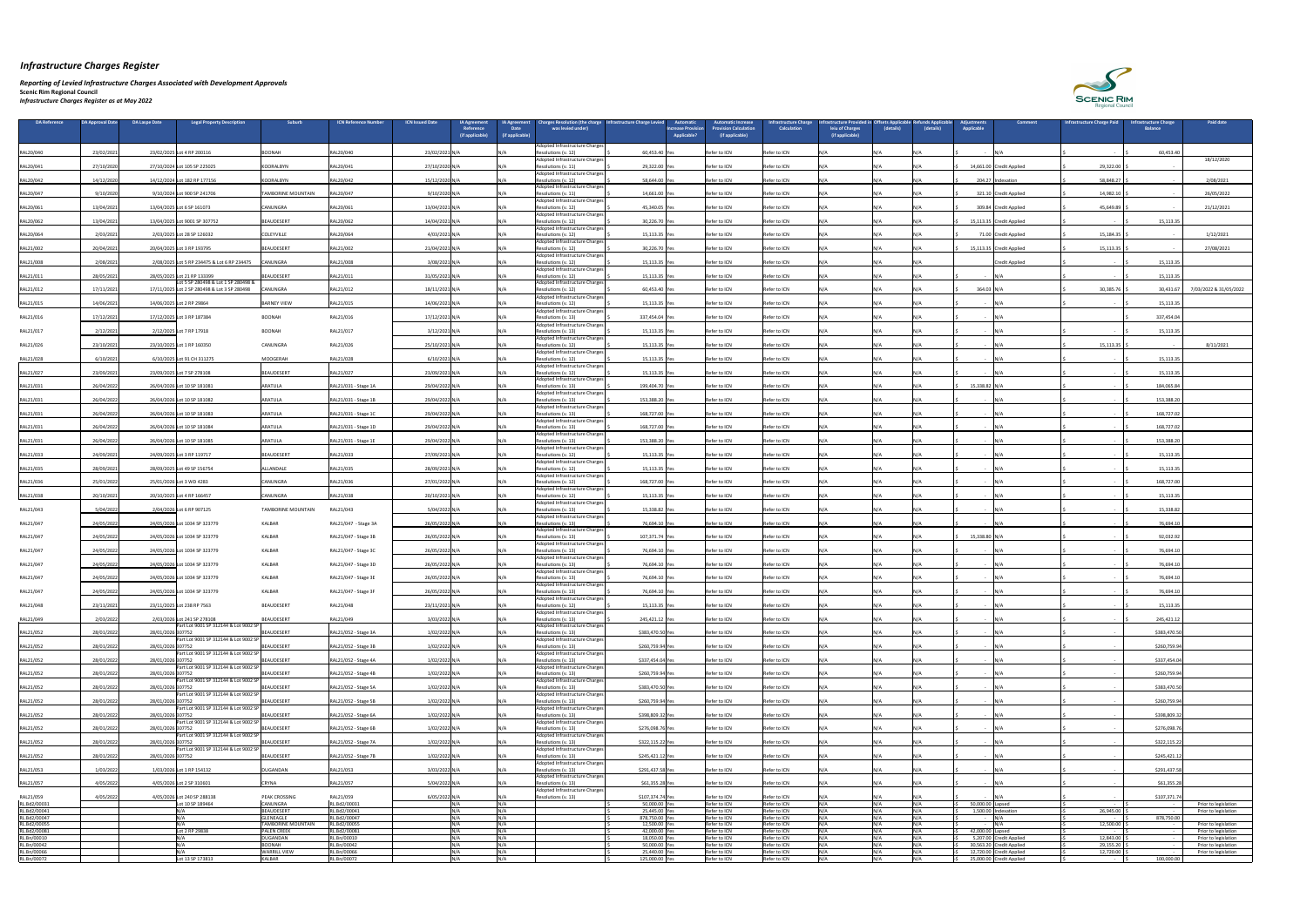*Reporting of Levied Infrastructure Charges Associated with Development Approvals* 

| <b>DA Reference</b>          | DA Approval Date      | <b>DA Laspe Date</b> | <b>Legal Property Description</b>               | Suburb                                        | <b>ICN Reference Numbe</b>   | <b>ICN Issued Date</b> | <b>IA Agreement</b>          | <b>IA Agreement</b>            | harges Resolution (the charge                                      | Infrastructure Charge Levied      | Automatic<br><b>Increase Provision</b> | <b>Automatic Increase</b><br><b>Provision Calculation</b> | <b>Infrastructure Charge</b><br><b>Calculation</b> | rastructure Provided in Offsets Applicable | (details)    | <b>Refunds Applicable</b> | iustments                    | <b>Comment</b>                                       | <b>Infrastructure Charge Paid</b> | <b>Infrastructure Charge</b> | <b>Paid date</b>                             |
|------------------------------|-----------------------|----------------------|-------------------------------------------------|-----------------------------------------------|------------------------------|------------------------|------------------------------|--------------------------------|--------------------------------------------------------------------|-----------------------------------|----------------------------------------|-----------------------------------------------------------|----------------------------------------------------|--------------------------------------------|--------------|---------------------------|------------------------------|------------------------------------------------------|-----------------------------------|------------------------------|----------------------------------------------|
|                              |                       |                      |                                                 |                                               |                              |                        | Reference<br>(if applicable) | <b>Date</b><br>(if applicable) | was levied under)                                                  |                                   | <b>Applicable?</b>                     | (if applicable)                                           |                                                    | leiu of Charges<br>(if applicable)         |              | (details)                 | Applicable                   |                                                      |                                   | <b>Balance</b>               |                                              |
|                              |                       |                      |                                                 |                                               |                              |                        |                              |                                | Adopted Infrastructure Charges                                     |                                   |                                        |                                                           |                                                    |                                            |              |                           |                              |                                                      |                                   |                              |                                              |
| RAL20/040                    | 23/02/2021            |                      | 23/02/2025 Lot 4 RP 200116                      | <b>BOONAH</b>                                 | RAL20/040                    | 23/02/2021 N/A         |                              |                                | Resolutions (v. 12)<br>Adopted Infrastructure Charges              | 60,453.40                         |                                        | Refer to ICN                                              | Refer to ICN                                       |                                            |              |                           | <b>Contract Contract</b>     |                                                      |                                   | 60,453.40                    | 18/12/2020                                   |
| RAL20/041                    | 27/10/2020            |                      | 27/10/2024 Lot 105 SP 225025                    | KOORALBYN                                     | RAL20/041                    | 27/10/2020 N/A         |                              |                                | Resolutions (v. 11)<br>Adopted Infrastructure Charges              | 29,322.00 Yes                     |                                        | Refer to ICN                                              | Refer to ICN                                       |                                            |              |                           |                              | 14,661.00 Credit Applied                             | 29,322.00                         |                              |                                              |
| RAL20/042                    | 14/12/2020            |                      | 14/12/2024 Lot 182 RP 177156                    | KOORALBYN                                     | RAL20/042                    | 15/12/2020 N/A         |                              |                                | Resolutions (v. 12)                                                | 58,644.00                         |                                        | Refer to ICN                                              | Refer to ICN                                       |                                            |              |                           |                              | 204.27 Indexation                                    | 58,848.27                         |                              | 2/08/2021                                    |
| RAL20/047                    | 9/10/2020             |                      | 9/10/2024 Lot 900 SP 241706                     | <b>TAMBORINE MOUNTAIN</b>                     | RAL20/047                    | 9/10/2020 N/A          |                              |                                | Adopted Infrastructure Charges<br>Resolutions (v. 11)              | 14,661.00 Yes                     |                                        | Refer to ICN                                              | Refer to ICN                                       |                                            |              |                           |                              | 321.10 Credit Applied                                | 14,982.10                         |                              | 26/05/2022                                   |
| RAL20/061                    | 13/04/2021            |                      | 13/04/2025 Lot 6 SP 161073                      | <b>CANUNGRA</b>                               | RAL20/061                    | 13/04/2021 N/A         |                              |                                | Adopted Infrastructure Charges<br>Resolutions (v. 12)              | 45,340.05 Yes                     |                                        | Refer to ICN                                              | Refer to ICN                                       |                                            |              |                           |                              | 309.84 Credit Applied                                | 45,649.89                         |                              | 21/12/2021                                   |
|                              |                       |                      |                                                 |                                               |                              |                        |                              |                                | Adopted Infrastructure Charges                                     |                                   |                                        |                                                           |                                                    |                                            |              |                           |                              |                                                      |                                   |                              |                                              |
| RAL20/062                    | 13/04/202             |                      | 13/04/2025 Lot 9001 SP 307752                   | BEAUDESERT                                    | RAL20/062                    | 14/04/2021 N/A         |                              |                                | Resolutions (v. 12)<br>Adopted Infrastructure Charges              | 30,226.70 Yes                     |                                        | Refer to ICN                                              | Refer to ICN                                       |                                            |              |                           |                              | 15,113.35 Credit Applied                             | $\sim$ $-$                        | 15,113.35                    |                                              |
| RAL20/064                    | 2/03/2021             |                      | 2/03/2025 Lot 28 SP 126032                      | <b>COLEYVILLE</b>                             | RAL20/064                    | 4/03/2021 N/A          |                              |                                | Resolutions (v. 12)<br>Adopted Infrastructure Charges              | 15,113.35 Yes                     |                                        | Refer to ICN                                              | Refer to ICN                                       |                                            | N I∕         |                           |                              | 71.00 Credit Applied                                 | 15,184.35                         |                              | 1/12/2021                                    |
| RAL21/002                    | 20/04/2021            |                      | 20/04/2025 Lot 3 RP 193795                      | <b>BEAUDESERT</b>                             | RAL21/002                    | 21/04/2021 N/A         |                              |                                | Resolutions (v. 12)                                                | 30,226.70 Yes                     |                                        | Refer to ICN                                              | Refer to ICN                                       |                                            |              |                           |                              | 15,113.35 Credit Applied                             | 15,113.35                         |                              | 27/08/2021                                   |
| RAL21/008                    | 2/08/2021             |                      | 2/08/2025 Lot 5 RP 234475 & Lot 6 RP 234475     | <b>CANUNGRA</b>                               | RAL21/008                    | 3/08/2021 N/A          |                              |                                | Adopted Infrastructure Charges<br>Resolutions (v. 12)              | 15,113.35 Yes                     |                                        | Refer to ICN                                              | Refer to ICN                                       |                                            |              |                           |                              | Credit Applied                                       |                                   | 15,113.35                    |                                              |
| RAL21/011                    | 28/05/2021            |                      | 28/05/2025 Lot 21 RP 133399                     | BEAUDESERT                                    | RAL21/011                    | 31/05/2021 N/A         |                              |                                | Adopted Infrastructure Charges<br>Resolutions (v. 12)              | 15,113.35 Yes                     |                                        | Refer to ICN                                              | Refer to ICN                                       |                                            |              |                           |                              |                                                      |                                   | 15,113.35                    |                                              |
|                              |                       |                      | Lot 5 SP 280498 & Lot 1 SP 280498 &             |                                               |                              |                        |                              |                                | Adopted Infrastructure Charges                                     |                                   |                                        |                                                           |                                                    |                                            |              |                           |                              |                                                      |                                   |                              |                                              |
| RAL21/012                    | 17/11/2021            |                      | 17/11/2025 Lot 2 SP 280498 & Lot 3 SP 280498    | <b>CANUNGRA</b>                               | RAL21/012                    | 18/11/2021 N/A         |                              |                                | Resolutions (v. 12)<br>Adopted Infrastructure Charges              | 60,453.40 Yes                     |                                        | Refer to ICN                                              | Refer to ICN                                       |                                            | N/A          |                           | 364.03 N/A                   |                                                      | 30,385.76                         | 30,431.67                    | 7/03/2022 & 31/05/2022                       |
| RAL21/015                    | 14/06/202             |                      | 14/06/2025 Lot 2 RP 29864                       | <b>BARNEY VIEW</b>                            | RAL21/015                    | 14/06/2021 N/A         |                              |                                | Resolutions (v. 12)<br>Adopted Infrastructure Charges              | 15,113.35 Yes                     |                                        | Refer to ICN                                              | Refer to ICN                                       |                                            |              |                           |                              |                                                      |                                   | 15,113.35                    |                                              |
| RAL21/016                    | 17/12/2021            |                      | 17/12/2025 Lot 3 RP 187384                      | <b>BOONAH</b>                                 | RAL21/016                    | 17/12/2021 N/A         |                              |                                | Resolutions (v. 13)                                                | 337,454.04 Yes                    |                                        | Refer to ICN                                              | Refer to ICN                                       |                                            | N/A          |                           | $\sim$                       | IN/A                                                 |                                   | 337,454.04                   |                                              |
| RAL21/017                    | 2/12/2021             |                      | 2/12/2025 Lot 7 RP 17918                        | <b>BOONAH</b>                                 | RAL21/017                    | $3/12/2021$ N/A        |                              |                                | Adopted Infrastructure Charges<br>Resolutions (v. 13)              | 15,113.35 Yes                     |                                        | Refer to ICN                                              | Refer to ICN                                       |                                            |              |                           |                              | IN/A                                                 |                                   | 15,113.35                    |                                              |
| RAL21/026                    | 23/10/2021            |                      | 23/10/2025 Lot 1 RP 160350                      | CANUNGRA                                      | RAL21/026                    | 25/10/2021 N/A         |                              |                                | Adopted Infrastructure Charges<br>Resolutions (v. 12)              | 15,113.35 Yes                     |                                        | Refer to ICN                                              | Refer to ICN                                       |                                            | N / A        |                           | - IN/A                       |                                                      | 15,113.35                         |                              | 8/11/2021                                    |
|                              |                       |                      |                                                 |                                               |                              |                        |                              |                                | Adopted Infrastructure Charges                                     |                                   |                                        |                                                           |                                                    |                                            |              |                           |                              |                                                      |                                   |                              |                                              |
| RAL21/028                    | 6/10/2021             |                      | 6/10/2025 Lot 91 CH 311275                      | MOOGERAH                                      | RAL21/028                    | 6/10/2021 N/A          |                              |                                | Resolutions (v. 12)<br>Adopted Infrastructure Charges <sup>1</sup> | 15,113.35 Yes                     |                                        | Refer to ICN                                              | Refer to ICN                                       |                                            |              |                           |                              |                                                      |                                   | 15,113.35                    |                                              |
| RAL21/027                    | 23/09/202             |                      | 23/09/2025 Lot 7 SP 278108                      | BEAUDESERT                                    | RAL21/027                    | 23/09/2021 N/A         |                              |                                | Resolutions (v. 12)<br>Adopted Infrastructure Charges              | 15,113.35                         |                                        | Refer to ICN                                              | Refer to ICN                                       |                                            |              |                           |                              |                                                      |                                   | 15,113.35                    |                                              |
| RAL21/031                    | 26/04/2022            |                      | 26/04/2026 Lot 10 SP 181081                     | <b>ARATULA</b>                                | RAL21/031 - Stage 1A         | 29/04/2022 N/A         |                              |                                | Resolutions (v. 13)                                                | 199,404.70 Yes                    |                                        | Refer to ICN                                              | Refer to ICN                                       |                                            |              |                           | 15,338.82 N/A                |                                                      |                                   | 184,065.84                   |                                              |
| RAL21/031                    | 26/04/2022            |                      | 26/04/2026 Lot 10 SP 181082                     | ARATULA                                       | RAL21/031 - Stage 1B         | 29/04/2022 N/A         |                              | IN/A                           | Adopted Infrastructure Charges<br>Resolutions (v. 13)              | 153,388.20 Yes                    |                                        | Refer to ICN                                              | Refer to ICN                                       |                                            | N / A        |                           |                              |                                                      |                                   | 153,388.20                   |                                              |
| RAL21/031                    | 26/04/2022            |                      | 26/04/2026 Lot 10 SP 181083                     | <b>ARATULA</b>                                | RAL21/031 - Stage 1C         | 29/04/2022 N/A         |                              |                                | Adopted Infrastructure Charges <sup>1</sup><br>Resolutions (v. 13) | 168,727.00 Yes                    |                                        | Refer to ICN                                              | Refer to ICN                                       |                                            |              |                           |                              |                                                      |                                   | 168,727.02                   |                                              |
|                              |                       |                      |                                                 |                                               |                              |                        |                              |                                | Adopted Infrastructure Charges                                     |                                   |                                        |                                                           |                                                    |                                            |              |                           |                              |                                                      |                                   |                              |                                              |
| RAL21/031                    | 26/04/202             |                      | 26/04/2026 Lot 10 SP 181084                     | <b>ARATULA</b>                                | RAL21/031 - Stage 1D         | 29/04/2022 N/A         |                              |                                | Resolutions (v. 13)<br>Adopted Infrastructure Charges              | 168,727.00 Yes                    |                                        | Refer to ICN                                              | Refer to ICN                                       |                                            |              |                           |                              |                                                      |                                   | 168,727.02                   |                                              |
| RAL21/031                    | 26/04/2022            |                      | 26/04/2026 Lot 10 SP 181085                     | ARATULA                                       | RAL21/031 - Stage 1E         | 29/04/2022 N/A         |                              |                                | Resolutions (v. 13)<br>Adopted Infrastructure Charges              | 153,388.20 Yes                    |                                        | Refer to ICN                                              | Refer to ICN                                       |                                            | \I / A       |                           | $\sim$                       | IN/A                                                 |                                   | 153,388.20                   |                                              |
| RAL21/033                    | 24/09/2021            |                      | 24/09/2025 Lot 3 RP 119717                      | BEAUDESERT                                    | RAL21/033                    | 27/09/2021 N/A         |                              |                                | Resolutions (v. 12)                                                | 15,113.35 Yes                     |                                        | Refer to ICN                                              | Refer to ICN                                       |                                            |              |                           |                              |                                                      |                                   | 15,113.35                    |                                              |
| RAL21/035                    | 28/09/202             |                      | 28/09/2025 Lot 49 SP 156754                     | ALLANDALE                                     | RAL21/035                    | 28/09/2021 N/          |                              |                                | Adopted Infrastructure Charges <sup>1</sup><br>Resolutions (v. 12) | 15,113.35                         |                                        | Refer to ICN                                              | Refer to ICN                                       |                                            |              |                           |                              |                                                      |                                   | 15,113.35                    |                                              |
| RAL21/036                    | 25/01/2022            |                      | 25/01/2026 Lot 3 WD 4283                        | CANUNGRA                                      | RAL21/036                    | 27/01/2022 N/A         |                              |                                | Adopted Infrastructure Charges<br>Resolutions (v. 12)              | 168,727.00 Yes                    |                                        | Refer to ICN                                              | Refer to ICN                                       |                                            |              |                           |                              |                                                      |                                   | 168,727.00                   |                                              |
|                              |                       |                      |                                                 |                                               |                              |                        |                              |                                | Adopted Infrastructure Charges                                     |                                   |                                        |                                                           |                                                    |                                            |              |                           |                              |                                                      |                                   |                              |                                              |
| RAL21/038                    | 20/10/2021            |                      | 20/10/2025 Lot 4 RP 166457                      | CANUNGRA                                      | RAL21/038                    | 20/10/2021 N/A         |                              |                                | Resolutions (v. 12)<br>Adopted Infrastructure Charges              | 15,113.35 Yes                     |                                        | Refer to ICN                                              | Refer to ICN                                       |                                            |              |                           | $\sim$                       |                                                      |                                   | 15,113.35                    |                                              |
| RAL21/043                    | 5/04/202              |                      | 2/04/2026 Lot 6 RP 907125                       | <b>TAMBORINE MOUNTAIN</b>                     | RAL21/043                    | 5/04/2022 N/A          |                              |                                | Resolutions (v. 13)<br>Adopted Infrastructure Charges              | 15,338.82 Yes                     |                                        | Refer to ICN                                              | Refer to ICN                                       |                                            |              |                           |                              |                                                      |                                   | 15,338.82                    |                                              |
| RAL21/047                    | 24/05/2022            |                      | 24/05/2026 Lot 1034 SP 323779                   | KALBAR                                        | RAL21/047 - Stage 3A         | 26/05/2022 N/A         |                              |                                | Resolutions (v. 13)                                                | 76,694.10 Yes                     |                                        | Refer to ICN                                              | Refer to ICN                                       |                                            | N/A          |                           | $\sim$ 100 $\sim$ 100 $\sim$ | -IN/A                                                |                                   | 76,694.10                    |                                              |
| RAL21/047                    | 24/05/2022            |                      | 24/05/2026 Lot 1034 SP 323779                   | KALBAR                                        | RAL21/047 - Stage 3B         | 26/05/2022 N/A         |                              |                                | Adopted Infrastructure Charges<br>Resolutions (v. 13)              | 107,371.74 Yes                    |                                        | Refer to ICN                                              | Refer to ICN                                       |                                            | N/A          |                           | 15,338.80 N/A                |                                                      |                                   | 92,032.92                    |                                              |
| RAL21/047                    | 24/05/202<br>27001202 |                      | 24/05/2026 Lot 1034 SP 323779                   | <b>KALBAR</b>                                 | RAL21/047 - Stage 3C         | 26/05/2022N/A          |                              |                                | Adopted Infrastructure Charges<br>Resolutions (v. 13)              | 76,694.10 Yes                     |                                        | Refer to ICN                                              | Refer to ICN                                       |                                            |              |                           |                              |                                                      |                                   | 76,694.10                    |                                              |
|                              | 24/05/2022            |                      | 24/05/2026 Lot 1034 SP 323779                   | KALBAR                                        |                              | 26/05/2022 N/A         |                              |                                | Adopted Infrastructure Charges<br>Resolutions (v. 13)              | 76,694.10 Yes                     |                                        | Refer to ICN                                              | Refer to ICN                                       |                                            |              |                           |                              |                                                      |                                   | 76,694.10                    |                                              |
| RAL21/047                    |                       |                      |                                                 |                                               | RAL21/047 - Stage 3D         |                        |                              |                                | Adopted Infrastructure Charges                                     |                                   |                                        |                                                           |                                                    |                                            |              |                           | $\sim$ $\sim$                |                                                      |                                   |                              |                                              |
| RAL21/047                    | 24/05/2022            |                      | 24/05/2026 Lot 1034 SP 323779                   | KALBAR                                        | RAL21/047 - Stage 3E         | 26/05/2022 N/A         |                              |                                | Resolutions (v. 13)<br>Adopted Infrastructure Charges              | 76,694.10 Yes                     |                                        | Refer to ICN                                              | Refer to ICN                                       |                                            |              |                           |                              |                                                      |                                   | 76,694.10                    |                                              |
| RAL21/047                    | 24/05/202             |                      | 24/05/2026 Lot 1034 SP 323779                   | KALBAR                                        | RAL21/047 - Stage 3F         | 26/05/2022 N/A         |                              |                                | Resolutions (v. 13)<br>Adopted Infrastructure Charges <sup>1</sup> | 76,694.10 Yes                     |                                        | Refer to ICN                                              | Refer to ICN                                       |                                            |              |                           | $\sim$                       |                                                      |                                   | 76,694.10                    |                                              |
| RAL21/048                    | 23/11/2021            |                      | 23/11/2025 Lot 238 RP 7563                      | <b>BEAUDESERT</b>                             | RAL21/048                    | 23/11/2021 N/A         |                              |                                | Resolutions (v. 12)                                                | 15,113.35 Yes                     |                                        | Refer to ICN                                              | Refer to ICN                                       |                                            |              |                           |                              |                                                      |                                   | 15,113.35                    |                                              |
| RAL21/049                    | 2/03/2022             |                      | 2/03/2026 Lot 241 SP 278108                     | <b>BEAUDESERT</b>                             | RAL21/049                    | 3/03/2022 N/A          |                              |                                | Adopted Infrastructure Charges<br>Resolutions (v. 13)              | 245,421.12 Ye                     |                                        | Refer to ICN                                              | Refer to ICN                                       |                                            |              |                           | $\sim$                       |                                                      |                                   | 245,421.12                   |                                              |
| RAL21/052                    | 28/01/2022            | 28/01/2026 307752    | Part Lot 9001 SP 312144 & Lot 9002 SP           | BEAUDESERT                                    | RAL21/052 - Stage 3A         | 1/02/2022 N/A          |                              |                                | Adopted Infrastructure Charges<br>Resolutions (v. 13)              | \$383,470.50 Yes                  |                                        | Refer to ICN                                              | Refer to ICN                                       |                                            |              |                           |                              |                                                      |                                   | \$383,470.50                 |                                              |
|                              |                       |                      | Part Lot 9001 SP 312144 & Lot 9002 SP           |                                               |                              |                        |                              |                                | Adopted Infrastructure Charges                                     |                                   |                                        |                                                           |                                                    |                                            |              |                           |                              |                                                      |                                   |                              |                                              |
| RAL21/052                    | 28/01/2022            | 28/01/2026 307752    | Part Lot 9001 SP 312144 & Lot 9002 SP           | BEAUDESERT                                    | RAL21/052 - Stage 3B         | 1/02/2022 N/A          |                              |                                | Resolutions (v. 13)<br>Adopted Infrastructure Charges              | \$260,759.94 Yes                  |                                        | Refer to ICN                                              | Refer to ICN                                       |                                            |              |                           |                              |                                                      |                                   | \$260,759.94                 |                                              |
| RAL21/052                    | 28/01/2022            | 28/01/2026 307752    | Part Lot 9001 SP 312144 & Lot 9002 SP           | BEAUDESERT                                    | RAL21/052 - Stage 4A         | 1/02/2022 N/A          |                              |                                | Resolutions (v. 13)<br>Adopted Infrastructure Charges              | \$337,454.04 Yes                  |                                        | Refer to ICN                                              | Refer to ICN                                       |                                            |              |                           | $\sim$                       |                                                      |                                   | \$337,454.04                 |                                              |
| RAL21/052                    | 28/01/2022            | 28/01/2026 307752    |                                                 | BEAUDESERT                                    | RAL21/052 - Stage 4B         | 1/02/2022 N/A          |                              |                                | Resolutions (v. 13)                                                | \$260,759.94 Yes                  |                                        | Refer to ICN                                              | Refer to ICN                                       |                                            |              |                           |                              |                                                      |                                   | \$260,759.94                 |                                              |
| RAL21/052                    | 28/01/202             | 28/01/2026 307752    | Part Lot 9001 SP 312144 & Lot 9002 SP           | BEAUDESERT                                    | RAL21/052 - Stage 5A         | 1/02/2022 N/A          |                              |                                | Adopted Infrastructure Charges<br>Resolutions (v. 13)              | \$383,470.50 Yes                  |                                        | Refer to ICN                                              | Refer to ICN                                       |                                            |              |                           |                              |                                                      |                                   | \$383,470.50                 |                                              |
| RAL21/052                    | 28/01/2022            | 28/01/2026 307752    | Part Lot 9001 SP 312144 & Lot 9002 SP           | BEAUDESERT                                    | RAL21/052 - Stage 5B         | 1/02/2022 N/A          |                              |                                | Adopted Infrastructure Charges<br>Resolutions (v. 13)              | \$260,759.94 Yes                  |                                        | Refer to ICN                                              | Refer to ICN                                       |                                            |              |                           | $\sim$ $-$                   |                                                      |                                   | \$260,759.94                 |                                              |
|                              |                       |                      | Part Lot 9001 SP 312144 & Lot 9002 SP           |                                               |                              |                        |                              |                                | Adopted Infrastructure Charges                                     |                                   |                                        |                                                           |                                                    |                                            |              |                           |                              |                                                      |                                   |                              |                                              |
| RAL21/052                    | 28/01/2022            | 28/01/2026 307752    | Part Lot 9001 SP 312144 & Lot 9002 SP           | BEAUDESERT                                    | RAL21/052 - Stage 6A         | 1/02/2022 N/A          |                              |                                | Resolutions (v. 13)<br>Adopted Infrastructure Charges              | \$398,809.32 Yes                  |                                        | Refer to ICN                                              | Refer to ICN                                       |                                            |              |                           |                              |                                                      |                                   | \$398,809.32                 |                                              |
| RAL21/052                    | 28/01/2022            | 28/01/2026 307752    | Part Lot 9001 SP 312144 & Lot 9002 SP           | BEAUDESERT                                    | RAL21/052 - Stage 6B         | 1/02/2022 N/A          |                              |                                | Resolutions (v. 13)<br>Adopted Infrastructure Charges              | \$276,098.76 Yes                  |                                        | Refer to ICN                                              | Refer to ICN                                       |                                            |              |                           |                              |                                                      |                                   | \$276,098.7                  |                                              |
| RAL21/052                    | 28/01/202             | 28/01/2026 307752    |                                                 | BEAUDESERT                                    | RAL21/052 - Stage 7A         | 1/02/2022 N/A          |                              |                                | Resolutions (v. 13)                                                | \$322,115.22 Yes                  |                                        | Refer to ICN                                              | Refer to ICN                                       |                                            |              |                           | $\sim$                       |                                                      |                                   | \$322,115.2                  |                                              |
| RAL21/052                    | 28/01/2022            | 28/01/2026 307752    | Part Lot 9001 SP 312144 & Lot 9002 SP           | BEAUDESERT                                    | RAL21/052 - Stage 7B         | 1/02/2022 N/A          |                              |                                | Adopted Infrastructure Charges<br>Resolutions (v. 13)              | \$245,421.12 Yes                  |                                        | Refer to ICN                                              | Refer to ICN                                       |                                            | N / A        |                           | $\sim$ $\sim$                | IN/A                                                 |                                   | \$245,421.12                 |                                              |
| RAL21/053                    | 1/03/2022             |                      | 1/03/2026 Lot 1 RP 154132                       | DUGANDAN                                      | RAL21/053                    | 3/03/2022 N/A          |                              | IN/A                           | Adopted Infrastructure Charges<br>Resolutions (v. 13)              | \$291,437.58 Yes                  |                                        | Refer to ICN                                              | Refer to ICN                                       |                                            | IN/A         |                           |                              | IN/A                                                 |                                   | \$291,437.58                 |                                              |
|                              |                       |                      |                                                 |                                               |                              |                        |                              |                                | Adopted Infrastructure Charges                                     |                                   |                                        |                                                           |                                                    |                                            |              |                           |                              |                                                      |                                   |                              |                                              |
| RAL21/057                    | 4/05/2022             |                      | 4/05/2026 Lot 2 SP 310601                       | <b>CRYNA</b>                                  | RAL21/057                    | 5/04/2022 N/A          |                              |                                | Resolutions (v. 13)<br>Adopted Infrastructure Charges              | \$61,355.28 Yes                   |                                        | Refer to ICN                                              | Refer to ICN                                       |                                            |              |                           | $\sim$ $-$                   |                                                      |                                   | \$61,355.28                  |                                              |
| RAL21/059<br>RL.Bd2/00031    | 4/05/2022             |                      | 4/05/2026 Lot 240 SP 288138<br>Lot 10 SP 189464 | PEAK CROSSING<br>CANUNGRA                     | RAL21/059<br>RL.Bd2/00031    | 6/05/2022 N/A          |                              |                                | Resolutions (v. 13)                                                | \$107,374.74 Yes<br>50,000.00 Yes |                                        | Refer to ICN<br>Refer to ICN                              | Refer to ICN<br>Refer to ICN                       |                                            | N /Δ         |                           | - IN/A<br>50,000.00 Lapsed   |                                                      | $\sim$ $-$                        | \$107,371.74                 | Prior to legislation                         |
| RL.Bd2/00041                 |                       |                      |                                                 | <b>BEAUDESERT</b>                             | RL.Bd2/00041                 |                        |                              |                                |                                                                    | 25,445.00 Yes                     |                                        | Refer to ICN                                              | Refer to ICN                                       |                                            | N/A          |                           | 1,500.00 Indexation          |                                                      | 26,945.00                         |                              | Prior to legislation                         |
| RL.Bd2/00047<br>RL.Bd2/00055 |                       |                      |                                                 | <b>GLENEAGLE</b><br><b>TAMBORINE MOUNTAIN</b> | RL.Bd2/00047<br>RL.Bd2/00055 |                        |                              |                                |                                                                    | 878,750.00 Yes<br>12,500.00 Yes   |                                        | Refer to ICN<br>Refer to ICN                              | Refer to ICN<br>Refer to ICN                       |                                            | N / A        |                           | $\sim$ $-$<br>$-N/A$         | IN/A                                                 | $\sim$ $-$<br>12,500.00           | 878,750.00                   | Prior to legislation                         |
| RL.Bd2/00081<br>RL.Bn/00010  |                       |                      | Lot 2 RP 29838                                  | <b>PALEN CREEK</b><br>DUGANDAN                | RL.Bd2/00081<br>RL.Bn/00010  |                        |                              |                                |                                                                    | 42,000.00 Yes<br>18,050.00 Yes    |                                        | Refer to ICN<br>Refer to ICN                              | Refer to ICN<br>Refer to ICN                       |                                            | N/A          |                           | 42,000.00 Lapsed             | 5,207.00 Credit Applied                              | $\sim$ $-$<br>12,843.00           |                              | Prior to legislation<br>Prior to legislation |
| RL.Bn/00042                  |                       |                      |                                                 | <b>BOONAH</b>                                 | RL.Bn/00042                  |                        |                              |                                |                                                                    | 50,000.00 Ye                      |                                        | Refer to ICN                                              | Refer to ICN                                       |                                            |              | IN/A                      |                              | 30,563.20 Credit Applied                             | 29,155.20                         |                              | Prior to legislation                         |
| RL.Bn/00066<br>RL.Bn/00072   |                       |                      | Lot 13 SP 173813                                | <b>WARRILL VIEW</b><br><b>KALBAR</b>          | RL.Bn/00066<br>RL.Bn/00072   |                        |                              |                                |                                                                    | 25,440.00 Yes<br>125,000.00 Yes   |                                        | Refer to ICN<br>Refer to ICN                              | Refer to ICN<br>Refer to ICN                       |                                            | N/A<br>N / A |                           |                              | 12,720.00 Credit Applied<br>25,000.00 Credit Applied | 12,720.00<br>$\sim$ $-$           | 100,000.00                   | Prior to legislation                         |